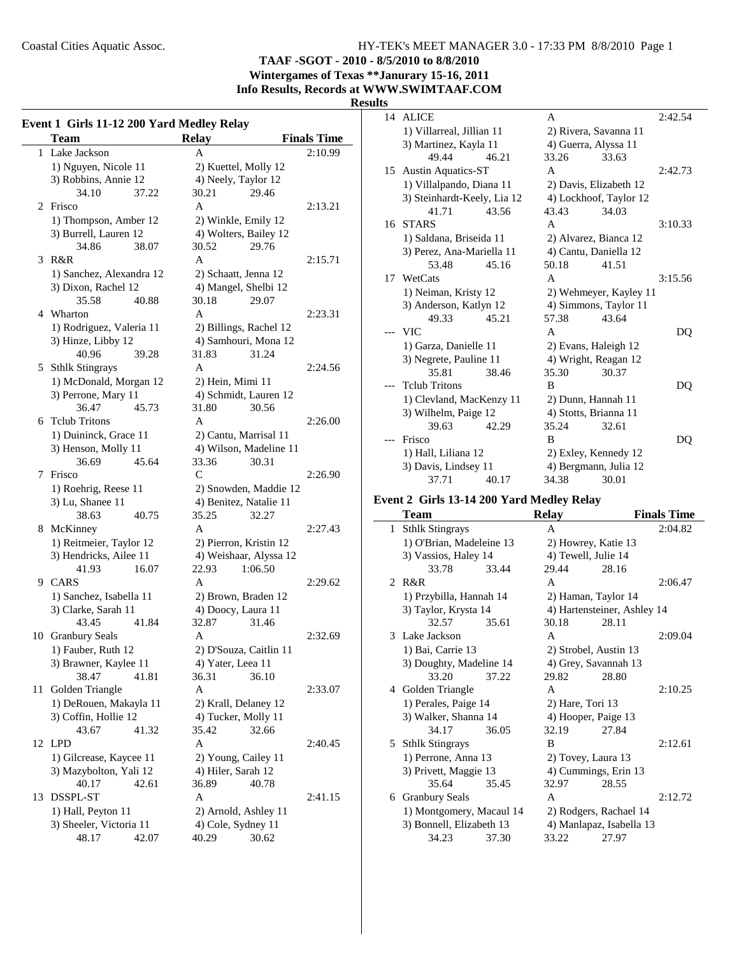**TAAF -SGOT - 2010 - 8/5/2010 to 8/8/2010**

**Wintergames of Texas \*\*Janurary 15-16, 2011 Info Results, Records at WWW.SWIMTAAF.COM**

## **Results**

|    | Event 1 Girls 11-12 200 Yard Medley Relay |                        |                    |  |  |  |  |
|----|-------------------------------------------|------------------------|--------------------|--|--|--|--|
|    | Team                                      | <b>Relay</b>           | <b>Finals Time</b> |  |  |  |  |
| 1  | Lake Jackson                              | А                      | 2:10.99            |  |  |  |  |
|    | 1) Nguyen, Nicole 11                      | 2) Kuettel, Molly 12   |                    |  |  |  |  |
|    | 3) Robbins, Annie 12                      | 4) Neely, Taylor 12    |                    |  |  |  |  |
|    | 34.10<br>37.22                            | 29.46<br>30.21         |                    |  |  |  |  |
| 2  | Frisco                                    | A                      | 2:13.21            |  |  |  |  |
|    | 1) Thompson, Amber 12                     | 2) Winkle, Emily 12    |                    |  |  |  |  |
|    | 3) Burrell, Lauren 12                     | 4) Wolters, Bailey 12  |                    |  |  |  |  |
|    | 34.86<br>38.07                            | 29.76<br>30.52         |                    |  |  |  |  |
| 3  | R&R                                       | A                      | 2:15.71            |  |  |  |  |
|    | 1) Sanchez, Alexandra 12                  | 2) Schaatt, Jenna 12   |                    |  |  |  |  |
|    | 3) Dixon, Rachel 12                       | 4) Mangel, Shelbi 12   |                    |  |  |  |  |
|    | 35.58<br>40.88                            | 30.18<br>29.07         |                    |  |  |  |  |
|    | 4 Wharton                                 | A                      | 2:23.31            |  |  |  |  |
|    | 1) Rodriguez, Valeria 11                  | 2) Billings, Rachel 12 |                    |  |  |  |  |
|    | 3) Hinze, Libby 12                        | 4) Samhouri, Mona 12   |                    |  |  |  |  |
|    | 40.96<br>39.28                            | 31.83<br>31.24         |                    |  |  |  |  |
| 5  | <b>Sthlk Stingrays</b>                    | A                      | 2:24.56            |  |  |  |  |
|    | 1) McDonald, Morgan 12                    | 2) Hein, Mimi 11       |                    |  |  |  |  |
|    | 3) Perrone, Mary 11                       | 4) Schmidt, Lauren 12  |                    |  |  |  |  |
|    | 36.47<br>45.73                            | 31.80<br>30.56         |                    |  |  |  |  |
| 6  | <b>Tclub Tritons</b>                      | A                      | 2:26.00            |  |  |  |  |
|    | 1) Duininck, Grace 11                     | 2) Cantu, Marrisal 11  |                    |  |  |  |  |
|    | 3) Henson, Molly 11                       | 4) Wilson, Madeline 11 |                    |  |  |  |  |
|    | 36.69<br>45.64                            | 33.36<br>30.31         |                    |  |  |  |  |
| 7  | Frisco                                    | $\mathcal{C}$          | 2:26.90            |  |  |  |  |
|    | 1) Roehrig, Reese 11                      | 2) Snowden, Maddie 12  |                    |  |  |  |  |
|    | 3) Lu, Shanee 11                          | 4) Benitez, Natalie 11 |                    |  |  |  |  |
|    | 38.63<br>40.75                            | 35.25<br>32.27         |                    |  |  |  |  |
|    | 8 McKinney                                | A                      | 2:27.43            |  |  |  |  |
|    | 1) Reitmeier, Taylor 12                   | 2) Pierron, Kristin 12 |                    |  |  |  |  |
|    | 3) Hendricks, Ailee 11                    | 4) Weishaar, Alyssa 12 |                    |  |  |  |  |
|    | 41.93<br>16.07                            | 22.93<br>1:06.50       |                    |  |  |  |  |
|    | 9 CARS                                    | A                      | 2:29.62            |  |  |  |  |
|    | 1) Sanchez, Isabella 11                   | 2) Brown, Braden 12    |                    |  |  |  |  |
|    | 3) Clarke, Sarah 11                       | 4) Doocy, Laura 11     |                    |  |  |  |  |
|    | 43.45<br>41.84                            | 31.46<br>32.87         |                    |  |  |  |  |
| 10 | <b>Granbury Seals</b>                     | А                      | 2:32.69            |  |  |  |  |
|    | 1) Fauber, Ruth 12                        | 2) D'Souza, Caitlin 11 |                    |  |  |  |  |
|    | 3) Brawner, Kaylee 11                     | 4) Yater, Leea 11      |                    |  |  |  |  |
|    | 38.47<br>41.81                            | 36.31<br>36.10         |                    |  |  |  |  |
| 11 | Golden Triangle                           | А                      | 2:33.07            |  |  |  |  |
|    | 1) DeRouen, Makayla 11                    | 2) Krall, Delaney 12   |                    |  |  |  |  |
|    | 3) Coffin, Hollie 12                      | 4) Tucker, Molly 11    |                    |  |  |  |  |
|    | 43.67<br>41.32                            | 35.42<br>32.66         |                    |  |  |  |  |
|    | 12 LPD                                    | A                      | 2:40.45            |  |  |  |  |
|    | 1) Gilcrease, Kaycee 11                   | 2) Young, Cailey 11    |                    |  |  |  |  |
|    | 3) Mazybolton, Yali 12                    | 4) Hiler, Sarah 12     |                    |  |  |  |  |
|    | 40.17<br>42.61                            | 36.89<br>40.78         |                    |  |  |  |  |
| 13 | <b>DSSPL-ST</b>                           | A                      | 2:41.15            |  |  |  |  |
|    | 1) Hall, Peyton 11                        | 2) Arnold, Ashley 11   |                    |  |  |  |  |
|    | 3) Sheeler, Victoria 11                   | 4) Cole, Sydney 11     |                    |  |  |  |  |
|    | 48.17<br>42.07                            | 40.29<br>30.62         |                    |  |  |  |  |

| 14 | <b>ALICE</b>                |       | A                    |                        | 2:42.54 |
|----|-----------------------------|-------|----------------------|------------------------|---------|
|    | 1) Villarreal, Jillian 11   |       |                      | 2) Rivera, Savanna 11  |         |
|    | 3) Martinez, Kayla 11       |       | 4) Guerra, Alyssa 11 |                        |         |
|    | 49.44                       | 46.21 | 33.26                | 33.63                  |         |
| 15 | <b>Austin Aquatics-ST</b>   |       | A                    |                        | 2:42.73 |
|    | 1) Villalpando, Diana 11    |       |                      | 2) Davis, Elizabeth 12 |         |
|    | 3) Steinhardt-Keely, Lia 12 |       |                      | 4) Lockhoof, Taylor 12 |         |
|    | 41.71                       | 43.56 | 43.43                | 34.03                  |         |
| 16 | <b>STARS</b>                |       | A                    |                        | 3:10.33 |
|    | 1) Saldana, Briseida 11     |       |                      | 2) Alvarez, Bianca 12  |         |
|    | 3) Perez, Ana-Mariella 11   |       |                      | 4) Cantu, Daniella 12  |         |
|    | 53.48                       | 45.16 | 50.18                | 41.51                  |         |
| 17 | WetCats                     |       | A                    |                        | 3:15.56 |
|    | 1) Neiman, Kristy 12        |       |                      | 2) Wehmeyer, Kayley 11 |         |
|    | 3) Anderson, Katlyn 12      |       |                      | 4) Simmons, Taylor 11  |         |
|    | 49.33                       | 45.21 | 57.38                | 43.64                  |         |
|    | <b>VIC</b>                  |       | A                    |                        | DQ      |
|    | 1) Garza, Danielle 11       |       |                      | 2) Evans, Haleigh 12   |         |
|    | 3) Negrete, Pauline 11      |       |                      | 4) Wright, Reagan 12   |         |
|    | 35.81                       | 38.46 | 35.30                | 30.37                  |         |
|    | <b>Telub Tritons</b>        |       | B                    |                        | DQ      |
|    | 1) Clevland, MacKenzy 11    |       |                      | 2) Dunn, Hannah 11     |         |
|    | 3) Wilhelm, Paige 12        |       |                      | 4) Stotts, Brianna 11  |         |
|    | 39.63                       | 42.29 | 35.24                | 32.61                  |         |
|    | Frisco                      |       | B                    |                        | DO      |
|    | 1) Hall, Liliana 12         |       |                      | 2) Exley, Kennedy 12   |         |
|    | 3) Davis, Lindsey 11        |       |                      | 4) Bergmann, Julia 12  |         |
|    | 37.71                       | 40.17 | 34.38                | 30.01                  |         |
|    |                             |       |                      |                        |         |

## **Event 2 Girls 13-14 200 Yard Medley Relay**

| Team                     |       | <b>Relay</b>          |                             | <b>Finals Time</b> |
|--------------------------|-------|-----------------------|-----------------------------|--------------------|
| 1 Sthlk Stingrays        |       | A                     |                             | 2:04.82            |
| 1) O'Brian, Madeleine 13 |       | 2) Howrey, Katie 13   |                             |                    |
| 3) Vassios, Haley 14     |       | 4) Tewell, Julie 14   |                             |                    |
| 33.78                    | 33.44 | 29.44                 | 28.16                       |                    |
| 2 R&R                    |       | A                     |                             | 2:06.47            |
| 1) Przybilla, Hannah 14  |       | 2) Haman, Taylor 14   |                             |                    |
| 3) Taylor, Krysta 14     |       |                       | 4) Hartensteiner, Ashley 14 |                    |
| 32.57                    | 35.61 | 30.18                 | 28.11                       |                    |
| 3 Lake Jackson           |       | A                     |                             | 2:09.04            |
| 1) Bai, Carrie 13        |       | 2) Strobel, Austin 13 |                             |                    |
| 3) Doughty, Madeline 14  |       | 4) Grey, Savannah 13  |                             |                    |
| 33.20                    | 37.22 | 29.82                 | 28.80                       |                    |
| 4 Golden Triangle        |       | A                     |                             | 2:10.25            |
| 1) Perales, Paige 14     |       | 2) Hare, Tori 13      |                             |                    |
| 3) Walker, Shanna 14     |       | 4) Hooper, Paige 13   |                             |                    |
| 34.17                    | 36.05 | 32.19                 | 27.84                       |                    |
| 5 Sthlk Stingrays        |       | B                     |                             | 2:12.61            |
| 1) Perrone, Anna 13      |       | 2) Tovey, Laura 13    |                             |                    |
| 3) Privett, Maggie 13    |       |                       | 4) Cummings, Erin 13        |                    |
| 35.64                    | 35.45 | 32.97                 | 28.55                       |                    |
| 6 Granbury Seals         |       | A                     |                             | 2:12.72            |
| 1) Montgomery, Macaul 14 |       |                       | 2) Rodgers, Rachael 14      |                    |
| 3) Bonnell, Elizabeth 13 |       |                       | 4) Manlapaz, Isabella 13    |                    |
| 34.23                    | 37.30 | 33.22                 | 27.97                       |                    |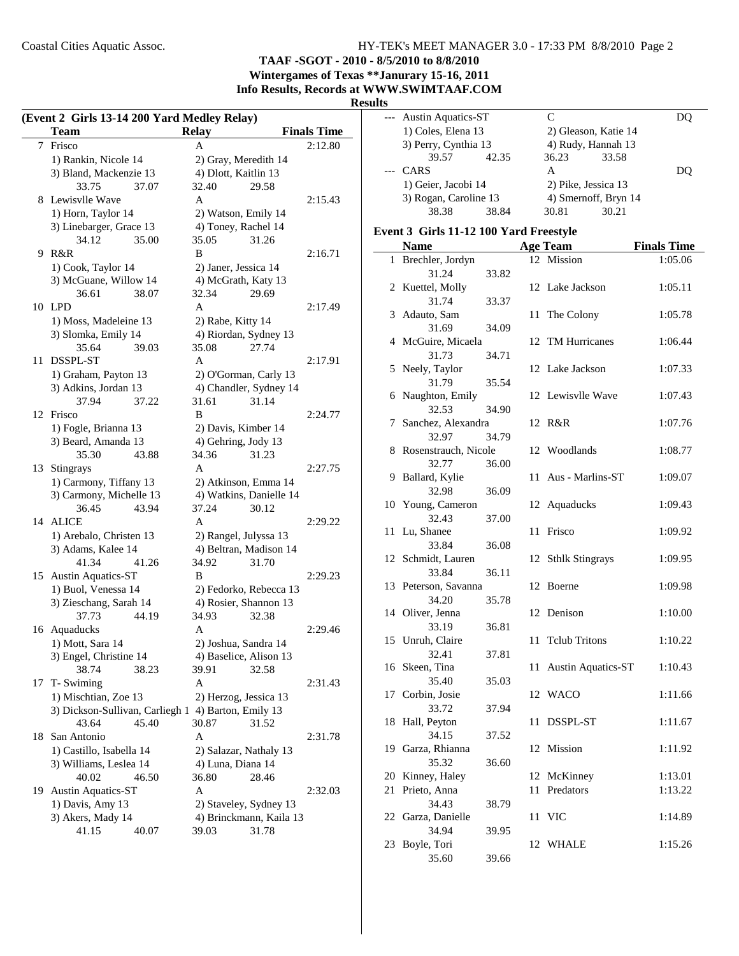## **TAAF -SGOT - 2010 - 8/5/2010 to 8/8/2010**

**Wintergames of Texas \*\*Janurary 15-16, 2011 Info Results, Records at WWW.SWIMTAAF.COM**

#### **Results**

|    | (Event 2 Girls 13-14 200 Yard Medley Relay) |                         |                    |  |  |  |
|----|---------------------------------------------|-------------------------|--------------------|--|--|--|
|    | Team                                        | <b>Relay</b>            | <b>Finals Time</b> |  |  |  |
|    | 7 Frisco                                    | A                       | 2:12.80            |  |  |  |
|    | 1) Rankin, Nicole 14                        | 2) Gray, Meredith 14    |                    |  |  |  |
|    | 3) Bland, Mackenzie 13                      | 4) Dlott, Kaitlin 13    |                    |  |  |  |
|    | 33.75<br>37.07                              | 32.40<br>29.58          |                    |  |  |  |
| 8  | Lewisvlle Wave                              | A                       | 2:15.43            |  |  |  |
|    | 1) Horn, Taylor 14                          | 2) Watson, Emily 14     |                    |  |  |  |
|    | 3) Linebarger, Grace 13                     | 4) Toney, Rachel 14     |                    |  |  |  |
|    | 34.12<br>35.00                              | 35.05<br>31.26          |                    |  |  |  |
| 9  | R&R                                         | B                       | 2:16.71            |  |  |  |
|    | 1) Cook, Taylor 14                          | 2) Janer, Jessica 14    |                    |  |  |  |
|    | 3) McGuane, Willow 14                       | 4) McGrath, Katy 13     |                    |  |  |  |
|    | 36.61<br>38.07                              | 32.34<br>29.69          |                    |  |  |  |
| 10 | <b>LPD</b>                                  | A                       | 2:17.49            |  |  |  |
|    | 1) Moss, Madeleine 13                       | 2) Rabe, Kitty 14       |                    |  |  |  |
|    | 3) Slomka, Emily 14                         | 4) Riordan, Sydney 13   |                    |  |  |  |
|    | 35.64<br>39.03                              | 35.08<br>27.74          |                    |  |  |  |
| 11 | DSSPL-ST                                    | A                       | 2:17.91            |  |  |  |
|    | 1) Graham, Payton 13                        | 2) O'Gorman, Carly 13   |                    |  |  |  |
|    | 3) Adkins, Jordan 13                        | 4) Chandler, Sydney 14  |                    |  |  |  |
|    | 37.94<br>37.22                              | 31.61<br>31.14          |                    |  |  |  |
|    | 12 Frisco                                   | B                       | 2:24.77            |  |  |  |
|    | 1) Fogle, Brianna 13                        | 2) Davis, Kimber 14     |                    |  |  |  |
|    | 3) Beard, Amanda 13                         | 4) Gehring, Jody 13     |                    |  |  |  |
|    | 35.30<br>43.88                              | 34.36<br>31.23          |                    |  |  |  |
| 13 | Stingrays                                   | A                       | 2:27.75            |  |  |  |
|    | 1) Carmony, Tiffany 13                      | 2) Atkinson, Emma 14    |                    |  |  |  |
|    | 3) Carmony, Michelle 13                     | 4) Watkins, Danielle 14 |                    |  |  |  |
|    | 36.45<br>43.94                              | 37.24<br>30.12          |                    |  |  |  |
| 14 | <b>ALICE</b>                                | A                       | 2:29.22            |  |  |  |
|    | 1) Arebalo, Christen 13                     | 2) Rangel, Julyssa 13   |                    |  |  |  |
|    | 3) Adams, Kalee 14                          | 4) Beltran, Madison 14  |                    |  |  |  |
|    | 41.34<br>41.26                              | 34.92<br>31.70          |                    |  |  |  |
| 15 | <b>Austin Aquatics-ST</b>                   | B                       | 2:29.23            |  |  |  |
|    | 1) Buol, Venessa 14                         | 2) Fedorko, Rebecca 13  |                    |  |  |  |
|    | 3) Zieschang, Sarah 14                      | 4) Rosier, Shannon 13   |                    |  |  |  |
|    | 37.73<br>44.19                              | 34.93<br>32.38          |                    |  |  |  |
| 16 | Aquaducks                                   | A                       | 2:29.46            |  |  |  |
|    | 1) Mott, Sara 14                            | 2) Joshua, Sandra 14    |                    |  |  |  |
|    | 3) Engel, Christine 14                      | 4) Baselice, Alison 13  |                    |  |  |  |
|    | 38.74<br>38.23                              | 39.91<br>32.58          |                    |  |  |  |
| 17 | T- Swiming                                  | A                       | 2:31.43            |  |  |  |
|    | 1) Mischtian, Zoe 13                        | 2) Herzog, Jessica 13   |                    |  |  |  |
|    | 3) Dickson-Sullivan, Carliegh 1             | 4) Barton, Emily 13     |                    |  |  |  |
|    | 43.64<br>45.40                              | 30.87<br>31.52          |                    |  |  |  |
| 18 | San Antonio                                 | A                       | 2:31.78            |  |  |  |
|    | 1) Castillo, Isabella 14                    | 2) Salazar, Nathaly 13  |                    |  |  |  |
|    | 3) Williams, Leslea 14                      | 4) Luna, Diana 14       |                    |  |  |  |
|    | 40.02<br>46.50                              | 36.80<br>28.46          |                    |  |  |  |
| 19 | <b>Austin Aquatics-ST</b>                   | A                       | 2:32.03            |  |  |  |
|    | 1) Davis, Amy 13                            | 2) Staveley, Sydney 13  |                    |  |  |  |
|    | 3) Akers, Mady 14                           | 4) Brinckmann, Kaila 13 |                    |  |  |  |
|    | 41.15<br>40.07                              | 39.03<br>31.78          |                    |  |  |  |

| ົ |                        |       |       |                      |     |
|---|------------------------|-------|-------|----------------------|-----|
|   | --- Austin Aquatics-ST |       | C     |                      |     |
|   | 1) Coles, Elena 13     |       |       | 2) Gleason, Katie 14 |     |
|   | 3) Perry, Cynthia 13   |       |       | 4) Rudy, Hannah 13   |     |
|   | 39.57                  | 42.35 | 36.23 | 33.58                |     |
|   | CARS                   |       | А     |                      | DO) |
|   | 1) Geier, Jacobi 14    |       |       | 2) Pike, Jessica 13  |     |
|   | 3) Rogan, Caroline 13  |       |       | 4) Smernoff, Bryn 14 |     |
|   | 38.38                  | 38.84 | 30.81 | 30.21                |     |
|   |                        |       |       |                      |     |

#### **Event 3 Girls 11-12 100 Yard Freestyle**

|              | <b>Name</b>               |       |    | <b>Age Team</b>           | <b>Finals Time</b> |
|--------------|---------------------------|-------|----|---------------------------|--------------------|
| $\mathbf{1}$ | Brechler, Jordyn          |       |    | 12 Mission                | 1:05.06            |
|              | 31.24                     | 33.82 |    |                           |                    |
|              | 2 Kuettel, Molly          |       | 12 | Lake Jackson              | 1:05.11            |
|              | 31.74                     | 33.37 |    |                           |                    |
| 3            | Adauto, Sam               |       |    | 11 The Colony             | 1:05.78            |
|              | 31.69                     | 34.09 |    |                           |                    |
| 4            | McGuire, Micaela          |       | 12 | <b>TM Hurricanes</b>      | 1:06.44            |
|              | 31.73                     | 34.71 |    |                           |                    |
| 5            | Neely, Taylor             |       | 12 | Lake Jackson              | 1:07.33            |
|              | 31.79                     | 35.54 |    |                           |                    |
| 6            | Naughton, Emily           |       |    | 12 Lewisvlle Wave         | 1:07.43            |
|              | 32.53                     | 34.90 |    |                           |                    |
| 7            | Sanchez, Alexandra        |       |    | 12 R&R                    | 1:07.76            |
|              | 32.97                     | 34.79 |    |                           |                    |
| 8            | Rosenstrauch, Nicole      |       | 12 | Woodlands                 | 1:08.77            |
|              | 32.77                     | 36.00 |    |                           |                    |
| 9            | Ballard, Kylie            |       | 11 | Aus - Marlins-ST          | 1:09.07            |
|              | 32.98                     | 36.09 |    |                           |                    |
| 10           | Young, Cameron            |       |    | 12 Aquaducks              | 1:09.43            |
|              | 32.43                     | 37.00 |    |                           |                    |
| 11           | Lu, Shanee                |       | 11 | Frisco                    | 1:09.92            |
|              | 33.84                     | 36.08 |    |                           |                    |
| 12           | Schmidt, Lauren           |       | 12 | <b>Sthlk Stingrays</b>    | 1:09.95            |
|              | 33.84                     | 36.11 |    |                           |                    |
| 13           | Peterson, Savanna         |       | 12 | Boerne                    | 1:09.98            |
|              | 34.20                     | 35.78 |    |                           |                    |
|              | 14 Oliver, Jenna          |       | 12 | Denison                   | 1:10.00            |
|              | 33.19                     | 36.81 |    |                           |                    |
| 15           | Unruh, Claire             |       | 11 | <b>Tclub Tritons</b>      | 1:10.22            |
|              | 32.41                     | 37.81 |    |                           |                    |
|              | 16 Skeen, Tina            |       | 11 | <b>Austin Aquatics-ST</b> | 1:10.43            |
|              | 35.40                     | 35.03 |    |                           |                    |
|              | 17 Corbin, Josie<br>33.72 |       |    | 12 WACO                   | 1:11.66            |
|              |                           | 37.94 | 11 |                           |                    |
| 18           | Hall, Peyton<br>34.15     | 37.52 |    | DSSPL-ST                  | 1:11.67            |
| 19           | Garza, Rhianna            |       | 12 | Mission                   |                    |
|              | 35.32                     | 36.60 |    |                           | 1:11.92            |
| 20           | Kinney, Haley             |       | 12 | McKinney                  | 1:13.01            |
| 21           | Prieto, Anna              |       | 11 | Predators                 | 1:13.22            |
|              | 34.43                     | 38.79 |    |                           |                    |
| 22           | Garza, Danielle           |       | 11 | <b>VIC</b>                | 1:14.89            |
|              | 34.94                     | 39.95 |    |                           |                    |
| 23           | Boyle, Tori               |       |    | 12 WHALE                  | 1:15.26            |
|              | 35.60                     | 39.66 |    |                           |                    |
|              |                           |       |    |                           |                    |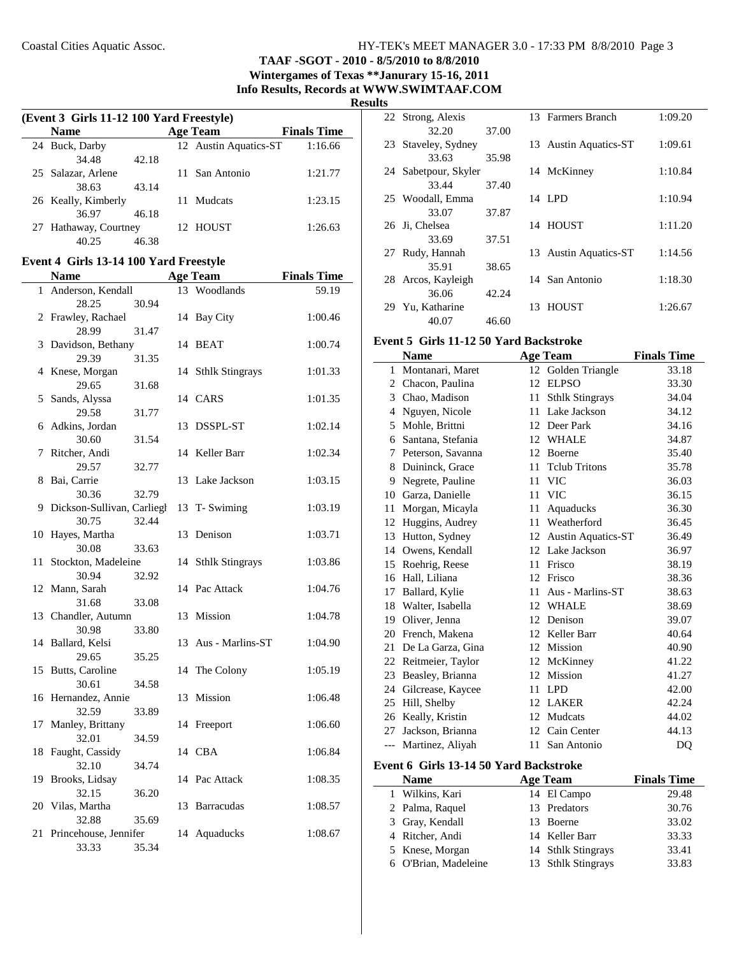**TAAF -SGOT - 2010 - 8/5/2010 to 8/8/2010 Wintergames of Texas \*\*Janurary 15-16, 2011 Info Results, Records at WWW.SWIMTAAF.COM**

**Results**

|    | (Event 3 Girls 11-12 100 Yard Freestyle) |       |  |                       |                    |  |
|----|------------------------------------------|-------|--|-----------------------|--------------------|--|
|    | <b>Name</b>                              |       |  | <b>Age Team</b>       | <b>Finals Time</b> |  |
|    | 24 Buck, Darby                           |       |  | 12 Austin Aquatics-ST | 1:16.66            |  |
|    | 34.48                                    | 42.18 |  |                       |                    |  |
|    | 25 Salazar, Arlene                       |       |  | 11 San Antonio        | 1:21.77            |  |
|    | 38.63                                    | 43.14 |  |                       |                    |  |
|    | 26 Keally, Kimberly                      |       |  | 11 Mudcats            | 1:23.15            |  |
|    | 36.97                                    | 46.18 |  |                       |                    |  |
|    | 27 Hathaway, Courtney                    |       |  | 12 HOUST              | 1:26.63            |  |
|    | 40.25                                    | 46.38 |  |                       |                    |  |
|    | Event 4 Girls 13-14 100 Yard Freestyle   |       |  |                       |                    |  |
|    | <b>Name</b>                              |       |  | <b>Age Team</b>       | <b>Finals Time</b> |  |
|    | 1 Anderson, Kendall                      |       |  | 13 Woodlands          | 59.19              |  |
|    | 28.25                                    |       |  |                       |                    |  |
|    | 2 Frawley, Rachael                       | 30.94 |  |                       | 1:00.46            |  |
|    | 28.99                                    | 31.47 |  | 14 Bay City           |                    |  |
| 3  | Davidson, Bethany                        |       |  | 14 BEAT               | 1:00.74            |  |
|    | 29.39                                    | 31.35 |  |                       |                    |  |
|    | 4 Knese, Morgan                          |       |  | 14 Sthlk Stingrays    | 1:01.33            |  |
|    | 29.65                                    | 31.68 |  |                       |                    |  |
| 5  | Sands, Alyssa                            |       |  | 14 CARS               | 1:01.35            |  |
|    | 29.58                                    | 31.77 |  |                       |                    |  |
|    | 6 Adkins, Jordan                         |       |  | 13 DSSPL-ST           | 1:02.14            |  |
|    | 30.60                                    | 31.54 |  |                       |                    |  |
| 7  | Ritcher, Andi                            |       |  | 14 Keller Barr        | 1:02.34            |  |
|    | 29.57                                    | 32.77 |  |                       |                    |  |
| 8  | Bai, Carrie                              |       |  | 13 Lake Jackson       | 1:03.15            |  |
|    | 30.36                                    | 32.79 |  |                       |                    |  |
|    | 9 Dickson-Sullivan, Carliegh             |       |  | 13 T- Swiming         | 1:03.19            |  |
|    | 30.75                                    | 32.44 |  |                       |                    |  |
|    | 10 Hayes, Martha                         |       |  | 13 Denison            | 1:03.71            |  |
|    | 30.08                                    | 33.63 |  |                       |                    |  |
| 11 | Stockton, Madeleine                      |       |  | 14 Sthlk Stingrays    | 1:03.86            |  |
|    | 30.94                                    | 32.92 |  |                       |                    |  |
|    | 12 Mann, Sarah                           |       |  | 14 Pac Attack         | 1:04.76            |  |
|    | 31.68                                    | 33.08 |  |                       |                    |  |
|    | 13 Chandler, Autumn                      |       |  | 13 Mission            | 1:04.78            |  |
|    | 30.98                                    | 33.80 |  |                       |                    |  |
|    | 14 Ballard, Kelsi                        |       |  | 13 Aus - Marlins-ST   | 1:04.90            |  |
|    | 29.65                                    | 35.25 |  |                       |                    |  |
| 15 | Butts, Caroline                          |       |  | 14 The Colony         | 1:05.19            |  |
|    | 30.61                                    | 34.58 |  |                       |                    |  |
| 16 | Hernandez, Annie                         |       |  | 13 Mission            | 1:06.48            |  |
|    | 32.59                                    | 33.89 |  |                       |                    |  |
| 17 | Manley, Brittany                         |       |  | 14 Freeport           | 1:06.60            |  |
|    | 32.01                                    | 34.59 |  |                       |                    |  |
| 18 | Faught, Cassidy                          |       |  | 14 CBA                | 1:06.84            |  |
|    | 32.10                                    | 34.74 |  |                       |                    |  |
| 19 | Brooks, Lidsay                           |       |  | 14 Pac Attack         | 1:08.35            |  |
|    | 32.15                                    | 36.20 |  |                       |                    |  |

20 Vilas, Martha 13 Barracudas 1:08.57

21 Princehouse, Jennifer 14 Aquaducks 1:08.67

32.88 35.69

33.33 35.34

| lS |                   |       |     |                           |         |
|----|-------------------|-------|-----|---------------------------|---------|
|    | 22 Strong, Alexis |       |     | 13 Farmers Branch         | 1:09.20 |
|    | 32.20             | 37.00 |     |                           |         |
| 23 | Staveley, Sydney  |       |     | 13 Austin Aquatics-ST     | 1:09.61 |
|    | 33.63             | 35.98 |     |                           |         |
| 24 | Sabetpour, Skyler |       |     | 14 McKinney               | 1:10.84 |
|    | 33.44             | 37.40 |     |                           |         |
|    | 25 Woodall, Emma  |       |     | 14 LPD                    | 1:10.94 |
|    | 33.07             | 37.87 |     |                           |         |
|    | 26 Ji, Chelsea    |       |     | 14 HOUST                  | 1:11.20 |
|    | 33.69             | 37.51 |     |                           |         |
| 27 | Rudy, Hannah      |       | 13  | <b>Austin Aquatics-ST</b> | 1:14.56 |
|    | 35.91             | 38.65 |     |                           |         |
| 28 | Arcos, Kayleigh   |       |     | 14 San Antonio            | 1:18.30 |
|    | 36.06             | 42.24 |     |                           |         |
|    | 29 Yu, Katharine  |       | 13. | HOUST                     | 1:26.67 |
|    | 40.07             | 46.60 |     |                           |         |

## **Event 5 Girls 11-12 50 Yard Backstroke**

|     | Name              |    | <b>Age Team</b>           | <b>Finals Time</b> |
|-----|-------------------|----|---------------------------|--------------------|
| 1   | Montanari, Maret  | 12 | Golden Triangle           | 33.18              |
| 2   | Chacon, Paulina   | 12 | <b>ELPSO</b>              | 33.30              |
|     | 3 Chao, Madison   | 11 | <b>Sthlk Stingrays</b>    | 34.04              |
| 4   | Nguyen, Nicole    | 11 | Lake Jackson              | 34.12              |
| 5   | Mohle, Brittni    | 12 | Deer Park                 | 34.16              |
| 6   | Santana, Stefania | 12 | <b>WHALE</b>              | 34.87              |
| 7   | Peterson, Savanna | 12 | Boerne                    | 35.40              |
| 8   | Duininck, Grace   | 11 | <b>Tclub Tritons</b>      | 35.78              |
| 9   | Negrete, Pauline  | 11 | <b>VIC</b>                | 36.03              |
| 10  | Garza, Danielle   | 11 | <b>VIC</b>                | 36.15              |
| 11  | Morgan, Micayla   | 11 | Aquaducks                 | 36.30              |
| 12  | Huggins, Audrey   | 11 | Weatherford               | 36.45              |
| 13  | Hutton, Sydney    | 12 | <b>Austin Aquatics-ST</b> | 36.49              |
| 14  | Owens, Kendall    | 12 | Lake Jackson              | 36.97              |
| 15  | Roehrig, Reese    | 11 | Frisco                    | 38.19              |
| 16  | Hall, Liliana     | 12 | Frisco                    | 38.36              |
| 17  | Ballard, Kylie    | 11 | Aus - Marlins-ST          | 38.63              |
| 18  | Walter, Isabella  | 12 | WHALE                     | 38.69              |
| 19  | Oliver, Jenna     | 12 | Denison                   | 39.07              |
| 20  | French, Makena    | 12 | Keller Barr               | 40.64              |
| 21  | De La Garza, Gina | 12 | Mission                   | 40.90              |
| 22  | Reitmeier, Taylor | 12 | McKinney                  | 41.22              |
| 23  | Beasley, Brianna  | 12 | <b>Mission</b>            | 41.27              |
| 24  | Gilcrease, Kaycee | 11 | <b>LPD</b>                | 42.00              |
| 25  | Hill, Shelby      | 12 | LAKER                     | 42.24              |
| 26  | Keally, Kristin   | 12 | Mudcats                   | 44.02              |
| 27  | Jackson, Brianna  |    | 12 Cain Center            | 44.13              |
| --- | Martinez, Aliyah  | 11 | San Antonio               | DQ                 |

#### **Event 6 Girls 13-14 50 Yard Backstroke**

| <b>Name</b>          | <b>Age Team</b>    | <b>Finals Time</b> |
|----------------------|--------------------|--------------------|
| 1 Wilkins, Kari      | 14 El Campo        | 29.48              |
| 2 Palma, Raquel      | 13 Predators       | 30.76              |
| 3 Gray, Kendall      | 13 Boerne          | 33.02              |
| 4 Ritcher, Andi      | 14 Keller Barr     | 33.33              |
| 5 Knese, Morgan      | 14 Sthlk Stingrays | 33.41              |
| 6 O'Brian, Madeleine | 13 Sthlk Stingrays | 33.83              |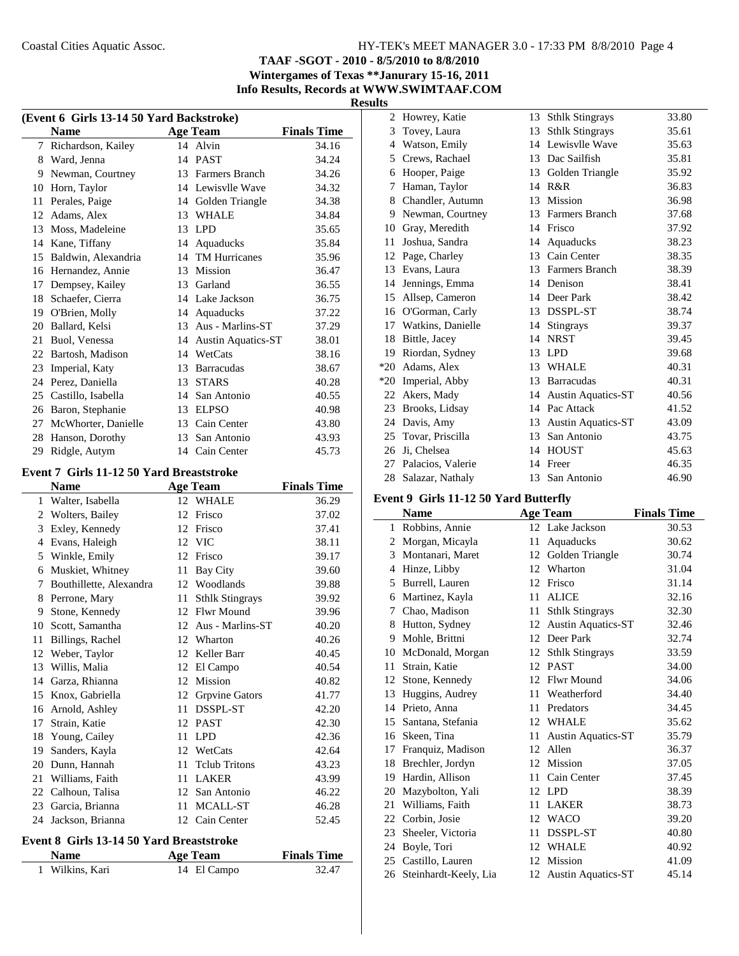## **TAAF -SGOT - 2010 - 8/5/2010 to 8/8/2010 Wintergames of Texas \*\*Janurary 15-16, 2011 Info Results, Records at WWW.SWIMTAAF.COM**

**Results**

| (Event 6 Girls 13-14 50 Yard Backstroke) |                     |    |                           |                    |  |  |
|------------------------------------------|---------------------|----|---------------------------|--------------------|--|--|
|                                          | <b>Name</b>         |    | <b>Age Team</b>           | <b>Finals Time</b> |  |  |
| 7                                        | Richardson, Kailey  |    | 14 Alvin                  | 34.16              |  |  |
| 8                                        | Ward, Jenna         | 14 | <b>PAST</b>               | 34.24              |  |  |
| 9                                        | Newman, Courtney    | 13 | Farmers Branch            | 34.26              |  |  |
| 10                                       | Horn, Taylor        | 14 | Lewisylle Wave            | 34.32              |  |  |
| 11                                       | Perales, Paige      | 14 | Golden Triangle           | 34.38              |  |  |
| 12                                       | Adams, Alex         | 13 | <b>WHALE</b>              | 34.84              |  |  |
| 13                                       | Moss, Madeleine     | 13 | <b>LPD</b>                | 35.65              |  |  |
| 14                                       | Kane, Tiffany       | 14 | Aquaducks                 | 35.84              |  |  |
| 15                                       | Baldwin, Alexandria | 14 | <b>TM Hurricanes</b>      | 35.96              |  |  |
| 16                                       | Hernandez, Annie    | 13 | Mission                   | 36.47              |  |  |
| 17                                       | Dempsey, Kailey     | 13 | Garland                   | 36.55              |  |  |
| 18                                       | Schaefer, Cierra    | 14 | Lake Jackson              | 36.75              |  |  |
| 19                                       | O'Brien, Molly      | 14 | Aquaducks                 | 37.22              |  |  |
| 20                                       | Ballard, Kelsi      | 13 | Aus - Marlins-ST          | 37.29              |  |  |
| 21                                       | Buol, Venessa       | 14 | <b>Austin Aquatics-ST</b> | 38.01              |  |  |
| 22                                       | Bartosh, Madison    | 14 | WetCats                   | 38.16              |  |  |
| 23                                       | Imperial, Katy      | 13 | <b>Barracudas</b>         | 38.67              |  |  |
| 24                                       | Perez, Daniella     | 13 | <b>STARS</b>              | 40.28              |  |  |
| 25                                       | Castillo, Isabella  | 14 | San Antonio               | 40.55              |  |  |
| 26                                       | Baron, Stephanie    | 13 | <b>ELPSO</b>              | 40.98              |  |  |
| 27                                       | McWhorter, Danielle | 13 | Cain Center               | 43.80              |  |  |
| 28                                       | Hanson, Dorothy     | 13 | San Antonio               | 43.93              |  |  |
| 29                                       | Ridgle, Autym       |    | 14 Cain Center            | 45.73              |  |  |

## **Event 7 Girls 11-12 50 Yard Breaststroke**

J.

| Name                    |    |                        | <b>Finals Time</b>                               |
|-------------------------|----|------------------------|--------------------------------------------------|
| Walter, Isabella        | 12 | <b>WHALE</b>           | 36.29                                            |
| Wolters, Bailey         | 12 | Frisco                 | 37.02                                            |
| Exley, Kennedy          | 12 | Frisco                 | 37.41                                            |
| Evans, Haleigh          |    |                        | 38.11                                            |
| Winkle, Emily           | 12 | Frisco                 | 39.17                                            |
| Muskiet, Whitney        | 11 | <b>Bay City</b>        | 39.60                                            |
| Bouthillette, Alexandra | 12 | Woodlands              | 39.88                                            |
| Perrone, Mary           | 11 | <b>Sthlk Stingrays</b> | 39.92                                            |
| Stone, Kennedy          | 12 | Flwr Mound             | 39.96                                            |
| Scott, Samantha         |    | Aus - Marlins-ST       | 40.20                                            |
| Billings, Rachel        | 12 | Wharton                | 40.26                                            |
| Weber, Taylor           | 12 | Keller Barr            | 40.45                                            |
| Willis, Malia           | 12 | El Campo               | 40.54                                            |
| Garza, Rhianna          | 12 | Mission                | 40.82                                            |
| Knox, Gabriella         | 12 | Grpvine Gators         | 41.77                                            |
| Arnold, Ashley          | 11 | DSSPL-ST               | 42.20                                            |
| Strain, Katie           | 12 | <b>PAST</b>            | 42.30                                            |
| Young, Cailey           | 11 | <b>LPD</b>             | 42.36                                            |
| Sanders, Kayla          | 12 | WetCats                | 42.64                                            |
| Dunn, Hannah            | 11 | <b>Telub Tritons</b>   | 43.23                                            |
| Williams, Faith         | 11 | <b>LAKER</b>           | 43.99                                            |
| Calhoun, Talisa         |    | San Antonio            | 46.22                                            |
| Garcia, Brianna         | 11 | MCALL-ST               | 46.28                                            |
| Jackson, Brianna        |    |                        | 52.45                                            |
|                         |    |                        | Age Team<br>12 VIC<br>12<br>12<br>12 Cain Center |

#### **Event 8 Girls 13-14 50 Yard Breaststroke**

| <b>Name</b>     | Age Team    | <b>Finals Time</b> |  |
|-----------------|-------------|--------------------|--|
| 1 Wilkins, Kari | 14 El Campo | 32.47              |  |

| 2     | Howrey, Katie     | 13 | <b>Sthlk Stingrays</b>    | 33.80 |
|-------|-------------------|----|---------------------------|-------|
| 3     | Tovey, Laura      | 13 | <b>Sthlk Stingrays</b>    | 35.61 |
| 4     | Watson, Emily     | 14 | Lewisvlle Wave            | 35.63 |
| 5     | Crews, Rachael    | 13 | Dac Sailfish              | 35.81 |
| 6     | Hooper, Paige     | 13 | Golden Triangle           | 35.92 |
| 7     | Haman, Taylor     | 14 | R&R                       | 36.83 |
| 8     | Chandler, Autumn  | 13 | Mission                   | 36.98 |
| 9     | Newman, Courtney  |    | 13 Farmers Branch         | 37.68 |
| 10    | Gray, Meredith    | 14 | Frisco                    | 37.92 |
| 11    | Joshua, Sandra    | 14 | Aquaducks                 | 38.23 |
| 12    | Page, Charley     | 13 | Cain Center               | 38.35 |
| 13    | Evans, Laura      | 13 | Farmers Branch            | 38.39 |
| 14    | Jennings, Emma    | 14 | Denison                   | 38.41 |
| 15    | Allsep, Cameron   | 14 | Deer Park                 | 38.42 |
| 16    | O'Gorman, Carly   | 13 | DSSPL-ST                  | 38.74 |
| 17    | Watkins, Danielle | 14 | <b>Stingrays</b>          | 39.37 |
| 18    | Bittle, Jacey     | 14 | <b>NRST</b>               | 39.45 |
| 19    | Riordan, Sydney   | 13 | <b>LPD</b>                | 39.68 |
| $*20$ | Adams, Alex       | 13 | <b>WHALE</b>              | 40.31 |
| $*20$ | Imperial, Abby    | 13 | <b>Barracudas</b>         | 40.31 |
|       | 22 Akers, Mady    | 14 | <b>Austin Aquatics-ST</b> | 40.56 |
| 23    | Brooks, Lidsay    | 14 | Pac Attack                | 41.52 |
| 24    | Davis, Amy        | 13 | <b>Austin Aquatics-ST</b> | 43.09 |
| 25    | Tovar, Priscilla  | 13 | San Antonio               | 43.75 |
| 26    | Ji, Chelsea       | 14 | <b>HOUST</b>              | 45.63 |
| 27    | Palacios, Valerie | 14 | Freer                     | 46.35 |
| 28    | Salazar, Nathaly  | 13 | San Antonio               | 46.90 |

## **Event 9 Girls 11-12 50 Yard Butterfly**

|    | <b>Name</b>           |    | <b>Age Team</b>           | <b>Finals Time</b> |
|----|-----------------------|----|---------------------------|--------------------|
| 1  | Robbins, Annie        |    | 12 Lake Jackson           | 30.53              |
| 2  | Morgan, Micayla       | 11 | Aquaducks                 | 30.62              |
| 3  | Montanari, Maret      | 12 | Golden Triangle           | 30.74              |
| 4  | Hinze, Libby          | 12 | Wharton                   | 31.04              |
| 5  | Burrell, Lauren       | 12 | Frisco                    | 31.14              |
| 6  | Martinez, Kayla       | 11 | <b>ALICE</b>              | 32.16              |
| 7  | Chao, Madison         | 11 | <b>Sthlk Stingrays</b>    | 32.30              |
| 8  | Hutton, Sydney        | 12 | <b>Austin Aquatics-ST</b> | 32.46              |
| 9  | Mohle, Brittni        | 12 | Deer Park                 | 32.74              |
| 10 | McDonald, Morgan      | 12 | <b>Sthlk Stingrays</b>    | 33.59              |
| 11 | Strain, Katie         | 12 | <b>PAST</b>               | 34.00              |
| 12 | Stone, Kennedy        | 12 | <b>Flwr Mound</b>         | 34.06              |
| 13 | Huggins, Audrey       | 11 | Weatherford               | 34.40              |
| 14 | Prieto, Anna          | 11 | Predators                 | 34.45              |
| 15 | Santana, Stefania     |    | 12 WHALE                  | 35.62              |
| 16 | Skeen, Tina           | 11 | <b>Austin Aquatics-ST</b> | 35.79              |
| 17 | Franquiz, Madison     | 12 | Allen                     | 36.37              |
| 18 | Brechler, Jordyn      | 12 | Mission                   | 37.05              |
| 19 | Hardin, Allison       | 11 | Cain Center               | 37.45              |
| 20 | Mazybolton, Yali      | 12 | <b>LPD</b>                | 38.39              |
| 21 | Williams, Faith       | 11 | <b>LAKER</b>              | 38.73              |
| 22 | Corbin, Josie         | 12 | <b>WACO</b>               | 39.20              |
| 23 | Sheeler, Victoria     | 11 | DSSPL-ST                  | 40.80              |
| 24 | Boyle, Tori           | 12 | <b>WHALE</b>              | 40.92              |
| 25 | Castillo, Lauren      | 12 | Mission                   | 41.09              |
| 26 | Steinhardt-Keely, Lia | 12 | <b>Austin Aquatics-ST</b> | 45.14              |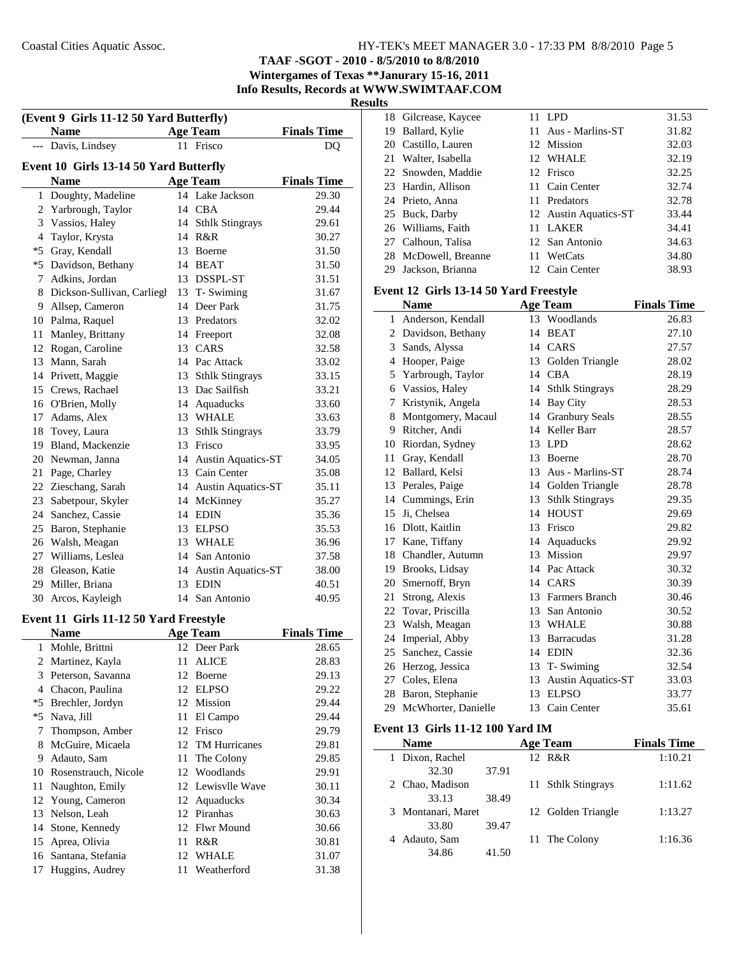**TAAF -SGOT - 2010 - 8/5/2010 to 8/8/2010 Wintergames of Texas \*\*Janurary 15-16, 2011**

**Info Results, Records at WWW.SWIMTAAF.COM**

**Results**

|                | (Event 9 Girls 11-12 50 Yard Butterfly)<br><b>Name</b> |    | <b>Age Team</b>              |                    |
|----------------|--------------------------------------------------------|----|------------------------------|--------------------|
|                | --- Davis, Lindsey                                     |    | 11 Frisco                    | <b>Finals Time</b> |
|                |                                                        |    |                              | DQ                 |
|                | Event 10 Girls 13-14 50 Yard Butterfly                 |    |                              |                    |
|                | <b>Name</b>                                            |    | <b>Age Team</b>              | <b>Finals Time</b> |
| $\mathbf{1}$   | Doughty, Madeline                                      |    | 14 Lake Jackson              | 29.30              |
|                | 2 Yarbrough, Taylor                                    |    | 14 CBA                       | 29.44              |
|                | 3 Vassios, Haley                                       | 14 | <b>Sthlk Stingrays</b>       | 29.61              |
| $\overline{4}$ | Taylor, Krysta                                         |    | 14 R&R                       | 30.27              |
|                | *5 Gray, Kendall                                       |    | 13 Boerne                    | 31.50              |
|                | *5 Davidson, Bethany                                   |    | 14 BEAT                      | 31.50              |
|                | 7 Adkins, Jordan                                       |    | 13 DSSPL-ST                  | 31.51              |
|                | 8 Dickson-Sullivan, Carliegl                           |    | 13 T- Swiming                | 31.67              |
|                | 9 Allsep, Cameron                                      |    | 14 Deer Park                 | 31.75              |
|                | 10 Palma, Raquel                                       |    | 13 Predators                 | 32.02              |
|                | 11 Manley, Brittany                                    |    | 14 Freeport                  | 32.08              |
|                | 12 Rogan, Caroline                                     |    | 13 CARS                      | 32.58              |
|                | 13 Mann, Sarah                                         |    | 14 Pac Attack                | 33.02              |
|                | 14 Privett, Maggie                                     | 13 | <b>Sthlk Stingrays</b>       | 33.15              |
|                | 15 Crews, Rachael                                      |    | 13 Dac Sailfish              | 33.21              |
|                | 16 O'Brien, Molly                                      |    | 14 Aquaducks                 | 33.60              |
|                | 17 Adams, Alex                                         |    | 13 WHALE                     | 33.63              |
|                | 18 Tovey, Laura                                        |    | 13 Sthlk Stingrays           | 33.79              |
|                | 19 Bland, Mackenzie                                    |    | 13 Frisco                    | 33.95              |
|                | 20 Newman, Janna                                       |    | 14 Austin Aquatics-ST        | 34.05              |
|                | 21 Page, Charley                                       |    | 13 Cain Center               | 35.08              |
|                | 22 Zieschang, Sarah                                    |    | 14 Austin Aquatics-ST        | 35.11              |
|                | 23 Sabetpour, Skyler                                   |    | 14 McKinney                  | 35.27              |
|                | 24 Sanchez, Cassie                                     |    | 14 EDIN                      | 35.36              |
|                | 25 Baron, Stephanie                                    |    | 13 ELPSO                     | 35.53              |
|                | 26 Walsh, Meagan                                       |    | 13 WHALE                     | 36.96              |
|                | 27 Williams, Leslea                                    | 14 | San Antonio                  | 37.58              |
|                | 28 Gleason, Katie                                      | 14 | <b>Austin Aquatics-ST</b>    | 38.00              |
|                | 29 Miller, Briana                                      | 13 | <b>EDIN</b>                  | 40.51              |
|                | 30 Arcos, Kayleigh                                     | 14 | San Antonio                  | 40.95              |
|                |                                                        |    |                              |                    |
|                | Event 11 Girls 11-12 50 Yard Freestyle<br><b>Name</b>  |    |                              |                    |
|                |                                                        |    | <b>Age Team</b><br>Deer Park | <b>Finals Time</b> |
| 1              | Mohle, Brittni                                         | 12 |                              | 28.65              |
| 2              | Martinez, Kayla                                        | 11 | <b>ALICE</b>                 | 28.83              |
|                | 3 Peterson, Savanna                                    | 12 | Boerne                       | 29.13              |
|                | 4 Chacon, Paulina                                      | 12 | <b>ELPSO</b>                 | 29.22              |
|                | *5 Brechler, Jordyn                                    |    | 12 Mission                   | 29.44              |
|                | *5 Nava, Jill                                          | 11 | El Campo                     | 29.44              |
| 7              | Thompson, Amber                                        | 12 | Frisco                       | 29.79              |
| 8              | McGuire, Micaela                                       | 12 | TM Hurricanes                | 29.81              |
| 9              | Adauto, Sam                                            | 11 | The Colony                   | 29.85              |
| 10             | Rosenstrauch, Nicole                                   | 12 | Woodlands                    | 29.91              |
| 11             | Naughton, Emily                                        |    | 12 Lewisvlle Wave            | 30.11              |
| 12             | Young, Cameron                                         | 12 | Aquaducks                    | 30.34              |
| 13             | Nelson, Leah                                           |    | 12 Piranhas                  | 30.63              |
| 14             | Stone, Kennedy                                         |    | 12 Flwr Mound                | 30.66              |
| 15             | Aprea, Olivia                                          | 11 | R&R                          | 30.81              |
| 16             | Santana, Stefania                                      | 12 | WHALE                        | 31.07              |
| 17             | Huggins, Audrey                                        | 11 | Weatherford                  | 31.38              |

|    | 18 Gilcrease, Kaycee | 11. | LPD                   | 31.53 |
|----|----------------------|-----|-----------------------|-------|
| 19 | Ballard, Kylie       |     | 11 Aus - Marlins-ST   | 31.82 |
|    | 20 Castillo, Lauren  |     | 12 Mission            | 32.03 |
|    | 21 Walter, Isabella  |     | 12 WHALE              | 32.19 |
|    | 22 Snowden, Maddie   |     | 12 Frisco             | 32.25 |
|    | 23 Hardin, Allison   |     | 11 Cain Center        | 32.74 |
|    | 24 Prieto, Anna      |     | 11 Predators          | 32.78 |
|    | 25 Buck, Darby       |     | 12 Austin Aquatics-ST | 33.44 |
|    | 26 Williams, Faith   |     | 11 LAKER              | 34.41 |
|    | 27 Calhoun, Talisa   |     | 12 San Antonio        | 34.63 |
|    | 28 McDowell, Breanne |     | 11 WetCats            | 34.80 |
| 29 | Jackson, Brianna     |     | 12 Cain Center        | 38.93 |
|    |                      |     |                       |       |

#### **Event 12 Girls 13-14 50 Yard Freestyle**

|    | <b>Name</b>         |    | <b>Age Team</b>           | <b>Finals Time</b> |
|----|---------------------|----|---------------------------|--------------------|
| 1  | Anderson, Kendall   | 13 | Woodlands                 | 26.83              |
| 2  | Davidson, Bethany   | 14 | <b>BEAT</b>               | 27.10              |
| 3  | Sands, Alyssa       | 14 | CARS                      | 27.57              |
| 4  | Hooper, Paige       | 13 | Golden Triangle           | 28.02              |
| 5  | Yarbrough, Taylor   | 14 | <b>CBA</b>                | 28.19              |
| 6  | Vassios, Haley      | 14 | <b>Sthlk Stingrays</b>    | 28.29              |
| 7  | Kristynik, Angela   | 14 | <b>Bay City</b>           | 28.53              |
| 8  | Montgomery, Macaul  |    | 14 Granbury Seals         | 28.55              |
| 9  | Ritcher, Andi       |    | 14 Keller Barr            | 28.57              |
| 10 | Riordan, Sydney     | 13 | <b>LPD</b>                | 28.62              |
| 11 | Gray, Kendall       | 13 | Boerne                    | 28.70              |
| 12 | Ballard, Kelsi      | 13 | Aus - Marlins-ST          | 28.74              |
| 13 | Perales, Paige      |    | 14 Golden Triangle        | 28.78              |
| 14 | Cummings, Erin      | 13 | <b>Sthlk Stingrays</b>    | 29.35              |
| 15 | Ji, Chelsea         | 14 | <b>HOUST</b>              | 29.69              |
| 16 | Dlott, Kaitlin      | 13 | Frisco                    | 29.82              |
| 17 | Kane, Tiffany       | 14 | Aquaducks                 | 29.92              |
| 18 | Chandler, Autumn    | 13 | Mission                   | 29.97              |
|    | 19 Brooks, Lidsay   |    | 14 Pac Attack             | 30.32              |
|    | 20 Smernoff, Bryn   |    | 14 CARS                   | 30.39              |
| 21 | Strong, Alexis      |    | 13 Farmers Branch         | 30.46              |
| 22 | Tovar, Priscilla    | 13 | San Antonio               | 30.52              |
| 23 | Walsh, Meagan       |    | 13 WHALE                  | 30.88              |
| 24 | Imperial, Abby      | 13 | <b>Barracudas</b>         | 31.28              |
| 25 | Sanchez, Cassie     | 14 | EDIN                      | 32.36              |
| 26 | Herzog, Jessica     | 13 | T-Swiming                 | 32.54              |
| 27 | Coles, Elena        | 13 | <b>Austin Aquatics-ST</b> | 33.03              |
| 28 | Baron, Stephanie    | 13 | <b>ELPSO</b>              | 33.77              |
| 29 | McWhorter, Danielle | 13 | Cain Center               | 35.61              |

#### **Event 13 Girls 11-12 100 Yard IM**

| <b>Name</b>        | Age Team           | <b>Finals Time</b> |
|--------------------|--------------------|--------------------|
| Dixon, Rachel<br>1 | 12 R&R             | 1:10.21            |
| 32.30              | 37.91              |                    |
| 2 Chao, Madison    | 11 Sthlk Stingrays | 1:11.62            |
| 33.13              | 38.49              |                    |
| 3 Montanari, Maret | 12 Golden Triangle | 1:13.27            |
| 33.80              | 39.47              |                    |
| Adauto, Sam        | 11 The Colony      | 1:16.36            |
| 34.86              | 41.50              |                    |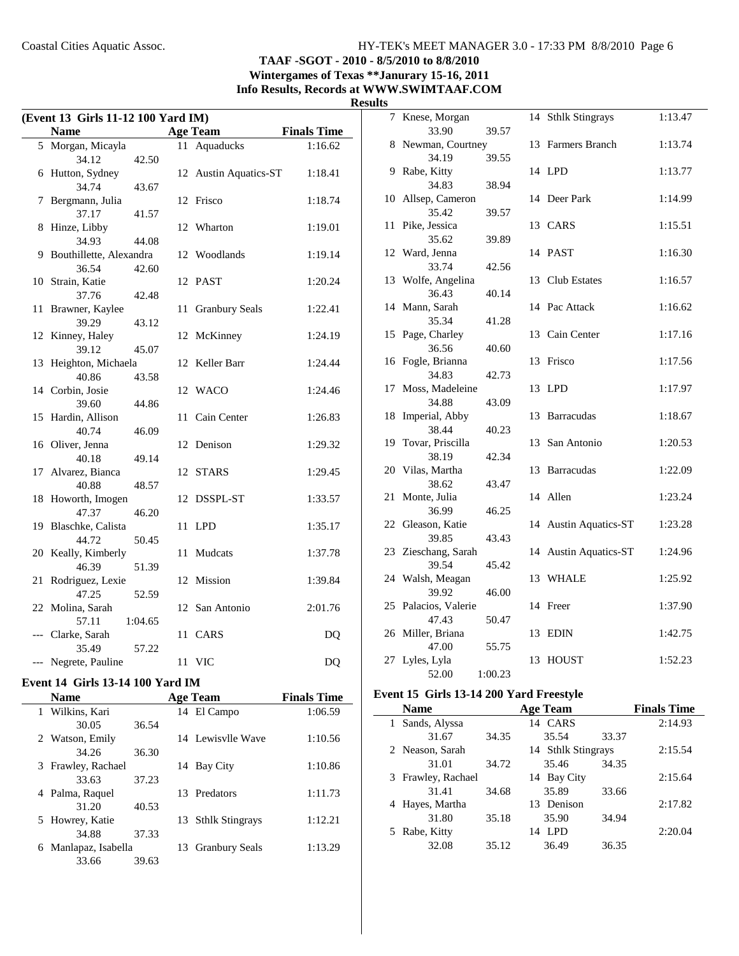## **TAAF -SGOT - 2010 - 8/5/2010 to 8/8/2010 Wintergames of Texas \*\*Janurary 15-16, 2011 Info Results, Records at WWW.SWIMTAAF.COM**

#### **Results**

|     | (Event 13 Girls 11-12 100 Yard IM) |         |    |                           |                    |  |
|-----|------------------------------------|---------|----|---------------------------|--------------------|--|
|     | <b>Name</b>                        |         |    | <b>Age Team</b>           | <b>Finals Time</b> |  |
|     | 5 Morgan, Micayla                  |         | 11 | Aquaducks                 | 1:16.62            |  |
|     | 34.12                              | 42.50   |    |                           |                    |  |
| 6   | Hutton, Sydney                     |         | 12 | <b>Austin Aquatics-ST</b> | 1:18.41            |  |
|     | 34.74                              | 43.67   |    |                           |                    |  |
| 7   | Bergmann, Julia                    |         | 12 | Frisco                    | 1:18.74            |  |
|     | 37.17                              | 41.57   |    |                           |                    |  |
| 8   | Hinze, Libby                       |         | 12 | Wharton                   | 1:19.01            |  |
|     | 34.93                              | 44.08   |    |                           |                    |  |
| 9   | Bouthillette, Alexandra            |         | 12 | Woodlands                 | 1:19.14            |  |
|     | 36.54                              | 42.60   |    |                           |                    |  |
| 10  | Strain, Katie                      |         |    | 12 PAST                   | 1:20.24            |  |
|     | 37.76                              | 42.48   |    |                           |                    |  |
| 11  | Brawner, Kaylee                    |         | 11 | <b>Granbury Seals</b>     | 1:22.41            |  |
|     | 39.29                              | 43.12   |    |                           |                    |  |
| 12  | Kinney, Haley                      |         | 12 | McKinney                  | 1:24.19            |  |
|     | 39.12                              | 45.07   |    |                           |                    |  |
| 13  | Heighton, Michaela                 |         | 12 | Keller Barr               | 1:24.44            |  |
|     | 40.86                              | 43.58   |    |                           |                    |  |
| 14  | Corbin, Josie                      |         | 12 | WACO                      | 1:24.46            |  |
|     | 39.60                              | 44.86   |    |                           |                    |  |
| 15  | Hardin, Allison                    |         | 11 | Cain Center               | 1:26.83            |  |
| 16  | 40.74<br>Oliver, Jenna             | 46.09   | 12 | Denison                   | 1:29.32            |  |
|     | 40.18                              | 49.14   |    |                           |                    |  |
| 17  | Alvarez, Bianca                    |         | 12 | STARS                     | 1:29.45            |  |
|     | 40.88                              | 48.57   |    |                           |                    |  |
| 18  | Howorth, Imogen                    |         | 12 | DSSPL-ST                  | 1:33.57            |  |
|     | 47.37                              | 46.20   |    |                           |                    |  |
| 19  | Blaschke, Calista                  |         | 11 | <b>LPD</b>                | 1:35.17            |  |
|     | 44.72                              | 50.45   |    |                           |                    |  |
| 20  | Keally, Kimberly                   |         | 11 | Mudcats                   | 1:37.78            |  |
|     | 46.39                              | 51.39   |    |                           |                    |  |
| 21  | Rodriguez, Lexie                   |         | 12 | Mission                   | 1:39.84            |  |
|     | 47.25                              | 52.59   |    |                           |                    |  |
|     | 22 Molina, Sarah                   |         |    | 12 San Antonio            | 2:01.76            |  |
|     | 57.11                              | 1:04.65 |    |                           |                    |  |
| --- | Clarke, Sarah                      |         | 11 | <b>CARS</b>               | DQ                 |  |
|     | 35.49                              | 57.22   |    |                           |                    |  |
|     | Negrete, Pauline                   |         |    | 11 VIC                    | DQ                 |  |
|     |                                    |         |    |                           |                    |  |

## **Event 14 Girls 13-14 100 Yard IM**

L.

| <b>Name</b>             |       | <b>Age Team</b>    | <b>Finals Time</b> |
|-------------------------|-------|--------------------|--------------------|
| 1 Wilkins, Kari         |       | 14 El Campo        | 1:06.59            |
| 30.05                   | 36.54 |                    |                    |
| 2 Watson, Emily         |       | 14 Lewisvlle Wave  | 1:10.56            |
| 34.26                   | 36.30 |                    |                    |
| 3 Frawley, Rachael      |       | 14 Bay City        | 1:10.86            |
| 33.63                   | 37.23 |                    |                    |
| Palma, Raquel<br>4      |       | 13 Predators       | 1:11.73            |
| 31.20                   | 40.53 |                    |                    |
| 5 Howrey, Katie         |       | 13 Sthlk Stingrays | 1:12.21            |
| 34.88                   | 37.33 |                    |                    |
| Manlapaz, Isabella<br>6 |       | 13 Granbury Seals  | 1:13.29            |
| 33.66                   | 39.63 |                    |                    |

| 1 L.J |                          |         |    |                           |         |
|-------|--------------------------|---------|----|---------------------------|---------|
| 7     | Knese, Morgan            |         | 14 | <b>Sthlk Stingrays</b>    | 1:13.47 |
|       | 33.90                    | 39.57   |    |                           |         |
| 8     | Newman, Courtney         |         | 13 | Farmers Branch            | 1:13.74 |
|       | 34.19                    | 39.55   |    |                           |         |
| 9     | Rabe, Kitty              |         |    | 14 LPD                    | 1:13.77 |
|       | 34.83                    | 38.94   |    |                           |         |
| 10    | Allsep, Cameron<br>35.42 | 39.57   | 14 | Deer Park                 | 1:14.99 |
| 11    | Pike, Jessica            |         |    | 13 CARS                   | 1:15.51 |
|       | 35.62                    | 39.89   |    |                           |         |
|       | 12 Ward, Jenna           |         |    | 14 PAST                   | 1:16.30 |
|       | 33.74                    | 42.56   |    |                           |         |
|       | 13 Wolfe, Angelina       |         | 13 | Club Estates              | 1:16.57 |
|       | 36.43                    | 40.14   |    |                           |         |
|       | 14 Mann, Sarah           |         | 14 | Pac Attack                | 1:16.62 |
|       | 35.34                    | 41.28   |    |                           |         |
| 15    | Page, Charley            |         | 13 | Cain Center               | 1:17.16 |
|       | 36.56                    | 40.60   |    |                           |         |
|       | 16 Fogle, Brianna        |         | 13 | Frisco                    | 1:17.56 |
|       | 34.83                    | 42.73   |    |                           |         |
| 17    | Moss, Madeleine          |         | 13 | <b>LPD</b>                | 1:17.97 |
|       | 34.88                    | 43.09   |    |                           |         |
| 18    | Imperial, Abby           |         | 13 | <b>Barracudas</b>         | 1:18.67 |
|       | 38.44                    | 40.23   |    |                           |         |
| 19    | Tovar, Priscilla         |         | 13 | San Antonio               | 1:20.53 |
|       | 38.19                    | 42.34   |    |                           |         |
| 20    | Vilas, Martha            |         | 13 | <b>Barracudas</b>         | 1:22.09 |
|       | 38.62                    | 43.47   |    |                           |         |
| 21    | Monte, Julia<br>36.99    | 46.25   |    | 14 Allen                  | 1:23.24 |
| 22    | Gleason, Katie           |         | 14 | <b>Austin Aquatics-ST</b> | 1:23.28 |
|       | 39.85                    | 43.43   |    |                           |         |
|       | 23 Zieschang, Sarah      |         | 14 | <b>Austin Aquatics-ST</b> | 1:24.96 |
|       | 39.54                    | 45.42   |    |                           |         |
|       | 24 Walsh, Meagan         |         |    | 13 WHALE                  | 1:25.92 |
|       | 39.92                    | 46.00   |    |                           |         |
|       | 25 Palacios, Valerie     |         |    | 14 Freer                  | 1:37.90 |
|       | 47.43                    | 50.47   |    |                           |         |
|       | 26 Miller, Briana        |         | 13 | <b>EDIN</b>               | 1:42.75 |
|       | 47.00                    | 55.75   |    |                           |         |
|       | 27 Lyles, Lyla           |         | 13 | <b>HOUST</b>              | 1:52.23 |
|       | 52.00                    | 1:00.23 |    |                           |         |
|       |                          |         |    |                           |         |

## **Event 15 Girls 13-14 200 Yard Freestyle**

| <b>Name</b>         |       | <b>Age Team</b>    |       | <b>Finals Time</b> |
|---------------------|-------|--------------------|-------|--------------------|
| Sands, Alyssa<br>I. |       | 14 CARS            |       | 2:14.93            |
| 31.67               | 34.35 | 35.54              | 33.37 |                    |
| 2 Neason, Sarah     |       | 14 Sthlk Stingrays |       | 2:15.54            |
| 31.01               | 34.72 | 35.46              | 34.35 |                    |
| 3 Frawley, Rachael  |       | 14 Bay City        |       | 2:15.64            |
| 31.41               | 34.68 | 35.89              | 33.66 |                    |
| 4 Hayes, Martha     |       | Denison<br>13      |       | 2:17.82            |
| 31.80               | 35.18 | 35.90              | 34.94 |                    |
| 5 Rabe, Kitty       |       | LPD<br>14          |       | 2:20.04            |
| 32.08               | 35.12 | 36.49              | 36.35 |                    |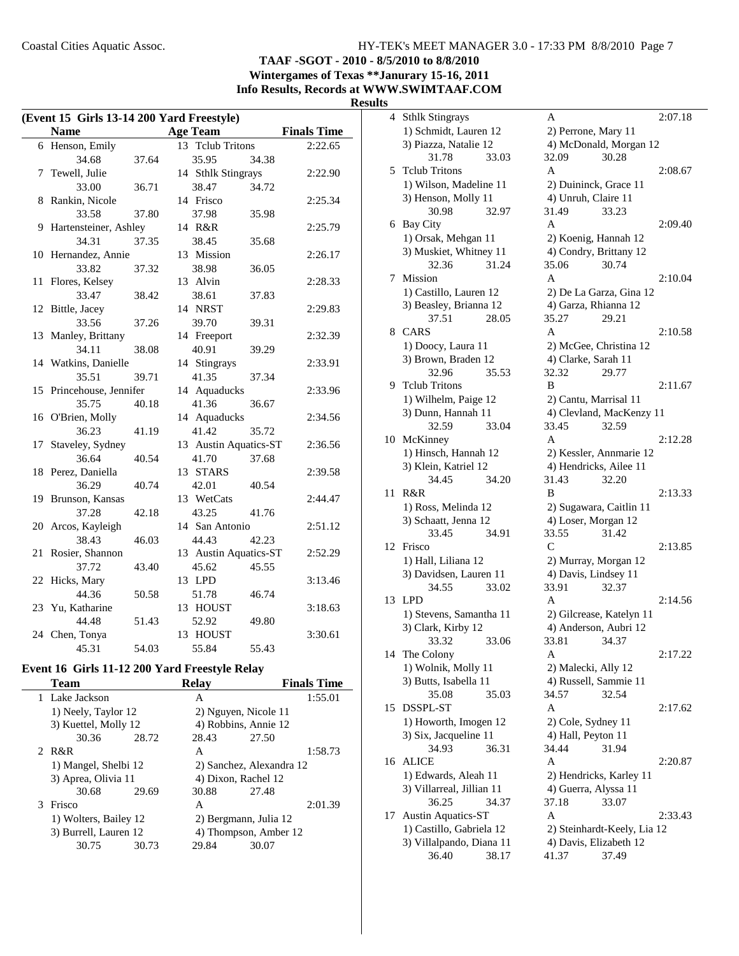**TAAF -SGOT - 2010 - 8/5/2010 to 8/8/2010**

**Wintergames of Texas \*\*Janurary 15-16, 2011 Info Results, Records at WWW.SWIMTAAF.COM**

# **Results**<sub>4</sub>

|    | (Event 15 Girls 13-14 200 Yard Freestyle) |       |                       |       |                    |
|----|-------------------------------------------|-------|-----------------------|-------|--------------------|
|    | <b>Name</b>                               |       | <b>Age Team</b>       |       | <b>Finals Time</b> |
|    | 6 Henson, Emily                           |       | 13 Tclub Tritons      |       | 2:22.65            |
|    | 34.68                                     | 37.64 | 35.95                 | 34.38 |                    |
| 7  | Tewell, Julie                             |       | 14 Sthlk Stingrays    |       | 2:22.90            |
|    | 33.00                                     | 36.71 | 38.47                 | 34.72 |                    |
| 8  | Rankin, Nicole                            |       | 14 Frisco             |       | 2:25.34            |
|    | 33.58                                     | 37.80 | 37.98                 | 35.98 |                    |
| 9  | Hartensteiner, Ashley                     |       | 14 R&R                |       | 2:25.79            |
|    | 34.31                                     | 37.35 | 38.45                 | 35.68 |                    |
|    | 10 Hernandez, Annie                       |       | 13 Mission            |       | 2:26.17            |
|    | 33.82                                     | 37.32 | 38.98                 | 36.05 |                    |
| 11 | Flores, Kelsey                            |       | 13 Alvin              |       | 2:28.33            |
|    | 33.47                                     | 38.42 | 38.61                 | 37.83 |                    |
| 12 | Bittle, Jacey                             |       | 14 NRST               |       | 2:29.83            |
|    | 33.56                                     | 37.26 | 39.70                 | 39.31 |                    |
| 13 | Manley, Brittany                          |       | 14 Freeport           |       | 2:32.39            |
|    | 34.11                                     | 38.08 | 40.91                 | 39.29 |                    |
|    | 14 Watkins, Danielle                      |       | 14 Stingrays          |       | 2:33.91            |
|    | 35.51                                     | 39.71 | 41.35                 | 37.34 |                    |
|    | 15 Princehouse, Jennifer                  |       | 14 Aquaducks          |       | 2:33.96            |
|    | 35.75                                     | 40.18 | 41.36                 | 36.67 |                    |
| 16 | O'Brien, Molly                            |       | 14 Aquaducks          |       | 2:34.56            |
|    | 36.23                                     | 41.19 | 41.42                 | 35.72 |                    |
| 17 | Staveley, Sydney                          |       | 13 Austin Aquatics-ST |       | 2:36.56            |
|    | 36.64                                     | 40.54 | 41.70                 | 37.68 |                    |
|    | 18 Perez, Daniella                        |       | 13 STARS              |       | 2:39.58            |
|    | 36.29                                     | 40.74 | 42.01                 | 40.54 |                    |
|    | 19 Brunson, Kansas                        |       | 13 WetCats            |       | 2:44.47            |
|    | 37.28                                     | 42.18 | 43.25                 | 41.76 |                    |
| 20 | Arcos, Kayleigh                           |       | 14 San Antonio        |       | 2:51.12            |
|    | 38.43                                     | 46.03 | 44.43                 | 42.23 |                    |
| 21 | Rosier, Shannon                           |       | 13 Austin Aquatics-ST |       | 2:52.29            |
|    | 37.72                                     | 43.40 | 45.62                 | 45.55 |                    |
| 22 | Hicks, Mary                               |       | 13 LPD                |       | 3:13.46            |
|    | 44.36                                     | 50.58 | 51.78                 | 46.74 |                    |
|    | 23 Yu, Katharine                          |       | 13 HOUST              |       | 3:18.63            |
|    | 44.48                                     | 51.43 | 52.92                 | 49.80 |                    |
|    | 24 Chen, Tonya                            |       | 13 HOUST              |       | 3:30.61            |
|    | 45.31                                     | 54.03 | 55.84                 | 55.43 |                    |

## **Event 16 Girls 11-12 200 Yard Freestyle Relay**

|   | <b>Team</b>           |       | <b>Relay</b> | <b>Finals Time</b>       |
|---|-----------------------|-------|--------------|--------------------------|
|   | 1 Lake Jackson        |       | A            | 1:55.01                  |
|   | 1) Neely, Taylor 12   |       |              | 2) Nguyen, Nicole 11     |
|   | 3) Kuettel, Molly 12  |       |              | 4) Robbins, Annie 12     |
|   | 30.36                 | 28.72 | 28.43        | 27.50                    |
|   | 2 R&R                 |       | A            | 1:58.73                  |
|   | 1) Mangel, Shelbi 12  |       |              | 2) Sanchez, Alexandra 12 |
|   | 3) Aprea, Olivia 11   |       |              | 4) Dixon, Rachel 12      |
|   | 30.68                 | 29.69 | 30.88        | 27.48                    |
| 3 | Frisco                |       | A            | 2:01.39                  |
|   | 1) Wolters, Bailey 12 |       |              | 2) Bergmann, Julia 12    |
|   | 3) Burrell, Lauren 12 |       |              | 4) Thompson, Amber 12    |
|   | 30.75                 | 30.73 | 29.84        | 30.07                    |
|   |                       |       |              |                          |

| S  |                                               |                                              |         |
|----|-----------------------------------------------|----------------------------------------------|---------|
| 4  | <b>Sthlk Stingrays</b>                        | A                                            | 2:07.18 |
|    | 1) Schmidt, Lauren 12                         | 2) Perrone, Mary 11                          |         |
|    | 3) Piazza, Natalie 12                         | 4) McDonald, Morgan 12                       |         |
|    | 31.78<br>33.03                                | 32.09<br>30.28                               |         |
| 5  | <b>Telub Tritons</b>                          | A                                            | 2:08.67 |
|    | 1) Wilson, Madeline 11                        | 2) Duininck, Grace 11                        |         |
|    | 3) Henson, Molly 11                           | 4) Unruh, Claire 11                          |         |
|    | 30.98<br>32.97                                | 31.49<br>33.23                               |         |
|    | 6 Bay City                                    | A                                            | 2:09.40 |
|    | 1) Orsak, Mehgan 11                           | 2) Koenig, Hannah 12                         |         |
|    | 3) Muskiet, Whitney 11                        | 4) Condry, Brittany 12                       |         |
|    | 32.36<br>31.24                                | 30.74<br>35.06                               |         |
| 7  | Mission                                       | A                                            | 2:10.04 |
|    | 1) Castillo, Lauren 12                        | 2) De La Garza, Gina 12                      |         |
|    | 3) Beasley, Brianna 12                        | 4) Garza, Rhianna 12                         |         |
|    | 37.51<br>28.05                                | 35.27<br>29.21                               |         |
| 8  | CARS                                          | A                                            | 2:10.58 |
|    | 1) Doocy, Laura 11                            | 2) McGee, Christina 12                       |         |
|    | 3) Brown, Braden 12                           | 4) Clarke, Sarah 11                          |         |
|    | 32.96<br>35.53                                | 32.32<br>29.77                               |         |
| 9  | <b>Tclub Tritons</b>                          | B                                            | 2:11.67 |
|    | 1) Wilhelm, Paige 12                          | 2) Cantu, Marrisal 11                        |         |
|    | 3) Dunn, Hannah 11                            | 4) Clevland, MacKenzy 11                     |         |
|    | 32.59<br>33.04                                | 33.45<br>32.59                               |         |
| 10 | McKinney                                      | A                                            | 2:12.28 |
|    | 1) Hinsch, Hannah 12                          | 2) Kessler, Annmarie 12                      |         |
|    | 3) Klein, Katriel 12                          | 4) Hendricks, Ailee 11                       |         |
|    | 34.45<br>34.20                                | 31.43<br>32.20                               |         |
| 11 | R&R                                           | B                                            | 2:13.33 |
|    | 1) Ross, Melinda 12                           | 2) Sugawara, Caitlin 11                      |         |
|    | 3) Schaatt, Jenna 12                          | 4) Loser, Morgan 12<br>33.55                 |         |
| 12 | 33.45<br>34.91<br>Frisco                      | 31.42<br>C                                   | 2:13.85 |
|    |                                               |                                              |         |
|    | 1) Hall, Liliana 12<br>3) Davidsen, Lauren 11 | 2) Murray, Morgan 12<br>4) Davis, Lindsey 11 |         |
|    | 34.55<br>33.02                                | 33.91<br>32.37                               |         |
| 13 | <b>LPD</b>                                    | A                                            | 2:14.56 |
|    | 1) Stevens, Samantha 11                       | 2) Gilcrease, Katelyn 11                     |         |
|    | 3) Clark, Kirby 12                            | 4) Anderson, Aubri 12                        |         |
|    | 33.06<br>33.32                                | 34.37<br>33.81                               |         |
|    | 14 The Colony                                 | Α                                            | 2:17.22 |
|    | 1) Wolnik, Molly 11                           | 2) Malecki, Ally 12                          |         |
|    | 3) Butts, Isabella 11                         | 4) Russell, Sammie 11                        |         |
|    | 35.08<br>35.03                                | 32.54<br>34.57                               |         |
| 15 | DSSPL-ST                                      | A                                            | 2:17.62 |
|    | 1) Howorth, Imogen 12                         | 2) Cole, Sydney 11                           |         |
|    | 3) Six, Jacqueline 11                         | 4) Hall, Peyton 11                           |         |
|    | 36.31<br>34.93                                | 34.44<br>31.94                               |         |
| 16 | <b>ALICE</b>                                  | Α                                            | 2:20.87 |
|    | 1) Edwards, Aleah 11                          | 2) Hendricks, Karley 11                      |         |
|    | 3) Villarreal, Jillian 11                     | 4) Guerra, Alyssa 11                         |         |
|    | 36.25<br>34.37                                | 37.18<br>33.07                               |         |
| 17 | <b>Austin Aquatics-ST</b>                     | Α                                            | 2:33.43 |
|    | 1) Castillo, Gabriela 12                      | 2) Steinhardt-Keely, Lia 12                  |         |
|    | 3) Villalpando, Diana 11                      | 4) Davis, Elizabeth 12                       |         |
|    | 36.40<br>38.17                                | 37.49<br>41.37                               |         |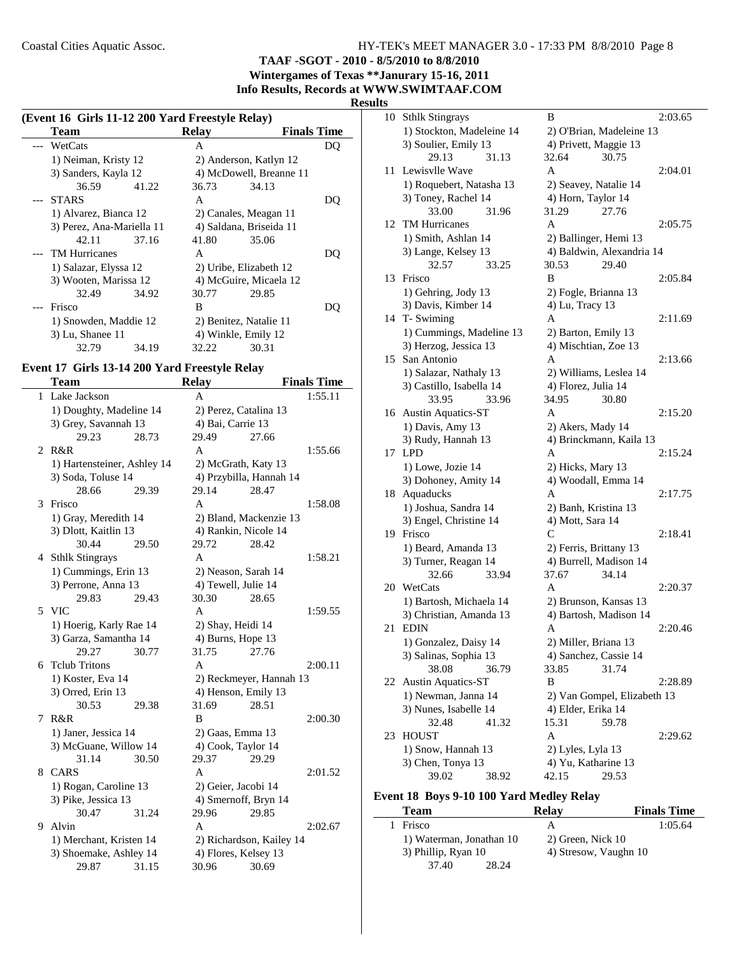**TAAF -SGOT - 2010 - 8/5/2010 to 8/8/2010**

**Wintergames of Texas \*\*Janurary 15-16, 2011 Info Results, Records at WWW.SWIMTAAF.COM**

#### **Results**

| (Event 16 Girls 11-12 200 Yard Freestyle Relay) |                           |       |                         |                         |     |
|-------------------------------------------------|---------------------------|-------|-------------------------|-------------------------|-----|
|                                                 | Team                      |       | Relay                   | <b>Finals Time</b>      |     |
|                                                 | --- WetCats               |       | A                       |                         | DO  |
|                                                 | 1) Neiman, Kristy 12      |       |                         | 2) Anderson, Katlyn 12  |     |
|                                                 | 3) Sanders, Kayla 12      |       |                         | 4) McDowell, Breanne 11 |     |
|                                                 | 36.59                     | 41.22 | 36.73                   | 34.13                   |     |
|                                                 | --- STARS                 |       | A                       |                         | DO  |
|                                                 | 1) Alvarez, Bianca 12     |       |                         | 2) Canales, Meagan 11   |     |
|                                                 | 3) Perez, Ana-Mariella 11 |       | 4) Saldana, Briseida 11 |                         |     |
|                                                 | 42.11                     | 37.16 | 41.80                   | 35.06                   |     |
|                                                 | --- TM Hurricanes         |       | A                       |                         | DΟ  |
|                                                 | 1) Salazar, Elyssa 12     |       |                         | 2) Uribe, Elizabeth 12  |     |
|                                                 | 3) Wooten, Marissa 12     |       |                         | 4) McGuire, Micaela 12  |     |
|                                                 | 32.49                     | 34.92 | 30.77                   | 29.85                   |     |
|                                                 | Frisco                    |       | B                       |                         | DO) |
|                                                 | 1) Snowden, Maddie 12     |       | 2) Benitez, Natalie 11  |                         |     |
|                                                 | 3) Lu, Shanee 11          |       | 4) Winkle, Emily 12     |                         |     |
|                                                 | 32.79                     | 34.19 | 32.22                   | 30.31                   |     |

## **Event 17 Girls 13-14 200 Yard Freestyle Relay**

|   | Team                           |       | <b>Relay</b>                |                          | <b>Finals Time</b> |
|---|--------------------------------|-------|-----------------------------|--------------------------|--------------------|
| 1 | Lake Jackson                   |       | A                           |                          | 1:55.11            |
|   | 1) Doughty, Madeline 14        |       | 2) Perez, Catalina 13       |                          |                    |
|   | 3) Grey, Savannah 13           |       | 4) Bai, Carrie 13           |                          |                    |
|   | 29.23                          | 28.73 | 29.49                       | 27.66                    |                    |
| 2 | R&R                            |       | A                           |                          | 1:55.66            |
|   | 1) Hartensteiner, Ashley 14    |       | 2) McGrath, Katy 13         |                          |                    |
|   | 3) Soda, Toluse 14             |       |                             | 4) Przybilla, Hannah 14  |                    |
|   | 28.66                          | 29.39 | 29.14                       | 28.47                    |                    |
| 3 | Frisco                         |       | $\mathbf{A}$                |                          | 1:58.08            |
|   | 1) Gray, Meredith 14           |       |                             | 2) Bland, Mackenzie 13   |                    |
|   | 3) Dlott, Kaitlin 13           |       | 4) Rankin, Nicole 14        |                          |                    |
|   | 30.44                          | 29.50 | 29.72                       | 28.42                    |                    |
|   | 4 Sthlk Stingrays              |       | A                           |                          | 1:58.21            |
|   | 1) Cummings, Erin 13           |       | 2) Neason, Sarah 14         |                          |                    |
|   | 3) Perrone, Anna 13            |       | 4) Tewell, Julie 14         |                          |                    |
|   | 29.83                          | 29.43 | 30.30                       | 28.65                    |                    |
| 5 | <b>VIC</b>                     |       | A                           |                          | 1:59.55            |
|   | 1) Hoerig, Karly Rae 14        |       | 2) Shay, Heidi 14           |                          |                    |
|   | 3) Garza, Samantha 14          |       | 4) Burns, Hope 13           |                          |                    |
|   | 29.27                          | 30.77 | 31.75                       | 27.76                    |                    |
| 6 | <b>Telub Tritons</b>           |       | A                           |                          | 2:00.11            |
|   | 1) Koster, Eva 14              |       |                             | 2) Reckmeyer, Hannah 13  |                    |
|   | 3) Orred, Erin 13              |       | 4) Henson, Emily 13         |                          |                    |
|   | 30.53                          | 29.38 | 31.69                       | 28.51                    |                    |
| 7 | R&R                            |       | B                           |                          | 2:00.30            |
|   | 1) Janer, Jessica 14           |       | 2) Gaas, Emma 13            |                          |                    |
|   | 3) McGuane, Willow 14<br>31.14 | 30.50 | 4) Cook, Taylor 14<br>29.37 | 29.29                    |                    |
| 8 | CARS                           |       | A                           |                          | 2:01.52            |
|   | 1) Rogan, Caroline 13          |       | 2) Geier, Jacobi 14         |                          |                    |
|   | 3) Pike, Jessica 13            |       | 4) Smernoff, Bryn 14        |                          |                    |
|   | 30.47                          | 31.24 | 29.96                       | 29.85                    |                    |
| 9 | Alvin                          |       | A                           |                          | 2:02.67            |
|   | 1) Merchant, Kristen 14        |       |                             | 2) Richardson, Kailey 14 |                    |
|   | 3) Shoemake, Ashley 14         |       | 4) Flores, Kelsey 13        |                          |                    |
|   | 29.87                          | 31.15 | 30.96                       | 30.69                    |                    |
|   |                                |       |                             |                          |                    |

| 10 | <b>Sthlk Stingrays</b>    | B                           | 2:03.65 |
|----|---------------------------|-----------------------------|---------|
|    | 1) Stockton, Madeleine 14 | 2) O'Brian, Madeleine 13    |         |
|    | 3) Soulier, Emily 13      | 4) Privett, Maggie 13       |         |
|    | 29.13<br>31.13            | 32.64<br>30.75              |         |
| 11 | Lewisvlle Wave            | A                           | 2:04.01 |
|    | 1) Roquebert, Natasha 13  | 2) Seavey, Natalie 14       |         |
|    | 3) Toney, Rachel 14       | 4) Horn, Taylor 14          |         |
|    | 33.00<br>31.96            | 27.76<br>31.29              |         |
|    | 12 TM Hurricanes          | A                           | 2:05.75 |
|    | 1) Smith, Ashlan 14       | 2) Ballinger, Hemi 13       |         |
|    | 3) Lange, Kelsey 13       | 4) Baldwin, Alexandria 14   |         |
|    | 32.57<br>33.25            | 29.40<br>30.53              |         |
| 13 | Frisco                    | B                           | 2:05.84 |
|    | 1) Gehring, Jody 13       | 2) Fogle, Brianna 13        |         |
|    | 3) Davis, Kimber 14       | 4) Lu, Tracy 13             |         |
|    | 14 T- Swiming             | A                           | 2:11.69 |
|    | 1) Cummings, Madeline 13  | 2) Barton, Emily 13         |         |
|    | 3) Herzog, Jessica 13     | 4) Mischtian, Zoe 13        |         |
|    | 15 San Antonio            | A                           | 2:13.66 |
|    | 1) Salazar, Nathaly 13    | 2) Williams, Leslea 14      |         |
|    | 3) Castillo, Isabella 14  | 4) Florez, Julia 14         |         |
|    | 33.95<br>33.96            | 34.95<br>30.80              |         |
|    | 16 Austin Aquatics-ST     | A                           | 2:15.20 |
|    | 1) Davis, Amy 13          | 2) Akers, Mady 14           |         |
|    | 3) Rudy, Hannah 13        | 4) Brinckmann, Kaila 13     |         |
|    | 17 LPD                    | A                           | 2:15.24 |
|    | 1) Lowe, Jozie 14         | 2) Hicks, Mary 13           |         |
|    | 3) Dohoney, Amity 14      | 4) Woodall, Emma 14         |         |
|    | 18 Aquaducks              | A                           | 2:17.75 |
|    | 1) Joshua, Sandra 14      | 2) Banh, Kristina 13        |         |
|    | 3) Engel, Christine 14    | 4) Mott, Sara 14            |         |
|    | 19 Frisco                 | C                           | 2:18.41 |
|    | 1) Beard, Amanda 13       | 2) Ferris, Brittany 13      |         |
|    | 3) Turner, Reagan 14      | 4) Burrell, Madison 14      |         |
|    | 32.66<br>33.94            | 37.67<br>34.14              |         |
|    | 20 WetCats                | A                           | 2:20.37 |
|    | 1) Bartosh, Michaela 14   | 2) Brunson, Kansas 13       |         |
|    | 3) Christian, Amanda 13   | 4) Bartosh, Madison 14      |         |
| 21 | <b>EDIN</b>               | A                           | 2:20.46 |
|    | 1) Gonzalez, Daisy 14     | 2) Miller, Briana 13        |         |
|    | 3) Salinas, Sophia 13     | 4) Sanchez, Cassie 14       |         |
|    | 38.08<br>36.79            | 31.74<br>33.85              |         |
| 22 | <b>Austin Aquatics-ST</b> | B                           | 2:28.89 |
|    | 1) Newman, Janna 14       | 2) Van Gompel, Elizabeth 13 |         |
|    | 3) Nunes, Isabelle 14     | 4) Elder, Erika 14          |         |
|    | 32.48<br>41.32            | 15.31<br>59.78              |         |
| 23 | <b>HOUST</b>              | A                           | 2:29.62 |
|    | 1) Snow, Hannah 13        | 2) Lyles, Lyla 13           |         |
|    | 3) Chen, Tonya 13         | 4) Yu, Katharine 13         |         |
|    | 39.02<br>38.92            | 42.15<br>29.53              |         |

# **Event 18 Boys 9-10 100 Yard Medley Relay**

| <b>Team</b>              | <b>Relay</b>          | <b>Finals Time</b> |
|--------------------------|-----------------------|--------------------|
| Frisco                   | А                     | 1:05.64            |
| 1) Waterman, Jonathan 10 | 2) Green, Nick 10     |                    |
| 3) Phillip, Ryan 10      | 4) Stresow, Vaughn 10 |                    |
| 37.40<br>28.24           |                       |                    |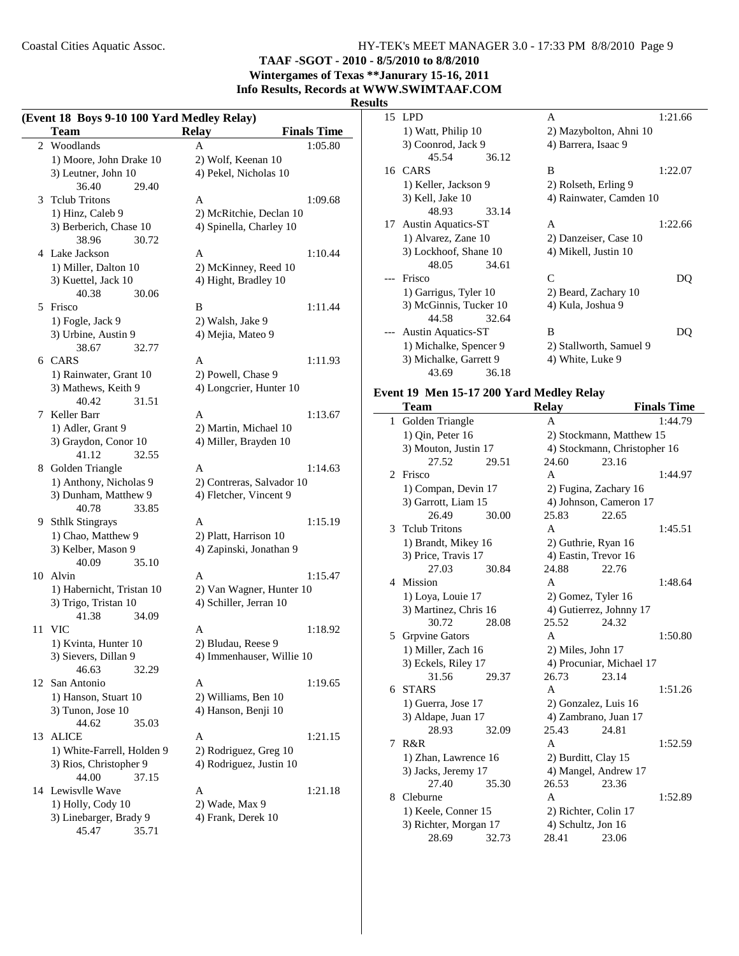**TAAF -SGOT - 2010 - 8/5/2010 to 8/8/2010 Wintergames of Texas \*\*Janurary 15-16, 2011**

**Info Results, Records at WWW.SWIMTAAF.COM**

### **Results**

|    | (Event 18 Boys 9-10 100 Yard Medley Relay)<br>Team | <b>Relay</b>              | <b>Finals Time</b> |
|----|----------------------------------------------------|---------------------------|--------------------|
| 2  | Woodlands                                          | A                         | 1:05.80            |
|    | 1) Moore, John Drake 10                            | 2) Wolf, Keenan 10        |                    |
|    | 3) Leutner, John 10                                | 4) Pekel, Nicholas 10     |                    |
|    | 36.40<br>29.40                                     |                           |                    |
| 3  | <b>Tclub Tritons</b>                               | A                         | 1:09.68            |
|    | 1) Hinz, Caleb 9                                   | 2) McRitchie, Declan 10   |                    |
|    | 3) Berberich, Chase 10                             | 4) Spinella, Charley 10   |                    |
|    | 38.96<br>30.72                                     |                           |                    |
|    | 4 Lake Jackson                                     | A                         | 1:10.44            |
|    | 1) Miller, Dalton 10                               | 2) McKinney, Reed 10      |                    |
|    | 3) Kuettel, Jack 10                                | 4) Hight, Bradley 10      |                    |
|    | 40.38<br>30.06                                     |                           |                    |
| 5  | Frisco                                             | B                         | 1:11.44            |
|    | 1) Fogle, Jack 9                                   | 2) Walsh, Jake 9          |                    |
|    | 3) Urbine, Austin 9                                |                           |                    |
|    | 38.67<br>32.77                                     | 4) Mejia, Mateo 9         |                    |
|    | 6 CARS                                             | A                         |                    |
|    |                                                    |                           | 1:11.93            |
|    | 1) Rainwater, Grant 10                             | 2) Powell, Chase 9        |                    |
|    | 3) Mathews, Keith 9<br>40.42<br>31.51              | 4) Longcrier, Hunter 10   |                    |
|    |                                                    |                           | 1:13.67            |
| 7  | Keller Barr                                        | A                         |                    |
|    | 1) Adler, Grant 9                                  | 2) Martin, Michael 10     |                    |
|    | 3) Graydon, Conor 10                               | 4) Miller, Brayden 10     |                    |
|    | 41.12<br>32.55                                     |                           |                    |
|    | 8 Golden Triangle                                  | A                         | 1:14.63            |
|    | 1) Anthony, Nicholas 9                             | 2) Contreras, Salvador 10 |                    |
|    | 3) Dunham, Matthew 9                               | 4) Fletcher, Vincent 9    |                    |
|    | 40.78<br>33.85                                     |                           |                    |
|    | 9 Sthlk Stingrays                                  | A                         | 1:15.19            |
|    | 1) Chao, Matthew 9                                 | 2) Platt, Harrison 10     |                    |
|    | 3) Kelber, Mason 9                                 | 4) Zapinski, Jonathan 9   |                    |
|    | 40.09<br>35.10                                     |                           |                    |
| 10 | Alvin                                              | A                         | 1:15.47            |
|    | 1) Habernicht, Tristan 10                          | 2) Van Wagner, Hunter 10  |                    |
|    | 3) Trigo, Tristan 10                               | 4) Schiller, Jerran 10    |                    |
|    | 41.38<br>34.09                                     |                           |                    |
| 11 | VIC                                                | A                         | 1:18.92            |
|    | 1) Kvinta, Hunter 10                               | 2) Bludau, Reese 9        |                    |
|    | 3) Sievers, Dillan 9                               | 4) Immenhauser, Willie 10 |                    |
|    | 46.63<br>32.29                                     |                           |                    |
|    | 12 San Antonio                                     | A                         | 1:19.65            |
|    | 1) Hanson, Stuart 10                               | 2) Williams, Ben 10       |                    |
|    | 3) Tunon, Jose 10                                  | 4) Hanson, Benji 10       |                    |
|    | 44.62<br>35.03                                     |                           |                    |
| 13 | <b>ALICE</b>                                       | A                         | 1:21.15            |
|    | 1) White-Farrell, Holden 9                         | 2) Rodriguez, Greg 10     |                    |
|    | 3) Rios, Christopher 9                             | 4) Rodriguez, Justin 10   |                    |
|    | 44.00<br>37.15                                     |                           |                    |
|    | 14 Lewisvlle Wave                                  | A                         | 1:21.18            |
|    | 1) Holly, Cody 10                                  | 2) Wade, Max 9            |                    |
|    | 3) Linebarger, Brady 9                             | 4) Frank, Derek 10        |                    |
|    | 45.47<br>35.71                                     |                           |                    |
|    |                                                    |                           |                    |

| 15 LPD                    |       | A                       | 1:21.66 |
|---------------------------|-------|-------------------------|---------|
| 1) Watt, Philip 10        |       | 2) Mazybolton, Ahni 10  |         |
| 3) Coonrod, Jack 9        |       | 4) Barrera, Isaac 9     |         |
| 45.54                     | 36.12 |                         |         |
| 16 CARS                   |       | B                       | 1:22.07 |
| 1) Keller, Jackson 9      |       | 2) Rolseth, Erling 9    |         |
| 3) Kell, Jake 10          |       | 4) Rainwater, Camden 10 |         |
| 48.93                     | 33.14 |                         |         |
| 17 Austin Aquatics-ST     |       | A                       | 1:22.66 |
| 1) Alvarez, Zane 10       |       | 2) Danzeiser, Case 10   |         |
| 3) Lockhoof, Shane 10     |       | 4) Mikell, Justin 10    |         |
| 48.05                     | 34.61 |                         |         |
| Frisco                    |       | C                       | DO      |
| 1) Garrigus, Tyler 10     |       | 2) Beard, Zachary 10    |         |
| 3) McGinnis, Tucker 10    |       | 4) Kula, Joshua 9       |         |
| 44.58                     | 32.64 |                         |         |
| <b>Austin Aquatics-ST</b> |       | B                       |         |
| 1) Michalke, Spencer 9    |       | 2) Stallworth, Samuel 9 |         |
| 3) Michalke, Garrett 9    |       | 4) White, Luke 9        |         |
| 43.69                     | 36.18 |                         |         |
|                           |       |                         |         |

## **Event 19 Men 15-17 200 Yard Medley Relay**

|   | Team                  |       | <b>Relay</b>             |                              | <b>Finals Time</b> |  |
|---|-----------------------|-------|--------------------------|------------------------------|--------------------|--|
| 1 | Golden Triangle       |       | A                        |                              | 1:44.79            |  |
|   | 1) Qin, Peter 16      |       |                          | 2) Stockmann, Matthew 15     |                    |  |
|   | 3) Mouton, Justin 17  |       |                          | 4) Stockmann, Christopher 16 |                    |  |
|   | 27.52                 | 29.51 | 24.60                    | 23.16                        |                    |  |
| 2 | Frisco                |       | A                        |                              | 1:44.97            |  |
|   | 1) Compan, Devin 17   |       |                          | 2) Fugina, Zachary 16        |                    |  |
|   | 3) Garrott, Liam 15   |       |                          | 4) Johnson, Cameron 17       |                    |  |
|   | 26.49                 | 30.00 | 25.83                    | 22.65                        |                    |  |
| 3 | <b>Telub Tritons</b>  |       | $\overline{A}$           |                              | 1:45.51            |  |
|   | 1) Brandt, Mikey 16   |       |                          | 2) Guthrie, Ryan 16          |                    |  |
|   | 3) Price, Travis 17   |       |                          | 4) Eastin, Trevor 16         |                    |  |
|   | 27.03                 | 30.84 | 24.88                    | 22.76                        |                    |  |
| 4 | Mission               |       | $\mathsf{A}$             |                              | 1:48.64            |  |
|   | 1) Loya, Louie 17     |       |                          | 2) Gomez, Tyler 16           |                    |  |
|   | 3) Martinez, Chris 16 |       |                          | 4) Gutierrez, Johnny 17      |                    |  |
|   | 30.72                 | 28.08 | 25.52                    | 24.32                        |                    |  |
| 5 | <b>Grpvine Gators</b> |       | A                        |                              | 1:50.80            |  |
|   | 1) Miller, Zach 16    |       | 2) Miles, John 17        |                              |                    |  |
|   | 3) Eckels, Riley 17   |       | 4) Procuniar, Michael 17 |                              |                    |  |
|   | 31.56                 | 29.37 | 26.73                    | 23.14                        |                    |  |
| 6 | <b>STARS</b>          |       | A                        |                              | 1:51.26            |  |
|   | 1) Guerra, Jose 17    |       | 2) Gonzalez, Luis 16     |                              |                    |  |
|   | 3) Aldape, Juan 17    |       |                          | 4) Zambrano, Juan 17         |                    |  |
|   | 28.93                 | 32.09 | 25.43                    | 24.81                        |                    |  |
| 7 | R&R                   |       | A                        |                              | 1:52.59            |  |
|   | 1) Zhan, Lawrence 16  |       |                          | 2) Burditt, Clay 15          |                    |  |
|   | 3) Jacks, Jeremy 17   |       | 4) Mangel, Andrew 17     |                              |                    |  |
|   | 27.40                 | 35.30 | 26.53                    | 23.36                        |                    |  |
| 8 | Cleburne              |       | A                        |                              | 1:52.89            |  |
|   | 1) Keele, Conner 15   |       |                          | 2) Richter, Colin 17         |                    |  |
|   | 3) Richter, Morgan 17 |       | 4) Schultz, Jon 16       |                              |                    |  |
|   | 28.69                 | 32.73 | 28.41                    | 23.06                        |                    |  |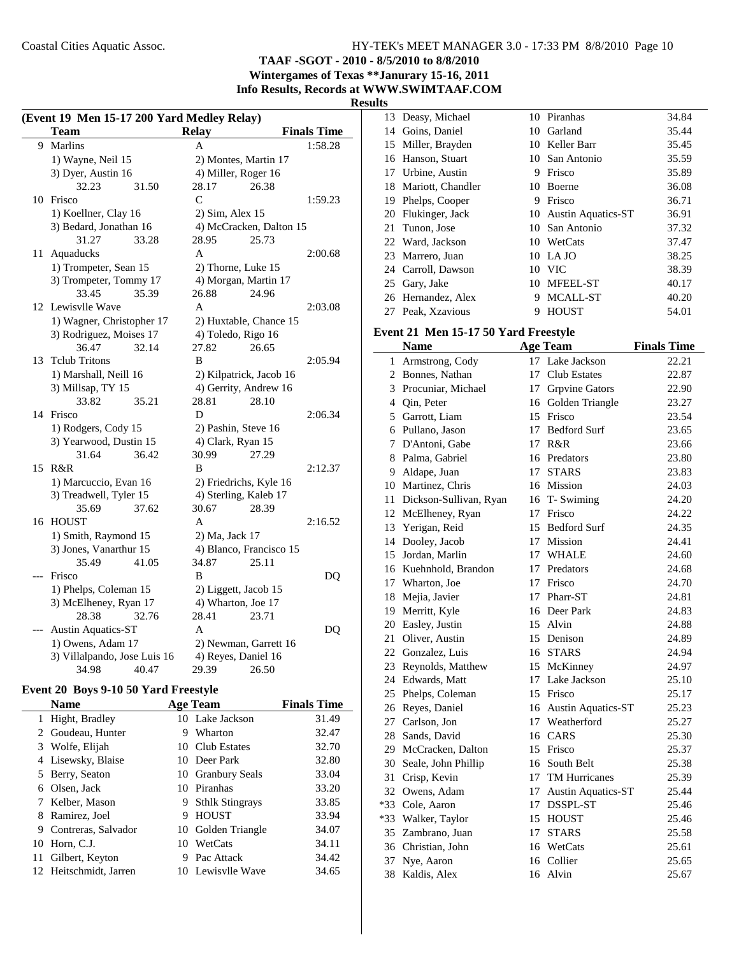**TAAF -SGOT - 2010 - 8/5/2010 to 8/8/2010**

**Wintergames of Texas \*\*Janurary 15-16, 2011 Info Results, Records at WWW.SWIMTAAF.COM**

#### **Results**

 $\overline{\phantom{a}}$ 

|       | (Event 19 Men 15-17 200 Yard Medley Relay) |                         |                    |  |  |
|-------|--------------------------------------------|-------------------------|--------------------|--|--|
|       | <b>Team</b>                                | <b>Relay</b>            | <b>Finals Time</b> |  |  |
| 9     | Marlins                                    | A                       | 1:58.28            |  |  |
|       | 1) Wayne, Neil 15                          | 2) Montes, Martin 17    |                    |  |  |
|       | 3) Dyer, Austin 16                         | 4) Miller, Roger 16     |                    |  |  |
|       | 32.23<br>31.50                             | 28.17<br>26.38          |                    |  |  |
| 10    | Frisco                                     | C                       | 1:59.23            |  |  |
|       | 1) Koellner, Clay 16                       | 2) Sim, Alex 15         |                    |  |  |
|       | 3) Bedard, Jonathan 16                     | 4) McCracken, Dalton 15 |                    |  |  |
|       | 31.27<br>33.28                             | 28.95<br>25.73          |                    |  |  |
| 11    | Aquaducks                                  | A                       | 2:00.68            |  |  |
|       | 1) Trompeter, Sean 15                      | 2) Thorne, Luke 15      |                    |  |  |
|       | 3) Trompeter, Tommy 17                     | 4) Morgan, Martin 17    |                    |  |  |
|       | 33.45<br>35.39                             | 26.88<br>24.96          |                    |  |  |
|       | 12 Lewisvlle Wave                          | A                       | 2:03.08            |  |  |
|       | 1) Wagner, Christopher 17                  | 2) Huxtable, Chance 15  |                    |  |  |
|       | 3) Rodriguez, Moises 17                    | 4) Toledo, Rigo 16      |                    |  |  |
|       | 36.47<br>32.14                             | 27.82<br>26.65          |                    |  |  |
| 13    | <b>Telub Tritons</b>                       | B                       | 2:05.94            |  |  |
|       | 1) Marshall, Neill 16                      | 2) Kilpatrick, Jacob 16 |                    |  |  |
|       | 3) Millsap, TY 15                          | 4) Gerrity, Andrew 16   |                    |  |  |
|       | 33.82<br>35.21                             | 28.81<br>28.10          |                    |  |  |
| 14    | Frisco                                     | D                       | 2:06.34            |  |  |
|       | 1) Rodgers, Cody 15                        | 2) Pashin, Steve 16     |                    |  |  |
|       | 3) Yearwood, Dustin 15                     | 4) Clark, Ryan 15       |                    |  |  |
|       | 31.64<br>36.42                             | 30.99<br>27.29          |                    |  |  |
| 15    | R&R                                        | B                       | 2:12.37            |  |  |
|       | 1) Marcuccio, Evan 16                      | 2) Friedrichs, Kyle 16  |                    |  |  |
|       | 3) Treadwell, Tyler 15                     | 4) Sterling, Kaleb 17   |                    |  |  |
|       | 37.62<br>35.69                             | 30.67<br>28.39          |                    |  |  |
| 16    | <b>HOUST</b>                               | A                       | 2:16.52            |  |  |
|       | 1) Smith, Raymond 15                       | 2) Ma, Jack 17          |                    |  |  |
|       | 3) Jones, Vanarthur 15                     | 4) Blanco, Francisco 15 |                    |  |  |
|       | 35.49<br>41.05                             | 34.87<br>25.11          |                    |  |  |
| $---$ | Frisco                                     | B                       | DQ                 |  |  |
|       | 1) Phelps, Coleman 15                      | 2) Liggett, Jacob 15    |                    |  |  |
|       | 3) McElheney, Ryan 17                      | 4) Wharton, Joe 17      |                    |  |  |
|       | 28.38<br>32.76                             | 28.41<br>23.71          |                    |  |  |
|       | <b>Austin Aquatics-ST</b>                  | A                       | DQ                 |  |  |
|       | 1) Owens, Adam 17                          | 2) Newman, Garrett 16   |                    |  |  |
|       | 3) Villalpando, Jose Luis 16               | 4) Reyes, Daniel 16     |                    |  |  |
|       | 34.98<br>40.47                             | 29.39<br>26.50          |                    |  |  |

## **Event 20 Boys 9-10 50 Yard Freestyle**

|    | <b>Name</b>            |    | <b>Age Team</b>        | <b>Finals Time</b> |
|----|------------------------|----|------------------------|--------------------|
|    | Hight, Bradley         |    | 10 Lake Jackson        | 31.49              |
|    | Goudeau, Hunter        | 9  | Wharton                | 32.47              |
|    | 3 Wolfe, Elijah        |    | 10 Club Estates        | 32.70              |
| 4  | Lisewsky, Blaise       |    | 10 Deer Park           | 32.80              |
|    | 5 Berry, Seaton        |    | 10 Granbury Seals      | 33.04              |
| 6  | Olsen, Jack            |    | 10 Piranhas            | 33.20              |
|    | 7 Kelber, Mason        | 9  | <b>Sthlk Stingrays</b> | 33.85              |
| 8  | Ramirez, Joel          | 9  | <b>HOUST</b>           | 33.94              |
| 9  | Contreras, Salvador    |    | 10 Golden Triangle     | 34.07              |
| 10 | Horn, C.J.             | 10 | WetCats                | 34.11              |
| 11 | Gilbert, Keyton        | 9  | Pac Attack             | 34.42              |
|    | 12 Heitschmidt, Jarren |    | 10 Lewisvlle Wave      | 34.65              |

|    | 13 Deasy, Michael    |    | 10 Piranhas           | 34.84 |
|----|----------------------|----|-----------------------|-------|
|    | 14 Goins, Daniel     | 10 | Garland               | 35.44 |
|    | 15 Miller, Brayden   |    | 10 Keller Barr        | 35.45 |
|    | 16 Hanson, Stuart    | 10 | San Antonio           | 35.59 |
|    | 17 Urbine, Austin    | 9  | Frisco                | 35.89 |
|    | 18 Mariott, Chandler | 10 | <b>Boerne</b>         | 36.08 |
| 19 | Phelps, Cooper       | 9  | Frisco                | 36.71 |
|    | 20 Flukinger, Jack   |    | 10 Austin Aquatics-ST | 36.91 |
|    | 21 Tunon, Jose       |    | 10 San Antonio        | 37.32 |
|    | 22 Ward, Jackson     |    | 10 WetCats            | 37.47 |
|    | 23 Marrero, Juan     |    | 10 LA JO              | 38.25 |
|    | 24 Carroll, Dawson   |    | 10 VIC                | 38.39 |
|    | 25 Gary, Jake        |    | 10 MFEEL-ST           | 40.17 |
|    | 26 Hernandez, Alex   | 9  | MCALL-ST              | 40.20 |
|    | 27 Peak, Xzavious    | 9  | <b>HOUST</b>          | 54.01 |

## **Event 21 Men 15-17 50 Yard Freestyle**

|    | <b>Name</b>            |    | <b>Age Team</b>           | <b>Finals Time</b> |
|----|------------------------|----|---------------------------|--------------------|
| 1  | Armstrong, Cody        |    | 17 Lake Jackson           | 22.21              |
| 2  | Bonnes, Nathan         | 17 | <b>Club Estates</b>       | 22.87              |
| 3  | Procuniar, Michael     | 17 | <b>Grpvine Gators</b>     | 22.90              |
|    | 4 Qin, Peter           |    | 16 Golden Triangle        | 23.27              |
|    | 5 Garrott, Liam        | 15 | Frisco                    | 23.54              |
|    | 6 Pullano, Jason       | 17 | <b>Bedford Surf</b>       | 23.65              |
| 7  | D'Antoni, Gabe         | 17 | R&R                       | 23.66              |
| 8  | Palma, Gabriel         |    | 16 Predators              | 23.80              |
| 9  | Aldape, Juan           | 17 | <b>STARS</b>              | 23.83              |
|    | 10 Martinez, Chris     |    | 16 Mission                | 24.03              |
| 11 | Dickson-Sullivan, Ryan |    | 16 T-Swiming              | 24.20              |
|    | 12 McElheney, Ryan     |    | 17 Frisco                 | 24.22              |
|    | 13 Yerigan, Reid       |    | 15 Bedford Surf           | 24.35              |
|    | 14 Dooley, Jacob       | 17 | Mission                   | 24.41              |
|    | 15 Jordan, Marlin      | 17 | WHALE                     | 24.60              |
|    | 16 Kuehnhold, Brandon  | 17 | Predators                 | 24.68              |
|    | 17 Wharton, Joe        |    | 17 Frisco                 | 24.70              |
| 18 | Mejia, Javier          |    | 17 Pharr-ST               | 24.81              |
|    | 19 Merritt, Kyle       |    | 16 Deer Park              | 24.83              |
| 20 | Easley, Justin         |    | 15 Alvin                  | 24.88              |
| 21 | Oliver, Austin         |    | 15 Denison                | 24.89              |
|    | 22 Gonzalez, Luis      |    | 16 STARS                  | 24.94              |
|    | 23 Reynolds, Matthew   | 15 | McKinney                  | 24.97              |
|    | 24 Edwards, Matt       | 17 | Lake Jackson              | 25.10              |
|    | 25 Phelps, Coleman     | 15 | Frisco                    | 25.17              |
|    | 26 Reyes, Daniel       |    | 16 Austin Aquatics-ST     | 25.23              |
|    | 27 Carlson, Jon        | 17 | Weatherford               | 25.27              |
| 28 | Sands, David           |    | 16 CARS                   | 25.30              |
|    | 29 McCracken, Dalton   | 15 | Frisco                    | 25.37              |
|    | 30 Seale, John Phillip |    | 16 South Belt             | 25.38              |
| 31 | Crisp, Kevin           | 17 | TM Hurricanes             | 25.39              |
| 32 | Owens, Adam            | 17 | <b>Austin Aquatics-ST</b> | 25.44              |
|    | *33 Cole, Aaron        | 17 | <b>DSSPL-ST</b>           | 25.46              |
|    | *33 Walker, Taylor     |    | 15 HOUST                  | 25.46              |
|    | 35 Zambrano, Juan      | 17 | <b>STARS</b>              | 25.58              |
|    | 36 Christian, John     | 16 | WetCats                   | 25.61              |
| 37 | Nye, Aaron             |    | 16 Collier                | 25.65              |
| 38 | Kaldis, Alex           | 16 | Alvin                     | 25.67              |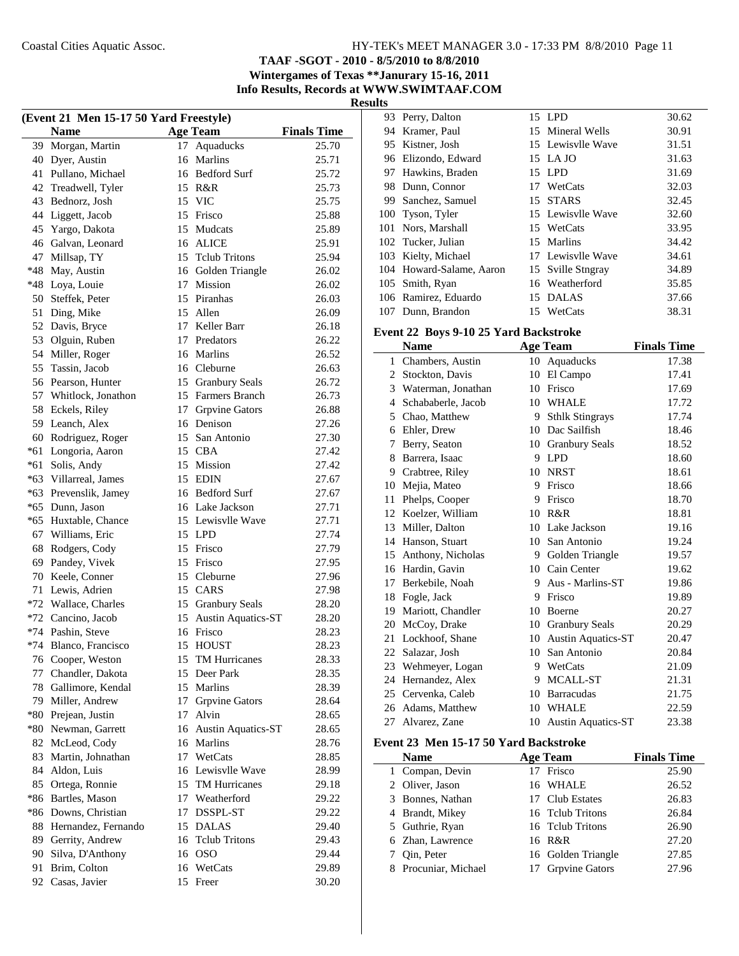**TAAF -SGOT - 2010 - 8/5/2010 to 8/8/2010 Wintergames of Texas \*\*Janurary 15-16, 2011**

**Info Results, Records at WWW.SWIMTAAF.COM**

**Results**

| (Event 21 Men 15-17 50 Yard Freestyle) |                       |    |                                 |                    |  |
|----------------------------------------|-----------------------|----|---------------------------------|--------------------|--|
|                                        | <b>Name</b>           |    | <b>Age Team</b>                 | <b>Finals Time</b> |  |
| 39                                     | Morgan, Martin        | 17 | Aquaducks                       | 25.70              |  |
| 40                                     | Dyer, Austin          |    | 16 Marlins                      | 25.71              |  |
| 41                                     | Pullano, Michael      |    | 16 Bedford Surf                 | 25.72              |  |
| 42                                     | Treadwell, Tyler      |    | 15 R&R                          | 25.73              |  |
| 43                                     | Bednorz, Josh         |    | 15 VIC                          | 25.75              |  |
| 44                                     | Liggett, Jacob        |    | 15 Frisco                       | 25.88              |  |
| 45                                     | Yargo, Dakota         |    | 15 Mudcats                      | 25.89              |  |
| 46                                     | Galvan, Leonard       |    | 16 ALICE                        | 25.91              |  |
| 47                                     | Millsap, TY           |    | 15 Telub Tritons                | 25.94              |  |
| $*48$                                  | May, Austin           |    | 16 Golden Triangle              | 26.02              |  |
| $*48$                                  | Loya, Louie           |    | 17 Mission                      | 26.02              |  |
| 50                                     | Steffek, Peter        |    | 15 Piranhas                     | 26.03              |  |
| 51                                     | Ding, Mike            |    | 15 Allen                        | 26.09              |  |
| 52                                     | Davis, Bryce          |    | 17 Keller Barr                  | 26.18              |  |
| 53                                     | Olguin, Ruben         |    | 17 Predators                    | 26.22              |  |
| 54                                     | Miller, Roger         |    | 16 Marlins                      | 26.52              |  |
| 55                                     | Tassin, Jacob         |    | 16 Cleburne                     | 26.63              |  |
| 56                                     | Pearson, Hunter       |    | 15 Granbury Seals               | 26.72              |  |
| 57                                     |                       |    | 15 Farmers Branch               | 26.73              |  |
| 58                                     | Whitlock, Jonathon    |    |                                 |                    |  |
|                                        | Eckels, Riley         |    | 17 Grpvine Gators<br>16 Denison | 26.88              |  |
| 59                                     | Leanch, Alex          |    |                                 | 27.26              |  |
| 60                                     | Rodriguez, Roger      |    | 15 San Antonio                  | 27.30              |  |
| $*61$                                  | Longoria, Aaron       |    | 15 CBA                          | 27.42              |  |
| *61                                    | Solis, Andy           |    | 15 Mission                      | 27.42              |  |
| $*63$                                  | Villarreal, James     |    | 15 EDIN                         | 27.67              |  |
| *63                                    | Prevenslik, Jamey     |    | 16 Bedford Surf                 | 27.67              |  |
| *65                                    | Dunn, Jason           |    | 16 Lake Jackson                 | 27.71              |  |
| *65                                    | Huxtable, Chance      |    | 15 Lewisvlle Wave               | 27.71              |  |
| 67                                     | Williams, Eric        |    | 15 LPD                          | 27.74              |  |
| 68                                     | Rodgers, Cody         | 15 | Frisco                          | 27.79              |  |
| 69                                     | Pandey, Vivek         |    | 15 Frisco                       | 27.95              |  |
| 70                                     | Keele, Conner         |    | 15 Cleburne                     | 27.96              |  |
| 71                                     | Lewis, Adrien         |    | 15 CARS                         | 27.98              |  |
|                                        | *72 Wallace, Charles  |    | 15 Granbury Seals               | 28.20              |  |
|                                        | *72 Cancino, Jacob    | 15 | <b>Austin Aquatics-ST</b>       | 28.20              |  |
|                                        | *74 Pashin, Steve     |    | 16 Frisco                       | 28.23              |  |
|                                        | *74 Blanco, Francisco |    | 15 HOUST                        | 28.23              |  |
| 76                                     | Cooper, Weston        | 15 | TM Hurricanes                   | 28.33              |  |
| 77                                     | Chandler, Dakota      | 15 | Deer Park                       | 28.35              |  |
| 78                                     | Gallimore, Kendal     |    | 15 Marlins                      | 28.39              |  |
| 79                                     | Miller, Andrew        | 17 | <b>Grpvine Gators</b>           | 28.64              |  |
| $*80$                                  | Prejean, Justin       | 17 | Alvin                           | 28.65              |  |
| $*80$                                  | Newman, Garrett       | 16 | <b>Austin Aquatics-ST</b>       | 28.65              |  |
| 82                                     | McLeod, Cody          |    | 16 Marlins                      | 28.76              |  |
| 83                                     | Martin, Johnathan     |    | 17 WetCats                      | 28.85              |  |
| 84                                     | Aldon, Luis           |    | 16 Lewisvlle Wave               | 28.99              |  |
| 85                                     | Ortega, Ronnie        |    | 15 TM Hurricanes                | 29.18              |  |
| $*86$                                  | Bartles, Mason        |    | 17 Weatherford                  | 29.22              |  |
| $*86$                                  | Downs, Christian      | 17 | DSSPL-ST                        | 29.22              |  |
| 88                                     | Hernandez, Fernando   |    | 15 DALAS                        | 29.40              |  |
| 89                                     | Gerrity, Andrew       |    | 16 Telub Tritons                | 29.43              |  |
| 90                                     | Silva, D'Anthony      | 16 | <b>OSO</b>                      | 29.44              |  |
| 91                                     | Brim, Colton          |    | 16 WetCats                      | 29.89              |  |
| 92                                     | Casas, Javier         | 15 | Freer                           | 30.20              |  |
|                                        |                       |    |                                 |                    |  |

|     | 93 Perry, Dalton         |    | 15 LPD            | 30.62 |
|-----|--------------------------|----|-------------------|-------|
| 94  | Kramer, Paul             |    | 15 Mineral Wells  | 30.91 |
|     | 95 Kistner, Josh         |    | 15 Lewisvlle Wave | 31.51 |
|     | 96 Elizondo, Edward      |    | 15 LA JO          | 31.63 |
|     | 97 Hawkins, Braden       |    | 15 LPD            | 31.69 |
| 98. | Dunn, Connor             | 17 | WetCats           | 32.03 |
|     | 99 Sanchez, Samuel       |    | 15 STARS          | 32.45 |
| 100 | Tyson, Tyler             |    | 15 Lewisvlle Wave | 32.60 |
|     | 101 Nors, Marshall       |    | 15 WetCats        | 33.95 |
|     | 102 Tucker, Julian       |    | 15 Marlins        | 34.42 |
|     | 103 Kielty, Michael      |    | 17 Lewisvlle Wave | 34.61 |
|     | 104 Howard-Salame, Aaron | 15 | Sville Stngray    | 34.89 |
|     | 105 Smith, Ryan          |    | 16 Weatherford    | 35.85 |
|     | 106 Ramirez, Eduardo     |    | 15 DALAS          | 37.66 |
|     | 107 Dunn, Brandon        |    | 15 WetCats        | 38.31 |

## **Event 22 Boys 9-10 25 Yard Backstroke**

|    | <b>Name</b>        |    | <b>Age Team</b>           | <b>Finals Time</b> |
|----|--------------------|----|---------------------------|--------------------|
| 1  | Chambers, Austin   | 10 | Aquaducks                 | 17.38              |
| 2  | Stockton, Davis    | 10 | El Campo                  | 17.41              |
| 3  | Waterman, Jonathan | 10 | Frisco                    | 17.69              |
| 4  | Schababerle, Jacob | 10 | <b>WHALE</b>              | 17.72              |
| 5  | Chao, Matthew      | 9  | <b>Sthlk Stingrays</b>    | 17.74              |
| 6  | Ehler, Drew        | 10 | Dac Sailfish              | 18.46              |
| 7  | Berry, Seaton      | 10 | <b>Granbury Seals</b>     | 18.52              |
| 8  | Barrera, Isaac     | 9  | <b>LPD</b>                | 18.60              |
| 9  | Crabtree, Riley    | 10 | <b>NRST</b>               | 18.61              |
| 10 | Mejia, Mateo       | 9  | Frisco                    | 18.66              |
| 11 | Phelps, Cooper     | 9  | Frisco                    | 18.70              |
| 12 | Koelzer, William   | 10 | R&R                       | 18.81              |
| 13 | Miller, Dalton     | 10 | Lake Jackson              | 19.16              |
| 14 | Hanson, Stuart     | 10 | San Antonio               | 19.24              |
| 15 | Anthony, Nicholas  |    | 9 Golden Triangle         | 19.57              |
| 16 | Hardin, Gavin      | 10 | Cain Center               | 19.62              |
| 17 | Berkebile, Noah    | 9  | Aus - Marlins-ST          | 19.86              |
| 18 | Fogle, Jack        | 9  | Frisco                    | 19.89              |
| 19 | Mariott, Chandler  | 10 | <b>Boerne</b>             | 20.27              |
| 20 | McCoy, Drake       |    | 10 Granbury Seals         | 20.29              |
| 21 | Lockhoof, Shane    | 10 | <b>Austin Aquatics-ST</b> | 20.47              |
| 22 | Salazar, Josh      | 10 | San Antonio               | 20.84              |
| 23 | Wehmeyer, Logan    | 9  | WetCats                   | 21.09              |
| 24 | Hernandez, Alex    | 9  | MCALL-ST                  | 21.31              |
| 25 | Cervenka, Caleb    | 10 | <b>Barracudas</b>         | 21.75              |
| 26 | Adams, Matthew     |    | 10 WHALE                  | 22.59              |
| 27 | Alvarez, Zane      | 10 | <b>Austin Aquatics-ST</b> | 23.38              |

#### **Event 23 Men 15-17 50 Yard Backstroke**

| <b>Name</b>          | <b>Age Team</b>    | <b>Finals Time</b> |
|----------------------|--------------------|--------------------|
| 1 Compan, Devin      | 17 Frisco          | 25.90              |
| 2 Oliver, Jason      | 16 WHALE           | 26.52              |
| 3 Bonnes, Nathan     | 17 Club Estates    | 26.83              |
| 4 Brandt, Mikey      | 16 Telub Tritons   | 26.84              |
| 5 Guthrie, Ryan      | 16 Telub Tritons   | 26.90              |
| 6 Zhan, Lawrence     | 16 R&R             | 27.20              |
| Oin, Peter           | 16 Golden Triangle | 27.85              |
| 8 Procuniar, Michael | 17 Grpvine Gators  | 27.96              |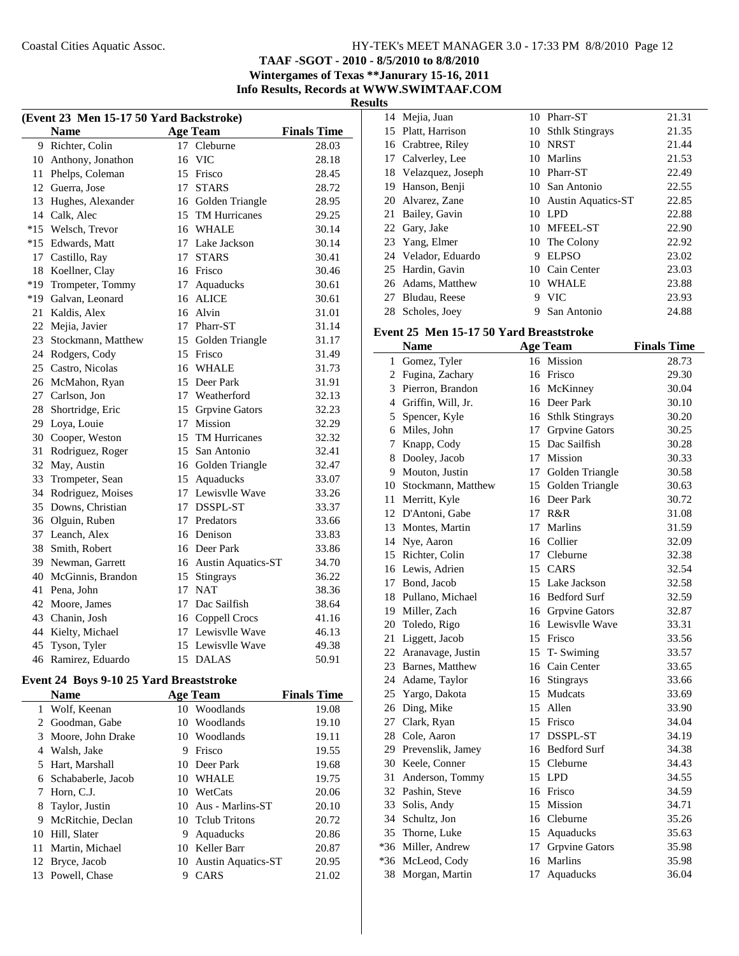## **TAAF -SGOT - 2010 - 8/5/2010 to 8/8/2010 Wintergames of Texas \*\*Janurary 15-16, 2011 Info Results, Records at WWW.SWIMTAAF.COM**

**Results**

 $\sim$ 

| (Event 23 Men 15-17 50 Yard Backstroke) |                    |                 |                       |                    |  |
|-----------------------------------------|--------------------|-----------------|-----------------------|--------------------|--|
|                                         | <b>Name</b>        |                 | <b>Age Team</b>       | <b>Finals Time</b> |  |
| 9                                       | Richter, Colin     | 17              | Cleburne              | 28.03              |  |
| 10                                      | Anthony, Jonathon  | 16              | <b>VIC</b>            | 28.18              |  |
| 11                                      | Phelps, Coleman    |                 | 15 Frisco             | 28.45              |  |
| 12                                      | Guerra, Jose       | 17              | <b>STARS</b>          | 28.72              |  |
| 13                                      | Hughes, Alexander  |                 | 16 Golden Triangle    | 28.95              |  |
| 14                                      | Calk, Alec         |                 | 15 TM Hurricanes      | 29.25              |  |
| $*15$                                   | Welsch, Trevor     |                 | 16 WHALE              | 30.14              |  |
| $*15$                                   | Edwards, Matt      |                 | 17 Lake Jackson       | 30.14              |  |
| 17                                      | Castillo, Ray      | 17              | <b>STARS</b>          | 30.41              |  |
| 18                                      | Koellner, Clay     |                 | 16 Frisco             | 30.46              |  |
| $*19$                                   | Trompeter, Tommy   | 17              | Aquaducks             | 30.61              |  |
| $*19$                                   | Galvan, Leonard    | 16              | <b>ALICE</b>          | 30.61              |  |
| 21                                      | Kaldis, Alex       | 16              | Alvin                 | 31.01              |  |
| 22                                      | Mejia, Javier      |                 | 17 Pharr-ST           | 31.14              |  |
| 23                                      | Stockmann, Matthew |                 | 15 Golden Triangle    | 31.17              |  |
| 24                                      | Rodgers, Cody      | 15              | Frisco                | 31.49              |  |
| 25                                      | Castro, Nicolas    |                 | 16 WHALE              | 31.73              |  |
| 26                                      | McMahon, Ryan      |                 | 15 Deer Park          | 31.91              |  |
| 27                                      | Carlson, Jon       |                 | 17 Weatherford        | 32.13              |  |
| 28                                      | Shortridge, Eric   | 15              | Grpvine Gators        | 32.23              |  |
| 29                                      | Loya, Louie        | 17 <sup>2</sup> | <b>Mission</b>        | 32.29              |  |
| 30                                      | Cooper, Weston     |                 | 15 TM Hurricanes      | 32.32              |  |
| 31                                      | Rodriguez, Roger   |                 | 15 San Antonio        | 32.41              |  |
| 32                                      | May, Austin        |                 | 16 Golden Triangle    | 32.47              |  |
| 33                                      | Trompeter, Sean    |                 | 15 Aquaducks          | 33.07              |  |
| 34                                      | Rodriguez, Moises  |                 | 17 Lewisvlle Wave     | 33.26              |  |
| 35                                      | Downs, Christian   |                 | 17 DSSPL-ST           | 33.37              |  |
| 36                                      | Olguin, Ruben      |                 | 17 Predators          | 33.66              |  |
| 37                                      | Leanch, Alex       |                 | 16 Denison            | 33.83              |  |
| 38                                      | Smith, Robert      |                 | 16 Deer Park          | 33.86              |  |
| 39                                      | Newman, Garrett    |                 | 16 Austin Aquatics-ST | 34.70              |  |
| 40                                      | McGinnis, Brandon  | 15              | Stingrays             | 36.22              |  |
| 41                                      | Pena, John         | 17              | <b>NAT</b>            | 38.36              |  |
| 42                                      | Moore, James       | 17              | Dac Sailfish          | 38.64              |  |
| 43                                      | Chanin, Josh       |                 | 16 Coppell Crocs      | 41.16              |  |
| 44                                      | Kielty, Michael    |                 | 17 Lewisylle Wave     | 46.13              |  |
| 45                                      | Tyson, Tyler       | 15              | Lewisvlle Wave        | 49.38              |  |
| 46                                      | Ramirez, Eduardo   | 15              | <b>DALAS</b>          | 50.91              |  |

## **Event 24 Boys 9-10 25 Yard Breaststroke**

|    | <b>Name</b>        |    | <b>Age Team</b>       | <b>Finals Time</b> |
|----|--------------------|----|-----------------------|--------------------|
| 1  | Wolf, Keenan       | 10 | Woodlands             | 19.08              |
| 2  | Goodman, Gabe      | 10 | Woodlands             | 19.10              |
| 3  | Moore, John Drake  |    | 10 Woodlands          | 19.11              |
| 4  | Walsh, Jake        | 9  | Frisco                | 19.55              |
| 5  | Hart, Marshall     |    | 10 Deer Park          | 19.68              |
| 6  | Schababerle, Jacob | 10 | <b>WHALE</b>          | 19.75              |
| 7  | Horn, C.J.         | 10 | WetCats               | 20.06              |
| 8  | Taylor, Justin     |    | 10 Aus - Marlins-ST   | 20.10              |
| 9  | McRitchie, Declan  |    | 10 Telub Tritons      | 20.72              |
| 10 | Hill, Slater       | 9  | Aquaducks             | 20.86              |
| 11 | Martin, Michael    |    | 10 Keller Barr        | 20.87              |
| 12 | Bryce, Jacob       |    | 10 Austin Aquatics-ST | 20.95              |
|    | 13 Powell, Chase   | 9  | <b>CARS</b>           | 21.02              |

|    | 14 Mejia, Juan       |    | 10 Pharr-ST           | 21.31 |
|----|----------------------|----|-----------------------|-------|
|    | 15 Platt, Harrison   |    | 10 Sthlk Stingrays    | 21.35 |
|    | 16 Crabtree, Riley   | 10 | NRST                  | 21.44 |
|    | 17 Calverley, Lee    | 10 | Marlins               | 21.53 |
|    | 18 Velazquez, Joseph | 10 | Pharr-ST              | 22.49 |
| 19 | Hanson, Benji        |    | 10 San Antonio        | 22.55 |
|    | 20 Alvarez, Zane     |    | 10 Austin Aquatics-ST | 22.85 |
|    | 21 Bailey, Gavin     | 10 | LPD                   | 22.88 |
|    | 22 Gary, Jake        | 10 | MFEEL-ST              | 22.90 |
|    | 23 Yang, Elmer       |    | 10 The Colony         | 22.92 |
|    | 24 Velador, Eduardo  | 9  | <b>ELPSO</b>          | 23.02 |
|    | 25 Hardin, Gavin     | 10 | Cain Center           | 23.03 |
|    | 26 Adams, Matthew    | 10 | <b>WHALE</b>          | 23.88 |
|    | 27 Bludau, Reese     | 9  | <b>VIC</b>            | 23.93 |
| 28 | Scholes, Joey        | 9  | San Antonio           | 24.88 |
|    |                      |    |                       |       |

## **Event 25 Men 15-17 50 Yard Breaststroke**

|              | <b>Name</b>           |    | <b>Age Team</b>       | <b>Finals Time</b> |
|--------------|-----------------------|----|-----------------------|--------------------|
| $\mathbf{1}$ | Gomez, Tyler          |    | 16 Mission            | 28.73              |
| 2            | Fugina, Zachary       |    | 16 Frisco             | 29.30              |
| 3            | Pierron, Brandon      |    | 16 McKinney           | 30.04              |
|              | 4 Griffin, Will, Jr.  |    | 16 Deer Park          | 30.10              |
|              | 5 Spencer, Kyle       |    | 16 Sthlk Stingrays    | 30.20              |
|              | 6 Miles, John         |    | 17 Grpvine Gators     | 30.25              |
| 7            | Knapp, Cody           |    | 15 Dac Sailfish       | 30.28              |
| 8            | Dooley, Jacob         |    | 17 Mission            | 30.33              |
| 9            | Mouton, Justin        |    | 17 Golden Triangle    | 30.58              |
|              | 10 Stockmann, Matthew | 15 | Golden Triangle       | 30.63              |
| 11           | Merritt, Kyle         |    | 16 Deer Park          | 30.72              |
| 12           | D'Antoni, Gabe        | 17 | R&R                   | 31.08              |
|              | 13 Montes, Martin     | 17 | Marlins               | 31.59              |
|              | 14 Nye, Aaron         |    | 16 Collier            | 32.09              |
|              | 15 Richter, Colin     |    | 17 Cleburne           | 32.38              |
|              | 16 Lewis, Adrien      |    | 15 CARS               | 32.54              |
|              | 17 Bond, Jacob        |    | 15 Lake Jackson       | 32.58              |
|              | 18 Pullano, Michael   |    | 16 Bedford Surf       | 32.59              |
|              | 19 Miller, Zach       |    | 16 Grpvine Gators     | 32.87              |
|              | 20 Toledo, Rigo       |    | 16 Lewisvlle Wave     | 33.31              |
| 21           | Liggett, Jacob        |    | 15 Frisco             | 33.56              |
|              | 22 Aranavage, Justin  |    | 15 T-Swiming          | 33.57              |
|              | 23 Barnes, Matthew    |    | 16 Cain Center        | 33.65              |
|              | 24 Adame, Taylor      |    | 16 Stingrays          | 33.66              |
|              | 25 Yargo, Dakota      |    | 15 Mudcats            | 33.69              |
|              | 26 Ding, Mike         | 15 | Allen                 | 33.90              |
|              | 27 Clark, Ryan        |    | 15 Frisco             | 34.04              |
|              | 28 Cole, Aaron        | 17 | DSSPL-ST              | 34.19              |
|              | 29 Prevenslik, Jamey  |    | 16 Bedford Surf       | 34.38              |
|              | 30 Keele, Conner      | 15 | Cleburne              | 34.43              |
| 31           | Anderson, Tommy       | 15 | LPD                   | 34.55              |
|              | 32 Pashin, Steve      | 16 | Frisco                | 34.59              |
|              | 33 Solis, Andy        | 15 | Mission               | 34.71              |
|              | 34 Schultz, Jon       |    | 16 Cleburne           | 35.26              |
|              | 35 Thorne, Luke       |    | 15 Aquaducks          | 35.63              |
|              | *36 Miller, Andrew    | 17 | <b>Grpvine Gators</b> | 35.98              |
|              | *36 McLeod, Cody      |    | 16 Marlins            | 35.98              |
| 38           | Morgan, Martin        | 17 | Aquaducks             | 36.04              |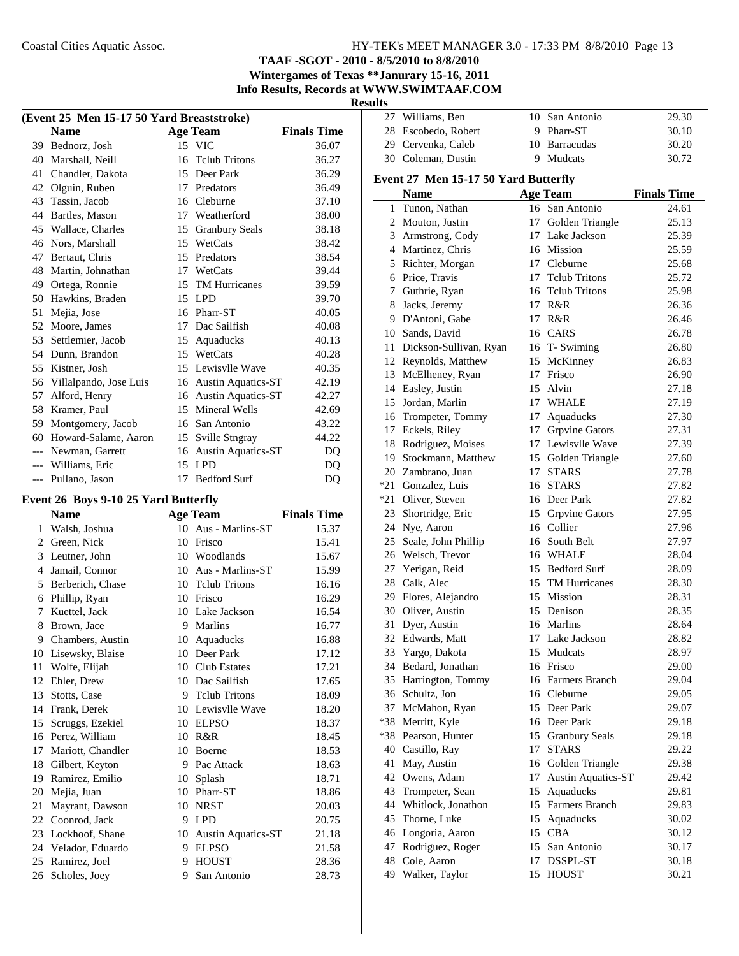## **TAAF -SGOT - 2010 - 8/5/2010 to 8/8/2010 Wintergames of Texas \*\*Janurary 15-16, 2011**

**Info Results, Records at WWW.SWIMTAAF.COM**

**Results** 27 Williams, Ben 10 San Antonio 29.30

| (Event 25 Men 15-17 50 Yard Breaststroke) |                        |    |                           |                    |  |  |
|-------------------------------------------|------------------------|----|---------------------------|--------------------|--|--|
|                                           | <b>Name</b>            |    | <b>Age Team</b>           | <b>Finals Time</b> |  |  |
| 39                                        | Bednorz, Josh          |    | 15 VIC                    | 36.07              |  |  |
| 40                                        | Marshall, Neill        | 16 | <b>Telub Tritons</b>      | 36.27              |  |  |
| 41                                        | Chandler, Dakota       | 15 | Deer Park                 | 36.29              |  |  |
| 42                                        | Olguin, Ruben          |    | 17 Predators              | 36.49              |  |  |
| 43                                        | Tassin, Jacob          | 16 | Cleburne                  | 37.10              |  |  |
| 44                                        | Bartles, Mason         | 17 | Weatherford               | 38.00              |  |  |
| 45                                        | Wallace, Charles       | 15 | <b>Granbury Seals</b>     | 38.18              |  |  |
| 46                                        | Nors, Marshall         | 15 | WetCats                   | 38.42              |  |  |
| 47                                        | Bertaut, Chris         | 15 | Predators                 | 38.54              |  |  |
| 48                                        | Martin, Johnathan      | 17 | WetCats                   | 39.44              |  |  |
| 49                                        | Ortega, Ronnie         | 15 | <b>TM Hurricanes</b>      | 39.59              |  |  |
| 50                                        | Hawkins, Braden        |    | 15 LPD                    | 39.70              |  |  |
| 51                                        | Mejia, Jose            | 16 | Pharr-ST                  | 40.05              |  |  |
| 52                                        | Moore, James           | 17 | Dac Sailfish              | 40.08              |  |  |
| 53                                        | Settlemier, Jacob      | 15 | Aquaducks                 | 40.13              |  |  |
| 54                                        | Dunn, Brandon          | 15 | WetCats                   | 40.28              |  |  |
| 55                                        | Kistner, Josh          |    | 15 Lewisvlle Wave         | 40.35              |  |  |
| 56                                        | Villalpando, Jose Luis | 16 | <b>Austin Aquatics-ST</b> | 42.19              |  |  |
| 57                                        | Alford, Henry          | 16 | <b>Austin Aquatics-ST</b> | 42.27              |  |  |
| 58                                        | Kramer, Paul           | 15 | Mineral Wells             | 42.69              |  |  |
| 59                                        | Montgomery, Jacob      | 16 | San Antonio               | 43.22              |  |  |
| 60                                        | Howard-Salame, Aaron   | 15 | Sville Stngray            | 44.22              |  |  |
| $---$                                     | Newman, Garrett        | 16 | <b>Austin Aquatics-ST</b> | D <sub>O</sub>     |  |  |
| $---$                                     | Williams, Eric         | 15 | <b>LPD</b>                | DQ                 |  |  |
| $---$                                     | Pullano, Jason         |    | 17 Bedford Surf           | DQ                 |  |  |

## **Event 26 Boys 9-10 25 Yard Butterfly**

|    | <b>Name</b>         |    | <b>Age Team</b>           | <b>Finals Time</b> |
|----|---------------------|----|---------------------------|--------------------|
| 1  | Walsh, Joshua       | 10 | Aus - Marlins-ST          | 15.37              |
| 2  | Green, Nick         | 10 | Frisco                    | 15.41              |
| 3  | Leutner, John       | 10 | Woodlands                 | 15.67              |
| 4  | Jamail, Connor      | 10 | Aus - Marlins-ST          | 15.99              |
| 5  | Berberich, Chase    | 10 | <b>Telub Tritons</b>      | 16.16              |
| 6  | Phillip, Ryan       | 10 | Frisco                    | 16.29              |
| 7  | Kuettel, Jack       | 10 | Lake Jackson              | 16.54              |
| 8  | Brown, Jace         | 9  | <b>Marlins</b>            | 16.77              |
| 9  | Chambers, Austin    | 10 | Aquaducks                 | 16.88              |
| 10 | Lisewsky, Blaise    | 10 | Deer Park                 | 17.12              |
| 11 | Wolfe, Elijah       | 10 | Club Estates              | 17.21              |
| 12 | Ehler, Drew         | 10 | Dac Sailfish              | 17.65              |
| 13 | Stotts, Case        | 9  | <b>Telub Tritons</b>      | 18.09              |
| 14 | Frank, Derek        | 10 | Lewisvlle Wave            | 18.20              |
| 15 | Scruggs, Ezekiel    | 10 | <b>ELPSO</b>              | 18.37              |
| 16 | Perez, William      | 10 | R&R                       | 18.45              |
| 17 | Mariott, Chandler   | 10 | Boerne                    | 18.53              |
| 18 | Gilbert, Keyton     | 9  | Pac Attack                | 18.63              |
| 19 | Ramirez, Emilio     | 10 | Splash                    | 18.71              |
| 20 | Mejia, Juan         | 10 | Pharr-ST                  | 18.86              |
| 21 | Mayrant, Dawson     | 10 | <b>NRST</b>               | 20.03              |
| 22 | Coonrod, Jack       | 9  | <b>LPD</b>                | 20.75              |
| 23 | Lockhoof, Shane     | 10 | <b>Austin Aquatics-ST</b> | 21.18              |
|    | 24 Velador, Eduardo | 9  | <b>ELPSO</b>              | 21.58              |
| 25 | Ramirez, Joel       | 9  | <b>HOUST</b>              | 28.36              |
| 26 | Scholes, Joey       | 9  | San Antonio               | 28.73              |
|    |                     |    |                           |                    |

|    | 28 Escobedo, Robert                  |    | 9 Pharr-ST            | 30.10              |
|----|--------------------------------------|----|-----------------------|--------------------|
|    | 29 Cervenka, Caleb                   |    | 10 Barracudas         | 30.20              |
|    | 30 Coleman, Dustin                   |    | 9 Mudcats             | 30.72              |
|    |                                      |    |                       |                    |
|    | Event 27 Men 15-17 50 Yard Butterfly |    |                       |                    |
|    | <b>Name</b>                          |    | <b>Age Team</b>       | <b>Finals Time</b> |
|    | 1 Tunon, Nathan                      |    | 16 San Antonio        | 24.61              |
|    | 2 Mouton, Justin                     |    | 17 Golden Triangle    | 25.13              |
|    | 3 Armstrong, Cody                    |    | 17 Lake Jackson       | 25.39              |
|    | 4 Martinez, Chris                    |    | 16 Mission            | 25.59              |
|    | 5 Richter, Morgan                    |    | 17 Cleburne           | 25.68              |
|    | 6 Price, Travis                      |    | 17 Telub Tritons      | 25.72              |
|    | 7 Guthrie, Ryan                      |    | 16 Telub Tritons      | 25.98              |
|    | 8 Jacks, Jeremy                      |    | 17 R&R                | 26.36              |
|    | 9 D'Antoni, Gabe                     |    | 17 R&R                | 26.46              |
|    | 10 Sands, David                      |    | 16 CARS               | 26.78              |
|    | 11 Dickson-Sullivan, Ryan            |    | 16 T-Swiming          | 26.80              |
|    | 12 Reynolds, Matthew                 |    | 15 McKinney           | 26.83              |
| 13 | McElheney, Ryan                      |    | 17 Frisco             | 26.90              |
|    | 14 Easley, Justin                    |    | 15 Alvin              | 27.18              |
|    | 15 Jordan, Marlin                    |    | 17 WHALE              | 27.19              |
|    | 16 Trompeter, Tommy                  |    | 17 Aquaducks          | 27.30              |
|    | 17 Eckels, Riley                     |    | 17 Grpvine Gators     | 27.31              |
|    | 18 Rodriguez, Moises                 |    | 17 Lewisylle Wave     | 27.39              |
|    | 19 Stockmann, Matthew                |    | 15 Golden Triangle    | 27.60              |
|    | 20 Zambrano, Juan                    | 17 | <b>STARS</b>          | 27.78              |
|    | *21 Gonzalez, Luis                   |    | 16 STARS              | 27.82              |
|    | *21 Oliver, Steven                   |    | 16 Deer Park          | 27.82              |
|    | 23 Shortridge, Eric                  |    | 15 Grpvine Gators     | 27.95              |
|    | 24 Nye, Aaron                        |    | 16 Collier            | 27.96              |
| 25 | Seale, John Phillip                  |    | 16 South Belt         | 27.97              |
|    | 26 Welsch, Trevor                    |    | 16 WHALE              | 28.04              |
|    | 27 Yerigan, Reid                     |    | 15 Bedford Surf       | 28.09              |
|    | 28 Calk, Alec                        |    | 15 TM Hurricanes      | 28.30              |
|    | 29 Flores, Alejandro                 |    | 15 Mission            | 28.31              |
|    | 30 Oliver, Austin                    |    | 15 Denison            | 28.35              |
| 31 | Dyer, Austin                         |    | 16 Marlins            | 28.64              |
|    | 32 Edwards, Matt                     |    | 17 Lake Jackson       | 28.82              |
|    | 33 Yargo, Dakota                     |    | 15 Mudcats            | 28.97              |
|    | 34 Bedard, Jonathan                  |    | 16 Frisco             | 29.00              |
|    | 35 Harrington, Tommy                 |    | 16 Farmers Branch     | 29.04              |
|    | 36 Schultz, Jon                      |    | 16 Cleburne           | 29.05              |
|    | 37 McMahon, Ryan                     |    | 15 Deer Park          | 29.07              |
|    | *38 Merritt, Kyle                    |    | 16 Deer Park          | 29.18              |
|    | *38 Pearson, Hunter                  | 15 | <b>Granbury Seals</b> | 29.18              |
|    | 40 Castillo, Ray                     | 17 | <b>STARS</b>          | 29.22              |
| 41 | May, Austin                          |    | 16 Golden Triangle    | 29.38              |
|    | 42 Owens, Adam                       | 17 | Austin Aquatics-ST    | 29.42              |
| 43 | Trompeter, Sean                      | 15 | Aquaducks             | 29.81              |
|    | 44 Whitlock, Jonathon                |    | 15 Farmers Branch     | 29.83              |
| 45 | Thorne, Luke                         | 15 | Aquaducks             | 30.02              |
|    | 46 Longoria, Aaron                   |    | 15 CBA                | 30.12              |
|    | 47 Rodriguez, Roger                  | 15 | San Antonio           | 30.17              |
|    | 48 Cole, Aaron                       | 17 | DSSPL-ST              | 30.18              |
|    | 49 Walker, Taylor                    | 15 | <b>HOUST</b>          | 30.21              |
|    |                                      |    |                       |                    |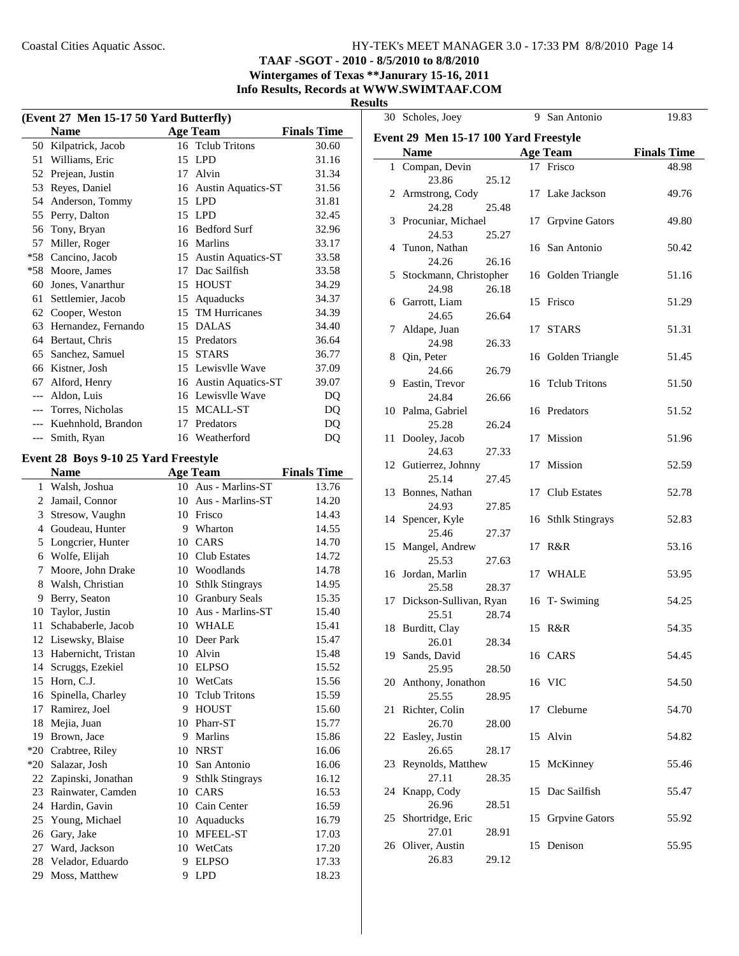## **TAAF -SGOT - 2010 - 8/5/2010 to 8/8/2010 Wintergames of Texas \*\*Janurary 15-16, 2011**

**Info Results, Records at WWW.SWIMTAAF.COM**

#### **Results**

|            | (Event 27 Men 15-17 50 Yard Butterfly) |                       |                    | 30 Scholes, Joey                      |       | 9 San Antonio      | 19.83              |
|------------|----------------------------------------|-----------------------|--------------------|---------------------------------------|-------|--------------------|--------------------|
|            | <b>Name</b>                            | <b>Age Team</b>       | <b>Finals Time</b> | Event 29 Men 15-17 100 Yard Freestyle |       |                    |                    |
|            | 50 Kilpatrick, Jacob                   | 16 Telub Tritons      | 30.60              | <b>Name</b>                           |       |                    | <b>Finals Time</b> |
|            | 51 Williams, Eric                      | 15 LPD                | 31.16              |                                       |       | <b>Age Team</b>    |                    |
|            | 52 Prejean, Justin                     | 17 Alvin              | 31.34              | 1 Compan, Devin                       |       | 17 Frisco          | 48.98              |
|            | 53 Reyes, Daniel                       | 16 Austin Aquatics-ST | 31.56              | 23.86                                 | 25.12 |                    |                    |
|            | 54 Anderson, Tommy                     | 15 LPD                | 31.81              | 2 Armstrong, Cody                     |       | 17 Lake Jackson    | 49.76              |
|            | 55 Perry, Dalton                       | 15 LPD                | 32.45              | 24.28<br>25.48                        |       |                    |                    |
|            | 56 Tony, Bryan                         | 16 Bedford Surf       | 32.96              | 3 Procuniar, Michael                  |       | 17 Grpvine Gators  | 49.80              |
|            | 57 Miller, Roger                       | 16 Marlins            | 33.17              | 24.53<br>25.27                        |       |                    |                    |
| $*58$      | Cancino, Jacob                         | 15 Austin Aquatics-ST | 33.58              | 4 Tunon, Nathan                       |       | 16 San Antonio     | 50.42              |
|            | *58 Moore, James                       | 17 Dac Sailfish       | 33.58              | 24.26<br>26.16                        |       |                    |                    |
|            | 60 Jones, Vanarthur                    | 15 HOUST              | 34.29              | 5 Stockmann, Christopher              |       | 16 Golden Triangle | 51.16              |
|            | 61 Settlemier, Jacob                   | 15 Aquaducks          | 34.37              | 24.98<br>26.18                        |       |                    |                    |
|            | 62 Cooper, Weston                      | 15 TM Hurricanes      | 34.39              | 6 Garrott, Liam                       |       | 15 Frisco          | 51.29              |
|            | 63 Hernandez, Fernando                 | 15 DALAS              | 34.40              | 24.65<br>26.64                        |       |                    |                    |
|            | 64 Bertaut, Chris                      | 15 Predators          | 36.64              | 7 Aldape, Juan                        |       | 17 STARS           | 51.31              |
|            | 65 Sanchez, Samuel                     | 15 STARS              | 36.77              | 24.98<br>26.33                        |       |                    |                    |
|            |                                        | 15 Lewisvlle Wave     | 37.09              | 8 Qin, Peter                          |       | 16 Golden Triangle | 51.45              |
|            | 66 Kistner, Josh                       |                       |                    | 24.66<br>26.79                        |       |                    |                    |
|            | 67 Alford, Henry                       | 16 Austin Aquatics-ST | 39.07              | 9 Eastin, Trevor                      |       | 16 Tclub Tritons   | 51.50              |
|            | Aldon, Luis                            | 16 Lewisvlle Wave     | DQ                 | 24.84<br>26.66                        |       |                    |                    |
|            | Torres, Nicholas                       | 15 MCALL-ST           | DQ                 | 10 Palma, Gabriel                     |       | 16 Predators       | 51.52              |
|            | Kuehnhold, Brandon                     | 17 Predators          | DQ                 | 25.28<br>26.24                        |       |                    |                    |
| $-\!-\!$ – | Smith, Ryan                            | 16 Weatherford        | DQ                 | 11 Dooley, Jacob                      |       | 17 Mission         | 51.96              |
|            | Event 28 Boys 9-10 25 Yard Freestyle   |                       |                    | 24.63<br>27.33                        |       |                    |                    |
|            | <b>Name</b>                            | <b>Age Team</b>       | <b>Finals Time</b> | 12 Gutierrez, Johnny                  |       | 17 Mission         | 52.59              |
|            |                                        |                       |                    | 25.14<br>27.45                        |       |                    |                    |
|            | 1 Walsh, Joshua                        | 10 Aus - Marlins-ST   | 13.76              | 13 Bonnes, Nathan                     |       | 17 Club Estates    | 52.78              |
|            | 2 Jamail, Connor                       | 10 Aus - Marlins-ST   | 14.20              | 24.93<br>27.85                        |       |                    |                    |
|            | 3 Stresow, Vaughn                      | 10 Frisco             | 14.43              | 14 Spencer, Kyle                      |       | 16 Sthlk Stingrays | 52.83              |
|            | 4 Goudeau, Hunter                      | 9 Wharton             | 14.55              | 25.46<br>27.37                        |       |                    |                    |
|            | 5 Longcrier, Hunter                    | 10 CARS               | 14.70              | 15 Mangel, Andrew                     |       | 17 R&R             | 53.16              |
|            | 6 Wolfe, Elijah                        | 10 Club Estates       | 14.72              | 25.53<br>27.63                        |       |                    |                    |
|            | 7 Moore, John Drake                    | 10 Woodlands          | 14.78              | 16 Jordan, Marlin                     |       | 17 WHALE           | 53.95              |
|            | 8 Walsh, Christian                     | 10 Sthlk Stingrays    | 14.95              | 28.37<br>25.58                        |       |                    |                    |
|            | 9 Berry, Seaton                        | 10 Granbury Seals     | 15.35              | 17 Dickson-Sullivan, Ryan             |       | 16 T-Swiming       | 54.25              |
|            | 10 Taylor, Justin                      | 10 Aus - Marlins-ST   | 15.40              | 25.51<br>28.74                        |       |                    |                    |
|            | 11 Schababerle, Jacob                  | 10 WHALE              | 15.41              | 18 Burditt, Clay                      |       | 15 R&R             | 54.35              |
|            | 12 Lisewsky, Blaise                    | 10 Deer Park          | 15.47              | 26.01<br>28.34                        |       |                    |                    |
|            | 13 Habernicht, Tristan                 | 10 Alvin              | 15.48              | 19 Sands, David                       |       | 16 CARS            | 54.45              |
|            | 14 Scruggs, Ezekiel                    | 10 ELPSO              | 15.52              | 25.95                                 | 28.50 |                    |                    |
|            | 15 Horn, C.J.                          | 10 WetCats            | 15.56              | 20 Anthony, Jonathon                  |       | 16 VIC             | 54.50              |
|            | 16 Spinella, Charley                   | 10 Telub Tritons      | 15.59              | 25.55<br>28.95                        |       |                    |                    |
|            | 17 Ramirez, Joel                       | 9 HOUST               | 15.60              | 21 Richter, Colin                     |       | 17 Cleburne        | 54.70              |
|            | 18 Mejia, Juan                         | 10 Pharr-ST           | 15.77              | 26.70                                 | 28.00 |                    |                    |
|            | 19 Brown, Jace                         | 9 Marlins             | 15.86              | 22 Easley, Justin                     |       | 15 Alvin           | 54.82              |
| *20        | Crabtree, Riley                        | 10 NRST               | 16.06              | 26.65<br>28.17                        |       |                    |                    |
| *20        |                                        |                       | 16.06              | 23 Reynolds, Matthew                  |       | 15 McKinney        | 55.46              |
|            | Salazar, Josh                          | 10 San Antonio        |                    | 27.11                                 |       |                    |                    |
|            | 22 Zapinski, Jonathan                  | 9 Sthlk Stingrays     | 16.12              | 28.35                                 |       |                    |                    |
|            | 23 Rainwater, Camden                   | 10 CARS               | 16.53              | 24 Knapp, Cody                        |       | 15 Dac Sailfish    | 55.47              |
|            | 24 Hardin, Gavin                       | 10 Cain Center        | 16.59              | 26.96<br>28.51                        |       |                    |                    |
|            | 25 Young, Michael                      | 10 Aquaducks          | 16.79              | 25 Shortridge, Eric                   |       | 15 Grpvine Gators  | 55.92              |
|            | 26 Gary, Jake                          | 10 MFEEL-ST           | 17.03              | 28.91<br>27.01                        |       |                    |                    |
|            | 27 Ward, Jackson                       | 10 WetCats            | 17.20              | 26 Oliver, Austin                     |       | 15 Denison         | 55.95              |
| 28         | Velador, Eduardo                       | 9 ELPSO               | 17.33              | 26.83                                 | 29.12 |                    |                    |
|            | 29 Moss, Matthew                       | 9 LPD                 | 18.23              |                                       |       |                    |                    |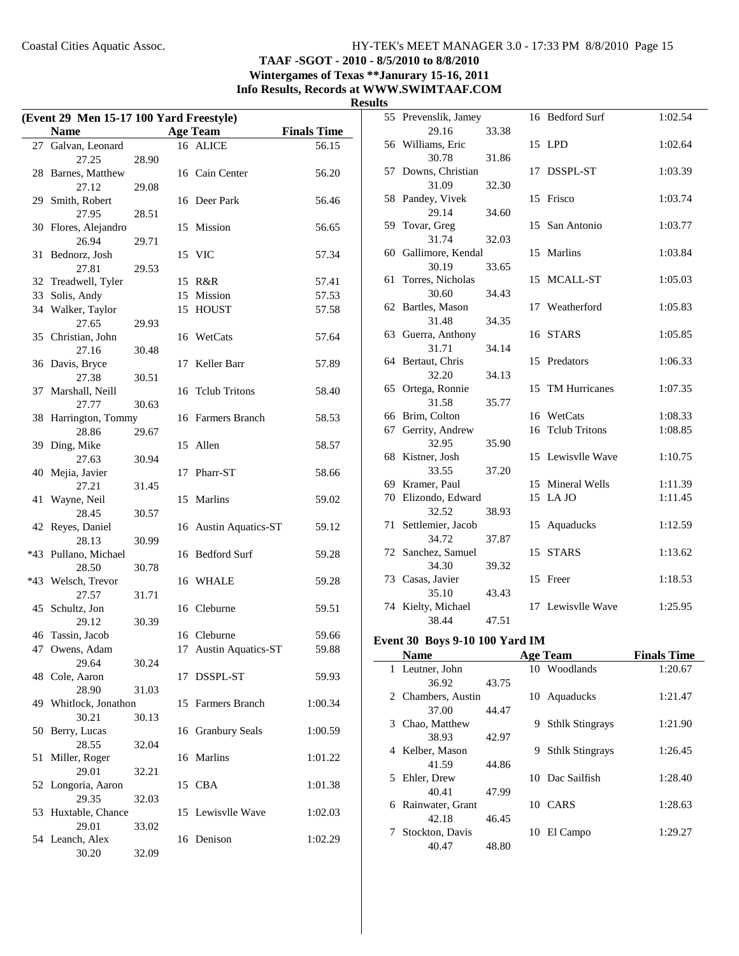**TAAF -SGOT - 2010 - 8/5/2010 to 8/8/2010 Wintergames of Texas \*\*Janurary 15-16, 2011**

**Info Results, Records at WWW.SWIMTAAF.COM**

**Results**

| (Event 29 Men 15-17 100 Yard Freestyle) |                       |       |    |                       |                    |  |
|-----------------------------------------|-----------------------|-------|----|-----------------------|--------------------|--|
|                                         | <b>Name</b>           |       |    | <b>Age Team</b>       | <b>Finals Time</b> |  |
| 27                                      | Galvan, Leonard       |       |    | 16 ALICE              | 56.15              |  |
|                                         | 27.25                 | 28.90 |    |                       |                    |  |
|                                         | 28 Barnes, Matthew    |       |    | 16 Cain Center        | 56.20              |  |
|                                         | 27.12                 | 29.08 |    |                       |                    |  |
| 29                                      | Smith, Robert         |       |    | 16 Deer Park          | 56.46              |  |
|                                         | 27.95                 | 28.51 |    |                       |                    |  |
| 30                                      | Flores, Alejandro     |       | 15 | Mission               | 56.65              |  |
|                                         | 26.94                 | 29.71 |    |                       |                    |  |
| 31                                      | Bednorz, Josh         |       |    | 15 VIC                | 57.34              |  |
|                                         | 27.81                 | 29.53 |    |                       |                    |  |
|                                         | 32 Treadwell, Tyler   |       |    | 15 R&R                | 57.41              |  |
| 33                                      | Solis, Andy           |       |    | 15 Mission            | 57.53              |  |
| 34                                      | Walker, Taylor        |       | 15 | HOUST                 | 57.58              |  |
|                                         | 27.65                 | 29.93 |    |                       |                    |  |
|                                         | 35 Christian, John    |       |    | 16 WetCats            | 57.64              |  |
|                                         | 27.16                 | 30.48 |    |                       |                    |  |
| 36                                      | Davis, Bryce          |       | 17 | Keller Barr           | 57.89              |  |
|                                         | 27.38                 | 30.51 |    |                       |                    |  |
| 37                                      | Marshall, Neill       |       | 16 | <b>Telub Tritons</b>  | 58.40              |  |
|                                         | 27.77                 | 30.63 |    |                       |                    |  |
| 38                                      | Harrington, Tommy     |       |    | 16 Farmers Branch     | 58.53              |  |
|                                         | 28.86                 | 29.67 |    |                       |                    |  |
| 39                                      | Ding, Mike            |       |    | 15 Allen              | 58.57              |  |
|                                         | 27.63                 | 30.94 |    |                       |                    |  |
| 40                                      | Mejia, Javier         |       | 17 | Pharr-ST              | 58.66              |  |
|                                         | 27.21                 | 31.45 |    |                       |                    |  |
| 41                                      | Wayne, Neil           |       |    | 15 Marlins            | 59.02              |  |
|                                         | 28.45                 | 30.57 |    |                       |                    |  |
|                                         | 42 Reyes, Daniel      |       |    | 16 Austin Aquatics-ST | 59.12              |  |
|                                         | 28.13                 | 30.99 |    |                       |                    |  |
|                                         | *43 Pullano, Michael  |       |    | 16 Bedford Surf       | 59.28              |  |
|                                         | 28.50                 | 30.78 |    |                       |                    |  |
|                                         | *43 Welsch, Trevor    |       |    | 16 WHALE              | 59.28              |  |
|                                         | 27.57                 | 31.71 |    |                       |                    |  |
|                                         | 45 Schultz, Jon       |       |    | 16 Cleburne           | 59.51              |  |
|                                         | 29.12                 | 30.39 |    |                       |                    |  |
|                                         | 46 Tassin, Jacob      |       |    | 16 Cleburne           | 59.66              |  |
|                                         | 47 Owens, Adam        |       |    | 17 Austin Aquatics-ST | 59.88              |  |
|                                         | 29.64                 | 30.24 |    |                       |                    |  |
|                                         | 48 Cole, Aaron        |       | 17 | DSSPL-ST              | 59.93              |  |
|                                         | 28.90                 | 31.03 |    |                       |                    |  |
|                                         | 49 Whitlock, Jonathon |       | 15 | Farmers Branch        | 1:00.34            |  |
|                                         | 30.21                 | 30.13 |    |                       |                    |  |
| 50                                      | Berry, Lucas          |       |    | 16 Granbury Seals     | 1:00.59            |  |
|                                         | 28.55                 | 32.04 |    |                       |                    |  |
| 51                                      | Miller, Roger         |       |    | 16 Marlins            | 1:01.22            |  |
|                                         | 29.01                 | 32.21 |    |                       |                    |  |
|                                         | 52 Longoria, Aaron    |       |    | 15 CBA                | 1:01.38            |  |
|                                         | 29.35                 | 32.03 |    |                       |                    |  |
|                                         | 53 Huxtable, Chance   |       |    | 15 Lewisvlle Wave     | 1:02.03            |  |
|                                         | 29.01                 | 33.02 |    |                       |                    |  |
|                                         | 54 Leanch, Alex       |       |    | 16 Denison            | 1:02.29            |  |
|                                         | 30.20                 | 32.09 |    |                       |                    |  |

| ເວ |                             |       |    |                   |         |
|----|-----------------------------|-------|----|-------------------|---------|
| 55 | Prevenslik, Jamey           |       |    | 16 Bedford Surf   | 1:02.54 |
|    | 29.16                       | 33.38 |    |                   |         |
|    | 56 Williams, Eric           |       |    | 15 LPD            | 1:02.64 |
|    | 30.78                       | 31.86 |    |                   |         |
| 57 | Downs, Christian            |       | 17 | DSSPL-ST          | 1:03.39 |
|    | 31.09                       | 32.30 |    |                   |         |
| 58 | Pandey, Vivek               |       | 15 | Frisco            | 1:03.74 |
|    | 29.14                       | 34.60 |    |                   |         |
| 59 | Tovar, Greg                 |       | 15 | San Antonio       | 1:03.77 |
|    | 31.74                       | 32.03 |    |                   |         |
|    | 60 Gallimore, Kendal        |       | 15 | Marlins           | 1:03.84 |
|    | 30.19                       | 33.65 |    |                   |         |
| 61 | Torres, Nicholas            |       |    | 15 MCALL-ST       | 1:05.03 |
|    | 30.60                       | 34.43 |    |                   |         |
|    | 62 Bartles, Mason           |       |    | 17 Weatherford    | 1:05.83 |
|    | 31.48                       | 34.35 |    |                   |         |
|    | 63 Guerra, Anthony<br>31.71 | 34.14 |    | 16 STARS          | 1:05.85 |
|    |                             |       |    | 15 Predators      | 1:06.33 |
|    | 64 Bertaut, Chris<br>32.20  | 34.13 |    |                   |         |
| 65 | Ortega, Ronnie              |       | 15 | TM Hurricanes     | 1:07.35 |
|    | 31.58                       | 35.77 |    |                   |         |
|    | 66 Brim, Colton             |       |    | 16 WetCats        | 1:08.33 |
| 67 | Gerrity, Andrew             |       |    | 16 Telub Tritons  | 1:08.85 |
|    | 32.95                       | 35.90 |    |                   |         |
| 68 | Kistner, Josh               |       |    | 15 Lewisvlle Wave | 1:10.75 |
|    | 33.55                       | 37.20 |    |                   |         |
|    | 69 Kramer, Paul             |       |    | 15 Mineral Wells  | 1:11.39 |
|    | 70 Elizondo, Edward         |       |    | 15 LA JO          | 1:11.45 |
|    | 32.52                       | 38.93 |    |                   |         |
| 71 | Settlemier, Jacob           |       | 15 | Aquaducks         | 1:12.59 |
|    | 34.72                       | 37.87 |    |                   |         |
|    | 72 Sanchez, Samuel          |       | 15 | <b>STARS</b>      | 1:13.62 |
|    | 34.30                       | 39.32 |    |                   |         |
|    | 73 Casas, Javier            |       | 15 | Freer             | 1:18.53 |
|    | 35.10                       | 43.43 |    |                   |         |
|    | 74 Kielty, Michael          |       |    | 17 Lewisvlle Wave | 1:25.95 |
|    | 38.44                       | 47.51 |    |                   |         |
|    | $0.10.100 \text{ K}$        |       |    |                   |         |

## **Event 30 Boys 9-10 100 Yard IM**

 $\overline{\phantom{0}}$ 

|   | --------------   |       |    |                        |                    |
|---|------------------|-------|----|------------------------|--------------------|
|   | <b>Name</b>      |       |    | <b>Age Team</b>        | <b>Finals Time</b> |
|   | 1 Leutner, John  |       |    | 10 Woodlands           | 1:20.67            |
|   | 36.92            | 43.75 |    |                        |                    |
| 2 | Chambers, Austin |       |    | 10 Aquaducks           | 1:21.47            |
|   | 37.00            | 44.47 |    |                        |                    |
| 3 | Chao, Matthew    |       | 9  | <b>Sthlk Stingrays</b> | 1:21.90            |
|   | 38.93            | 42.97 |    |                        |                    |
| 4 | Kelber, Mason    |       | 9  | <b>Sthlk Stingrays</b> | 1:26.45            |
|   | 41.59            | 44.86 |    |                        |                    |
| 5 | Ehler, Drew      |       |    | 10 Dac Sailfish        | 1:28.40            |
|   | 40.41            | 47.99 |    |                        |                    |
| 6 | Rainwater, Grant |       |    | 10 CARS                | 1:28.63            |
|   | 42.18            | 46.45 |    |                        |                    |
| 7 | Stockton, Davis  |       | 10 | El Campo               | 1:29.27            |
|   | 40.47            | 48.80 |    |                        |                    |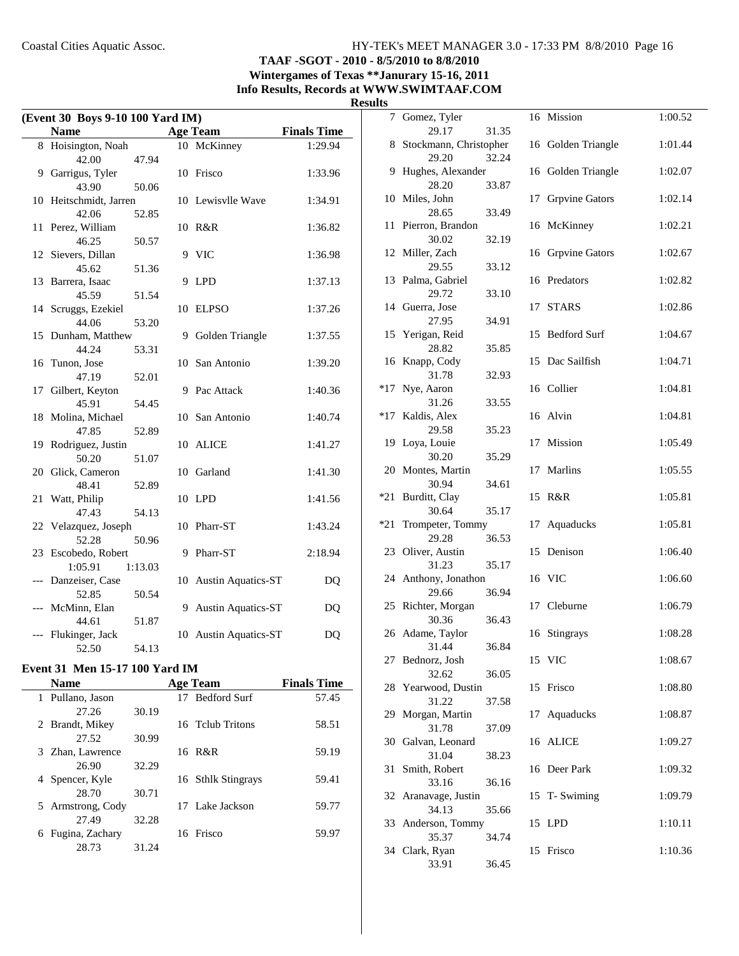## **TAAF -SGOT - 2010 - 8/5/2010 to 8/8/2010 Wintergames of Texas \*\*Janurary 15-16, 2011 Info Results, Records at WWW.SWIMTAAF.COM**

#### **Results**

| (Event 30 Boys 9-10 100 Yard IM) |                           |         |   |                       |                    |  |  |
|----------------------------------|---------------------------|---------|---|-----------------------|--------------------|--|--|
|                                  | <b>Name</b>               |         |   | <b>Age Team</b>       | <b>Finals Time</b> |  |  |
|                                  | 8 Hoisington, Noah        |         |   | 10 McKinney           | 1:29.94            |  |  |
|                                  | 42.00                     | 47.94   |   |                       |                    |  |  |
| 9                                | Garrigus, Tyler           |         |   | 10 Frisco             | 1:33.96            |  |  |
|                                  | 43.90                     | 50.06   |   |                       |                    |  |  |
| 10                               | Heitschmidt, Jarren       |         |   | 10 Lewisvlle Wave     | 1:34.91            |  |  |
|                                  | 42.06                     | 52.85   |   |                       |                    |  |  |
| 11                               | Perez, William            |         |   | 10 R&R                | 1:36.82            |  |  |
|                                  | 46.25                     | 50.57   |   |                       |                    |  |  |
|                                  | 12 Sievers, Dillan        |         |   | 9 VIC                 | 1:36.98            |  |  |
|                                  | 45.62                     | 51.36   |   |                       |                    |  |  |
| 13                               | Barrera, Isaac            |         | 9 | <b>LPD</b>            | 1:37.13            |  |  |
|                                  | 45.59                     | 51.54   |   |                       |                    |  |  |
|                                  | 14 Scruggs, Ezekiel       |         |   | 10 ELPSO              | 1:37.26            |  |  |
|                                  | 44.06                     | 53.20   |   |                       |                    |  |  |
| 15                               | Dunham, Matthew           |         |   | 9 Golden Triangle     | 1:37.55            |  |  |
|                                  | 44.24                     | 53.31   |   |                       |                    |  |  |
| 16                               | Tunon, Jose               |         |   | 10 San Antonio        | 1:39.20            |  |  |
|                                  | 47.19                     | 52.01   |   |                       |                    |  |  |
| 17                               | Gilbert, Keyton           |         |   | 9 Pac Attack          | 1:40.36            |  |  |
|                                  | 45.91                     | 54.45   |   |                       |                    |  |  |
|                                  | 18 Molina, Michael        |         |   | 10 San Antonio        | 1:40.74            |  |  |
|                                  | 47.85                     | 52.89   |   |                       |                    |  |  |
|                                  | 19 Rodriguez, Justin      |         |   | 10 ALICE              | 1:41.27            |  |  |
|                                  | 50.20                     | 51.07   |   |                       |                    |  |  |
| 20                               | Glick, Cameron            |         |   | 10 Garland            | 1:41.30            |  |  |
|                                  | 48.41                     | 52.89   |   |                       |                    |  |  |
| 21                               | Watt, Philip              |         |   | 10 LPD                | 1:41.56            |  |  |
|                                  | 47.43                     | 54.13   |   |                       |                    |  |  |
|                                  | 22 Velazquez, Joseph      |         |   | 10 Pharr-ST           | 1:43.24            |  |  |
| 23                               | 52.28<br>Escobedo, Robert | 50.96   |   | 9 Pharr-ST            |                    |  |  |
|                                  |                           |         |   |                       | 2:18.94            |  |  |
|                                  | 1:05.91                   | 1:13.03 |   |                       |                    |  |  |
| $---$                            | Danzeiser, Case           |         |   | 10 Austin Aquatics-ST | DQ                 |  |  |
|                                  | 52.85                     | 50.54   |   |                       |                    |  |  |
|                                  | McMinn, Elan<br>44.61     | 51.87   |   | 9 Austin Aquatics-ST  | DQ                 |  |  |
|                                  | Flukinger, Jack           |         |   |                       | DQ                 |  |  |
|                                  | 52.50                     | 54.13   |   | 10 Austin Aquatics-ST |                    |  |  |
|                                  |                           |         |   |                       |                    |  |  |

### **Event 31 Men 15-17 100 Yard IM**

| <b>Name</b>          |       | <b>Age Team</b>    | <b>Finals Time</b> |
|----------------------|-------|--------------------|--------------------|
| 1 Pullano, Jason     |       | 17 Bedford Surf    | 57.45              |
| 27.26                | 30.19 |                    |                    |
| 2 Brandt, Mikey      |       | 16 Telub Tritons   | 58.51              |
| 27.52                | 30.99 |                    |                    |
| 3 Zhan, Lawrence     |       | 16 R&R             | 59.19              |
| 26.90                | 32.29 |                    |                    |
| 4 Spencer, Kyle      |       | 16 Sthlk Stingrays | 59.41              |
| 28.70                | 30.71 |                    |                    |
| 5 Armstrong, Cody    |       | 17 Lake Jackson    | 59.77              |
| 27.49                | 32.28 |                    |                    |
| Fugina, Zachary<br>6 |       | 16 Frisco          | 59.97              |
| 28.73                | 31.24 |                    |                    |

| ື   |                                 |       |    |                     |         |
|-----|---------------------------------|-------|----|---------------------|---------|
| 7   | Gomez, Tyler                    |       |    | 16 Mission          | 1:00.52 |
| 8   | 29.17<br>Stockmann, Christopher | 31.35 |    | 16 Golden Triangle  | 1:01.44 |
|     | 29.20                           | 32.24 |    |                     |         |
| 9.  | Hughes, Alexander               |       |    | 16 Golden Triangle  | 1:02.07 |
|     | 28.20                           | 33.87 |    |                     |         |
|     | 10 Miles, John                  |       |    | 17 Grpvine Gators   | 1:02.14 |
|     | 28.65                           | 33.49 |    |                     |         |
| 11  | Pierron, Brandon<br>30.02       | 32.19 |    | 16 McKinney         | 1:02.21 |
|     | 12 Miller, Zach                 |       |    | 16 Grpvine Gators   | 1:02.67 |
|     | 29.55                           | 33.12 |    |                     |         |
|     | 13 Palma, Gabriel               |       |    | 16 Predators        | 1:02.82 |
|     | 29.72                           | 33.10 |    |                     |         |
|     | 14 Guerra, Jose                 |       | 17 | <b>STARS</b>        | 1:02.86 |
| 15  | 27.95<br>Yerigan, Reid          | 34.91 | 15 | <b>Bedford Surf</b> | 1:04.67 |
|     | 28.82                           | 35.85 |    |                     |         |
| 16  | Knapp, Cody                     |       | 15 | Dac Sailfish        | 1:04.71 |
|     | 31.78                           | 32.93 |    |                     |         |
| *17 | Nye, Aaron                      |       |    | 16 Collier          | 1:04.81 |
|     | 31.26                           | 33.55 |    |                     |         |
| *17 | Kaldis, Alex                    |       |    | 16 Alvin            | 1:04.81 |
|     | 29.58<br>19 Loya, Louie         | 35.23 |    | 17 Mission          | 1:05.49 |
|     | 30.20                           | 35.29 |    |                     |         |
|     | 20 Montes, Martin               |       |    | 17 Marlins          | 1:05.55 |
|     | 30.94                           | 34.61 |    |                     |         |
| *21 | Burditt, Clay                   |       |    | 15 R&R              | 1:05.81 |
|     | 30.64                           | 35.17 |    |                     |         |
| *21 | Trompeter, Tommy<br>29.28       | 36.53 | 17 | Aquaducks           | 1:05.81 |
| 23  | Oliver, Austin                  |       |    | 15 Denison          | 1:06.40 |
|     | 31.23                           | 35.17 |    |                     |         |
|     | 24 Anthony, Jonathon            |       |    | 16 VIC              | 1:06.60 |
|     | 29.66                           | 36.94 |    |                     |         |
|     | 25 Richter, Morgan              |       | 17 | Cleburne            | 1:06.79 |
|     | 30.36                           | 36.43 |    |                     |         |
|     | 26 Adame, Taylor<br>31.44       | 36.84 |    | 16 Stingrays        | 1:08.28 |
|     | 27 Bednorz, Josh                |       |    | 15 VIC              | 1:08.67 |
|     | 32.62                           | 36.05 |    |                     |         |
| 28  | Yearwood, Dustin                |       | 15 | Frisco              | 1:08.80 |
|     | 31.22                           | 37.58 |    |                     |         |
| 29  | Morgan, Martin                  |       | 17 | Aquaducks           | 1:08.87 |
|     | 31.78<br>30 Galvan, Leonard     | 37.09 |    |                     |         |
|     | 31.04                           | 38.23 | 16 | ALICE               | 1:09.27 |
| 31  | Smith, Robert                   |       |    | 16 Deer Park        | 1:09.32 |
|     | 33.16                           | 36.16 |    |                     |         |
|     | 32 Aranavage, Justin            |       |    | 15 T-Swiming        | 1:09.79 |
|     | 34.13                           | 35.66 |    |                     |         |
|     | 33 Anderson, Tommy              |       |    | 15 LPD              | 1:10.11 |
|     | 35.37<br>34 Clark, Ryan         | 34.74 |    | 15 Frisco           | 1:10.36 |
|     | 33.91                           | 36.45 |    |                     |         |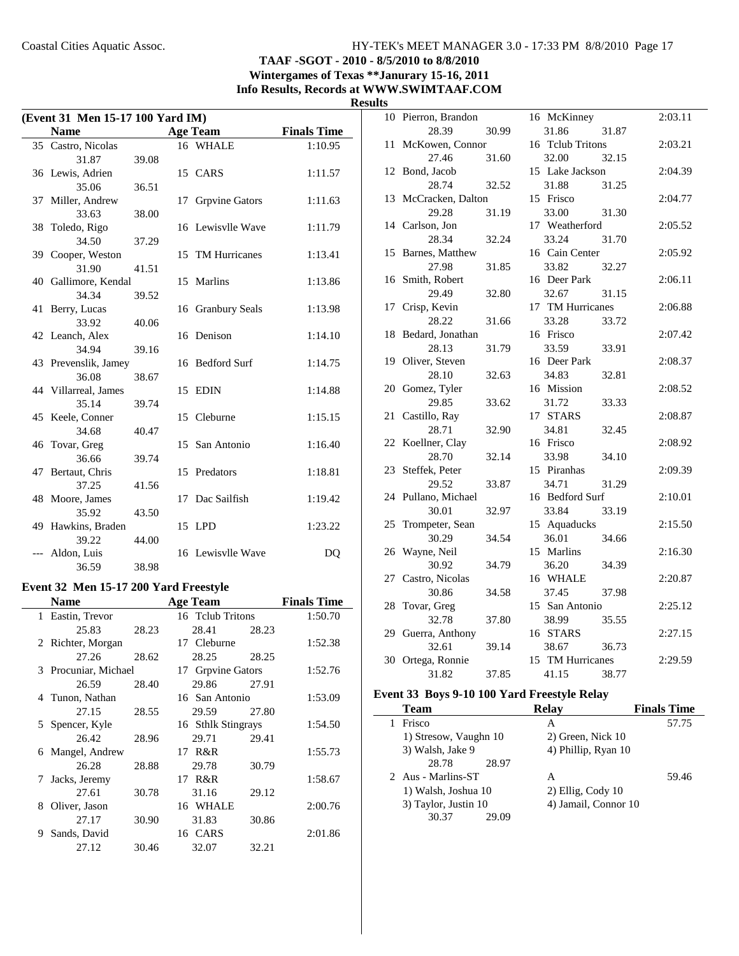## **TAAF -SGOT - 2010 - 8/5/2010 to 8/8/2010 Wintergames of Texas \*\*Janurary 15-16, 2011 Info Results, Records at WWW.SWIMTAAF.COM**

| ₹.<br>esun |
|------------|
|------------|

| (Event 31 Men 15-17 100 Yard IM) |                      |       |    |                   |                    |  |  |
|----------------------------------|----------------------|-------|----|-------------------|--------------------|--|--|
|                                  | <b>Name</b>          |       |    | <b>Age Team</b>   | <b>Finals Time</b> |  |  |
|                                  | 35 Castro, Nicolas   |       |    | 16 WHALE          | 1:10.95            |  |  |
|                                  | 31.87                | 39.08 |    |                   |                    |  |  |
|                                  | 36 Lewis, Adrien     |       |    | 15 CARS           | 1:11.57            |  |  |
|                                  | 35.06                | 36.51 |    |                   |                    |  |  |
|                                  | 37 Miller, Andrew    |       | 17 | Grpvine Gators    | 1:11.63            |  |  |
|                                  | 33.63                | 38.00 |    |                   |                    |  |  |
| 38                               | Toledo, Rigo         |       |    | 16 Lewisvlle Wave | 1:11.79            |  |  |
|                                  | 34.50                | 37.29 |    |                   |                    |  |  |
|                                  | 39 Cooper, Weston    |       |    | 15 TM Hurricanes  | 1:13.41            |  |  |
|                                  | 31.90                | 41.51 |    |                   |                    |  |  |
|                                  | 40 Gallimore, Kendal |       |    | 15 Marlins        | 1:13.86            |  |  |
|                                  | 34.34                | 39.52 |    |                   |                    |  |  |
|                                  | 41 Berry, Lucas      |       |    | 16 Granbury Seals | 1:13.98            |  |  |
|                                  | 33.92                | 40.06 |    |                   |                    |  |  |
|                                  | 42 Leanch, Alex      |       |    | 16 Denison        | 1:14.10            |  |  |
|                                  | 34.94                | 39.16 |    |                   |                    |  |  |
|                                  | 43 Prevenslik, Jamey |       |    | 16 Bedford Surf   | 1:14.75            |  |  |
|                                  | 36.08                | 38.67 |    |                   |                    |  |  |
|                                  | 44 Villarreal, James |       |    | 15 EDIN           | 1:14.88            |  |  |
|                                  | 35.14                | 39.74 |    |                   |                    |  |  |
|                                  | 45 Keele, Conner     |       |    | 15 Cleburne       | 1:15.15            |  |  |
|                                  | 34.68                | 40.47 |    |                   |                    |  |  |
|                                  | 46 Tovar, Greg       |       | 15 | San Antonio       | 1:16.40            |  |  |
|                                  | 36.66                | 39.74 |    |                   |                    |  |  |
|                                  | 47 Bertaut, Chris    |       | 15 | Predators         | 1:18.81            |  |  |
|                                  | 37.25                | 41.56 |    |                   |                    |  |  |
|                                  | 48 Moore, James      |       | 17 | Dac Sailfish      | 1:19.42            |  |  |
|                                  | 35.92                | 43.50 |    |                   |                    |  |  |
|                                  | 49 Hawkins, Braden   |       |    | 15 LPD            | 1:23.22            |  |  |
|                                  | 39.22                | 44.00 |    |                   |                    |  |  |
|                                  | Aldon, Luis          |       |    | 16 Lewisvlle Wave | DQ                 |  |  |
|                                  | 36.59                | 38.98 |    |                   |                    |  |  |

#### **Event 32 Men 15-17 200 Yard Freestyle**

|              | Name                 |       |    | <b>Age Team</b>    |       | <b>Finals Time</b> |
|--------------|----------------------|-------|----|--------------------|-------|--------------------|
| $\mathbf{1}$ | Eastin, Trevor       |       |    | 16 Telub Tritons   |       | 1:50.70            |
|              | 25.83                | 28.23 |    | 28.41              | 28.23 |                    |
|              | 2 Richter, Morgan    |       |    | 17 Cleburne        |       | 1:52.38            |
|              | 27.26                | 28.62 |    | 28.25              | 28.25 |                    |
|              | 3 Procuniar, Michael |       |    | 17 Grpvine Gators  |       | 1:52.76            |
|              | 26.59                | 28.40 |    | 29.86              | 27.91 |                    |
|              | 4 Tunon, Nathan      |       |    | 16 San Antonio     |       | 1:53.09            |
|              | 27.15                | 28.55 |    | 29.59              | 27.80 |                    |
|              | 5 Spencer, Kyle      |       |    | 16 Sthlk Stingrays |       | 1:54.50            |
|              | 26.42                | 28.96 |    | 29.71              | 29.41 |                    |
| 6            | Mangel, Andrew       |       | 17 | R&R                |       | 1:55.73            |
|              | 26.28                | 28.88 |    | 29.78              | 30.79 |                    |
| 7            | Jacks, Jeremy        |       |    | 17 R&R             |       | 1:58.67            |
|              | 27.61                | 30.78 |    | 31.16              | 29.12 |                    |
| 8            | Oliver, Jason        |       |    | 16 WHALE           |       | 2:00.76            |
|              | 27.17                | 30.90 |    | 31.83              | 30.86 |                    |
| 9            | Sands, David         |       |    | 16 CARS            |       | 2:01.86            |
|              | 27.12                | 30.46 |    | 32.07              | 32.21 |                    |

|    | 10 Pierron, Brandon  |       | 16 McKinney      |       | 2:03.11 |
|----|----------------------|-------|------------------|-------|---------|
|    | 28.39                | 30.99 | 31.86            | 31.87 |         |
| 11 | McKowen, Connor      |       | 16 Tclub Tritons |       | 2:03.21 |
|    | 27.46                | 31.60 | 32.00            | 32.15 |         |
| 12 | Bond, Jacob          |       | 15 Lake Jackson  |       | 2:04.39 |
|    | 28.74                | 32.52 | 31.88            | 31.25 |         |
|    | 13 McCracken, Dalton |       | 15 Frisco        |       | 2:04.77 |
|    | 29.28                | 31.19 | 33.00            | 31.30 |         |
|    | 14 Carlson, Jon      |       | 17 Weatherford   |       | 2:05.52 |
|    | 28.34                | 32.24 | 33.24            | 31.70 |         |
| 15 | Barnes, Matthew      |       | 16 Cain Center   |       | 2:05.92 |
|    | 27.98                | 31.85 | 33.82            | 32.27 |         |
|    | 16 Smith, Robert     |       | 16 Deer Park     |       | 2:06.11 |
|    | 29.49                | 32.80 | 32.67            | 31.15 |         |
| 17 | Crisp, Kevin         |       | 17 TM Hurricanes |       | 2:06.88 |
|    | 28.22                | 31.66 | 33.28            | 33.72 |         |
| 18 | Bedard, Jonathan     |       | 16 Frisco        |       | 2:07.42 |
|    | 28.13                | 31.79 | 33.59            | 33.91 |         |
| 19 | Oliver, Steven       |       | 16 Deer Park     |       | 2:08.37 |
|    | 28.10                | 32.63 | 34.83            | 32.81 |         |
|    | 20 Gomez, Tyler      |       | 16 Mission       |       | 2:08.52 |
|    | 29.85                | 33.62 | 31.72            | 33.33 |         |
| 21 | Castillo, Ray        |       | 17 STARS         |       | 2:08.87 |
|    | 28.71                | 32.90 | 34.81            | 32.45 |         |
| 22 | Koellner, Clay       |       | 16 Frisco        |       | 2:08.92 |
|    | 28.70                | 32.14 | 33.98            | 34.10 |         |
| 23 | Steffek, Peter       |       | 15 Piranhas      |       | 2:09.39 |
|    | 29.52                | 33.87 | 34.71            | 31.29 |         |
|    | 24 Pullano, Michael  |       | 16 Bedford Surf  |       | 2:10.01 |
|    | 30.01                | 32.97 | 33.84            | 33.19 |         |
| 25 | Trompeter, Sean      |       | 15 Aquaducks     |       | 2:15.50 |
|    | 30.29                | 34.54 | 36.01            | 34.66 |         |
| 26 | Wayne, Neil          |       | 15 Marlins       |       | 2:16.30 |
|    | 30.92                | 34.79 | 36.20            | 34.39 |         |
| 27 | Castro, Nicolas      |       | 16 WHALE         |       | 2:20.87 |
|    | 30.86                | 34.58 | 37.45            | 37.98 |         |
| 28 | Tovar, Greg          |       | 15 San Antonio   |       | 2:25.12 |
|    | 32.78                | 37.80 | 38.99            | 35.55 |         |
|    | 29 Guerra, Anthony   |       | 16 STARS         |       | 2:27.15 |
|    | 32.61                | 39.14 | 38.67            | 36.73 |         |
|    | 30 Ortega, Ronnie    |       | 15 TM Hurricanes |       | 2:29.59 |
|    | 31.82                | 37.85 | 41.15            | 38.77 |         |
|    |                      |       |                  |       |         |

## **Event 33 Boys 9-10 100 Yard Freestyle Relay**

| <b>Team</b>           | <b>Relay</b>         | <b>Finals Time</b> |
|-----------------------|----------------------|--------------------|
| Frisco                | А                    | 57.75              |
| 1) Stresow, Vaughn 10 | 2) Green, Nick 10    |                    |
| 3) Walsh, Jake 9      | 4) Phillip, Ryan 10  |                    |
| 28.78<br>28.97        |                      |                    |
| 2 Aus - Marlins-ST    | А                    | 59.46              |
| 1) Walsh, Joshua 10   | 2) Ellig, Cody 10    |                    |
| 3) Taylor, Justin 10  | 4) Jamail, Connor 10 |                    |
| 30.37<br>29.09        |                      |                    |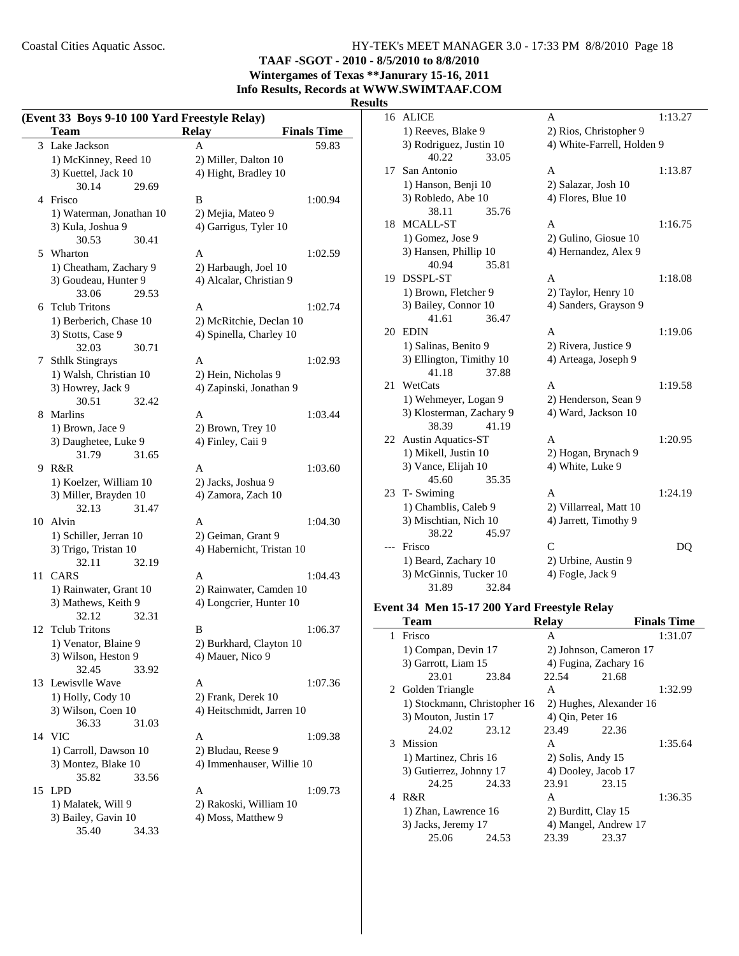**TAAF -SGOT - 2010 - 8/5/2010 to 8/8/2010 Wintergames of Texas \*\*Janurary 15-16, 2011**

**Info Results, Records at WWW.SWIMTAAF.COM**

#### **Results**

|    | <b>Team</b>              | <b>Relay</b><br><b>Finals Time</b> |
|----|--------------------------|------------------------------------|
|    | 3 Lake Jackson           | A<br>59.83                         |
|    | 1) McKinney, Reed 10     | 2) Miller, Dalton 10               |
|    | 3) Kuettel, Jack 10      | 4) Hight, Bradley 10               |
|    | 30.14<br>29.69           |                                    |
|    | 4 Frisco                 | B<br>1:00.94                       |
|    | 1) Waterman, Jonathan 10 | 2) Mejia, Mateo 9                  |
|    | 3) Kula, Joshua 9        | 4) Garrigus, Tyler 10              |
|    | 30.53<br>30.41           |                                    |
|    |                          |                                    |
|    | 5 Wharton                | A<br>1:02.59                       |
|    | 1) Cheatham, Zachary 9   | 2) Harbaugh, Joel 10               |
|    | 3) Goudeau, Hunter 9     | 4) Alcalar, Christian 9            |
|    | 33.06<br>29.53           |                                    |
|    | 6 Tclub Tritons          | A<br>1:02.74                       |
|    | 1) Berberich, Chase 10   | 2) McRitchie, Declan 10            |
|    | 3) Stotts, Case 9        | 4) Spinella, Charley 10            |
|    | 32.03<br>30.71           |                                    |
| 7  | <b>Sthlk Stingrays</b>   | 1:02.93<br>A                       |
|    | 1) Walsh, Christian 10   | 2) Hein, Nicholas 9                |
|    | 3) Howrey, Jack 9        | 4) Zapinski, Jonathan 9            |
|    | 30.51<br>32.42           |                                    |
|    | 8 Marlins                | 1:03.44<br>A                       |
|    | 1) Brown, Jace 9         | 2) Brown, Trey 10                  |
|    | 3) Daughetee, Luke 9     | 4) Finley, Caii 9                  |
|    | 31.79<br>31.65           |                                    |
|    | 9 R&R                    | A<br>1:03.60                       |
|    | 1) Koelzer, William 10   | 2) Jacks, Joshua 9                 |
|    | 3) Miller, Brayden 10    | 4) Zamora, Zach 10                 |
|    | 32.13<br>31.47           |                                    |
|    | Alvin                    | A                                  |
| 10 |                          | 1:04.30                            |
|    | 1) Schiller, Jerran 10   | 2) Geiman, Grant 9                 |
|    | 3) Trigo, Tristan 10     | 4) Habernicht, Tristan 10          |
|    | 32.11<br>32.19           |                                    |
| 11 | CARS                     | 1:04.43<br>A                       |
|    | 1) Rainwater, Grant 10   | 2) Rainwater, Camden 10            |
|    | 3) Mathews, Keith 9      | 4) Longcrier, Hunter 10            |
|    | 32.12<br>32.31           |                                    |
| 12 | <b>Tclub Tritons</b>     | B<br>1:06.37                       |
|    | 1) Venator, Blaine 9     | 2) Burkhard, Clayton 10            |
|    | 3) Wilson, Heston 9      | 4) Mauer, Nico 9                   |
|    | 32.45<br>33.92           |                                    |
|    | 13 Lewisvlle Wave        | A<br>1:07.36                       |
|    | 1) Holly, Cody 10        | 2) Frank, Derek 10                 |
|    | 3) Wilson, Coen 10       | 4) Heitschmidt, Jarren 10          |
|    | 36.33<br>31.03           |                                    |
|    | 14 VIC                   | A<br>1:09.38                       |
|    |                          | 2) Bludau, Reese 9                 |
|    | 1) Carroll, Dawson 10    |                                    |
|    | 3) Montez, Blake 10      | 4) Immenhauser, Willie 10          |
|    | 35.82<br>33.56           |                                    |
|    | 15 LPD                   | A<br>1:09.73                       |
|    | 1) Malatek, Will 9       | 2) Rakoski, William 10             |
|    | 3) Bailey, Gavin 10      | 4) Moss, Matthew 9                 |
|    | 35.40<br>34.33           |                                    |

| 16  | ALICE                     | A                          | 1:13.27 |
|-----|---------------------------|----------------------------|---------|
|     | 1) Reeves, Blake 9        | 2) Rios, Christopher 9     |         |
|     | 3) Rodriguez, Justin 10   | 4) White-Farrell, Holden 9 |         |
|     | 40.22<br>33.05            |                            |         |
| 17  | San Antonio               | A                          | 1:13.87 |
|     | 1) Hanson, Benji 10       | 2) Salazar, Josh 10        |         |
|     | 3) Robledo, Abe 10        | 4) Flores, Blue 10         |         |
|     | 38.11<br>35.76            |                            |         |
| 18  | MCALL-ST                  | A                          | 1:16.75 |
|     | 1) Gomez, Jose 9          | 2) Gulino, Giosue 10       |         |
|     | 3) Hansen, Phillip 10     | 4) Hernandez, Alex 9       |         |
|     | 40.94<br>35.81            |                            |         |
| 19. | <b>DSSPL-ST</b>           | А                          | 1:18.08 |
|     | 1) Brown, Fletcher 9      | 2) Taylor, Henry 10        |         |
|     | 3) Bailey, Connor 10      | 4) Sanders, Grayson 9      |         |
|     | 41.61<br>36.47            |                            |         |
| 20  | <b>EDIN</b>               | A                          | 1:19.06 |
|     | 1) Salinas, Benito 9      | 2) Rivera, Justice 9       |         |
|     | 3) Ellington, Timithy 10  | 4) Arteaga, Joseph 9       |         |
|     | 41.18<br>37.88            |                            |         |
| 21  | WetCats                   | A                          | 1:19.58 |
|     | 1) Wehmeyer, Logan 9      | 2) Henderson, Sean 9       |         |
|     | 3) Klosterman, Zachary 9  | 4) Ward, Jackson 10        |         |
|     | 38.39<br>41.19            |                            |         |
| 22  | <b>Austin Aquatics-ST</b> | A                          | 1:20.95 |
|     | 1) Mikell, Justin 10      | 2) Hogan, Brynach 9        |         |
|     | 3) Vance, Elijah 10       | 4) White, Luke 9           |         |
|     | 45.60<br>35.35            |                            |         |
| 23  | T- Swiming                | A                          | 1:24.19 |
|     | 1) Chamblis, Caleb 9      | 2) Villarreal, Matt 10     |         |
|     | 3) Mischtian, Nich 10     | 4) Jarrett, Timothy 9      |         |
|     | 38.22<br>45.97            |                            |         |
|     | Frisco                    | $\mathcal{C}$              | DQ      |
|     | 1) Beard, Zachary 10      | 2) Urbine, Austin 9        |         |
|     | 3) McGinnis, Tucker 10    | 4) Fogle, Jack 9           |         |
|     | 31.89<br>32.84            |                            |         |

## **Event 34 Men 15-17 200 Yard Freestyle Relay**

|   | Team                         |       | <b>Relay</b>            |       | <b>Finals Time</b> |
|---|------------------------------|-------|-------------------------|-------|--------------------|
| 1 | Frisco                       |       | A                       |       | 1:31.07            |
|   | 1) Compan, Devin 17          |       | 2) Johnson, Cameron 17  |       |                    |
|   | 3) Garrott, Liam 15          |       | 4) Fugina, Zachary 16   |       |                    |
|   | 23.01                        | 23.84 | 22.54                   | 21.68 |                    |
|   | 2 Golden Triangle            |       | A                       |       | 1:32.99            |
|   | 1) Stockmann, Christopher 16 |       | 2) Hughes, Alexander 16 |       |                    |
|   | 3) Mouton, Justin 17         |       | $(4)$ Qin, Peter 16     |       |                    |
|   | 24.02                        | 23.12 | 23.49                   | 22.36 |                    |
|   | 3 Mission                    |       | A                       |       | 1:35.64            |
|   | 1) Martinez, Chris 16        |       | $2)$ Solis, Andy 15     |       |                    |
|   | 3) Gutierrez, Johnny 17      |       | 4) Dooley, Jacob 17     |       |                    |
|   | 24.25                        | 24.33 | 23.91                   | 23.15 |                    |
|   | 4 R&R                        |       | A                       |       | 1:36.35            |
|   | 1) Zhan, Lawrence 16         |       | 2) Burditt, Clay 15     |       |                    |
|   | 3) Jacks, Jeremy 17          |       | 4) Mangel, Andrew 17    |       |                    |
|   | 25.06                        | 24.53 | 23.39                   | 23.37 |                    |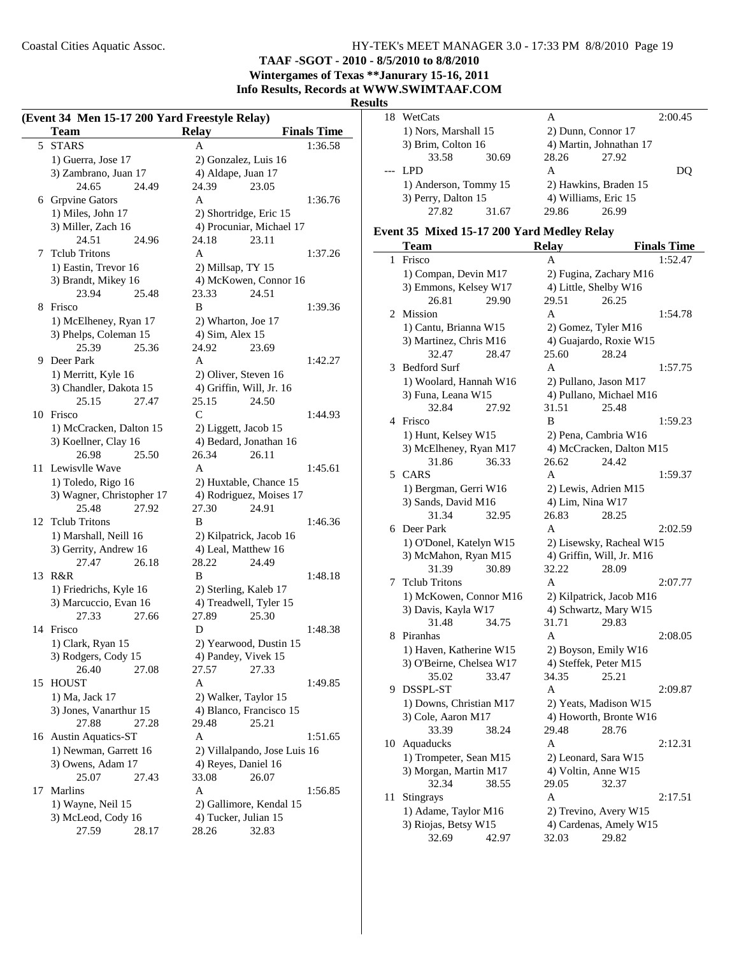**TAAF -SGOT - 2010 - 8/5/2010 to 8/8/2010 Wintergames of Texas \*\*Janurary 15-16, 2011**

**Info Results, Records at WWW.SWIMTAAF.COM**

#### **Results**

|    | (Event 34 Men 15-17 200 Yard Freestyle Relay)<br><b>Team</b> |       | <b>Relay</b>    |                                                    | <b>Finals Time</b> |
|----|--------------------------------------------------------------|-------|-----------------|----------------------------------------------------|--------------------|
| 5  | <b>STARS</b>                                                 |       | A               |                                                    | 1:36.58            |
|    | 1) Guerra, Jose 17                                           |       |                 | 2) Gonzalez, Luis 16                               |                    |
|    | 3) Zambrano, Juan 17                                         |       |                 | 4) Aldape, Juan 17                                 |                    |
|    | 24.65                                                        | 24.49 | 24.39           | 23.05                                              |                    |
|    | 6 Grpvine Gators                                             |       | A               |                                                    | 1:36.76            |
|    |                                                              |       |                 |                                                    |                    |
|    | 1) Miles, John 17<br>3) Miller, Zach 16                      |       |                 | 2) Shortridge, Eric 15<br>4) Procuniar, Michael 17 |                    |
|    |                                                              |       |                 |                                                    |                    |
|    | 24.51                                                        | 24.96 | 24.18           | 23.11                                              |                    |
|    | 7 Telub Tritons                                              |       | A               |                                                    | 1:37.26            |
|    | 1) Eastin, Trevor 16                                         |       |                 | 2) Millsap, TY 15                                  |                    |
|    | 3) Brandt, Mikey 16                                          |       |                 | 4) McKowen, Connor 16                              |                    |
|    | 23.94                                                        | 25.48 | 23.33           | 24.51                                              |                    |
| 8  | Frisco                                                       |       | B               |                                                    | 1:39.36            |
|    | 1) McElheney, Ryan 17                                        |       |                 | 2) Wharton, Joe 17                                 |                    |
|    | 3) Phelps, Coleman 15                                        |       | 4) Sim, Alex 15 |                                                    |                    |
|    | 25.39                                                        | 25.36 | 24.92           | 23.69                                              |                    |
|    | 9 Deer Park                                                  |       | A               |                                                    | 1:42.27            |
|    | 1) Merritt, Kyle 16                                          |       |                 | 2) Oliver, Steven 16                               |                    |
|    | 3) Chandler, Dakota 15                                       |       |                 | 4) Griffin, Will, Jr. 16                           |                    |
|    | 25.15                                                        | 27.47 | 25.15           | 24.50                                              |                    |
| 10 | Frisco                                                       |       | C               |                                                    | 1:44.93            |
|    | 1) McCracken, Dalton 15                                      |       |                 | 2) Liggett, Jacob 15                               |                    |
|    | 3) Koellner, Clay 16                                         |       |                 | 4) Bedard, Jonathan 16                             |                    |
|    | 26.98                                                        | 25.50 | 26.34           | 26.11                                              |                    |
| 11 | Lewisvlle Wave                                               |       | A               |                                                    | 1:45.61            |
|    | 1) Toledo, Rigo 16                                           |       |                 | 2) Huxtable, Chance 15                             |                    |
|    | 3) Wagner, Christopher 17                                    |       |                 | 4) Rodriguez, Moises 17                            |                    |
|    | 25.48                                                        | 27.92 | 27.30           | 24.91                                              |                    |
|    | 12 Telub Tritons                                             |       | B               |                                                    | 1:46.36            |
|    | 1) Marshall, Neill 16                                        |       |                 | 2) Kilpatrick, Jacob 16                            |                    |
|    | 3) Gerrity, Andrew 16                                        |       |                 | 4) Leal, Matthew 16                                |                    |
|    | 27.47                                                        | 26.18 | 28.22           | 24.49                                              |                    |
| 13 | R&R                                                          |       | B               |                                                    | 1:48.18            |
|    | 1) Friedrichs, Kyle 16                                       |       |                 | 2) Sterling, Kaleb 17                              |                    |
|    | 3) Marcuccio, Evan 16                                        |       |                 | 4) Treadwell, Tyler 15                             |                    |
|    | 27.33                                                        | 27.66 | 27.89           | 25.30                                              |                    |
| 14 | Frisco                                                       |       | D               |                                                    | 1:48.38            |
|    | 1) Clark, Ryan 15                                            |       |                 | 2) Yearwood, Dustin 15                             |                    |
|    | 3) Rodgers, Cody 15                                          |       |                 | 4) Pandey, Vivek 15                                |                    |
|    | 26.40                                                        | 27.08 | 27.57           | 27.33                                              |                    |
| 15 | <b>HOUST</b>                                                 |       | A               |                                                    | 1:49.85            |
|    | 1) Ma, Jack 17                                               |       |                 | 2) Walker, Taylor 15                               |                    |
|    | 3) Jones, Vanarthur 15                                       |       |                 | 4) Blanco, Francisco 15                            |                    |
|    | 27.88                                                        | 27.28 | 29.48           | 25.21                                              |                    |
|    | 16 Austin Aquatics-ST                                        |       | A               |                                                    | 1:51.65            |
|    | 1) Newman, Garrett 16                                        |       |                 | 2) Villalpando, Jose Luis 16                       |                    |
|    | 3) Owens, Adam 17                                            |       |                 | 4) Reyes, Daniel 16                                |                    |
|    | 25.07                                                        | 27.43 | 33.08           | 26.07                                              |                    |
| 17 | Marlins                                                      |       | A               |                                                    | 1:56.85            |
|    |                                                              |       |                 |                                                    |                    |
|    | 1) Wayne, Neil 15                                            |       |                 | 2) Gallimore, Kendal 15                            |                    |
|    | 3) McLeod, Cody 16<br>27.59                                  |       | 28.26           | 4) Tucker, Julian 15                               |                    |
|    |                                                              | 28.17 |                 | 32.83                                              |                    |

| 18 | WetCats               |       | А                  |                         | 2:00.45 |
|----|-----------------------|-------|--------------------|-------------------------|---------|
|    | 1) Nors, Marshall 15  |       | 2) Dunn, Connor 17 |                         |         |
|    | 3) Brim, Colton 16    |       |                    | 4) Martin, Johnathan 17 |         |
|    | 33.58                 | 30.69 | 28.26              | 27.92                   |         |
|    | LPD.                  |       | А                  |                         |         |
|    | 1) Anderson, Tommy 15 |       |                    | 2) Hawkins, Braden 15   |         |
|    | 3) Perry, Dalton 15   |       |                    | 4) Williams, Eric 15    |         |
|    | 27.82                 | 31.67 | 29.86              | 26.99                   |         |
|    |                       |       |                    |                         |         |

#### **Event 35 Mixed 15-17 200 Yard Medley Relay**

|    | Team                     | <b>Relay</b>          | <b>Finals Time</b>        |
|----|--------------------------|-----------------------|---------------------------|
| 1  | Frisco                   | A                     | 1:52.47                   |
|    | 1) Compan, Devin M17     |                       | 2) Fugina, Zachary M16    |
|    | 3) Emmons, Kelsey W17    | 4) Little, Shelby W16 |                           |
|    | 26.81<br>29.90           | 29.51                 | 26.25                     |
| 2  | Mission                  | $\overline{A}$        | 1:54.78                   |
|    | 1) Cantu, Brianna W15    | 2) Gomez, Tyler M16   |                           |
|    | 3) Martinez, Chris M16   |                       | 4) Guajardo, Roxie W15    |
|    | 32.47<br>28.47           | 25.60                 | 28.24                     |
| 3  | <b>Bedford Surf</b>      | A                     | 1:57.75                   |
|    | 1) Woolard, Hannah W16   |                       | 2) Pullano, Jason M17     |
|    | 3) Funa, Leana W15       |                       | 4) Pullano, Michael M16   |
|    | 32.84<br>27.92           | 31.51                 | 25.48                     |
| 4  | Frisco                   | B                     | 1:59.23                   |
|    | 1) Hunt, Kelsey W15      |                       | 2) Pena, Cambria W16      |
|    | 3) McElheney, Ryan M17   |                       | 4) McCracken, Dalton M15  |
|    | 31.86<br>36.33           | 26.62                 | 24.42                     |
| 5  | <b>CARS</b>              | A                     | 1:59.37                   |
|    | 1) Bergman, Gerri W16    |                       | 2) Lewis, Adrien M15      |
|    | 3) Sands, David M16      | 4) Lim, Nina W17      |                           |
|    | 32.95<br>31.34           | 26.83                 | 28.25                     |
| 6  | Deer Park                | A                     | 2:02.59                   |
|    | 1) O'Donel, Katelyn W15  |                       | 2) Lisewsky, Racheal W15  |
|    | 3) McMahon, Ryan M15     |                       | 4) Griffin, Will, Jr. M16 |
|    | 31.39<br>30.89           | 32.22                 | 28.09                     |
| 7  | <b>Telub Tritons</b>     | A                     | 2:07.77                   |
|    | 1) McKowen, Connor M16   |                       | 2) Kilpatrick, Jacob M16  |
|    | 3) Davis, Kayla W17      |                       | 4) Schwartz, Mary W15     |
|    | 31.48<br>34.75           | 31.71                 | 29.83                     |
| 8  | Piranhas                 | A                     | 2:08.05                   |
|    | 1) Haven, Katherine W15  |                       | 2) Boyson, Emily W16      |
|    | 3) O'Beirne, Chelsea W17 | 4) Steffek, Peter M15 |                           |
|    | 35.02<br>33.47           | 34.35                 | 25.21                     |
| 9  | DSSPL-ST                 | A                     | 2:09.87                   |
|    | 1) Downs, Christian M17  |                       | 2) Yeats, Madison W15     |
|    | 3) Cole, Aaron M17       |                       | 4) Howorth, Bronte W16    |
|    | 33.39<br>38.24           | 29.48                 | 28.76                     |
| 10 | Aquaducks                | A                     | 2:12.31                   |
|    | 1) Trompeter, Sean M15   | 2) Leonard, Sara W15  |                           |
|    | 3) Morgan, Martin M17    | 4) Voltin, Anne W15   |                           |
|    | 32.34<br>38.55           | 29.05                 | 32.37                     |
| 11 | Stingrays                | A                     | 2:17.51                   |
|    | 1) Adame, Taylor M16     |                       | 2) Trevino, Avery W15     |
|    | 3) Riojas, Betsy W15     |                       | 4) Cardenas, Amely W15    |
|    | 32.69<br>42.97           | 32.03                 | 29.82                     |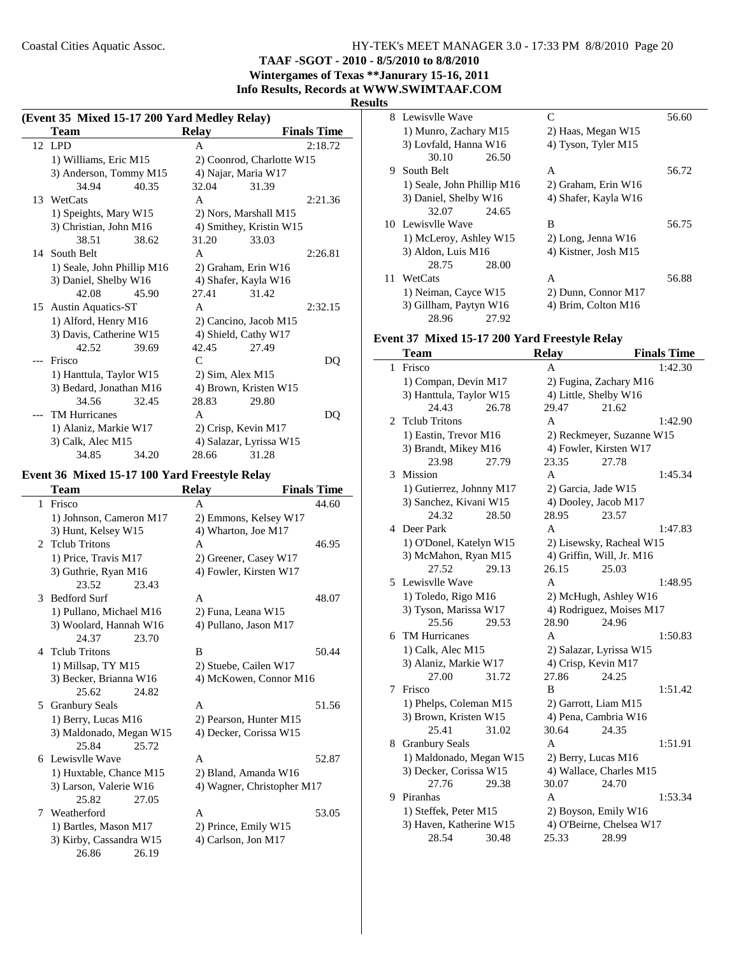**TAAF -SGOT - 2010 - 8/5/2010 to 8/8/2010**

**Wintergames of Texas \*\*Janurary 15-16, 2011 Info Results, Records at WWW.SWIMTAAF.COM**

#### **Results**

| (Event 35 Mixed 15-17 200 Yard Medley Relay) |                            |                      |                     |                           |                    |  |
|----------------------------------------------|----------------------------|----------------------|---------------------|---------------------------|--------------------|--|
|                                              | <b>Team</b>                |                      | <b>Relay</b>        |                           | <b>Finals Time</b> |  |
|                                              | 12 LPD                     |                      | A                   |                           | 2:18.72            |  |
|                                              | 1) Williams, Eric M15      |                      |                     | 2) Coonrod, Charlotte W15 |                    |  |
|                                              | 3) Anderson, Tommy M15     |                      |                     | 4) Najar, Maria W17       |                    |  |
|                                              | 34.94                      | 40.35                | 32.04               | 31.39                     |                    |  |
|                                              | 13 WetCats                 |                      | $\mathsf{A}$        |                           | 2:21.36            |  |
|                                              | 1) Speights, Mary W15      |                      |                     | 2) Nors, Marshall M15     |                    |  |
|                                              | 3) Christian, John M16     |                      |                     | 4) Smithey, Kristin W15   |                    |  |
|                                              | 38.51                      | 38.62                | 31.20               | 33.03                     |                    |  |
| 14                                           | South Belt                 |                      | A                   |                           | 2:26.81            |  |
|                                              | 1) Seale, John Phillip M16 |                      |                     | 2) Graham, Erin W16       |                    |  |
|                                              | 3) Daniel, Shelby W16      |                      |                     | 4) Shafer, Kayla W16      |                    |  |
|                                              | 42.08                      | 45.90                | 27.41               | 31.42                     |                    |  |
| 15                                           | <b>Austin Aquatics-ST</b>  |                      | A                   |                           | 2:32.15            |  |
|                                              |                            | 1) Alford, Henry M16 |                     | 2) Cancino, Jacob M15     |                    |  |
|                                              | 3) Davis, Catherine W15    |                      |                     | 4) Shield, Cathy W17      |                    |  |
|                                              | 42.52                      | 39.69                | 42.45               | 27.49                     |                    |  |
|                                              | Frisco                     |                      | C                   |                           | DQ                 |  |
|                                              | 1) Hanttula, Taylor W15    |                      | 2) Sim, Alex M15    |                           |                    |  |
|                                              | 3) Bedard, Jonathan M16    |                      |                     | 4) Brown, Kristen W15     |                    |  |
|                                              | 34.56                      | 32.45                | 28.83               | 29.80                     |                    |  |
|                                              | <b>TM Hurricanes</b>       |                      | A                   |                           | DQ                 |  |
|                                              | 1) Alaniz, Markie W17      |                      | 2) Crisp, Kevin M17 |                           |                    |  |
|                                              | 3) Calk, Alec M15          |                      |                     | 4) Salazar, Lyrissa W15   |                    |  |
|                                              | 34.85                      | 34.20                | 28.66               | 31.28                     |                    |  |

#### **Event 36 Mixed 15-17 100 Yard Freestyle Relay**

 $\overline{\phantom{a}}$ 

|              | Team                    | <b>Relay</b>          | <b>Finals Time</b>         |
|--------------|-------------------------|-----------------------|----------------------------|
| $\mathbf{1}$ | Frisco                  | A                     | 44.60                      |
|              | 1) Johnson, Cameron M17 |                       | 2) Emmons, Kelsey W17      |
|              | 3) Hunt, Kelsey W15     | 4) Wharton, Joe M17   |                            |
|              | 2 Telub Tritons         | A                     | 46.95                      |
|              | 1) Price, Travis M17    |                       | 2) Greener, Casey W17      |
|              | 3) Guthrie, Ryan M16    |                       | 4) Fowler, Kirsten W17     |
|              | 23.52                   | 23.43                 |                            |
| 3            | <b>Bedford Surf</b>     | A                     | 48.07                      |
|              | 1) Pullano, Michael M16 | 2) Funa, Leana W15    |                            |
|              | 3) Woolard, Hannah W16  | 4) Pullano, Jason M17 |                            |
|              | 24.37                   | 23.70                 |                            |
|              | 4 Telub Tritons         | B                     | 50.44                      |
|              | 1) Millsap, TY M15      | 2) Stuebe, Cailen W17 |                            |
|              | 3) Becker, Brianna W16  |                       | 4) McKowen, Connor M16     |
|              | 25.62                   | 24.82                 |                            |
| 5            | <b>Granbury Seals</b>   | A                     | 51.56                      |
|              | 1) Berry, Lucas M16     |                       | 2) Pearson, Hunter M15     |
|              | 3) Maldonado, Megan W15 |                       | 4) Decker, Corissa W15     |
|              | 25.84                   | 25.72                 |                            |
|              | 6 Lewisvlle Wave        | $\mathsf{A}$          | 52.87                      |
|              | 1) Huxtable, Chance M15 |                       | 2) Bland, Amanda W16       |
|              | 3) Larson, Valerie W16  |                       | 4) Wagner, Christopher M17 |
|              | 25.82                   | 27.05                 |                            |
|              | 7 Weatherford           | $\mathsf{A}$          | 53.05                      |
|              | 1) Bartles, Mason M17   | 2) Prince, Emily W15  |                            |
|              | 3) Kirby, Cassandra W15 | 4) Carlson, Jon M17   |                            |
|              | 26.86                   | 26.19                 |                            |

| э  |                            |       |                      |       |
|----|----------------------------|-------|----------------------|-------|
|    | 8 Lewisvlle Wave           |       | $\subset$            | 56.60 |
|    | 1) Munro, Zachary M15      |       | 2) Haas, Megan W15   |       |
|    | 3) Lovfald, Hanna W16      |       | 4) Tyson, Tyler M15  |       |
|    | 30.10                      | 26.50 |                      |       |
| 9  | South Belt                 |       | A                    | 56.72 |
|    | 1) Seale, John Phillip M16 |       | 2) Graham, Erin W16  |       |
|    | 3) Daniel, Shelby W16      |       | 4) Shafer, Kayla W16 |       |
|    | 32.07                      | 24.65 |                      |       |
|    | 10 Lewisvlle Wave          |       | В                    | 56.75 |
|    | 1) McLeroy, Ashley W15     |       | $2)$ Long, Jenna W16 |       |
|    | 3) Aldon, Luis M16         |       | 4) Kistner, Josh M15 |       |
|    | 28.75                      | 28.00 |                      |       |
| 11 | WetCats                    |       | A                    | 56.88 |
|    | 1) Neiman, Cayce W15       |       | 2) Dunn, Connor M17  |       |
|    | 3) Gillham, Paytyn W16     |       | 4) Brim, Colton M16  |       |
|    | 28.96                      | 27.92 |                      |       |

## **Event 37 Mixed 15-17 200 Yard Freestyle Relay**

|    | <b>Team</b>              |       | <b>Relay</b>            |                           | <b>Finals Time</b> |
|----|--------------------------|-------|-------------------------|---------------------------|--------------------|
| 1  | Frisco                   |       | A                       |                           | 1:42.30            |
|    | 1) Compan, Devin M17     |       |                         | 2) Fugina, Zachary M16    |                    |
|    | 3) Hanttula, Taylor W15  |       | 4) Little, Shelby W16   |                           |                    |
|    | 24.43                    | 26.78 | 29.47                   | 21.62                     |                    |
| 2  | <b>Tclub Tritons</b>     |       | A                       |                           | 1:42.90            |
|    | 1) Eastin, Trevor M16    |       |                         | 2) Reckmeyer, Suzanne W15 |                    |
|    | 3) Brandt, Mikey M16     |       | 4) Fowler, Kirsten W17  |                           |                    |
|    | 23.98                    | 27.79 | 23.35                   | 27.78                     |                    |
| 3  | <b>Mission</b>           |       | A                       |                           | 1:45.34            |
|    | 1) Gutierrez, Johnny M17 |       | 2) Garcia, Jade W15     |                           |                    |
|    | 3) Sanchez, Kivani W15   |       | 4) Dooley, Jacob M17    |                           |                    |
|    | 24.32                    | 28.50 | 28.95                   | 23.57                     |                    |
| 4  | Deer Park                |       | A                       |                           | 1:47.83            |
|    | 1) O'Donel, Katelyn W15  |       |                         | 2) Lisewsky, Racheal W15  |                    |
|    | 3) McMahon, Ryan M15     |       |                         | 4) Griffin, Will, Jr. M16 |                    |
|    | 27.52                    | 29.13 | 26.15                   | 25.03                     |                    |
| 5. | Lewisvlle Wave           |       | A                       |                           | 1:48.95            |
|    | 1) Toledo, Rigo M16      |       |                         | 2) McHugh, Ashley W16     |                    |
|    | 3) Tyson, Marissa W17    |       |                         | 4) Rodriguez, Moises M17  |                    |
|    | 25.56                    | 29.53 | 28.90                   | 24.96                     |                    |
| 6  | <b>TM Hurricanes</b>     |       | A                       |                           | 1:50.83            |
|    | 1) Calk, Alec M15        |       | 2) Salazar, Lyrissa W15 |                           |                    |
|    | 3) Alaniz, Markie W17    |       | 4) Crisp, Kevin M17     |                           |                    |
|    | 27.00                    | 31.72 | 27.86                   | 24.25                     |                    |
| 7  | Frisco                   |       | B                       |                           | 1:51.42            |
|    | 1) Phelps, Coleman M15   |       | 2) Garrott, Liam M15    |                           |                    |
|    | 3) Brown, Kristen W15    |       | 4) Pena, Cambria W16    |                           |                    |
|    | 25.41                    | 31.02 | 30.64                   | 24.35                     |                    |
| 8  | <b>Granbury Seals</b>    |       | A                       |                           | 1:51.91            |
|    | 1) Maldonado, Megan W15  |       | 2) Berry, Lucas M16     |                           |                    |
|    | 3) Decker, Corissa W15   |       |                         | 4) Wallace, Charles M15   |                    |
|    | 27.76                    | 29.38 | 30.07                   | 24.70                     |                    |
| 9  | Piranhas                 |       | A                       |                           | 1:53.34            |
|    | 1) Steffek, Peter M15    |       | 2) Boyson, Emily W16    |                           |                    |
|    | 3) Haven, Katherine W15  |       |                         | 4) O'Beirne, Chelsea W17  |                    |
|    | 28.54                    | 30.48 | 25.33                   | 28.99                     |                    |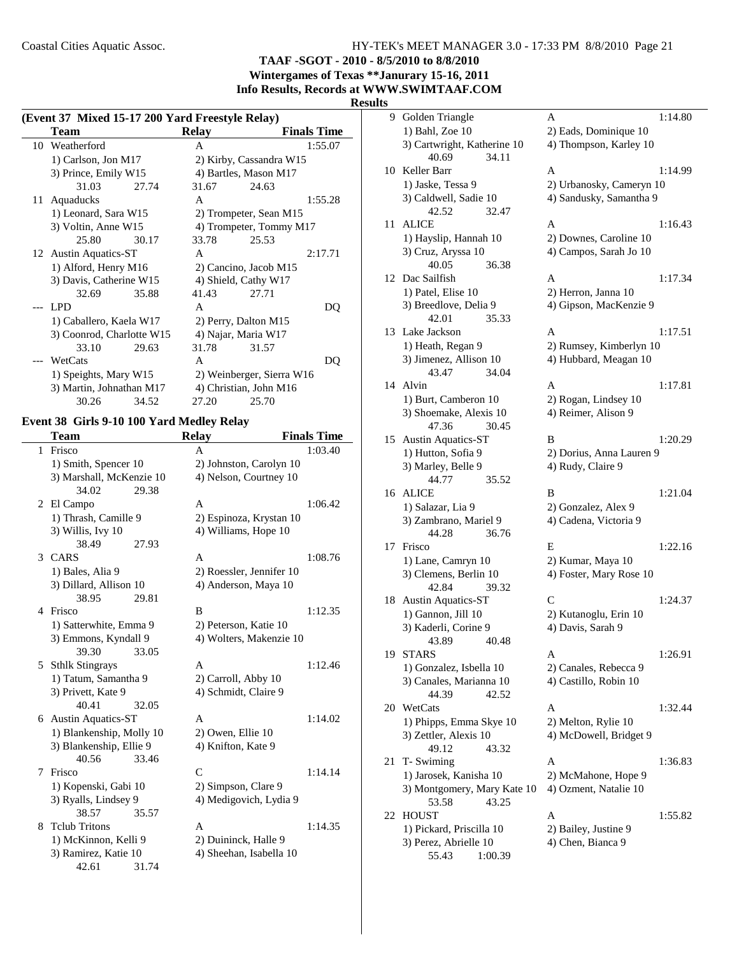**TAAF -SGOT - 2010 - 8/5/2010 to 8/8/2010**

**Wintergames of Texas \*\*Janurary 15-16, 2011 Info Results, Records at WWW.SWIMTAAF.COM**

#### **Results**

| (Event 37 Mixed 15-17 200 Yard Freestyle Relay) |            |                       |                           |       |                           |                    |
|-------------------------------------------------|------------|-----------------------|---------------------------|-------|---------------------------|--------------------|
|                                                 | Team       |                       |                           | Relay |                           | <b>Finals Time</b> |
| 10                                              |            | Weatherford           |                           | A     |                           | 1:55.07            |
|                                                 |            | 1) Carlson, Jon M17   |                           |       | 2) Kirby, Cassandra W15   |                    |
|                                                 |            | 3) Prince, Emily W15  |                           |       | 4) Bartles, Mason M17     |                    |
|                                                 |            | 31.03                 | 27.74                     | 31.67 | 24.63                     |                    |
| 11                                              |            | Aquaducks             |                           | A     |                           | 1:55.28            |
|                                                 |            | 1) Leonard, Sara W15  |                           |       | 2) Trompeter, Sean M15    |                    |
|                                                 |            | 3) Voltin, Anne W15   |                           |       | 4) Trompeter, Tommy M17   |                    |
|                                                 |            | 25.80                 | 30.17                     | 33.78 | 25.53                     |                    |
|                                                 |            | 12 Austin Aquatics-ST |                           | A     |                           | 2:17.71            |
|                                                 |            | 1) Alford, Henry M16  |                           |       | 2) Cancino, Jacob M15     |                    |
|                                                 |            |                       | 3) Davis, Catherine W15   |       | 4) Shield, Cathy W17      |                    |
|                                                 |            | 32.69                 | 35.88                     | 41.43 | 27.71                     |                    |
|                                                 | <b>LPD</b> |                       |                           | A     |                           | DQ                 |
|                                                 |            |                       | 1) Caballero, Kaela W17   |       | 2) Perry, Dalton M15      |                    |
|                                                 |            |                       | 3) Coonrod, Charlotte W15 |       | 4) Najar, Maria W17       |                    |
|                                                 |            | 33.10                 | 29.63                     | 31.78 | 31.57                     |                    |
|                                                 | WetCats    |                       |                           | A     |                           | DO                 |
|                                                 |            | 1) Speights, Mary W15 |                           |       | 2) Weinberger, Sierra W16 |                    |
|                                                 |            |                       | 3) Martin, Johnathan M17  |       | 4) Christian, John M16    |                    |
|                                                 |            | 30.26                 | 34.52                     | 27.20 | 25.70                     |                    |

## **Event 38 Girls 9-10 100 Yard Medley Relay**

 $\overline{\phantom{0}}$ 

|   | Team                      |       | <b>Relay</b>             | <b>Finals Time</b> |
|---|---------------------------|-------|--------------------------|--------------------|
| 1 | Frisco                    |       | A                        | 1:03.40            |
|   | 1) Smith, Spencer 10      |       | 2) Johnston, Carolyn 10  |                    |
|   | 3) Marshall, McKenzie 10  |       | 4) Nelson, Courtney 10   |                    |
|   | 34.02                     | 29.38 |                          |                    |
|   | 2 El Campo                |       | A                        | 1:06.42            |
|   | 1) Thrash, Camille 9      |       | 2) Espinoza, Krystan 10  |                    |
|   | 3) Willis, Ivy 10         |       | 4) Williams, Hope 10     |                    |
|   | 38.49                     | 27.93 |                          |                    |
|   | 3 CARS                    |       | A                        | 1:08.76            |
|   | 1) Bales, Alia 9          |       | 2) Roessler, Jennifer 10 |                    |
|   | 3) Dillard, Allison 10    |       | 4) Anderson, Maya 10     |                    |
|   | 38.95                     | 29.81 |                          |                    |
| 4 | Frisco                    |       | B                        | 1:12.35            |
|   | 1) Satterwhite, Emma 9    |       | 2) Peterson, Katie 10    |                    |
|   | 3) Emmons, Kyndall 9      |       | 4) Wolters, Makenzie 10  |                    |
|   | 39.30                     | 33.05 |                          |                    |
|   | 5 Sthlk Stingrays         |       | A                        | 1:12.46            |
|   | 1) Tatum, Samantha 9      |       | 2) Carroll, Abby 10      |                    |
|   | 3) Privett, Kate 9        |       | 4) Schmidt, Claire 9     |                    |
|   | 40.41                     | 32.05 |                          |                    |
| 6 | <b>Austin Aquatics-ST</b> |       | A                        | 1:14.02            |
|   | 1) Blankenship, Molly 10  |       | 2) Owen, Ellie 10        |                    |
|   | 3) Blankenship, Ellie 9   |       | 4) Knifton, Kate 9       |                    |
|   | 40.56                     | 33.46 |                          |                    |
| 7 | Frisco                    |       | $\mathsf{C}$             | 1:14.14            |
|   | 1) Kopenski, Gabi 10      |       | 2) Simpson, Clare 9      |                    |
|   | 3) Ryalls, Lindsey 9      |       | 4) Medigovich, Lydia 9   |                    |
|   | 38.57                     | 35.57 |                          |                    |
| 8 | <b>Telub Tritons</b>      |       | A                        | 1:14.35            |
|   | 1) McKinnon, Kelli 9      |       | 2) Duininck, Halle 9     |                    |
|   | 3) Ramirez, Katie 10      |       | 4) Sheehan, Isabella 10  |                    |
|   | 42.61                     | 31.74 |                          |                    |

| 9  | Golden Triangle                               | A                        | 1:14.80 |
|----|-----------------------------------------------|--------------------------|---------|
|    | 1) Bahl, Zoe 10                               | 2) Eads, Dominique 10    |         |
|    | 3) Cartwright, Katherine 10<br>40.69<br>34.11 | 4) Thompson, Karley 10   |         |
| 10 | Keller Barr                                   | A                        | 1:14.99 |
|    | 1) Jaske, Tessa 9                             | 2) Urbanosky, Cameryn 10 |         |
|    | 3) Caldwell, Sadie 10                         | 4) Sandusky, Samantha 9  |         |
|    | 42.52<br>32.47                                |                          |         |
| 11 | <b>ALICE</b>                                  | A                        | 1:16.43 |
|    | 1) Hayslip, Hannah 10                         | 2) Downes, Caroline 10   |         |
|    | 3) Cruz, Aryssa 10                            | 4) Campos, Sarah Jo 10   |         |
|    | 36.38<br>40.05                                |                          |         |
| 12 | Dac Sailfish                                  | A                        | 1:17.34 |
|    | 1) Patel, Elise 10                            | 2) Herron, Janna 10      |         |
|    | 3) Breedlove, Delia 9                         | 4) Gipson, MacKenzie 9   |         |
|    | 42.01<br>35.33                                |                          |         |
| 13 | Lake Jackson                                  | А                        | 1:17.51 |
|    | 1) Heath, Regan 9                             | 2) Rumsey, Kimberlyn 10  |         |
|    | 3) Jimenez, Allison 10                        | 4) Hubbard, Meagan 10    |         |
|    | 43.47<br>34.04                                |                          |         |
| 14 | Alvin                                         | A                        | 1:17.81 |
|    | 1) Burt, Camberon 10                          | 2) Rogan, Lindsey 10     |         |
|    | 3) Shoemake, Alexis 10                        | 4) Reimer, Alison 9      |         |
|    | 47.36<br>30.45                                |                          |         |
| 15 | <b>Austin Aquatics-ST</b>                     | В                        | 1:20.29 |
|    | 1) Hutton, Sofia 9                            | 2) Dorius, Anna Lauren 9 |         |
|    | 3) Marley, Belle 9                            | 4) Rudy, Claire 9        |         |
|    | 44.77<br>35.52                                |                          |         |
|    | 16 ALICE                                      | B                        | 1:21.04 |
|    | 1) Salazar, Lia 9                             | 2) Gonzalez, Alex 9      |         |
|    | 3) Zambrano, Mariel 9                         | 4) Cadena, Victoria 9    |         |
|    | 44.28<br>36.76                                |                          |         |
| 17 | Frisco                                        | E                        | 1:22.16 |
|    | 1) Lane, Camryn 10                            | 2) Kumar, Maya 10        |         |
|    | 3) Clemens, Berlin 10                         | 4) Foster, Mary Rose 10  |         |
|    | 39.32<br>42.84                                |                          |         |
| 18 | <b>Austin Aquatics-ST</b>                     | C                        | 1:24.37 |
|    | 1) Gannon, Jill 10                            | 2) Kutanoglu, Erin 10    |         |
|    | 3) Kaderli, Corine 9                          | 4) Davis, Sarah 9        |         |
|    | 40.48<br>43.89                                |                          |         |
| 19 | <b>STARS</b>                                  | Α                        | 1:26.91 |
|    | 1) Gonzalez, Isbella 10                       | 2) Canales, Rebecca 9    |         |
|    | 3) Canales, Marianna 10                       | 4) Castillo, Robin 10    |         |
|    | 44.39<br>42.52                                |                          |         |
| 20 | WetCats                                       | Α                        | 1:32.44 |
|    | 1) Phipps, Emma Skye 10                       | 2) Melton, Rylie 10      |         |
|    | 3) Zettler, Alexis 10                         | 4) McDowell, Bridget 9   |         |
|    | 49.12<br>43.32                                |                          |         |
| 21 | T- Swiming                                    | Α                        | 1:36.83 |
|    | 1) Jarosek, Kanisha 10                        | 2) McMahone, Hope 9      |         |
|    | 3) Montgomery, Mary Kate 10                   | 4) Ozment, Natalie 10    |         |
|    | 53.58<br>43.25                                |                          |         |
| 22 | <b>HOUST</b>                                  | Α                        | 1:55.82 |
|    | 1) Pickard, Priscilla 10                      | 2) Bailey, Justine 9     |         |
|    | 3) Perez, Abrielle 10                         | 4) Chen, Bianca 9        |         |
|    | 55.43<br>1:00.39                              |                          |         |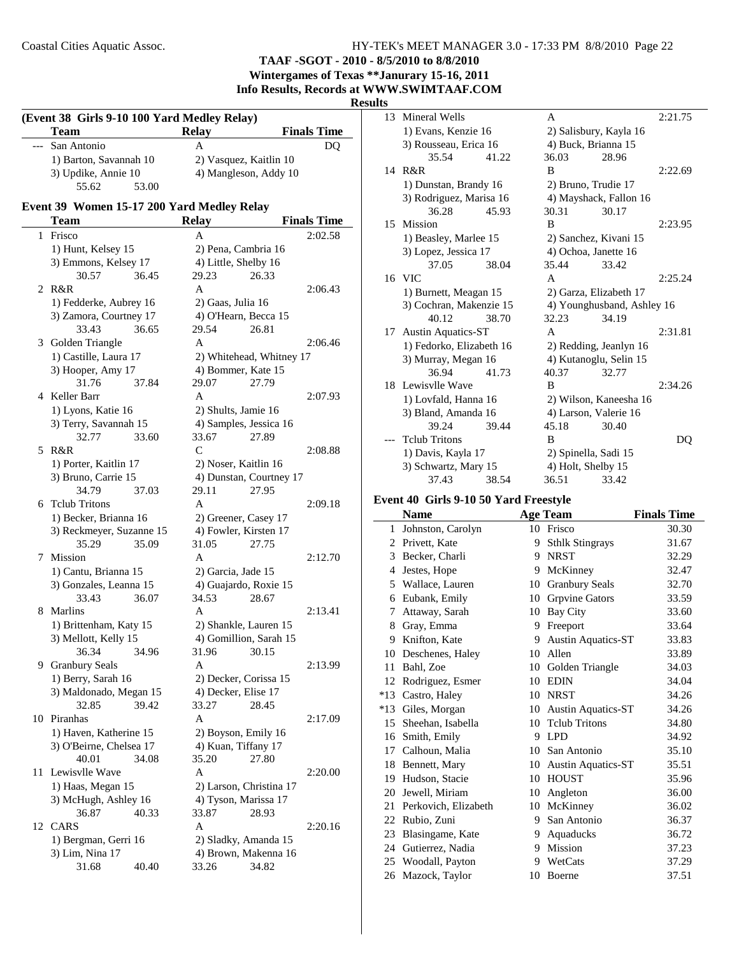**TAAF -SGOT - 2010 - 8/5/2010 to 8/8/2010 Wintergames of Texas \*\*Janurary 15-16, 2011**

**Info Results, Records at WWW.SWIMTAAF.COM**

## **Results**

|    | (Event 38 Girls 9-10 100 Yard Medley Relay)<br><b>Team</b> |       | <b>Relay</b>       |                                                 | <b>Finals Time</b> |
|----|------------------------------------------------------------|-------|--------------------|-------------------------------------------------|--------------------|
|    | San Antonio                                                |       | A                  |                                                 | DQ                 |
|    | 1) Barton, Savannah 10                                     |       |                    | 2) Vasquez, Kaitlin 10                          |                    |
|    | 3) Updike, Annie 10                                        |       |                    | 4) Mangleson, Addy 10                           |                    |
|    | 55.62                                                      | 53.00 |                    |                                                 |                    |
|    |                                                            |       |                    |                                                 |                    |
|    | Event 39 Women 15-17 200 Yard Medley Relay<br><b>Team</b>  |       | <b>Relay</b>       |                                                 | <b>Finals Time</b> |
| 1  | Frisco                                                     |       | A                  |                                                 | 2:02.58            |
|    | 1) Hunt, Kelsey 15                                         |       |                    | 2) Pena, Cambria 16                             |                    |
|    | 3) Emmons, Kelsey 17                                       |       |                    | 4) Little, Shelby 16                            |                    |
|    | 30.57                                                      | 36.45 | 29.23              | 26.33                                           |                    |
| 2  | R&R                                                        |       | A                  |                                                 | 2:06.43            |
|    | 1) Fedderke, Aubrey 16                                     |       | 2) Gaas, Julia 16  |                                                 |                    |
|    | 3) Zamora, Courtney 17                                     |       |                    | 4) O'Hearn, Becca 15                            |                    |
|    | 33.43                                                      | 36.65 | 29.54              | 26.81                                           |                    |
|    | 3 Golden Triangle                                          |       | A                  |                                                 | 2:06.46            |
|    | 1) Castille, Laura 17                                      |       |                    |                                                 |                    |
|    | 3) Hooper, Amy 17                                          |       |                    | 2) Whitehead, Whitney 17                        |                    |
|    | 31.76                                                      | 37.84 | 29.07              | 4) Bommer, Kate 15<br>27.79                     |                    |
| 4  | Keller Barr                                                |       | A                  |                                                 | 2:07.93            |
|    |                                                            |       |                    | 2) Shults, Jamie 16                             |                    |
|    | 1) Lyons, Katie 16<br>3) Terry, Savannah 15                |       |                    | 4) Samples, Jessica 16                          |                    |
|    | 32.77                                                      | 33.60 | 33.67              | 27.89                                           |                    |
|    | 5 R&R                                                      |       | C                  |                                                 | 2:08.88            |
|    |                                                            |       |                    |                                                 |                    |
|    | 1) Porter, Kaitlin 17<br>3) Bruno, Carrie 15               |       |                    | 2) Noser, Kaitlin 16<br>4) Dunstan, Courtney 17 |                    |
|    | 34.79                                                      | 37.03 | 29.11              | 27.95                                           |                    |
|    | 6 Telub Tritons                                            |       | A                  |                                                 | 2:09.18            |
|    | 1) Becker, Brianna 16                                      |       |                    | 2) Greener, Casey 17                            |                    |
|    | 3) Reckmeyer, Suzanne 15                                   |       |                    | 4) Fowler, Kirsten 17                           |                    |
|    | 35.29                                                      | 35.09 | 31.05              | 27.75                                           |                    |
| 7  | Mission                                                    |       | A                  |                                                 | 2:12.70            |
|    | 1) Cantu, Brianna 15                                       |       | 2) Garcia, Jade 15 |                                                 |                    |
|    | 3) Gonzales, Leanna 15                                     |       |                    | 4) Guajardo, Roxie 15                           |                    |
|    | 33.43                                                      | 36.07 | 34.53              | 28.67                                           |                    |
| 8  | Marlins                                                    |       | A                  |                                                 | 2:13.41            |
|    | 1) Brittenham, Katy 15                                     |       |                    | 2) Shankle, Lauren 15                           |                    |
|    | 3) Mellott, Kelly 15                                       |       |                    | 4) Gomillion, Sarah 15                          |                    |
|    | 36.34                                                      | 34.96 | 31.96 30.15        |                                                 |                    |
|    | 9 Granbury Seals                                           |       | А                  |                                                 | 2:13.99            |
|    | 1) Berry, Sarah 16                                         |       |                    | 2) Decker, Corissa 15                           |                    |
|    | 3) Maldonado, Megan 15                                     |       |                    | 4) Decker, Elise 17                             |                    |
|    | 32.85                                                      | 39.42 | 33.27              | 28.45                                           |                    |
|    | 10 Piranhas                                                |       | A                  |                                                 | 2:17.09            |
|    | 1) Haven, Katherine 15                                     |       |                    | 2) Boyson, Emily 16                             |                    |
|    | 3) O'Beirne, Chelsea 17                                    |       |                    | 4) Kuan, Tiffany 17                             |                    |
|    | 40.01                                                      | 34.08 | 35.20              | 27.80                                           |                    |
| 11 | Lewisvlle Wave                                             |       | Α                  |                                                 | 2:20.00            |
|    | 1) Haas, Megan 15                                          |       |                    | 2) Larson, Christina 17                         |                    |
|    | 3) McHugh, Ashley 16                                       |       |                    | 4) Tyson, Marissa 17                            |                    |
|    | 36.87                                                      | 40.33 | 33.87              | 28.93                                           |                    |
|    | 12 CARS                                                    |       | A                  |                                                 | 2:20.16            |
|    | 1) Bergman, Gerri 16                                       |       |                    | 2) Sladky, Amanda 15                            |                    |
|    | 3) Lim, Nina 17                                            |       |                    | 4) Brown, Makenna 16                            |                    |
|    | 31.68                                                      | 40.40 | 33.26              | 34.82                                           |                    |
|    |                                                            |       |                    |                                                 |                    |

| 13 | Mineral Wells             |       | A                      |                            | 2:21.75 |
|----|---------------------------|-------|------------------------|----------------------------|---------|
|    | 1) Evans, Kenzie 16       |       | 2) Salisbury, Kayla 16 |                            |         |
|    | 3) Rousseau, Erica 16     |       | 4) Buck, Brianna 15    |                            |         |
|    | 35.54                     | 41.22 | 36.03                  | 28.96                      |         |
|    | 14 R&R                    |       | B                      |                            | 2:22.69 |
|    | 1) Dunstan, Brandy 16     |       | 2) Bruno, Trudie 17    |                            |         |
|    | 3) Rodriguez, Marisa 16   |       |                        | 4) Mayshack, Fallon 16     |         |
|    | 36.28                     | 45.93 | 30.31                  | 30.17                      |         |
| 15 | Mission                   |       | B                      |                            | 2:23.95 |
|    | 1) Beasley, Marlee 15     |       | 2) Sanchez, Kivani 15  |                            |         |
|    | 3) Lopez, Jessica 17      |       | 4) Ochoa, Janette 16   |                            |         |
|    | 37.05                     | 38.04 | 35.44                  | 33.42                      |         |
|    | 16 VIC                    |       | A                      |                            | 2:25.24 |
|    | 1) Burnett, Meagan 15     |       | 2) Garza, Elizabeth 17 |                            |         |
|    | 3) Cochran, Makenzie 15   |       |                        | 4) Younghusband, Ashley 16 |         |
|    | 40.12                     | 38.70 | 32.23                  | 34.19                      |         |
| 17 | <b>Austin Aquatics-ST</b> |       | A                      |                            | 2:31.81 |
|    | 1) Fedorko, Elizabeth 16  |       | 2) Redding, Jeanlyn 16 |                            |         |
|    | 3) Murray, Megan 16       |       | 4) Kutanoglu, Selin 15 |                            |         |
|    | 36.94                     | 41.73 | 40.37                  | 32.77                      |         |
|    | 18 Lewisvlle Wave         |       | B                      |                            | 2:34.26 |
|    | 1) Lovfald, Hanna 16      |       |                        | 2) Wilson, Kaneesha 16     |         |
|    | 3) Bland, Amanda 16       |       | 4) Larson, Valerie 16  |                            |         |
|    | 39.24                     | 39.44 | 45.18                  | 30.40                      |         |
|    | <b>Telub Tritons</b>      |       | B                      |                            | DQ      |
|    | 1) Davis, Kayla 17        |       | 2) Spinella, Sadi 15   |                            |         |
|    | 3) Schwartz, Mary 15      |       | 4) Holt, Shelby 15     |                            |         |
|    | 37.43                     | 38.54 | 36.51                  | 33.42                      |         |
|    |                           |       |                        |                            |         |

## **Event 40 Girls 9-10 50 Yard Freestyle**

|       | <b>Name</b>          |    | <b>Age Team</b>           | <b>Finals Time</b> |
|-------|----------------------|----|---------------------------|--------------------|
| 1     | Johnston, Carolyn    |    | 10 Frisco                 | 30.30              |
| 2     | Privett, Kate        | 9  | <b>Sthlk Stingrays</b>    | 31.67              |
| 3     | Becker, Charli       | 9  | <b>NRST</b>               | 32.29              |
| 4     | Jestes, Hope         | 9  | McKinney                  | 32.47              |
| 5     | Wallace, Lauren      | 10 | <b>Granbury Seals</b>     | 32.70              |
| 6     | Eubank, Emily        | 10 | <b>Grpvine Gators</b>     | 33.59              |
| 7     | Attaway, Sarah       | 10 | Bay City                  | 33.60              |
| 8     | Gray, Emma           | 9  | Freeport                  | 33.64              |
| 9     | Knifton, Kate        | 9  | Austin Aquatics-ST        | 33.83              |
| 10    | Deschenes, Haley     | 10 | Allen                     | 33.89              |
| 11    | Bahl, Zoe            | 10 | Golden Triangle           | 34.03              |
| 12    | Rodriguez, Esmer     | 10 | <b>EDIN</b>               | 34.04              |
| $*13$ | Castro, Haley        | 10 | <b>NRST</b>               | 34.26              |
| $*13$ | Giles, Morgan        | 10 | <b>Austin Aquatics-ST</b> | 34.26              |
| 15    | Sheehan, Isabella    | 10 | <b>Telub Tritons</b>      | 34.80              |
| 16    | Smith, Emily         | 9  | <b>LPD</b>                | 34.92              |
| 17    | Calhoun, Malia       | 10 | San Antonio               | 35.10              |
| 18    | Bennett, Mary        | 10 | <b>Austin Aquatics-ST</b> | 35.51              |
| 19    | Hudson, Stacie       | 10 | <b>HOUST</b>              | 35.96              |
| 20    | Jewell, Miriam       | 10 | Angleton                  | 36.00              |
| 21    | Perkovich, Elizabeth | 10 | McKinney                  | 36.02              |
| 22    | Rubio, Zuni          | 9  | San Antonio               | 36.37              |
| 23    | Blasingame, Kate     | 9  | Aquaducks                 | 36.72              |
| 24    | Gutierrez, Nadia     | 9  | Mission                   | 37.23              |
| 25    | Woodall, Payton      | 9  | WetCats                   | 37.29              |
| 26    | Mazock, Taylor       | 10 | Boerne                    | 37.51              |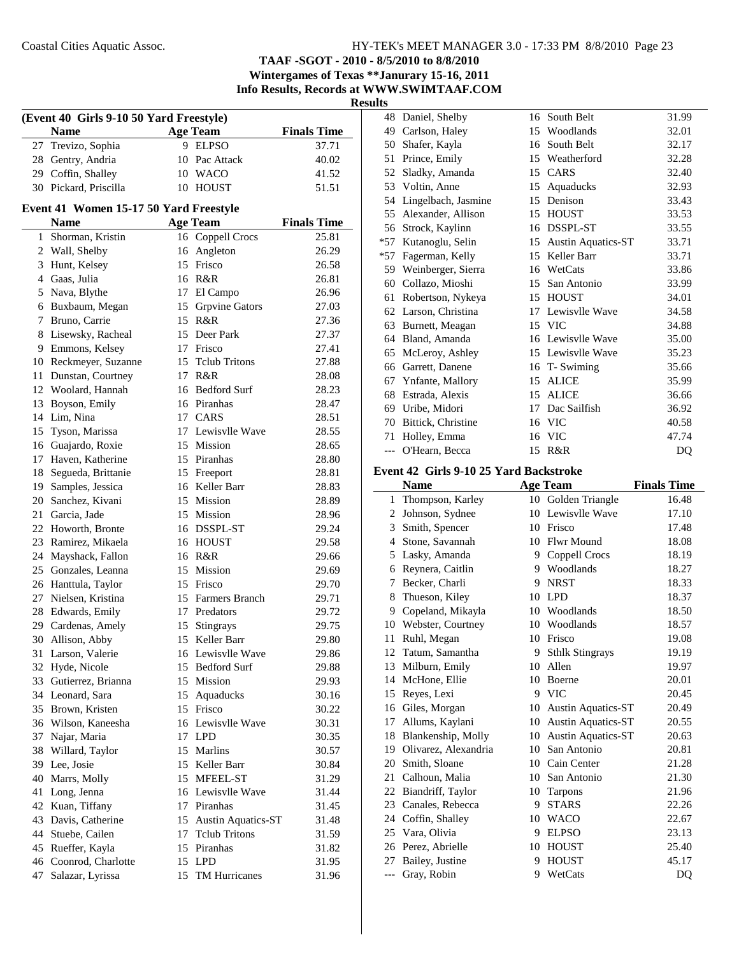**TAAF -SGOT - 2010 - 8/5/2010 to 8/8/2010 Wintergames of Texas \*\*Janurary 15-16, 2011**

**Info Results, Records at WWW.SWIMTAAF.COM**

**Results**

| (Event 40 Girls 9-10 50 Yard Freestyle) |                                        |    |                       |                    |  |  |  |  |
|-----------------------------------------|----------------------------------------|----|-----------------------|--------------------|--|--|--|--|
|                                         | <b>Name</b>                            |    | <b>Age Team</b>       | <b>Finals Time</b> |  |  |  |  |
| 27                                      | Trevizo, Sophia                        |    | 9 ELPSO               | 37.71              |  |  |  |  |
| 28                                      | Gentry, Andria                         |    | 10 Pac Attack         | 40.02              |  |  |  |  |
|                                         | 29 Coffin, Shalley                     |    | 10 WACO               | 41.52              |  |  |  |  |
| 30                                      | Pickard, Priscilla                     | 10 | HOUST                 | 51.51              |  |  |  |  |
|                                         | Event 41 Women 15-17 50 Yard Freestyle |    |                       |                    |  |  |  |  |
|                                         | Name                                   |    | <b>Age Team</b>       | <b>Finals Time</b> |  |  |  |  |
|                                         | 1 Shorman, Kristin                     |    | 16 Coppell Crocs      | 25.81              |  |  |  |  |
|                                         | 2 Wall, Shelby                         |    | 16 Angleton           | 26.29              |  |  |  |  |
| 3                                       | Hunt, Kelsey                           |    | 15 Frisco             | 26.58              |  |  |  |  |
|                                         | 4 Gaas, Julia                          |    | 16 R&R                | 26.81              |  |  |  |  |
| 5                                       | Nava, Blythe                           |    | 17 El Campo           | 26.96              |  |  |  |  |
| 6                                       | Buxbaum, Megan                         |    | 15 Grpvine Gators     | 27.03              |  |  |  |  |
| 7                                       | Bruno, Carrie                          |    | 15 R&R                | 27.36              |  |  |  |  |
| 8                                       | Lisewsky, Racheal                      |    | 15 Deer Park          | 27.37              |  |  |  |  |
| 9                                       | Emmons, Kelsey                         |    | 17 Frisco             | 27.41              |  |  |  |  |
| 10                                      | Reckmeyer, Suzanne                     |    | 15 Telub Tritons      | 27.88              |  |  |  |  |
| 11                                      | Dunstan, Courtney                      |    | 17 R&R                | 28.08              |  |  |  |  |
| 12                                      | Woolard, Hannah                        |    | 16 Bedford Surf       | 28.23              |  |  |  |  |
| 13                                      | Boyson, Emily                          |    | 16 Piranhas           | 28.47              |  |  |  |  |
| 14                                      | Lim, Nina                              |    | 17 CARS               | 28.51              |  |  |  |  |
| 15                                      | Tyson, Marissa                         |    | 17 Lewisvlle Wave     | 28.55              |  |  |  |  |
|                                         | 16 Guajardo, Roxie                     |    | 15 Mission            | 28.65              |  |  |  |  |
| 17                                      | Haven, Katherine                       |    | 15 Piranhas           | 28.80              |  |  |  |  |
| 18                                      | Segueda, Brittanie                     |    | 15 Freeport           | 28.81              |  |  |  |  |
| 19                                      | Samples, Jessica                       |    | 16 Keller Barr        | 28.83              |  |  |  |  |
| 20                                      | Sanchez, Kivani                        |    | 15 Mission            | 28.89              |  |  |  |  |
| 21                                      | Garcia, Jade                           |    | 15 Mission            | 28.96              |  |  |  |  |
| 22                                      | Howorth, Bronte                        |    | 16 DSSPL-ST           | 29.24              |  |  |  |  |
|                                         | 23 Ramirez, Mikaela                    |    | 16 HOUST              | 29.58              |  |  |  |  |
| 24                                      | Mayshack, Fallon                       |    | 16 R&R                | 29.66              |  |  |  |  |
| 25                                      | Gonzales, Leanna                       |    | 15 Mission            | 29.69              |  |  |  |  |
|                                         | 26 Hanttula, Taylor                    |    | 15 Frisco             | 29.70              |  |  |  |  |
|                                         | 27 Nielsen, Kristina                   |    | 15 Farmers Branch     | 29.71              |  |  |  |  |
|                                         | 28 Edwards, Emily                      |    | 17 Predators          | 29.72              |  |  |  |  |
|                                         | 29 Cardenas, Amely                     |    | 15 Stingrays          | 29.75              |  |  |  |  |
| 30                                      | Allison, Abby                          |    | 15 Keller Barr        | 29.80              |  |  |  |  |
| 31                                      | Larson, Valerie                        |    | 16 Lewisvlle Wave     | 29.86              |  |  |  |  |
| 32                                      | Hyde, Nicole                           |    | 15 Bedford Surf       | 29.88              |  |  |  |  |
| 33                                      | Gutierrez, Brianna                     |    | 15 Mission            | 29.93              |  |  |  |  |
| 34                                      | Leonard, Sara                          |    | 15 Aquaducks          | 30.16              |  |  |  |  |
|                                         | 35 Brown, Kristen                      |    | 15 Frisco             | 30.22              |  |  |  |  |
|                                         | 36 Wilson, Kaneesha                    |    | 16 Lewisvlle Wave     | 30.31              |  |  |  |  |
| 37                                      | Najar, Maria                           |    | 17 LPD                | 30.35              |  |  |  |  |
| 38                                      | Willard, Taylor                        |    | 15 Marlins            | 30.57              |  |  |  |  |
| 39                                      | Lee, Josie                             |    | 15 Keller Barr        | 30.84              |  |  |  |  |
| 40                                      | Marrs, Molly                           |    | 15 MFEEL-ST           | 31.29              |  |  |  |  |
| 41                                      | Long, Jenna                            |    | 16 Lewisvlle Wave     | 31.44              |  |  |  |  |
| 42                                      | Kuan, Tiffany                          |    | 17 Piranhas           | 31.45              |  |  |  |  |
| 43                                      | Davis, Catherine                       |    | 15 Austin Aquatics-ST | 31.48              |  |  |  |  |
| 44                                      | Stuebe, Cailen                         |    | 17 Telub Tritons      | 31.59              |  |  |  |  |
| 45                                      | Rueffer, Kayla                         |    | 15 Piranhas           | 31.82              |  |  |  |  |
| 46                                      | Coonrod, Charlotte                     |    | 15 LPD                | 31.95              |  |  |  |  |
| 47                                      | Salazar, Lyrissa                       |    | 15 TM Hurricanes      | 31.96              |  |  |  |  |

| 48    | Daniel, Shelby      | 16 | South Belt                | 31.99 |
|-------|---------------------|----|---------------------------|-------|
| 49    | Carlson, Haley      | 15 | Woodlands                 | 32.01 |
| 50    | Shafer, Kayla       | 16 | South Belt                | 32.17 |
| 51    | Prince, Emily       | 15 | Weatherford               | 32.28 |
| 52    | Sladky, Amanda      | 15 | CARS                      | 32.40 |
| 53    | Voltin, Anne        | 15 | Aquaducks                 | 32.93 |
| 54    | Lingelbach, Jasmine | 15 | Denison                   | 33.43 |
| 55    | Alexander, Allison  | 15 | <b>HOUST</b>              | 33.53 |
| 56    | Strock, Kaylinn     | 16 | <b>DSSPL-ST</b>           | 33.55 |
| *57   | Kutanoglu, Selin    | 15 | <b>Austin Aquatics-ST</b> | 33.71 |
| $*57$ | Fagerman, Kelly     | 15 | Keller Barr               | 33.71 |
| 59    | Weinberger, Sierra  | 16 | WetCats                   | 33.86 |
| 60    | Collazo, Mioshi     | 15 | San Antonio               | 33.99 |
| 61    | Robertson, Nykeya   | 15 | <b>HOUST</b>              | 34.01 |
| 62    | Larson, Christina   | 17 | Lewisvlle Wave            | 34.58 |
| 63    | Burnett, Meagan     |    | 15 VIC                    | 34.88 |
| 64    | Bland, Amanda       | 16 | Lewisvlle Wave            | 35.00 |
| 65    | McLeroy, Ashley     |    | 15 Lewisvlle Wave         | 35.23 |
| 66    | Garrett, Danene     | 16 | T-Swiming                 | 35.66 |
| 67    | Ynfante, Mallory    | 15 | <b>ALICE</b>              | 35.99 |
| 68    | Estrada, Alexis     | 15 | <b>ALICE</b>              | 36.66 |
| 69    | Uribe, Midori       | 17 | Dac Sailfish              | 36.92 |
| 70    | Bittick, Christine  | 16 | <b>VIC</b>                | 40.58 |
| 71    | Holley, Emma        | 16 | <b>VIC</b>                | 47.74 |
| ---   | O'Hearn, Becca      | 15 | R&R                       | DQ    |

## **Event 42 Girls 9-10 25 Yard Backstroke**

|       | <b>Name</b>          |    | <b>Age Team</b>           | <b>Finals Time</b> |
|-------|----------------------|----|---------------------------|--------------------|
| 1     | Thompson, Karley     | 10 | Golden Triangle           | 16.48              |
| 2     | Johnson, Sydnee      | 10 | Lewisvlle Wave            | 17.10              |
| 3     | Smith, Spencer       |    | 10 Frisco                 | 17.48              |
| 4     | Stone, Savannah      | 10 | Flwr Mound                | 18.08              |
| 5     | Lasky, Amanda        | 9  | Coppell Crocs             | 18.19              |
| 6     | Reynera, Caitlin     | 9  | Woodlands                 | 18.27              |
| 7     | Becker, Charli       | 9  | <b>NRST</b>               | 18.33              |
| 8     | Thueson, Kiley       | 10 | <b>LPD</b>                | 18.37              |
| 9     | Copeland, Mikayla    | 10 | Woodlands                 | 18.50              |
| 10    | Webster, Courtney    |    | 10 Woodlands              | 18.57              |
| 11    | Ruhl, Megan          |    | 10 Frisco                 | 19.08              |
| 12    | Tatum, Samantha      | 9  | <b>Sthlk Stingrays</b>    | 19.19              |
| 13    | Milburn, Emily       | 10 | Allen                     | 19.97              |
| 14    | McHone, Ellie        | 10 | <b>Boerne</b>             | 20.01              |
| 15    | Reyes, Lexi          |    | 9 VIC                     | 20.45              |
| 16    | Giles, Morgan        | 10 | <b>Austin Aquatics-ST</b> | 20.49              |
| 17    | Allums, Kaylani      | 10 | <b>Austin Aquatics-ST</b> | 20.55              |
| 18    | Blankenship, Molly   | 10 | <b>Austin Aquatics-ST</b> | 20.63              |
| 19    | Olivarez, Alexandria | 10 | San Antonio               | 20.81              |
| 20    | Smith, Sloane        | 10 | Cain Center               | 21.28              |
| 21    | Calhoun, Malia       | 10 | San Antonio               | 21.30              |
| 22    | Biandriff, Taylor    | 10 | <b>Tarpons</b>            | 21.96              |
| 23    | Canales, Rebecca     | 9  | <b>STARS</b>              | 22.26              |
| 24    | Coffin, Shalley      | 10 | <b>WACO</b>               | 22.67              |
|       | 25 Vara, Olivia      | 9  | <b>ELPSO</b>              | 23.13              |
| 26    | Perez, Abrielle      | 10 | <b>HOUST</b>              | 25.40              |
| 27    | Bailey, Justine      | 9  | <b>HOUST</b>              | 45.17              |
| $---$ | Gray, Robin          | 9  | WetCats                   | DQ                 |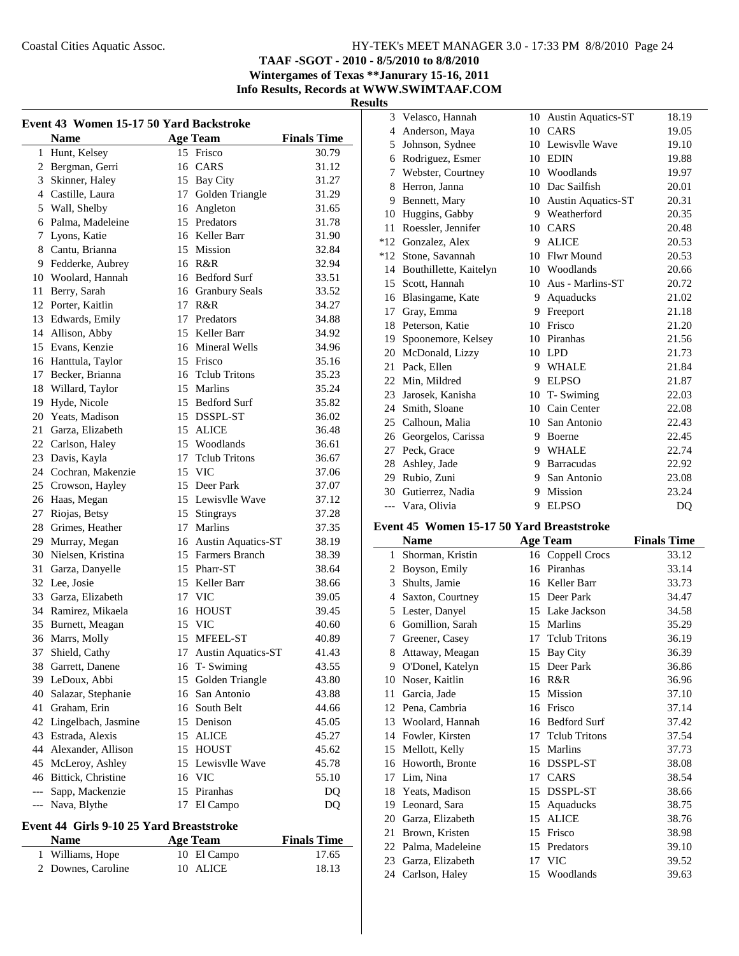**TAAF -SGOT - 2010 - 8/5/2010 to 8/8/2010 Wintergames of Texas \*\*Janurary 15-16, 2011**

**Info Results, Records at WWW.SWIMTAAF.COM**

 $\overline{\phantom{a}}$ 

**Results**

| Event 43 Women 15-17 50 Yard Backstroke |                       |    |                       |                    |  |
|-----------------------------------------|-----------------------|----|-----------------------|--------------------|--|
|                                         | <b>Name</b>           |    | <b>Age Team</b>       | <b>Finals Time</b> |  |
| 1                                       | Hunt, Kelsey          |    | 15 Frisco             | 30.79              |  |
| $\overline{c}$                          | Bergman, Gerri        |    | 16 CARS               | 31.12              |  |
| 3                                       | Skinner, Haley        |    | 15 Bay City           | 31.27              |  |
|                                         | 4 Castille, Laura     |    | 17 Golden Triangle    | 31.29              |  |
|                                         | 5 Wall, Shelby        |    | 16 Angleton           | 31.65              |  |
| 6                                       | Palma, Madeleine      |    | 15 Predators          | 31.78              |  |
| 7                                       | Lyons, Katie          |    | 16 Keller Barr        | 31.90              |  |
| 8                                       | Cantu, Brianna        |    | 15 Mission            | 32.84              |  |
| 9                                       | Fedderke, Aubrey      |    | 16 R&R                | 32.94              |  |
| 10                                      | Woolard, Hannah       |    | 16 Bedford Surf       | 33.51              |  |
| 11                                      | Berry, Sarah          |    | 16 Granbury Seals     | 33.52              |  |
|                                         | 12 Porter, Kaitlin    |    | 17 R&R                | 34.27              |  |
|                                         | 13 Edwards, Emily     |    | 17 Predators          | 34.88              |  |
|                                         | 14 Allison, Abby      |    | 15 Keller Barr        | 34.92              |  |
|                                         | 15 Evans, Kenzie      |    | 16 Mineral Wells      | 34.96              |  |
|                                         | 16 Hanttula, Taylor   |    | 15 Frisco             | 35.16              |  |
| 17                                      | Becker, Brianna       |    | 16 Tclub Tritons      | 35.23              |  |
| 18                                      | Willard, Taylor       |    | 15 Marlins            | 35.24              |  |
| 19                                      | Hyde, Nicole          |    | 15 Bedford Surf       | 35.82              |  |
| 20                                      | Yeats, Madison        |    | 15 DSSPL-ST           | 36.02              |  |
| 21                                      | Garza, Elizabeth      |    | 15 ALICE              | 36.48              |  |
| 22                                      | Carlson, Haley        |    | 15 Woodlands          | 36.61              |  |
| 23                                      | Davis, Kayla          |    | 17 Telub Tritons      | 36.67              |  |
| 24                                      | Cochran, Makenzie     |    | 15 VIC                | 37.06              |  |
| 25                                      | Crowson, Hayley       |    | 15 Deer Park          | 37.07              |  |
| 26                                      | Haas, Megan           |    | 15 Lewisvlle Wave     | 37.12              |  |
| 27                                      | Riojas, Betsy         |    | 15 Stingrays          | 37.28              |  |
| 28                                      | Grimes, Heather       |    | 17 Marlins            | 37.35              |  |
| 29                                      | Murray, Megan         |    | 16 Austin Aquatics-ST | 38.19              |  |
| 30                                      | Nielsen, Kristina     |    | 15 Farmers Branch     | 38.39              |  |
| 31                                      | Garza, Danyelle       |    | 15 Pharr-ST           | 38.64              |  |
| 32                                      | Lee, Josie            |    | 15 Keller Barr        | 38.66              |  |
| 33                                      | Garza, Elizabeth      |    | 17 VIC                | 39.05              |  |
| 34                                      | Ramirez, Mikaela      |    | 16 HOUST              | 39.45              |  |
| 35                                      | Burnett, Meagan       |    | 15 VIC                | 40.60              |  |
| 36                                      | Marrs, Molly          |    | 15 MFEEL-ST           | 40.89              |  |
| 37                                      | Shield, Cathy         |    | 17 Austin Aquatics-ST | 41.43              |  |
| 38                                      | Garrett, Danene       |    | 16 T-Swiming          | 43.55              |  |
| 39                                      | LeDoux, Abbi          | 15 | Golden Triangle       | 43.80              |  |
| 40                                      | Salazar, Stephanie    |    | 16 San Antonio        | 43.88              |  |
| 41                                      | Graham, Erin          |    | 16 South Belt         | 44.66              |  |
| 42                                      | Lingelbach, Jasmine   |    | 15 Denison            | 45.05              |  |
| 43                                      | Estrada, Alexis       | 15 | <b>ALICE</b>          | 45.27              |  |
| 44                                      | Alexander, Allison    |    | 15 HOUST              | 45.62              |  |
| 45                                      | McLeroy, Ashley       | 15 | Lewisvlle Wave        | 45.78              |  |
|                                         | 46 Bittick, Christine |    | 16 VIC                | 55.10              |  |
| ---                                     | Sapp, Mackenzie       |    | 15 Piranhas           | DQ                 |  |
| ---                                     | Nava, Blythe          | 17 | El Campo              | DQ                 |  |

## **Event 44 Girls 9-10 25 Yard Breaststroke**

j.

| <b>Name</b>        | <b>Age Team</b> | <b>Finals Time</b> |
|--------------------|-----------------|--------------------|
| 1 Williams, Hope   | 10 El Campo     | 17.65              |
| 2 Downes, Caroline | 10 ALICE        | 18.13              |

| 3     | Velasco, Hannah        | 10 | Austin Aquatics-ST        | 18.19          |
|-------|------------------------|----|---------------------------|----------------|
| 4     | Anderson, Maya         | 10 | CARS                      | 19.05          |
| 5     | Johnson, Sydnee        | 10 | Lewisvlle Wave            | 19.10          |
| 6     | Rodriguez, Esmer       | 10 | <b>EDIN</b>               | 19.88          |
| 7     | Webster, Courtney      | 10 | Woodlands                 | 19.97          |
| 8     | Herron, Janna          | 10 | Dac Sailfish              | 20.01          |
| 9     | Bennett, Mary          | 10 | <b>Austin Aquatics-ST</b> | 20.31          |
| 10    | Huggins, Gabby         |    | 9 Weatherford             | 20.35          |
| 11    | Roessler, Jennifer     | 10 | CARS                      | 20.48          |
| $*12$ | Gonzalez, Alex         | 9  | <b>ALICE</b>              | 20.53          |
| *12   | Stone, Savannah        | 10 | <b>Flwr Mound</b>         | 20.53          |
| 14    | Bouthillette, Kaitelyn | 10 | Woodlands                 | 20.66          |
| 15    | Scott, Hannah          | 10 | Aus - Marlins-ST          | 20.72          |
| 16    | Blasingame, Kate       | 9  | Aquaducks                 | 21.02          |
| 17    | Gray, Emma             | 9  | Freeport                  | 21.18          |
| 18    | Peterson, Katie        | 10 | Frisco                    | 21.20          |
| 19    | Spoonemore, Kelsey     | 10 | Piranhas                  | 21.56          |
| 20    | McDonald, Lizzy        | 10 | <b>LPD</b>                | 21.73          |
| 21    | Pack, Ellen            | 9  | <b>WHALE</b>              | 21.84          |
| 22    | Min, Mildred           | 9  | <b>ELPSO</b>              | 21.87          |
| 23    | Jarosek, Kanisha       | 10 | T-Swiming                 | 22.03          |
| 24    | Smith, Sloane          | 10 | Cain Center               | 22.08          |
| 25    | Calhoun, Malia         | 10 | San Antonio               | 22.43          |
| 26    | Georgelos, Carissa     | 9  | Boerne                    | 22.45          |
| 27    | Peck, Grace            | 9  | <b>WHALE</b>              | 22.74          |
| 28    | Ashley, Jade           | 9  | <b>Barracudas</b>         | 22.92          |
| 29    | Rubio, Zuni            | 9  | San Antonio               | 23.08          |
| 30    | Gutierrez, Nadia       | 9  | Mission                   | 23.24          |
| $---$ | Vara, Olivia           | 9  | <b>ELPSO</b>              | D <sub>O</sub> |

#### **Event 45 Women 15-17 50 Yard Breaststroke**

|    | Name             |    | <b>Age Team</b>      | <b>Finals Time</b> |
|----|------------------|----|----------------------|--------------------|
| 1  | Shorman, Kristin | 16 | Coppell Crocs        | 33.12              |
| 2  | Boyson, Emily    | 16 | Piranhas             | 33.14              |
| 3  | Shults, Jamie    | 16 | Keller Barr          | 33.73              |
| 4  | Saxton, Courtney | 15 | Deer Park            | 34.47              |
| 5  | Lester, Danyel   | 15 | Lake Jackson         | 34.58              |
| 6  | Gomillion, Sarah | 15 | Marlins              | 35.29              |
| 7  | Greener, Casey   | 17 | <b>Telub Tritons</b> | 36.19              |
| 8  | Attaway, Meagan  | 15 | Bay City             | 36.39              |
| 9  | O'Donel, Katelyn | 15 | Deer Park            | 36.86              |
| 10 | Noser, Kaitlin   | 16 | R&R                  | 36.96              |
| 11 | Garcia, Jade     | 15 | Mission              | 37.10              |
| 12 | Pena, Cambria    | 16 | Frisco               | 37.14              |
| 13 | Woolard, Hannah  | 16 | <b>Bedford Surf</b>  | 37.42              |
| 14 | Fowler, Kirsten  | 17 | <b>Telub Tritons</b> | 37.54              |
| 15 | Mellott, Kelly   | 15 | Marlins              | 37.73              |
| 16 | Howorth, Bronte  | 16 | DSSPL-ST             | 38.08              |
| 17 | Lim, Nina        | 17 | CARS                 | 38.54              |
| 18 | Yeats, Madison   | 15 | DSSPL-ST             | 38.66              |
| 19 | Leonard, Sara    | 15 | Aquaducks            | 38.75              |
| 20 | Garza, Elizabeth | 15 | <b>ALICE</b>         | 38.76              |
| 21 | Brown, Kristen   | 15 | Frisco               | 38.98              |
| 22 | Palma, Madeleine | 15 | Predators            | 39.10              |
| 23 | Garza, Elizabeth | 17 | VIC                  | 39.52              |
| 24 | Carlson, Haley   | 15 | Woodlands            | 39.63              |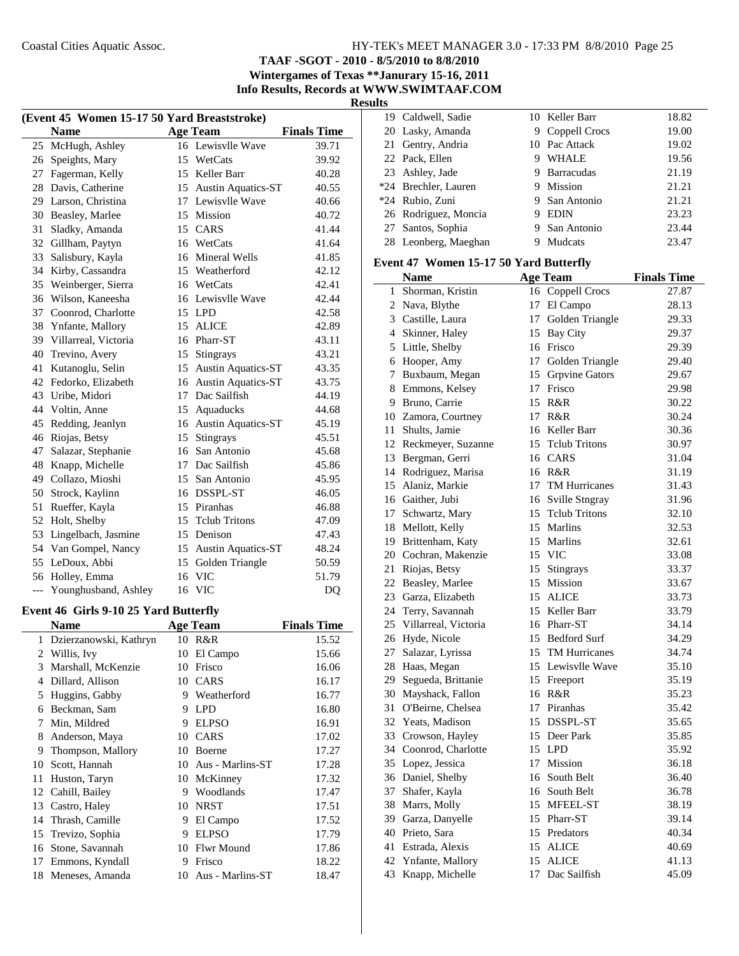**TAAF -SGOT - 2010 - 8/5/2010 to 8/8/2010**

**Wintergames of Texas \*\*Janurary 15-16, 2011 Info Results, Records at WWW.SWIMTAAF.COM**

**Results**

| (Event 45 Women 15-17 50 Yard Breaststroke) |                      |                 |                           |                    |
|---------------------------------------------|----------------------|-----------------|---------------------------|--------------------|
|                                             | <b>Name</b>          |                 | <b>Age Team</b>           | <b>Finals Time</b> |
| 25                                          | McHugh, Ashley       |                 | 16 Lewisvlle Wave         | 39.71              |
| 26                                          | Speights, Mary       |                 | 15 WetCats                | 39.92              |
| 27                                          | Fagerman, Kelly      |                 | 15 Keller Barr            | 40.28              |
| 28                                          | Davis, Catherine     |                 | 15 Austin Aquatics-ST     | 40.55              |
|                                             | 29 Larson, Christina |                 | 17 Lewisvlle Wave         | 40.66              |
| 30                                          | Beasley, Marlee      |                 | 15 Mission                | 40.72              |
| 31                                          | Sladky, Amanda       |                 | 15 CARS                   | 41.44              |
| 32                                          | Gillham, Paytyn      |                 | 16 WetCats                | 41.64              |
| 33                                          | Salisbury, Kayla     |                 | 16 Mineral Wells          | 41.85              |
| 34                                          | Kirby, Cassandra     |                 | 15 Weatherford            | 42.12              |
| 35                                          | Weinberger, Sierra   |                 | 16 WetCats                | 42.41              |
| 36                                          | Wilson, Kaneesha     |                 | 16 Lewisvlle Wave         | 42.44              |
| 37                                          | Coonrod, Charlotte   |                 | 15 LPD                    | 42.58              |
| 38                                          | Ynfante, Mallory     |                 | 15 ALICE                  | 42.89              |
| 39                                          | Villarreal, Victoria |                 | 16 Pharr-ST               | 43.11              |
| 40                                          | Trevino, Avery       |                 | 15 Stingrays              | 43.21              |
| 41                                          | Kutanoglu, Selin     | 15              | Austin Aquatics-ST        | 43.35              |
| 42                                          | Fedorko, Elizabeth   | 16              | <b>Austin Aquatics-ST</b> | 43.75              |
| 43                                          | Uribe, Midori        | 17 <sup>7</sup> | Dac Sailfish              | 44.19              |
| 44                                          | Voltin, Anne         |                 | 15 Aquaducks              | 44.68              |
| 45                                          | Redding, Jeanlyn     |                 | 16 Austin Aquatics-ST     | 45.19              |
| 46                                          | Riojas, Betsy        |                 | 15 Stingrays              | 45.51              |
| 47                                          | Salazar, Stephanie   |                 | 16 San Antonio            | 45.68              |
| 48                                          | Knapp, Michelle      |                 | 17 Dac Sailfish           | 45.86              |
| 49                                          | Collazo, Mioshi      |                 | 15 San Antonio            | 45.95              |
| 50                                          | Strock, Kaylinn      |                 | 16 DSSPL-ST               | 46.05              |
| 51                                          | Rueffer, Kayla       |                 | 15 Piranhas               | 46.88              |
| 52                                          | Holt, Shelby         | 15              | <b>Telub Tritons</b>      | 47.09              |
| 53                                          | Lingelbach, Jasmine  | 15              | Denison                   | 47.43              |
| 54                                          | Van Gompel, Nancy    | 15              | <b>Austin Aquatics-ST</b> | 48.24              |
| 55                                          | LeDoux, Abbi         |                 | 15 Golden Triangle        | 50.59              |
| 56                                          | Holley, Emma         |                 | 16 VIC                    | 51.79              |
| $\overline{a}$                              | Younghusband, Ashley |                 | 16 VIC                    | D <sub>O</sub>     |

## **Event 46 Girls 9-10 25 Yard Butterfly**

j.

|    | <b>Name</b>            |    | Age Team          | <b>Finals Time</b> |
|----|------------------------|----|-------------------|--------------------|
| 1  | Dzierzanowski, Kathryn | 10 | R&R               | 15.52              |
| 2  | Willis, Ivy            | 10 | El Campo          | 15.66              |
| 3  | Marshall, McKenzie     | 10 | Frisco            | 16.06              |
| 4  | Dillard, Allison       | 10 | <b>CARS</b>       | 16.17              |
| 5  | Huggins, Gabby         | 9  | Weatherford       | 16.77              |
| 6  | Beckman, Sam           | 9  | <b>LPD</b>        | 16.80              |
| 7  | Min, Mildred           | 9  | <b>ELPSO</b>      | 16.91              |
| 8  | Anderson, Maya         | 10 | <b>CARS</b>       | 17.02              |
| 9  | Thompson, Mallory      | 10 | Boerne            | 17.27              |
| 10 | Scott, Hannah          | 10 | Aus - Marlins-ST  | 17.28              |
| 11 | Huston, Taryn          | 10 | McKinney          | 17.32              |
| 12 | Cahill, Bailey         | 9  | Woodlands         | 17.47              |
| 13 | Castro, Haley          | 10 | <b>NRST</b>       | 17.51              |
| 14 | Thrash, Camille        | 9  | El Campo          | 17.52              |
| 15 | Trevizo, Sophia        | 9  | <b>ELPSO</b>      | 17.79              |
| 16 | Stone, Savannah        | 10 | <b>Flwr Mound</b> | 17.86              |
| 17 | Emmons, Kyndall        | 9  | Frisco            | 18.22              |
| 18 | Meneses, Amanda        | 10 | Aus - Marlins-ST  | 18.47              |
|    |                        |    |                   |                    |

| 19 Caldwell, Sadie   |   | 10 Keller Barr  | 18.82 |
|----------------------|---|-----------------|-------|
| 20 Lasky, Amanda     |   | 9 Coppell Crocs | 19.00 |
| 21 Gentry, Andria    |   | 10 Pac Attack   | 19.02 |
| 22 Pack, Ellen       | 9 | <b>WHALE</b>    | 19.56 |
| 23 Ashley, Jade      |   | 9 Barracudas    | 21.19 |
| *24 Brechler, Lauren |   | 9 Mission       | 21.21 |
| *24 Rubio, Zuni      |   | 9 San Antonio   | 21.21 |
| 26 Rodriguez, Moncia |   | <b>EDIN</b>     | 23.23 |
| 27 Santos, Sophia    |   | 9 San Antonio   | 23.44 |
| 28 Leonberg, Maeghan |   | Mudcats         | 23.47 |
|                      |   |                 |       |

## **Event 47 Women 15-17 50 Yard Butterfly**

|    | <b>Name</b>             |    | <b>Age Team</b>      | <b>Finals Time</b> |
|----|-------------------------|----|----------------------|--------------------|
| 1  | Shorman, Kristin        |    | 16 Coppell Crocs     | 27.87              |
|    | 2 Nava, Blythe          |    | 17 El Campo          | 28.13              |
|    | 3 Castille, Laura       | 17 | Golden Triangle      | 29.33              |
|    | 4 Skinner, Haley        |    | 15 Bay City          | 29.37              |
|    | 5 Little, Shelby        |    | 16 Frisco            | 29.39              |
|    | 6 Hooper, Amy           | 17 | Golden Triangle      | 29.40              |
| 7  | Buxbaum, Megan          |    | 15 Grpvine Gators    | 29.67              |
|    | 8 Emmons, Kelsey        |    | 17 Frisco            | 29.98              |
|    | 9 Bruno, Carrie         | 15 | R&R                  | 30.22              |
|    | 10 Zamora, Courtney     | 17 | R&R                  | 30.24              |
|    | 11 Shults, Jamie        | 16 | Keller Barr          | 30.36              |
|    | 12 Reckmeyer, Suzanne   | 15 | <b>Tclub Tritons</b> | 30.97              |
|    | 13 Bergman, Gerri       |    | 16 CARS              | 31.04              |
|    | 14 Rodriguez, Marisa    |    | 16 R&R               | 31.19              |
|    | 15 Alaniz, Markie       |    | 17 TM Hurricanes     | 31.43              |
|    | 16 Gaither, Jubi        | 16 | Sville Stngray       | 31.96              |
|    | 17 Schwartz, Mary       | 15 | <b>Telub Tritons</b> | 32.10              |
|    | 18 Mellott, Kelly       | 15 | Marlins              | 32.53              |
|    | 19 Brittenham, Katy     | 15 | Marlins              | 32.61              |
|    | 20 Cochran, Makenzie    |    | 15 VIC               | 33.08              |
|    | 21 Riojas, Betsy        | 15 | Stingrays            | 33.37              |
|    | 22 Beasley, Marlee      | 15 | Mission              | 33.67              |
|    | 23 Garza, Elizabeth     | 15 | <b>ALICE</b>         | 33.73              |
|    | 24 Terry, Savannah      |    | 15 Keller Barr       | 33.79              |
|    | 25 Villarreal, Victoria |    | 16 Pharr-ST          | 34.14              |
|    | 26 Hyde, Nicole         | 15 | <b>Bedford Surf</b>  | 34.29              |
|    | 27 Salazar, Lyrissa     |    | 15 TM Hurricanes     | 34.74              |
|    | 28 Haas, Megan          |    | 15 Lewisvlle Wave    | 35.10              |
|    | 29 Segueda, Brittanie   |    | 15 Freeport          | 35.19              |
|    | 30 Mayshack, Fallon     |    | 16 R&R               | 35.23              |
| 31 | O'Beirne, Chelsea       |    | 17 Piranhas          | 35.42              |
|    | 32 Yeats, Madison       |    | 15 DSSPL-ST          | 35.65              |
|    | 33 Crowson, Hayley      |    | 15 Deer Park         | 35.85              |
|    | 34 Coonrod, Charlotte   |    | 15 LPD               | 35.92              |
|    | 35 Lopez, Jessica       |    | 17 Mission           | 36.18              |
|    | 36 Daniel, Shelby       |    | 16 South Belt        | 36.40              |
|    | 37 Shafer, Kayla        |    | 16 South Belt        | 36.78              |
|    | 38 Marrs, Molly         |    | 15 MFEEL-ST          | 38.19              |
|    | 39 Garza, Danyelle      |    | 15 Pharr-ST          | 39.14              |
|    | 40 Prieto, Sara         |    | 15 Predators         | 40.34              |
|    | 41 Estrada, Alexis      |    | 15 ALICE             | 40.69              |
|    | 42 Ynfante, Mallory     | 15 | <b>ALICE</b>         | 41.13              |
| 43 | Knapp, Michelle         | 17 | Dac Sailfish         | 45.09              |
|    |                         |    |                      |                    |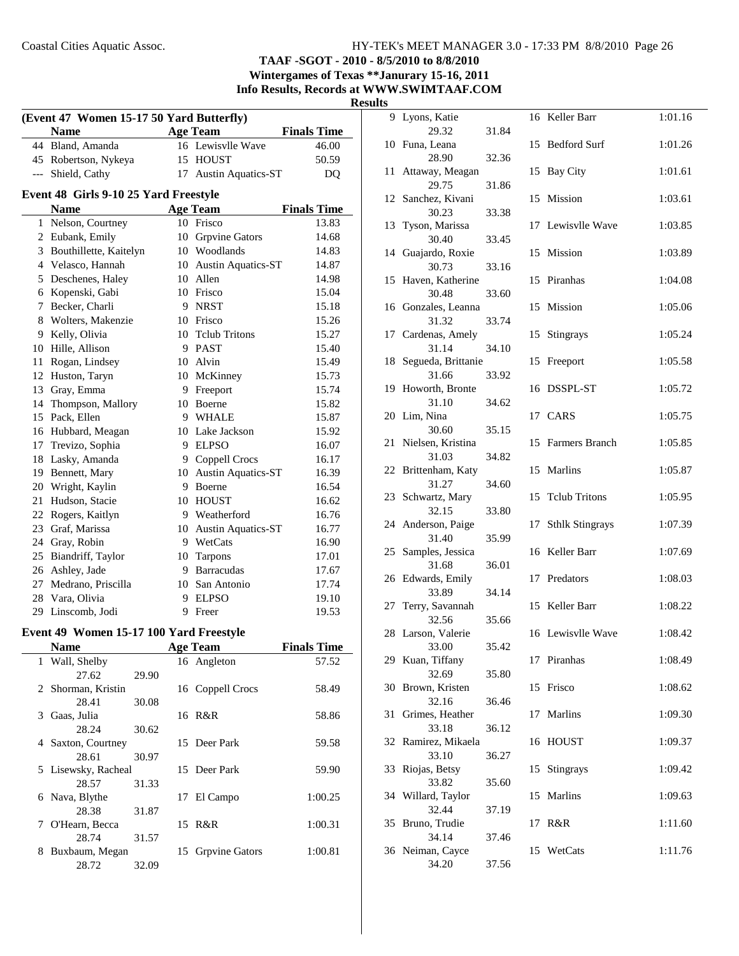**TAAF -SGOT - 2010 - 8/5/2010 to 8/8/2010 Wintergames of Texas \*\*Janurary 15-16, 2011**

**Info Results, Records at WWW.SWIMTAAF.COM**

**Results**

| (Event 47 Women 15-17 50 Yard Butterfly) |                                                        |    |                           |                    |  |  |
|------------------------------------------|--------------------------------------------------------|----|---------------------------|--------------------|--|--|
|                                          | <b>Name</b>                                            |    | <b>Age Team</b>           | <b>Finals Time</b> |  |  |
|                                          | 44 Bland, Amanda                                       |    | 16 Lewisvlle Wave         | 46.00              |  |  |
|                                          | 45 Robertson, Nykeya                                   |    | 15 HOUST                  | 50.59              |  |  |
| ---                                      | Shield, Cathy                                          | 17 | <b>Austin Aquatics-ST</b> | DQ                 |  |  |
|                                          | Event 48 Girls 9-10 25 Yard Freestyle                  |    |                           |                    |  |  |
|                                          | <b>Name</b>                                            |    | <b>Age Team</b>           | <b>Finals Time</b> |  |  |
| 1                                        | Nelson, Courtney                                       |    | 10 Frisco                 | 13.83              |  |  |
| 2                                        | Eubank, Emily                                          | 10 | <b>Grpvine Gators</b>     | 14.68              |  |  |
| 3                                        | Bouthillette, Kaitelyn                                 |    | 10 Woodlands              | 14.83              |  |  |
|                                          | 4 Velasco, Hannah                                      | 10 | <b>Austin Aquatics-ST</b> | 14.87              |  |  |
|                                          | 5 Deschenes, Haley                                     |    | 10 Allen                  | 14.98              |  |  |
|                                          | 6 Kopenski, Gabi                                       |    | 10 Frisco                 | 15.04              |  |  |
|                                          | 7 Becker, Charli                                       |    | 9 NRST                    | 15.18              |  |  |
| 8                                        | Wolters, Makenzie                                      |    | 10 Frisco                 | 15.26              |  |  |
| 9                                        | Kelly, Olivia                                          |    | 10 Tclub Tritons          | 15.27              |  |  |
| 10                                       | Hille, Allison                                         |    | 9 PAST                    | 15.40              |  |  |
| 11                                       | Rogan, Lindsey                                         |    | 10 Alvin                  | 15.49              |  |  |
| 12                                       | Huston, Taryn                                          |    | 10 McKinney               | 15.73              |  |  |
| 13                                       | Gray, Emma                                             | 9. | Freeport                  | 15.74              |  |  |
| 14                                       | Thompson, Mallory                                      | 10 | Boerne                    | 15.82              |  |  |
| 15                                       | Pack, Ellen                                            |    | 9 WHALE                   | 15.87              |  |  |
| 16                                       | Hubbard, Meagan                                        |    | 10 Lake Jackson           | 15.92              |  |  |
| 17                                       | Trevizo, Sophia                                        |    | 9 ELPSO                   | 16.07              |  |  |
| 18                                       | Lasky, Amanda                                          |    | 9 Coppell Crocs           | 16.17              |  |  |
| 19                                       | Bennett, Mary                                          |    | 10 Austin Aquatics-ST     | 16.39              |  |  |
| 20                                       | Wright, Kaylin                                         |    | 9 Boerne                  | 16.54              |  |  |
| 21                                       | Hudson, Stacie                                         |    | 10 HOUST                  | 16.62              |  |  |
|                                          | 22 Rogers, Kaitlyn                                     |    | 9 Weatherford             | 16.76              |  |  |
| 23                                       | Graf, Marissa                                          |    | 10 Austin Aquatics-ST     | 16.77              |  |  |
| 24                                       | Gray, Robin                                            |    | 9 WetCats                 | 16.90              |  |  |
| 25                                       | Biandriff, Taylor                                      |    | 10 Tarpons                | 17.01              |  |  |
| 26                                       | Ashley, Jade                                           |    | 9 Barracudas              | 17.67              |  |  |
| 27                                       | Medrano, Priscilla                                     | 10 | San Antonio               | 17.74              |  |  |
| 28                                       | Vara, Olivia                                           |    | 9 ELPSO                   | 19.10              |  |  |
| 29                                       | Linscomb, Jodi                                         | 9  | Freer                     | 19.53              |  |  |
|                                          |                                                        |    |                           |                    |  |  |
|                                          | Event 49 Women 15-17 100 Yard Freestyle<br><b>Name</b> |    | <b>Age Team</b>           | <b>Finals Time</b> |  |  |
| $\mathbf{1}$                             | Wall, Shelby                                           |    | 16 Angleton               | 57.52              |  |  |
|                                          | 27.62<br>29.90                                         |    |                           |                    |  |  |
| 2                                        | Shorman, Kristin                                       |    | 16 Coppell Crocs          | 58.49              |  |  |
|                                          | 28.41<br>30.08                                         |    |                           |                    |  |  |
| 3                                        | Gaas, Julia                                            |    | 16 R&R                    | 58.86              |  |  |
|                                          | 28.24<br>30.62                                         |    |                           |                    |  |  |
| 4                                        | Saxton, Courtney                                       |    | 15 Deer Park              | 59.58              |  |  |
|                                          | 28.61<br>30.97                                         |    |                           |                    |  |  |
| 5                                        | Lisewsky, Racheal                                      | 15 | Deer Park                 | 59.90              |  |  |
|                                          | 28.57<br>31.33                                         |    |                           |                    |  |  |
|                                          | 6 Nava, Blythe                                         | 17 | El Campo                  | 1:00.25            |  |  |

28.38 31.87

28.74 31.57

28.72 32.09

7 1:00.31 O'Hearn, Becca 15 R&R

8 Buxbaum, Megan 15 Grpvine Gators 1:00.81

| S   |                             |       |    |                        |         |
|-----|-----------------------------|-------|----|------------------------|---------|
|     | 9 Lyons, Katie              |       |    | 16 Keller Barr         | 1:01.16 |
|     | 29.32<br>10 Funa, Leana     | 31.84 | 15 | <b>Bedford Surf</b>    | 1:01.26 |
|     | 28.90                       | 32.36 |    |                        |         |
| 11  | Attaway, Meagan<br>29.75    | 31.86 | 15 | <b>Bay City</b>        | 1:01.61 |
| 12  | Sanchez, Kivani             |       | 15 | Mission                | 1:03.61 |
| 13  | 30.23<br>Tyson, Marissa     | 33.38 | 17 | Lewisvlle Wave         | 1:03.85 |
|     | 30.40                       | 33.45 |    |                        |         |
| 14  | Guajardo, Roxie<br>30.73    | 33.16 | 15 | Mission                | 1:03.89 |
| 15  | Haven, Katherine<br>30.48   |       | 15 | Piranhas               | 1:04.08 |
|     | 16 Gonzales, Leanna         | 33.60 | 15 | Mission                | 1:05.06 |
|     | 31.32                       | 33.74 |    |                        |         |
|     | 17 Cardenas, Amely<br>31.14 | 34.10 | 15 | Stingrays              | 1:05.24 |
| 18  | Segueda, Brittanie          |       | 15 | Freeport               | 1:05.58 |
|     | 31.66                       | 33.92 |    |                        |         |
| 19  | Howorth, Bronte<br>31.10    | 34.62 | 16 | DSSPL-ST               | 1:05.72 |
| 20  | Lim, Nina                   |       |    | 17 CARS                | 1:05.75 |
|     | 30.60                       | 35.15 |    |                        |         |
| 21  | Nielsen, Kristina<br>31.03  | 34.82 | 15 | Farmers Branch         | 1:05.85 |
| 22  | Brittenham, Katy            |       | 15 | Marlins                | 1:05.87 |
|     | 31.27                       | 34.60 |    |                        |         |
| 23. | Schwartz, Mary<br>32.15     | 33.80 | 15 | <b>Telub Tritons</b>   | 1:05.95 |
| 24  | Anderson, Paige<br>31.40    | 35.99 | 17 | <b>Sthlk Stingrays</b> | 1:07.39 |
| 25. | Samples, Jessica            |       | 16 | Keller Barr            | 1:07.69 |
|     | 31.68                       | 36.01 |    |                        |         |
| 26  | Edwards, Emily<br>33.89     | 34.14 | 17 | Predators              | 1:08.03 |
| 27  | Terry, Savannah             |       | 15 | Keller Barr            | 1:08.22 |
|     | 32.56<br>28 Larson, Valerie | 35.66 |    | 16 Lewisvlle Wave      | 1:08.42 |
|     | 33.00                       | 35.42 |    |                        |         |
| 29. | Kuan, Tiffany<br>32.69      | 35.80 |    | 17 Piranhas            | 1:08.49 |
| 30  | Brown, Kristen              |       | 15 | Frisco                 | 1:08.62 |
|     | 32.16                       | 36.46 |    |                        |         |
| 31  | Grimes, Heather<br>33.18    | 36.12 | 17 | Marlins                | 1:09.30 |
| 32  | Ramirez, Mikaela            |       | 16 | <b>HOUST</b>           | 1:09.37 |
|     | 33.10                       | 36.27 |    |                        |         |
| 33  | Riojas, Betsy<br>33.82      | 35.60 | 15 | Stingrays              | 1:09.42 |
| 34  | Willard, Taylor             |       | 15 | Marlins                | 1:09.63 |
|     | 32.44                       | 37.19 |    |                        |         |
| 35  | Bruno, Trudie<br>34.14      | 37.46 | 17 | R&R                    | 1:11.60 |
| 36  | Neiman, Cayce               |       | 15 | WetCats                | 1:11.76 |
|     | 34.20                       | 37.56 |    |                        |         |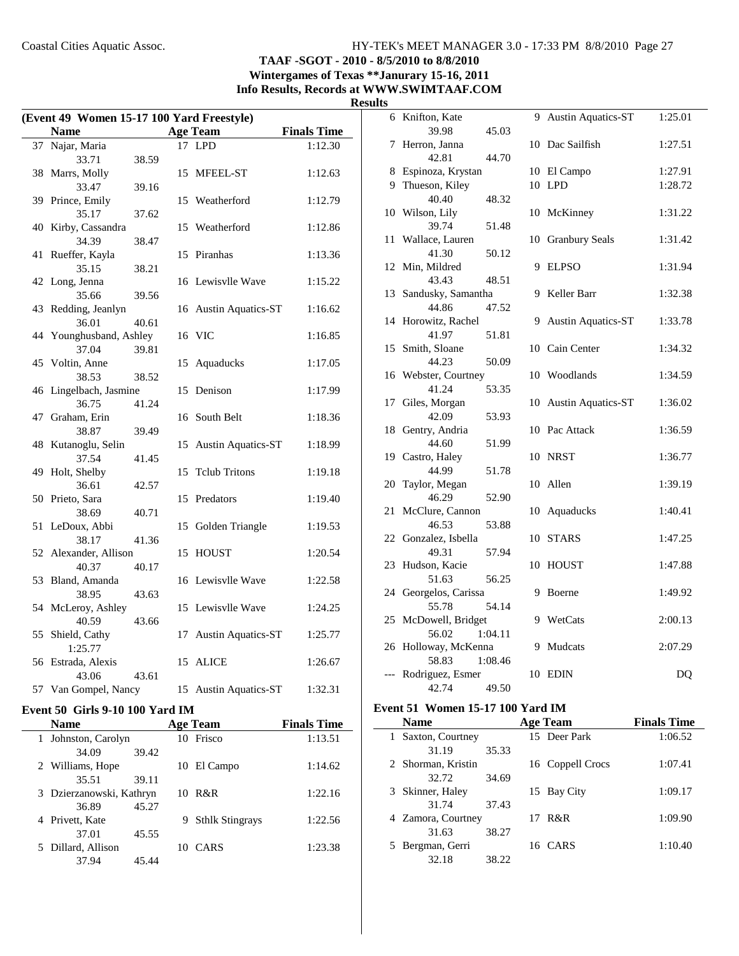## **TAAF -SGOT - 2010 - 8/5/2010 to 8/8/2010 Wintergames of Texas \*\*Janurary 15-16, 2011**

**Info Results, Records at WWW.SWIMTAAF.COM**

**Results**

| (Event 49 Women 15-17 100 Yard Freestyle) |                           |       |    |                           |                    |  |
|-------------------------------------------|---------------------------|-------|----|---------------------------|--------------------|--|
|                                           | <b>Name</b>               |       |    | <b>Age Team</b>           | <b>Finals Time</b> |  |
| 37                                        | Najar, Maria              |       |    | 17 LPD                    | 1:12.30            |  |
|                                           | 33.71                     | 38.59 |    |                           |                    |  |
|                                           | 38 Marrs, Molly           |       |    | 15 MFEEL-ST               | 1:12.63            |  |
|                                           | 33.47                     | 39.16 |    |                           |                    |  |
|                                           | 39 Prince, Emily          |       |    | 15 Weatherford            | 1:12.79            |  |
|                                           | 35.17                     | 37.62 |    |                           |                    |  |
| 40                                        | Kirby, Cassandra          |       |    | 15 Weatherford            | 1:12.86            |  |
|                                           | 34.39                     | 38.47 |    |                           |                    |  |
| 41                                        | Rueffer, Kayla            |       | 15 | Piranhas                  | 1:13.36            |  |
|                                           | 35.15                     | 38.21 |    |                           |                    |  |
|                                           | 42 Long, Jenna            |       |    | 16 Lewisvlle Wave         | 1:15.22            |  |
|                                           | 35.66                     | 39.56 |    |                           |                    |  |
| 43                                        | Redding, Jeanlyn          |       |    | 16 Austin Aquatics-ST     | 1:16.62            |  |
|                                           | 36.01                     | 40.61 |    |                           |                    |  |
|                                           | 44 Younghusband, Ashley   |       |    | 16 VIC                    | 1:16.85            |  |
|                                           | 37.04                     | 39.81 |    |                           |                    |  |
| 45                                        | Voltin, Anne              |       | 15 | Aquaducks                 | 1:17.05            |  |
|                                           | 38.53                     | 38.52 |    |                           |                    |  |
| 46                                        | Lingelbach, Jasmine       |       | 15 | Denison                   | 1:17.99            |  |
|                                           | 36.75                     | 41.24 |    |                           |                    |  |
| 47                                        | Graham, Erin              |       | 16 | South Belt                | 1:18.36            |  |
| 48                                        | 38.87<br>Kutanoglu, Selin | 39.49 |    | <b>Austin Aquatics-ST</b> |                    |  |
|                                           | 37.54                     | 41.45 | 15 |                           | 1:18.99            |  |
| 49                                        | Holt, Shelby              |       | 15 | <b>Telub Tritons</b>      | 1:19.18            |  |
|                                           | 36.61                     | 42.57 |    |                           |                    |  |
| 50                                        | Prieto, Sara              |       | 15 | Predators                 | 1:19.40            |  |
|                                           | 38.69                     | 40.71 |    |                           |                    |  |
| 51                                        | LeDoux, Abbi              |       | 15 | Golden Triangle           | 1:19.53            |  |
|                                           | 38.17                     | 41.36 |    |                           |                    |  |
| 52                                        | Alexander, Allison        |       | 15 | <b>HOUST</b>              | 1:20.54            |  |
|                                           | 40.37                     | 40.17 |    |                           |                    |  |
| 53                                        | Bland, Amanda             |       |    | 16 Lewisvlle Wave         | 1:22.58            |  |
|                                           | 38.95                     | 43.63 |    |                           |                    |  |
|                                           | 54 McLeroy, Ashley        |       |    | 15 Lewisvlle Wave         | 1:24.25            |  |
|                                           | 40.59                     | 43.66 |    |                           |                    |  |
| 55                                        | Shield, Cathy             |       | 17 | <b>Austin Aquatics-ST</b> | 1:25.77            |  |
|                                           | 1:25.77                   |       |    |                           |                    |  |
| 56                                        | Estrada, Alexis           |       | 15 | <b>ALICE</b>              | 1:26.67            |  |
|                                           | 43.06                     | 43.61 |    |                           |                    |  |
|                                           | 57 Van Gompel, Nancy      |       |    | 15 Austin Aquatics-ST     | 1:32.31            |  |

## **Event 50 Girls 9-10 100 Yard IM**

| <b>Name</b>              |       |    | <b>Age Team</b>        | <b>Finals Time</b> |
|--------------------------|-------|----|------------------------|--------------------|
| Johnston, Carolyn        |       |    | 10 Frisco              | 1:13.51            |
| 34.09                    | 39.42 |    |                        |                    |
| 2 Williams, Hope         |       | 10 | El Campo               | 1:14.62            |
| 35.51                    | 39.11 |    |                        |                    |
| 3 Dzierzanowski, Kathryn |       |    | 10 R&R                 | 1:22.16            |
| 36.89                    | 45.27 |    |                        |                    |
| 4 Privett, Kate          |       | 9  | <b>Sthlk Stingrays</b> | 1:22.56            |
| 37.01                    | 45.55 |    |                        |                    |
| Dillard, Allison         |       | 10 | <b>CARS</b>            | 1:23.38            |
| 37.94                    | 45.44 |    |                        |                    |

| 6  | Knifton, Kate      | 9  | <b>Austin Aquatics-ST</b> | 1:25.01 |
|----|--------------------|----|---------------------------|---------|
|    | 39.98<br>45.03     |    |                           |         |
| 7  | Herron, Janna      |    | 10 Dac Sailfish           | 1:27.51 |
|    | 42.81<br>44.70     |    |                           |         |
| 8  | Espinoza, Krystan  |    | 10 El Campo               | 1:27.91 |
| 9  | Thueson, Kiley     |    | 10 LPD                    | 1:28.72 |
|    | 40.40<br>48.32     |    |                           |         |
| 10 | Wilson, Lily       |    | 10 McKinney               | 1:31.22 |
|    | 39.74<br>51.48     |    |                           |         |
| 11 | Wallace, Lauren    |    | 10 Granbury Seals         | 1:31.42 |
|    | 41.30<br>50.12     |    |                           |         |
| 12 | Min, Mildred       | 9  | <b>ELPSO</b>              | 1:31.94 |
|    | 43.43<br>48.51     |    |                           |         |
| 13 | Sandusky, Samantha | 9  | Keller Barr               | 1:32.38 |
|    | 44.86<br>47.52     |    |                           |         |
| 14 | Horowitz, Rachel   | 9  | <b>Austin Aquatics-ST</b> | 1:33.78 |
|    | 41.97<br>51.81     |    |                           |         |
| 15 | Smith, Sloane      |    | 10 Cain Center            | 1:34.32 |
|    | 50.09<br>44.23     |    |                           |         |
| 16 | Webster, Courtney  |    | 10 Woodlands              | 1:34.59 |
|    | 41.24<br>53.35     |    |                           |         |
| 17 | Giles, Morgan      | 10 | <b>Austin Aquatics-ST</b> | 1:36.02 |
|    | 42.09<br>53.93     |    |                           |         |
| 18 | Gentry, Andria     | 10 | Pac Attack                | 1:36.59 |
|    | 44.60<br>51.99     |    |                           |         |
| 19 | Castro, Haley      | 10 | <b>NRST</b>               | 1:36.77 |
|    | 44.99<br>51.78     |    |                           |         |
| 20 | Taylor, Megan      | 10 | Allen                     | 1:39.19 |
|    | 46.29<br>52.90     |    |                           |         |
| 21 | McClure, Cannon    | 10 | Aquaducks                 | 1:40.41 |
|    | 46.53<br>53.88     |    |                           |         |
| 22 | Gonzalez, Isbella  | 10 | <b>STARS</b>              | 1:47.25 |
|    | 49.31<br>57.94     |    |                           |         |
| 23 | Hudson, Kacie      | 10 | <b>HOUST</b>              | 1:47.88 |
|    | 51.63<br>56.25     |    |                           |         |
| 24 | Georgelos, Carissa | 9  | Boerne                    | 1:49.92 |
|    | 55.78<br>54.14     |    |                           |         |
| 25 | McDowell, Bridget  | 9  | WetCats                   | 2:00.13 |
|    | 56.02<br>1:04.11   |    |                           |         |
| 26 | Holloway, McKenna  | 9  | Mudcats                   | 2:07.29 |
|    | 58.83<br>1:08.46   |    |                           |         |
|    | Rodriguez, Esmer   | 10 | EDIN                      | DQ      |
|    | 42.74<br>49.50     |    |                           |         |

#### **Event 51 Women 15-17 100 Yard IM**

J.

| <b>Name</b>        |       | <b>Age Team</b>  | <b>Finals Time</b> |
|--------------------|-------|------------------|--------------------|
| Saxton, Courtney   |       | 15 Deer Park     | 1:06.52            |
| 31.19              | 35.33 |                  |                    |
| 2 Shorman, Kristin |       | 16 Coppell Crocs | 1:07.41            |
| 32.72              | 34.69 |                  |                    |
| 3 Skinner, Haley   |       | 15 Bay City      | 1:09.17            |
| 31.74              | 37.43 |                  |                    |
| 4 Zamora, Courtney |       | 17 R&R           | 1:09.90            |
| 31.63              | 38.27 |                  |                    |
| Bergman, Gerri     |       | 16 CARS          | 1:10.40            |
| 32.18              | 38.22 |                  |                    |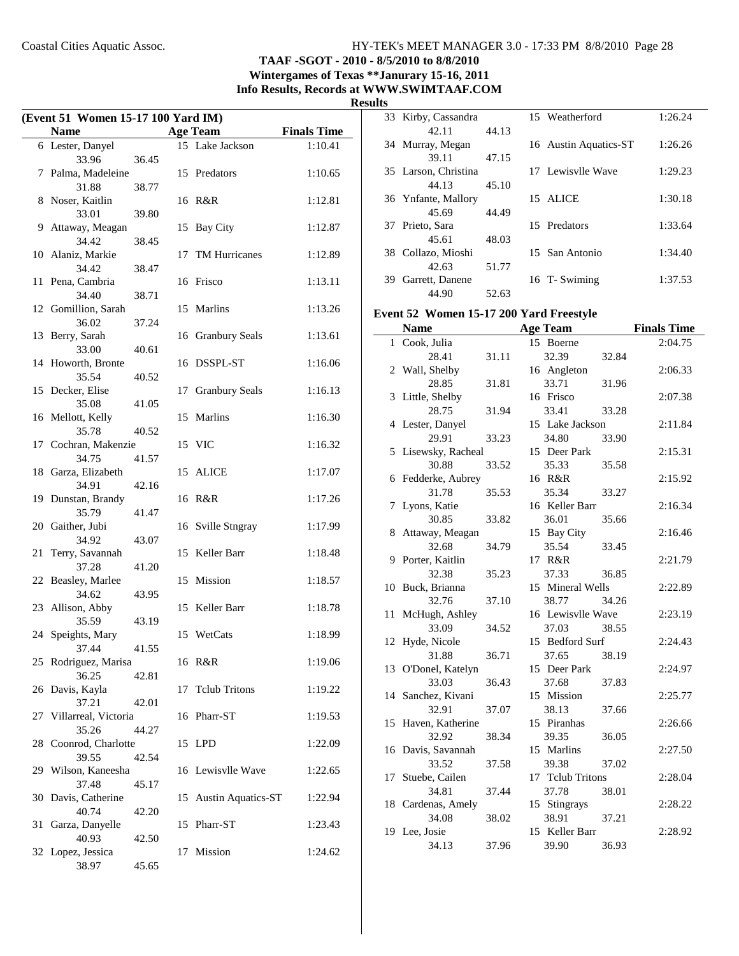$\overline{a}$ 

#### Coastal Cities Aquatic Assoc. HY-TEK's MEET MANAGER 3.0 - 17:33 PM 8/8/2010 Page 28

**TAAF -SGOT - 2010 - 8/5/2010 to 8/8/2010 Wintergames of Texas \*\*Janurary 15-16, 2011**

**Info Results, Records at WWW.SWIMTAAF.COM**

**Results**

| (Event 51 Women 15-17 100 Yard IM) |                               |       |    |                       |                    |  |
|------------------------------------|-------------------------------|-------|----|-----------------------|--------------------|--|
|                                    | <b>Name</b>                   |       |    | <b>Age Team</b>       | <b>Finals Time</b> |  |
|                                    | 6 Lester, Danyel              |       |    | 15 Lake Jackson       | 1:10.41            |  |
|                                    | 33.96                         | 36.45 |    |                       |                    |  |
| 7                                  | Palma, Madeleine              |       |    | 15 Predators          | 1:10.65            |  |
|                                    | 31.88                         | 38.77 |    |                       |                    |  |
| 8                                  | Noser, Kaitlin                |       |    | 16 R&R                | 1:12.81            |  |
|                                    | 33.01                         | 39.80 |    |                       |                    |  |
| 9                                  | Attaway, Meagan               |       | 15 | <b>Bay City</b>       | 1:12.87            |  |
|                                    | 34.42                         | 38.45 |    |                       |                    |  |
|                                    | 10 Alaniz, Markie<br>34.42    | 38.47 |    | 17 TM Hurricanes      | 1:12.89            |  |
|                                    | 11 Pena, Cambria              |       |    | 16 Frisco             | 1:13.11            |  |
|                                    | 34.40                         | 38.71 |    |                       |                    |  |
|                                    | 12 Gomillion, Sarah           |       |    | 15 Marlins            | 1:13.26            |  |
|                                    | 36.02                         | 37.24 |    |                       |                    |  |
| 13                                 | Berry, Sarah                  |       |    | 16 Granbury Seals     | 1:13.61            |  |
|                                    | 33.00                         | 40.61 |    |                       |                    |  |
|                                    | 14 Howorth, Bronte            |       |    | 16 DSSPL-ST           | 1:16.06            |  |
|                                    | 35.54                         | 40.52 |    |                       |                    |  |
|                                    | 15 Decker, Elise              |       |    | 17 Granbury Seals     | 1:16.13            |  |
|                                    | 35.08                         | 41.05 |    |                       |                    |  |
|                                    | 16 Mellott, Kelly             |       | 15 | Marlins               | 1:16.30            |  |
|                                    | 35.78                         | 40.52 |    |                       |                    |  |
|                                    | 17 Cochran, Makenzie<br>34.75 |       |    | 15 VIC                | 1:16.32            |  |
|                                    | 18 Garza, Elizabeth           | 41.57 |    | 15 ALICE              | 1:17.07            |  |
|                                    | 34.91                         | 42.16 |    |                       |                    |  |
|                                    | 19 Dunstan, Brandy            |       |    | 16 R&R                | 1:17.26            |  |
|                                    | 35.79                         | 41.47 |    |                       |                    |  |
|                                    | 20 Gaither, Jubi              |       | 16 | Sville Stngray        | 1:17.99            |  |
|                                    | 34.92                         | 43.07 |    |                       |                    |  |
| 21                                 | Terry, Savannah               |       | 15 | Keller Barr           | 1:18.48            |  |
|                                    | 37.28                         | 41.20 |    |                       |                    |  |
|                                    | 22 Beasley, Marlee            |       |    | 15 Mission            | 1:18.57            |  |
|                                    | 34.62                         | 43.95 |    |                       |                    |  |
| 23                                 | Allison, Abby<br>35.59        |       |    | 15 Keller Barr        | 1:18.78            |  |
| 24                                 | Speights, Mary                | 43.19 |    | 15 WetCats            | 1:18.99            |  |
|                                    | 37.44                         | 41.55 |    |                       |                    |  |
|                                    | 25 Rodriguez, Marisa          |       |    | 16 R&R                | 1:19.06            |  |
|                                    | 36.25                         | 42.81 |    |                       |                    |  |
|                                    | 26 Davis, Kayla               |       |    | 17 Telub Tritons      | 1:19.22            |  |
|                                    | 37.21                         | 42.01 |    |                       |                    |  |
| 27                                 | Villarreal, Victoria          |       |    | 16 Pharr-ST           | 1:19.53            |  |
|                                    | 35.26                         | 44.27 |    |                       |                    |  |
| 28                                 | Coonrod, Charlotte            |       |    | 15 LPD                | 1:22.09            |  |
|                                    | 39.55                         | 42.54 |    |                       |                    |  |
|                                    | 29 Wilson, Kaneesha           |       |    | 16 Lewisvlle Wave     | 1:22.65            |  |
|                                    | 37.48                         | 45.17 |    |                       |                    |  |
|                                    | 30 Davis, Catherine<br>40.74  | 42.20 |    | 15 Austin Aquatics-ST | 1:22.94            |  |
| 31                                 | Garza, Danyelle               |       | 15 | Pharr-ST              | 1:23.43            |  |
|                                    | 40.93                         | 42.50 |    |                       |                    |  |
|                                    | 32 Lopez, Jessica             |       | 17 | Mission               | 1:24.62            |  |
|                                    | 38.97                         | 45.65 |    |                       |                    |  |

|     | 33 Kirby, Cassandra  |       | 15 Weatherford        | 1:26.24 |
|-----|----------------------|-------|-----------------------|---------|
|     | 42.11                | 44.13 |                       |         |
|     | 34 Murray, Megan     |       | 16 Austin Aquatics-ST | 1:26.26 |
|     | 39.11                | 47.15 |                       |         |
|     | 35 Larson, Christina |       | 17 Lewisvlle Wave     | 1:29.23 |
|     | 44.13                | 45.10 |                       |         |
|     | 36 Ynfante, Mallory  |       | 15 ALICE              | 1:30.18 |
|     | 45.69                | 44.49 |                       |         |
|     | 37 Prieto, Sara      |       | 15 Predators          | 1:33.64 |
|     | 45.61                | 48.03 |                       |         |
|     | 38 Collazo, Mioshi   |       | 15 San Antonio        | 1:34.40 |
|     | 42.63                | 51.77 |                       |         |
| 39. | Garrett, Danene      |       | 16 T- Swiming         | 1:37.53 |
|     | 44.90                | 52.63 |                       |         |

## **Event 52 Women 15-17 200 Yard Freestyle**

|              | <b>Name</b>         |       | <b>Age Team</b>   |       | <b>Finals Time</b> |
|--------------|---------------------|-------|-------------------|-------|--------------------|
| $\mathbf{1}$ | Cook, Julia         |       | 15 Boerne         |       | 2:04.75            |
|              | 28.41               | 31.11 | 32.39             | 32.84 |                    |
|              | 2 Wall, Shelby      |       | 16 Angleton       |       | 2:06.33            |
|              | 28.85               | 31.81 | 33.71             | 31.96 |                    |
|              | 3 Little, Shelby    |       | 16 Frisco         |       | 2:07.38            |
|              | 28.75               | 31.94 | 33.41             | 33.28 |                    |
|              | 4 Lester, Danyel    |       | 15 Lake Jackson   |       | 2:11.84            |
|              | 29.91               | 33.23 | 34.80             | 33.90 |                    |
|              | 5 Lisewsky, Racheal |       | 15 Deer Park      |       | 2:15.31            |
|              | 30.88               | 33.52 | 35.33             | 35.58 |                    |
|              | 6 Fedderke, Aubrey  |       | 16 R&R            |       | 2:15.92            |
|              | 31.78               | 35.53 | 35.34             | 33.27 |                    |
| 7            | Lyons, Katie        |       | 16 Keller Barr    |       | 2:16.34            |
|              | 30.85               | 33.82 | 36.01             | 35.66 |                    |
| 8            | Attaway, Meagan     |       | 15 Bay City       |       | 2:16.46            |
|              | 32.68               | 34.79 | 35.54             | 33.45 |                    |
|              | 9 Porter, Kaitlin   |       | 17 R&R            |       | 2:21.79            |
|              | 32.38               | 35.23 | 37.33             | 36.85 |                    |
|              | 10 Buck, Brianna    |       | 15 Mineral Wells  |       | 2:22.89            |
|              | 32.76               | 37.10 | 38.77             | 34.26 |                    |
| 11           | McHugh, Ashley      |       | 16 Lewisvlle Wave |       | 2:23.19            |
|              | 33.09               | 34.52 | 37.03             | 38.55 |                    |
| 12           | Hyde, Nicole        |       | 15 Bedford Surf   |       | 2:24.43            |
|              | 31.88               | 36.71 | 37.65             | 38.19 |                    |
| 13           | O'Donel, Katelyn    |       | 15 Deer Park      |       | 2:24.97            |
|              | 33.03               | 36.43 | 37.68             | 37.83 |                    |
|              | 14 Sanchez, Kivani  |       | 15 Mission        |       | 2:25.77            |
|              | 32.91               | 37.07 | 38.13             | 37.66 |                    |
|              | 15 Haven, Katherine |       | 15 Piranhas       |       | 2:26.66            |
|              | 32.92               | 38.34 | 39.35             | 36.05 |                    |
|              | 16 Davis, Savannah  |       | 15 Marlins        |       | 2:27.50            |
|              | 33.52               | 37.58 | 39.38             | 37.02 |                    |
|              | 17 Stuebe, Cailen   |       | 17 Tclub Tritons  |       | 2:28.04            |
|              | 34.81               | 37.44 | 37.78             | 38.01 |                    |
|              | 18 Cardenas, Amely  |       | 15 Stingrays      |       | 2:28.22            |
|              | 34.08               | 38.02 | 38.91             | 37.21 |                    |
|              | 19 Lee, Josie       |       | 15 Keller Barr    |       | 2:28.92            |
|              | 34.13               | 37.96 | 39.90             | 36.93 |                    |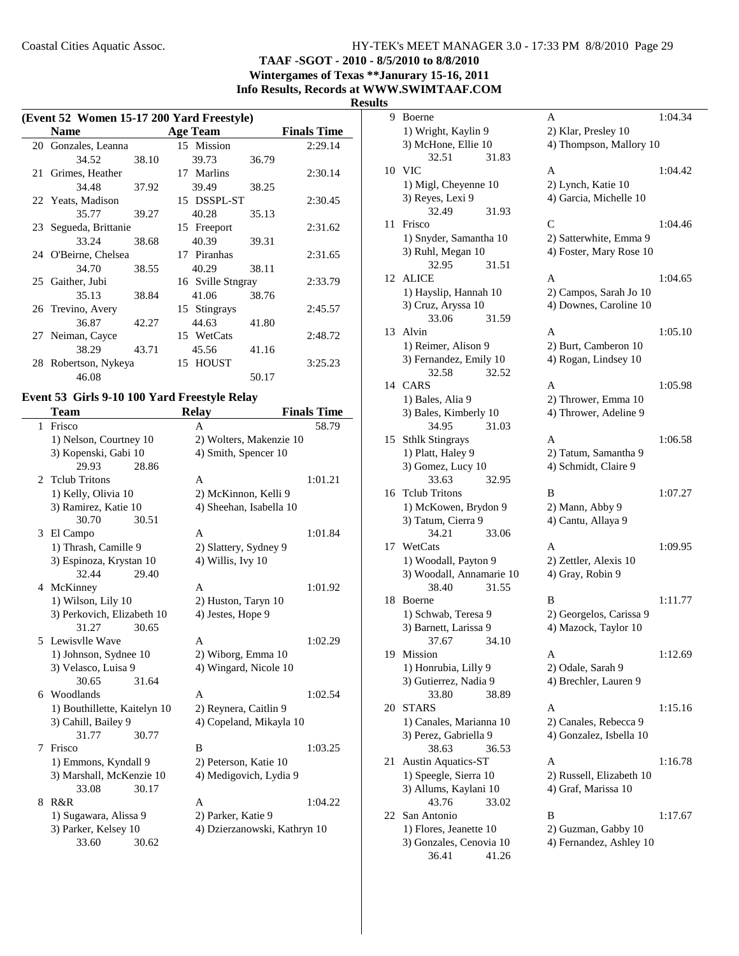**TAAF -SGOT - 2010 - 8/5/2010 to 8/8/2010 Wintergames of Texas \*\*Janurary 15-16, 2011**

**Info Results, Records at WWW.SWIMTAAF.COM**

#### **Results**

|    | (Event 52 Women 15-17 200 Yard Freestyle) |       |    |                   |       |                    |  |
|----|-------------------------------------------|-------|----|-------------------|-------|--------------------|--|
|    | <b>Name</b>                               |       |    | <b>Age Team</b>   |       | <b>Finals Time</b> |  |
|    | 20 Gonzales, Leanna                       |       |    | 15 Mission        |       | 2:29.14            |  |
|    | 34.52                                     | 38.10 |    | 39.73             | 36.79 |                    |  |
| 21 | Grimes, Heather                           |       | 17 | Marlins           |       | 2:30.14            |  |
|    | 34.48                                     | 37.92 |    | 39.49             | 38.25 |                    |  |
|    | 22 Yeats, Madison                         |       |    | 15 DSSPL-ST       |       | 2:30.45            |  |
|    | 35.77                                     | 39.27 |    | 40.28             | 35.13 |                    |  |
|    | 23 Segueda, Brittanie                     |       |    | 15 Freeport       |       | 2:31.62            |  |
|    | 33.24                                     | 38.68 |    | 40.39             | 39.31 |                    |  |
|    | 24 O'Beirne, Chelsea                      |       |    | 17 Piranhas       |       | 2:31.65            |  |
|    | 34.70                                     | 38.55 |    | 40.29             | 38.11 |                    |  |
|    | 25 Gaither, Jubi                          |       |    | 16 Sville Stngray |       | 2:33.79            |  |
|    | 35.13                                     | 38.84 |    | 41.06             | 38.76 |                    |  |
|    | 26 Trevino, Avery                         |       |    | 15 Stingrays      |       | 2:45.57            |  |
|    | 36.87                                     | 42.27 |    | 44.63             | 41.80 |                    |  |
|    | 27 Neiman, Cayce                          |       |    | 15 WetCats        |       | 2:48.72            |  |
|    | 38.29                                     | 43.71 |    | 45.56             | 41.16 |                    |  |
|    | 28 Robertson, Nykeya                      |       |    | 15 HOUST          |       | 3:25.23            |  |
|    | 46.08                                     |       |    |                   | 50.17 |                    |  |

#### **Event 53 Girls 9-10 100 Yard Freestyle Relay**

|                | Team                         | <b>Relay</b>                 | <b>Finals Time</b> |
|----------------|------------------------------|------------------------------|--------------------|
| 1              | Frisco                       | A                            | 58.79              |
|                | 1) Nelson, Courtney 10       | 2) Wolters, Makenzie 10      |                    |
|                | 3) Kopenski, Gabi 10         | 4) Smith, Spencer 10         |                    |
|                | 29.93<br>28.86               |                              |                    |
| $\mathfrak{D}$ | <b>Telub Tritons</b>         | A                            | 1:01.21            |
|                | 1) Kelly, Olivia 10          | 2) McKinnon, Kelli 9         |                    |
|                | 3) Ramirez, Katie 10         | 4) Sheehan, Isabella 10      |                    |
|                | 30.70<br>30.51               |                              |                    |
| 3              | El Campo                     | A                            | 1:01.84            |
|                | 1) Thrash, Camille 9         | 2) Slattery, Sydney 9        |                    |
|                | 3) Espinoza, Krystan 10      | 4) Willis, Ivy 10            |                    |
|                | 32.44<br>29.40               |                              |                    |
|                | 4 McKinney                   | A                            | 1:01.92            |
|                | 1) Wilson, Lily 10           | 2) Huston, Taryn 10          |                    |
|                | 3) Perkovich, Elizabeth 10   | 4) Jestes, Hope 9            |                    |
|                | 31.27<br>30.65               |                              |                    |
|                | 5 Lewisvlle Wave             | A                            | 1:02.29            |
|                | 1) Johnson, Sydnee 10        | 2) Wiborg, Emma 10           |                    |
|                | 3) Velasco, Luisa 9          | 4) Wingard, Nicole 10        |                    |
|                | 30.65<br>31.64               |                              |                    |
| 6              | Woodlands                    | A                            | 1:02.54            |
|                | 1) Bouthillette, Kaitelyn 10 | 2) Reynera, Caitlin 9        |                    |
|                | 3) Cahill, Bailey 9          | 4) Copeland, Mikayla 10      |                    |
|                | 31.77<br>30.77               |                              |                    |
| 7              | Frisco                       | B                            | 1:03.25            |
|                | 1) Emmons, Kyndall 9         | 2) Peterson, Katie 10        |                    |
|                | 3) Marshall, McKenzie 10     | 4) Medigovich, Lydia 9       |                    |
|                | 33.08<br>30.17               |                              |                    |
| 8              | R&R                          | A                            | 1:04.22            |
|                | 1) Sugawara, Alissa 9        | 2) Parker, Katie 9           |                    |
|                | 3) Parker, Kelsey 10         | 4) Dzierzanowski, Kathryn 10 |                    |
|                | 33.60<br>30.62               |                              |                    |

| S  |                                           |                          |         |
|----|-------------------------------------------|--------------------------|---------|
| 9  | Boerne                                    | Α                        | 1:04.34 |
|    | 1) Wright, Kaylin 9                       | 2) Klar, Presley 10      |         |
|    | 3) McHone, Ellie 10                       | 4) Thompson, Mallory 10  |         |
|    | 32.51<br>31.83                            |                          |         |
| 10 | <b>VIC</b>                                | А                        | 1:04.42 |
|    | 1) Migl, Cheyenne 10                      | 2) Lynch, Katie 10       |         |
|    | 3) Reyes, Lexi 9                          | 4) Garcia, Michelle 10   |         |
|    | 32.49<br>31.93                            |                          |         |
| 11 | Frisco                                    | C                        | 1:04.46 |
|    | 1) Snyder, Samantha 10                    | 2) Satterwhite, Emma 9   |         |
|    | 3) Ruhl, Megan 10                         | 4) Foster, Mary Rose 10  |         |
|    | 32.95<br>31.51                            |                          |         |
| 12 | <b>ALICE</b>                              | A                        | 1:04.65 |
|    | 1) Hayslip, Hannah 10                     | 2) Campos, Sarah Jo 10   |         |
|    | 3) Cruz, Aryssa 10                        | 4) Downes, Caroline 10   |         |
|    | 33.06<br>31.59                            |                          |         |
| 13 | Alvin                                     | A                        | 1:05.10 |
|    | 1) Reimer, Alison 9                       | 2) Burt, Camberon 10     |         |
|    | 3) Fernandez, Emily 10                    | 4) Rogan, Lindsey 10     |         |
|    | 32.58<br>32.52<br>14 CARS                 | A                        |         |
|    |                                           |                          | 1:05.98 |
|    | 1) Bales, Alia 9<br>3) Bales, Kimberly 10 | 2) Thrower, Emma 10      |         |
|    | 34.95<br>31.03                            | 4) Thrower, Adeline 9    |         |
| 15 | <b>Sthlk Stingrays</b>                    | А                        | 1:06.58 |
|    | 1) Platt, Haley 9                         | 2) Tatum, Samantha 9     |         |
|    | 3) Gomez, Lucy 10                         | 4) Schmidt, Claire 9     |         |
|    | 33.63<br>32.95                            |                          |         |
| 16 | <b>Tclub Tritons</b>                      | B                        | 1:07.27 |
|    | 1) McKowen, Brydon 9                      | 2) Mann, Abby 9          |         |
|    | 3) Tatum, Cierra 9                        | 4) Cantu, Allaya 9       |         |
|    | 34.21<br>33.06                            |                          |         |
| 17 | WetCats                                   | А                        | 1:09.95 |
|    | 1) Woodall, Payton 9                      | 2) Zettler, Alexis 10    |         |
|    | 3) Woodall, Annamarie 10                  | 4) Gray, Robin 9         |         |
|    | 38.40<br>31.55                            |                          |         |
| 18 | Boerne                                    | B                        | 1:11.77 |
|    | 1) Schwab, Teresa 9                       | 2) Georgelos, Carissa 9  |         |
|    | 3) Barnett, Larissa 9                     | 4) Mazock, Taylor 10     |         |
|    | 37.67<br>34.10                            |                          |         |
| 19 | Mission                                   | A                        | 1:12.69 |
|    | 1) Honrubia, Lilly 9                      | 2) Odale, Sarah 9        |         |
|    | 3) Gutierrez, Nadia 9                     | 4) Brechler, Lauren 9    |         |
|    | 33.80<br>38.89                            |                          |         |
| 20 | <b>STARS</b>                              | A                        | 1:15.16 |
|    | 1) Canales, Marianna 10                   | 2) Canales, Rebecca 9    |         |
|    | 3) Perez, Gabriella 9                     | 4) Gonzalez, Isbella 10  |         |
|    | 38.63<br>36.53                            |                          |         |
| 21 | <b>Austin Aquatics-ST</b>                 | A                        | 1:16.78 |
|    | 1) Speegle, Sierra 10                     | 2) Russell, Elizabeth 10 |         |
|    | 3) Allums, Kaylani 10                     | 4) Graf, Marissa 10      |         |
| 22 | 43.76<br>33.02<br>San Antonio             | B                        | 1:17.67 |
|    | 1) Flores, Jeanette 10                    | 2) Guzman, Gabby 10      |         |
|    | 3) Gonzales, Cenovia 10                   | 4) Fernandez, Ashley 10  |         |
|    | 36.41<br>41.26                            |                          |         |
|    |                                           |                          |         |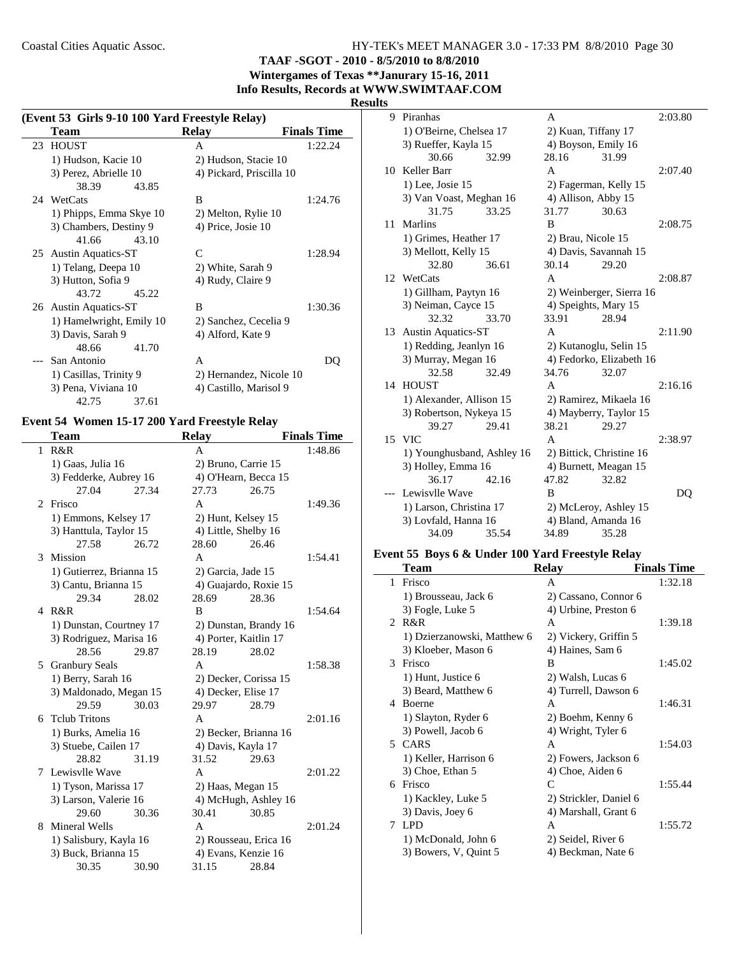**TAAF -SGOT - 2010 - 8/5/2010 to 8/8/2010**

**Wintergames of Texas \*\*Janurary 15-16, 2011 Info Results, Records at WWW.SWIMTAAF.COM**

#### **Results**

| (Event 53 Girls 9-10 100 Yard Freestyle Relay) |                          |                    |  |
|------------------------------------------------|--------------------------|--------------------|--|
| Team                                           | Relay                    | <b>Finals Time</b> |  |
| 23 HOUST                                       | A                        | 1:22.24            |  |
| 1) Hudson, Kacie 10                            | 2) Hudson, Stacie 10     |                    |  |
| 3) Perez, Abrielle 10                          | 4) Pickard, Priscilla 10 |                    |  |
| 38.39<br>43.85                                 |                          |                    |  |
| 24 WetCats                                     | B                        | 1:24.76            |  |
| 1) Phipps, Emma Skye 10                        | 2) Melton, Rylie 10      |                    |  |
| 3) Chambers, Destiny 9                         | 4) Price, Josie 10       |                    |  |
| 41.66<br>43.10                                 |                          |                    |  |
| 25 Austin Aquatics-ST                          | C                        | 1:28.94            |  |
| 1) Telang, Deepa 10                            | 2) White, Sarah 9        |                    |  |
| 3) Hutton, Sofia 9                             | 4) Rudy, Claire 9        |                    |  |
| 43.72<br>45.22                                 |                          |                    |  |
| 26 Austin Aquatics-ST                          | B                        | 1:30.36            |  |
| 1) Hamelwright, Emily 10                       | 2) Sanchez, Cecelia 9    |                    |  |
| 3) Davis, Sarah 9                              | 4) Alford, Kate 9        |                    |  |
| 48.66<br>41.70                                 |                          |                    |  |
| San Antonio                                    | A                        | DO                 |  |
| 1) Casillas, Trinity 9                         | 2) Hernandez, Nicole 10  |                    |  |
| 3) Pena, Viviana 10                            | 4) Castillo, Marisol 9   |                    |  |
| 42.75<br>37.61                                 |                          |                    |  |

# **Event 54 Women 15-17 200 Yard Freestyle Relay**

 $\overline{\phantom{0}}$ 

|                | Team                     |       | <b>Relay</b>          |                       | <b>Finals Time</b> |
|----------------|--------------------------|-------|-----------------------|-----------------------|--------------------|
| $\mathbf{1}$   | R&R                      |       | A                     |                       | 1:48.86            |
|                | 1) Gaas, Julia 16        |       | 2) Bruno, Carrie 15   |                       |                    |
|                | 3) Fedderke, Aubrey 16   |       | 4) O'Hearn, Becca 15  |                       |                    |
|                | 27.04                    | 27.34 | 27.73                 | 26.75                 |                    |
| $\mathfrak{D}$ | Frisco                   |       | A                     |                       | 1:49.36            |
|                | 1) Emmons, Kelsey 17     |       | 2) Hunt, Kelsey 15    |                       |                    |
|                | 3) Hanttula, Taylor 15   |       | 4) Little, Shelby 16  |                       |                    |
|                | 27.58                    | 26.72 | 28.60                 | 26.46                 |                    |
| 3              | Mission                  |       | A                     |                       | 1:54.41            |
|                | 1) Gutierrez, Brianna 15 |       | 2) Garcia, Jade 15    |                       |                    |
|                | 3) Cantu, Brianna 15     |       |                       | 4) Guajardo, Roxie 15 |                    |
|                | 29.34                    | 28.02 | 28.69                 | 28.36                 |                    |
|                | 4 R&R                    |       | B                     |                       | 1:54.64            |
|                | 1) Dunstan, Courtney 17  |       |                       | 2) Dunstan, Brandy 16 |                    |
|                | 3) Rodriguez, Marisa 16  |       | 4) Porter, Kaitlin 17 |                       |                    |
|                | 28.56                    | 29.87 | 28.19                 | 28.02                 |                    |
| 5              | <b>Granbury Seals</b>    |       | A                     |                       | 1:58.38            |
|                | 1) Berry, Sarah 16       |       | 2) Decker, Corissa 15 |                       |                    |
|                | 3) Maldonado, Megan 15   |       | 4) Decker, Elise 17   |                       |                    |
|                | 29.59                    | 30.03 | 29.97                 | 28.79                 |                    |
|                | 6 Telub Tritons          |       | A                     |                       | 2:01.16            |
|                | 1) Burks, Amelia 16      |       |                       | 2) Becker, Brianna 16 |                    |
|                | 3) Stuebe, Cailen 17     |       | 4) Davis, Kayla 17    |                       |                    |
|                | 28.82                    | 31.19 | 31.52                 | 29.63                 |                    |
|                | 7 Lewisylle Wave         |       | A                     |                       | 2:01.22            |
|                | 1) Tyson, Marissa 17     |       | 2) Haas, Megan 15     |                       |                    |
|                | 3) Larson, Valerie 16    |       |                       | 4) McHugh, Ashley 16  |                    |
|                | 29.60                    | 30.36 | 30.41                 | 30.85                 |                    |
| 8              | Mineral Wells            |       | A                     |                       | 2:01.24            |
|                | 1) Salisbury, Kayla 16   |       |                       | 2) Rousseau, Erica 16 |                    |
|                | 3) Buck, Brianna 15      |       | 4) Evans, Kenzie 16   |                       |                    |
|                | 30.35                    | 30.90 | 31.15                 | 28.84                 |                    |

| 9  | Piranhas                   |       | A                        |                          | 2:03.80 |
|----|----------------------------|-------|--------------------------|--------------------------|---------|
|    | 1) O'Beirne, Chelsea 17    |       | 2) Kuan, Tiffany 17      |                          |         |
|    | 3) Rueffer, Kayla 15       |       | 4) Boyson, Emily 16      |                          |         |
|    | 30.66                      | 32.99 | 28.16                    | 31.99                    |         |
| 10 | Keller Barr                |       | A                        |                          | 2:07.40 |
|    | 1) Lee, Josie 15           |       | 2) Fagerman, Kelly 15    |                          |         |
|    | 3) Van Voast, Meghan 16    |       | 4) Allison, Abby 15      |                          |         |
|    | 31.75                      | 33.25 | 31.77                    | 30.63                    |         |
| 11 | Marlins                    |       | B                        |                          | 2:08.75 |
|    | 1) Grimes, Heather 17      |       | 2) Brau, Nicole 15       |                          |         |
|    | 3) Mellott, Kelly 15       |       | 4) Davis, Savannah 15    |                          |         |
|    | 32.80                      | 36.61 | 30.14                    | 29.20                    |         |
| 12 | WetCats                    |       | A                        |                          | 2:08.87 |
|    | 1) Gillham, Paytyn 16      |       |                          | 2) Weinberger, Sierra 16 |         |
|    | 3) Neiman, Cayce 15        |       | 4) Speights, Mary 15     |                          |         |
|    | 32.32                      | 33.70 | 33.91                    | 28.94                    |         |
| 13 | <b>Austin Aquatics-ST</b>  |       | A                        |                          | 2:11.90 |
|    | 1) Redding, Jeanlyn 16     |       | 2) Kutanoglu, Selin 15   |                          |         |
|    | 3) Murray, Megan 16        |       |                          | 4) Fedorko, Elizabeth 16 |         |
|    | 32.58                      | 32.49 | 34.76                    | 32.07                    |         |
| 14 | <b>HOUST</b>               |       | A                        |                          | 2:16.16 |
|    | 1) Alexander, Allison 15   |       |                          | 2) Ramirez, Mikaela 16   |         |
|    | 3) Robertson, Nykeya 15    |       |                          | 4) Mayberry, Taylor 15   |         |
|    | 39.27                      | 29.41 | 38.21                    | 29.27                    |         |
| 15 | VIC.                       |       | A                        |                          | 2:38.97 |
|    | 1) Younghusband, Ashley 16 |       | 2) Bittick, Christine 16 |                          |         |
|    | 3) Holley, Emma 16         |       | 4) Burnett, Meagan 15    |                          |         |
|    | 36.17                      | 42.16 | 47.82                    | 32.82                    |         |
|    | Lewisvlle Wave             |       | B                        |                          | DO      |
|    | 1) Larson, Christina 17    |       |                          | 2) McLeroy, Ashley 15    |         |
|    | 3) Lovfald, Hanna 16       |       | 4) Bland, Amanda 16      |                          |         |
|    | 34.09                      | 35.54 | 34.89                    | 35.28                    |         |

## **Event 55 Boys 6 & Under 100 Yard Freestyle Relay**

| Team               |                             | <b>Relay</b>           | <b>Finals Time</b> |
|--------------------|-----------------------------|------------------------|--------------------|
| Frisco<br>1        |                             | A                      | 1:32.18            |
|                    | 1) Brousseau, Jack 6        | 2) Cassano, Connor 6   |                    |
|                    | 3) Fogle, Luke 5            | 4) Urbine, Preston 6   |                    |
| 2 R&R              |                             | A                      | 1:39.18            |
|                    | 1) Dzierzanowski, Matthew 6 | 2) Vickery, Griffin 5  |                    |
|                    | 3) Kloeber, Mason 6         | 4) Haines, Sam 6       |                    |
| Frisco<br>3        |                             | B                      | 1:45.02            |
|                    | 1) Hunt, Justice 6          | 2) Walsh, Lucas 6      |                    |
|                    | 3) Beard, Matthew 6         | 4) Turrell, Dawson 6   |                    |
| <b>Boerne</b><br>4 |                             | A                      | 1:46.31            |
|                    | 1) Slayton, Ryder 6         | 2) Boehm, Kenny 6      |                    |
|                    | 3) Powell, Jacob 6          | 4) Wright, Tyler 6     |                    |
| 5 CARS             |                             | A                      | 1:54.03            |
|                    | 1) Keller, Harrison 6       | 2) Fowers, Jackson 6   |                    |
|                    | 3) Choe, Ethan 5            | 4) Choe, Aiden 6       |                    |
| Frisco<br>6        |                             | C                      | 1:55.44            |
|                    | 1) Kackley, Luke 5          | 2) Strickler, Daniel 6 |                    |
|                    | 3) Davis, Joey 6            | 4) Marshall, Grant 6   |                    |
| <b>LPD</b><br>7    |                             | A                      | 1:55.72            |
|                    | 1) McDonald, John 6         | 2) Seidel, River 6     |                    |
|                    | 3) Bowers, V, Quint 5       | 4) Beckman, Nate 6     |                    |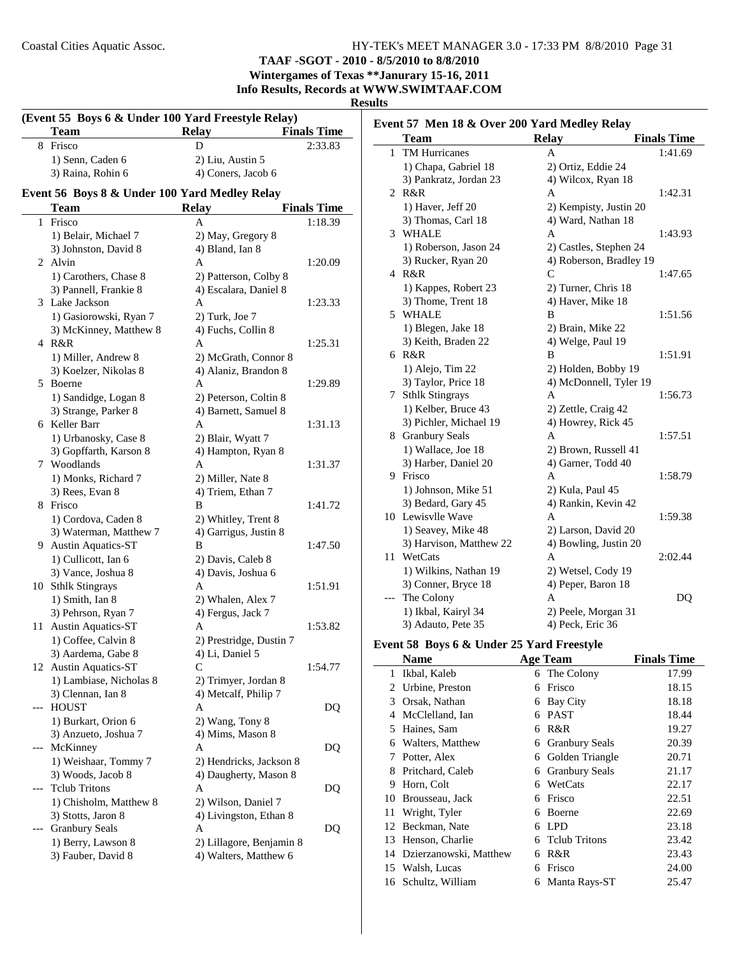## **TAAF -SGOT - 2010 - 8/5/2010 to 8/8/2010**

**Wintergames of Texas \*\*Janurary 15-16, 2011 Info Results, Records at WWW.SWIMTAAF.COM**

#### **Results**

| (Event 55 Boys 6 & Under 100 Yard Freestyle Relay) |                                               |                          |                    |  |
|----------------------------------------------------|-----------------------------------------------|--------------------------|--------------------|--|
|                                                    | Team                                          | <b>Relay</b>             | <b>Finals Time</b> |  |
|                                                    | 8 Frisco                                      | D                        | 2:33.83            |  |
|                                                    | 1) Senn, Caden 6                              | 2) Liu, Austin 5         |                    |  |
|                                                    | 3) Raina, Rohin 6                             | 4) Coners, Jacob 6       |                    |  |
|                                                    | Event 56 Boys 8 & Under 100 Yard Medley Relay |                          |                    |  |
|                                                    | <b>Team</b>                                   | <b>Relay</b>             | <b>Finals Time</b> |  |
|                                                    | 1 Frisco                                      | A                        | 1:18.39            |  |
|                                                    | 1) Belair, Michael 7                          | 2) May, Gregory 8        |                    |  |
|                                                    | 3) Johnston, David 8                          | 4) Bland, Ian 8          |                    |  |
|                                                    | 2 Alvin                                       | A                        | 1:20.09            |  |
|                                                    | 1) Carothers, Chase 8                         | 2) Patterson, Colby 8    |                    |  |
|                                                    | 3) Pannell, Frankie 8                         | 4) Escalara, Daniel 8    |                    |  |
|                                                    | 3 Lake Jackson                                | A                        | 1:23.33            |  |
|                                                    | 1) Gasiorowski, Ryan 7                        | $2)$ Turk, Joe $7$       |                    |  |
|                                                    | 3) McKinney, Matthew 8                        | 4) Fuchs, Collin 8       |                    |  |
|                                                    | 4 R&R                                         | A                        | 1:25.31            |  |
|                                                    | 1) Miller, Andrew 8                           | 2) McGrath, Connor 8     |                    |  |
|                                                    | 3) Koelzer, Nikolas 8                         | 4) Alaniz, Brandon 8     |                    |  |
| 5                                                  | Boerne                                        | A                        | 1:29.89            |  |
|                                                    | 1) Sandidge, Logan 8                          | 2) Peterson, Coltin 8    |                    |  |
|                                                    | 3) Strange, Parker 8                          | 4) Barnett, Samuel 8     |                    |  |
|                                                    | 6 Keller Barr                                 | A                        | 1:31.13            |  |
|                                                    | 1) Urbanosky, Case 8                          | 2) Blair, Wyatt 7        |                    |  |
|                                                    | 3) Gopffarth, Karson 8                        | 4) Hampton, Ryan 8       |                    |  |
|                                                    | 7 Woodlands                                   | A                        | 1:31.37            |  |
|                                                    | 1) Monks, Richard 7                           | 2) Miller, Nate 8        |                    |  |
|                                                    | 3) Rees, Evan 8                               | 4) Triem, Ethan 7        |                    |  |
|                                                    | 8 Frisco                                      | B                        | 1:41.72            |  |
|                                                    | 1) Cordova, Caden 8                           | 2) Whitley, Trent 8      |                    |  |
|                                                    | 3) Waterman, Matthew 7                        | 4) Garrigus, Justin 8    |                    |  |
| 9.                                                 | <b>Austin Aquatics-ST</b>                     | В                        | 1:47.50            |  |
|                                                    | 1) Cullicott, Ian 6                           | 2) Davis, Caleb 8        |                    |  |
|                                                    | 3) Vance, Joshua 8                            | 4) Davis, Joshua 6       |                    |  |
|                                                    | 10 Sthlk Stingrays                            | A                        | 1:51.91            |  |
|                                                    | 1) Smith, Ian 8                               | 2) Whalen, Alex 7        |                    |  |
|                                                    | 3) Pehrson, Ryan 7                            | 4) Fergus, Jack 7        |                    |  |
| 11                                                 | <b>Austin Aquatics-ST</b>                     | A                        | 1:53.82            |  |
|                                                    | 1) Coffee, Calvin 8                           | 2) Prestridge, Dustin 7  |                    |  |
|                                                    | 3) Aardema, Gabe 8                            | 4) Li, Daniel 5          |                    |  |
| 12                                                 | <b>Austin Aquatics-ST</b>                     | С                        | 1:54.77            |  |
|                                                    | 1) Lambiase, Nicholas 8                       | 2) Trimyer, Jordan 8     |                    |  |
|                                                    | 3) Clennan, Ian 8                             | 4) Metcalf, Philip 7     |                    |  |
| ---                                                | <b>HOUST</b>                                  | A                        | DQ                 |  |
|                                                    | 1) Burkart, Orion 6                           | 2) Wang, Tony 8          |                    |  |
|                                                    | 3) Anzueto, Joshua 7                          | 4) Mims, Mason 8         |                    |  |
| ---                                                | McKinney                                      | A                        | DQ                 |  |
|                                                    | 1) Weishaar, Tommy 7                          | 2) Hendricks, Jackson 8  |                    |  |
|                                                    | 3) Woods, Jacob 8                             | 4) Daugherty, Mason 8    |                    |  |
| ---                                                | <b>Tclub Tritons</b>                          | А                        | DQ                 |  |
|                                                    | 1) Chisholm, Matthew 8                        | 2) Wilson, Daniel 7      |                    |  |
|                                                    | 3) Stotts, Jaron 8                            | 4) Livingston, Ethan 8   |                    |  |
|                                                    | <b>Granbury Seals</b>                         | Α                        | DQ                 |  |
|                                                    | 1) Berry, Lawson 8                            | 2) Lillagore, Benjamin 8 |                    |  |
|                                                    | 3) Fauber, David 8                            | 4) Walters, Matthew 6    |                    |  |

| Event 57 Men 18 & Over 200 Yard Medley Relay |                         |                         |                    |  |
|----------------------------------------------|-------------------------|-------------------------|--------------------|--|
|                                              | <b>Team</b>             | <b>Relay</b>            | <b>Finals Time</b> |  |
| 1                                            | <b>TM Hurricanes</b>    | A                       | 1:41.69            |  |
|                                              | 1) Chapa, Gabriel 18    | 2) Ortiz, Eddie 24      |                    |  |
|                                              | 3) Pankratz, Jordan 23  | 4) Wilcox, Ryan 18      |                    |  |
|                                              | 2 R&R                   | A                       | 1:42.31            |  |
|                                              | 1) Haver, Jeff 20       | 2) Kempisty, Justin 20  |                    |  |
|                                              | 3) Thomas, Carl 18      | 4) Ward, Nathan 18      |                    |  |
| 3                                            | <b>WHALE</b>            | A                       | 1:43.93            |  |
|                                              | 1) Roberson, Jason 24   | 2) Castles, Stephen 24  |                    |  |
|                                              | 3) Rucker, Ryan 20      | 4) Roberson, Bradley 19 |                    |  |
|                                              | 4 R&R                   | $\mathsf{C}$            | 1:47.65            |  |
|                                              | 1) Kappes, Robert 23    | 2) Turner, Chris 18     |                    |  |
|                                              | 3) Thome, Trent 18      | 4) Haver, Mike 18       |                    |  |
|                                              | 5 WHALE                 | B                       | 1:51.56            |  |
|                                              | 1) Blegen, Jake 18      | 2) Brain, Mike 22       |                    |  |
|                                              | 3) Keith, Braden 22     | 4) Welge, Paul 19       |                    |  |
|                                              | 6 R&R                   | В                       | 1:51.91            |  |
|                                              | 1) Alejo, Tim 22        | 2) Holden, Bobby 19     |                    |  |
|                                              | 3) Taylor, Price 18     | 4) McDonnell, Tyler 19  |                    |  |
| 7                                            | <b>Sthlk Stingrays</b>  | A                       | 1:56.73            |  |
|                                              | 1) Kelber, Bruce 43     | 2) Zettle, Craig 42     |                    |  |
|                                              | 3) Pichler, Michael 19  | 4) Howrey, Rick 45      |                    |  |
|                                              | 8 Granbury Seals        | A                       | 1:57.51            |  |
|                                              | 1) Wallace, Joe 18      | 2) Brown, Russell 41    |                    |  |
|                                              | 3) Harber, Daniel 20    | 4) Garner, Todd 40      |                    |  |
|                                              | 9 Frisco                | A                       | 1:58.79            |  |
|                                              | 1) Johnson, Mike 51     | 2) Kula, Paul 45        |                    |  |
|                                              | 3) Bedard, Gary 45      | 4) Rankin, Kevin 42     |                    |  |
|                                              | 10 Lewisvlle Wave       | A                       | 1:59.38            |  |
|                                              | 1) Seavey, Mike 48      | 2) Larson, David 20     |                    |  |
|                                              | 3) Harvison, Matthew 22 | 4) Bowling, Justin 20   |                    |  |
|                                              | 11 WetCats              | A                       | 2:02.44            |  |
|                                              | 1) Wilkins, Nathan 19   | 2) Wetsel, Cody 19      |                    |  |
|                                              | 3) Conner, Bryce 18     | 4) Peper, Baron 18      |                    |  |
| ---                                          | The Colony              | A                       | DQ                 |  |
|                                              | 1) Ikbal, Kairyl 34     | 2) Peele, Morgan 31     |                    |  |
|                                              | 3) Adauto, Pete 35      | 4) Peck, Eric 36        |                    |  |
|                                              |                         |                         |                    |  |

## **Event 58 Boys 6 & Under 25 Yard Freestyle**

| <b>Name</b>               |    |                       | <b>Finals Time</b>                                      |
|---------------------------|----|-----------------------|---------------------------------------------------------|
| Ikbal, Kaleb              |    |                       | 17.99                                                   |
| 2 Urbine, Preston         | 6  | Frisco                | 18.15                                                   |
| Orsak, Nathan             | 6  | Bay City              | 18.18                                                   |
| McClelland, Ian           | 6  | <b>PAST</b>           | 18.44                                                   |
| Haines, Sam               | 6  | R&R                   | 19.27                                                   |
| Walters, Matthew          | 6  | <b>Granbury Seals</b> | 20.39                                                   |
| Potter, Alex              | 6  | Golden Triangle       | 20.71                                                   |
| Pritchard, Caleb          | 6  | <b>Granbury Seals</b> | 21.17                                                   |
| Horn, Colt                | 6  | WetCats               | 22.17                                                   |
| Brousseau, Jack           | 6  | Frisco                | 22.51                                                   |
| Wright, Tyler             | 6  | Boerne                | 22.69                                                   |
| 12 Beckman, Nate          | 6  | LPD                   | 23.18                                                   |
| Henson, Charlie           | 6. |                       | 23.42                                                   |
| 14 Dzierzanowski, Matthew | 6  | R&R                   | 23.43                                                   |
| 15 Walsh, Lucas           | 6  | Frisco                | 24.00                                                   |
| 16 Schultz, William       | 6  | Manta Rays-ST         | 25.47                                                   |
|                           |    |                       | <b>Age Team</b><br>6 The Colony<br><b>Telub Tritons</b> |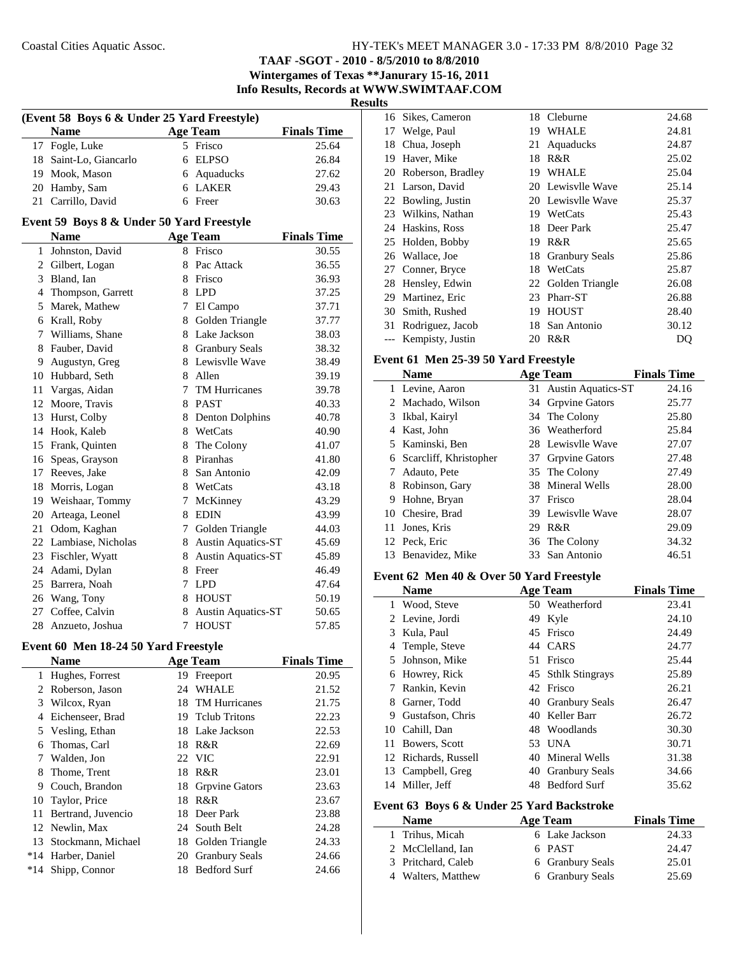**TAAF -SGOT - 2010 - 8/5/2010 to 8/8/2010 Wintergames of Texas \*\*Janurary 15-16, 2011**

**Info Results, Records at WWW.SWIMTAAF.COM**

| H<br>п<br>w |  |
|-------------|--|
|             |  |

| (Event 58 Boys 6 & Under 25 Yard Freestyle) |  |                 |                    |  |
|---------------------------------------------|--|-----------------|--------------------|--|
| <b>Name</b>                                 |  | <b>Age Team</b> | <b>Finals Time</b> |  |
| 17 Fogle, Luke                              |  | 5 Frisco        | 25.64              |  |
| 18 Saint-Lo, Giancarlo                      |  | 6 ELPSO         | 26.84              |  |
| 19 Mook, Mason                              |  | 6 Aquaducks     | 27.62              |  |
| 20 Hamby, Sam                               |  | 6 LAKER         | 29.43              |  |
| 21 Carrillo, David                          |  | 6 Freer         | 30.63              |  |

#### **Event 59 Boys 8 & Under 50 Yard Freestyle**

|                | <b>Name</b>        |    | <b>Age Team</b>           | <b>Finals Time</b> |
|----------------|--------------------|----|---------------------------|--------------------|
| 1              | Johnston, David    | 8  | Frisco                    | 30.55              |
| 2              | Gilbert, Logan     | 8  | Pac Attack                | 36.55              |
| 3              | Bland, Ian         | 8  | Frisco                    | 36.93              |
| $\overline{4}$ | Thompson, Garrett  | 8  | <b>LPD</b>                | 37.25              |
| 5              | Marek, Mathew      | 7  | El Campo                  | 37.71              |
| 6              | Krall, Roby        | 8  | Golden Triangle           | 37.77              |
| 7              | Williams, Shane    | 8  | Lake Jackson              | 38.03              |
| 8              | Fauber, David      | 8  | <b>Granbury Seals</b>     | 38.32              |
| 9              | Augustyn, Greg     | 8  | Lewisvlle Wave            | 38.49              |
| 10             | Hubbard, Seth      | 8. | Allen                     | 39.19              |
| 11             | Vargas, Aidan      | 7  | TM Hurricanes             | 39.78              |
| 12             | Moore, Travis      | 8  | <b>PAST</b>               | 40.33              |
| 13             | Hurst, Colby       | 8  | <b>Denton Dolphins</b>    | 40.78              |
| 14             | Hook, Kaleb        | 8  | WetCats                   | 40.90              |
| 15             | Frank, Quinten     | 8  | The Colony                | 41.07              |
| 16             | Speas, Grayson     | 8  | Piranhas                  | 41.80              |
| 17             | Reeves, Jake       | 8. | San Antonio               | 42.09              |
| 18             | Morris, Logan      | 8  | WetCats                   | 43.18              |
| 19             | Weishaar, Tommy    | 7  | McKinney                  | 43.29              |
| 20             | Arteaga, Leonel    | 8  | <b>EDIN</b>               | 43.99              |
| 21             | Odom, Kaghan       | 7  | Golden Triangle           | 44.03              |
| 22             | Lambiase, Nicholas | 8  | Austin Aquatics-ST        | 45.69              |
| 23             | Fischler, Wyatt    | 8  | <b>Austin Aquatics-ST</b> | 45.89              |
| 24             | Adami, Dylan       | 8  | Freer                     | 46.49              |
| 25             | Barrera, Noah      | 7  | <b>LPD</b>                | 47.64              |
| 26             | Wang, Tony         | 8  | <b>HOUST</b>              | 50.19              |
| 27             | Coffee, Calvin     | 8  | Austin Aquatics-ST        | 50.65              |
| 28             | Anzueto, Joshua    | 7  | <b>HOUST</b>              | 57.85              |

## **Event 60 Men 18-24 50 Yard Freestyle**

 $\overline{a}$ 

|       | <b>Name</b>        |    | <b>Age Team</b>       | <b>Finals Time</b> |
|-------|--------------------|----|-----------------------|--------------------|
|       | 1 Hughes, Forrest  | 19 | Freeport              | 20.95              |
| 2     | Roberson, Jason    | 24 | <b>WHALE</b>          | 21.52              |
| 3     | Wilcox, Ryan       | 18 | <b>TM Hurricanes</b>  | 21.75              |
| 4     | Eichenseer, Brad   |    | 19 Telub Tritons      | 22.23              |
|       | 5 Vesling, Ethan   |    | 18 Lake Jackson       | 22.53              |
| 6     | Thomas, Carl       | 18 | R&R                   | 22.69              |
| 7     | Walden, Jon        |    | 22 VIC                | 22.91              |
| 8     | Thome, Trent       |    | 18 R&R                | 23.01              |
| 9     | Couch, Brandon     |    | 18 Grpvine Gators     | 23.63              |
| 10    | Taylor, Price      | 18 | R&R                   | 23.67              |
| 11    | Bertrand, Juvencio |    | 18 Deer Park          | 23.88              |
| 12    | Newlin, Max        | 24 | South Belt            | 24.28              |
| 13    | Stockmann, Michael | 18 | Golden Triangle       | 24.33              |
| $*14$ | Harber, Daniel     | 20 | <b>Granbury Seals</b> | 24.66              |
| $*14$ | Shipp, Connor      | 18 | <b>Bedford Surf</b>   | 24.66              |

| 16    | Sikes, Cameron       |    | 18 Cleburne        | 24.68 |
|-------|----------------------|----|--------------------|-------|
| 17    | Welge, Paul          | 19 | <b>WHALE</b>       | 24.81 |
| 18    | Chua, Joseph         | 21 | Aquaducks          | 24.87 |
| 19    | Haver, Mike          | 18 | R&R                | 25.02 |
|       | 20 Roberson, Bradley | 19 | <b>WHALE</b>       | 25.04 |
|       | 21 Larson, David     |    | 20 Lewisvlle Wave  | 25.14 |
| 22    | Bowling, Justin      |    | 20 Lewisvlle Wave  | 25.37 |
|       | 23 Wilkins, Nathan   |    | 19 WetCats         | 25.43 |
|       | 24 Haskins, Ross     | 18 | Deer Park          | 25.47 |
|       | 25 Holden, Bobby     | 19 | R&R                | 25.65 |
|       | 26 Wallace, Joe      |    | 18 Granbury Seals  | 25.86 |
|       | 27 Conner, Bryce     | 18 | WetCats            | 25.87 |
|       | 28 Hensley, Edwin    |    | 22 Golden Triangle | 26.08 |
| 29    | Martinez, Eric       | 23 | Pharr-ST           | 26.88 |
| 30    | Smith, Rushed        | 19 | <b>HOUST</b>       | 28.40 |
| 31    | Rodriguez, Jacob     | 18 | San Antonio        | 30.12 |
| $---$ | Kempisty, Justin     | 20 | R&R                | DQ    |
|       |                      |    |                    |       |

#### **Event 61 Men 25-39 50 Yard Freestyle**

|     | Name                     |    | <b>Age Team</b>       | <b>Finals Time</b> |
|-----|--------------------------|----|-----------------------|--------------------|
|     | 1 Levine, Aaron          |    | 31 Austin Aquatics-ST | 24.16              |
|     | 2 Machado, Wilson        |    | 34 Grpvine Gators     | 25.77              |
|     | 3 Ikbal, Kairyl          |    | 34 The Colony         | 25.80              |
| 4   | Kast, John               |    | 36 Weatherford        | 25.84              |
|     | 5 Kaminski, Ben          |    | 28 Lewisvlle Wave     | 27.07              |
|     | 6 Scarcliff, Khristopher |    | 37 Grpvine Gators     | 27.48              |
|     | Adauto, Pete             |    | 35 The Colony         | 27.49              |
| 8   | Robinson, Gary           |    | 38 Mineral Wells      | 28.00              |
| 9   | Hohne, Bryan             |    | 37 Frisco             | 28.04              |
|     | 10 Chesire, Brad         |    | 39 Lewisvlle Wave     | 28.07              |
| 11. | Jones, Kris              | 29 | R&R                   | 29.09              |
|     | 12 Peck, Eric            |    | 36 The Colony         | 34.32              |
|     | 13 Benavidez, Mike       |    | 33 San Antonio        | 46.51              |

#### **Event 62 Men 40 & Over 50 Yard Freestyle**

|    | <b>Name</b>          |     | <b>Age Team</b>     | <b>Finals Time</b> |
|----|----------------------|-----|---------------------|--------------------|
|    | 1 Wood, Steve        |     | 50 Weatherford      | 23.41              |
|    | 2 Levine, Jordi      | 49  | Kyle                | 24.10              |
| 3  | Kula, Paul           | 45  | Frisco              | 24.49              |
| 4  | Temple, Steve        | 44  | <b>CARS</b>         | 24.77              |
| 5. | Johnson, Mike        | 51  | Frisco              | 25.44              |
| 6  | Howrey, Rick         |     | 45 Sthlk Stingrays  | 25.89              |
|    | Rankin, Kevin        |     | 42 Frisco           | 26.21              |
| 8  | Garner, Todd         |     | 40 Granbury Seals   | 26.47              |
| 9  | Gustafson, Chris     |     | 40 Keller Barr      | 26.72              |
|    | 10 Cahill, Dan       |     | 48 Woodlands        | 30.30              |
|    | 11 Bowers, Scott     | 53  | <b>UNA</b>          | 30.71              |
|    | 12 Richards, Russell |     | 40 Mineral Wells    | 31.38              |
|    | 13 Campbell, Greg    |     | 40 Granbury Seals   | 34.66              |
|    | 14 Miller, Jeff      | 48. | <b>Bedford Surf</b> | 35.62              |

#### **Event 63 Boys 6 & Under 25 Yard Backstroke**

| <b>Name</b>        | Age Team         | <b>Finals Time</b> |
|--------------------|------------------|--------------------|
| 1 Trihus, Micah    | 6 Lake Jackson   | 24.33              |
| 2 McClelland, Ian  | 6 PAST           | 24.47              |
| 3 Pritchard, Caleb | 6 Granbury Seals | 25.01              |
| 4 Walters, Matthew | 6 Granbury Seals | 25.69              |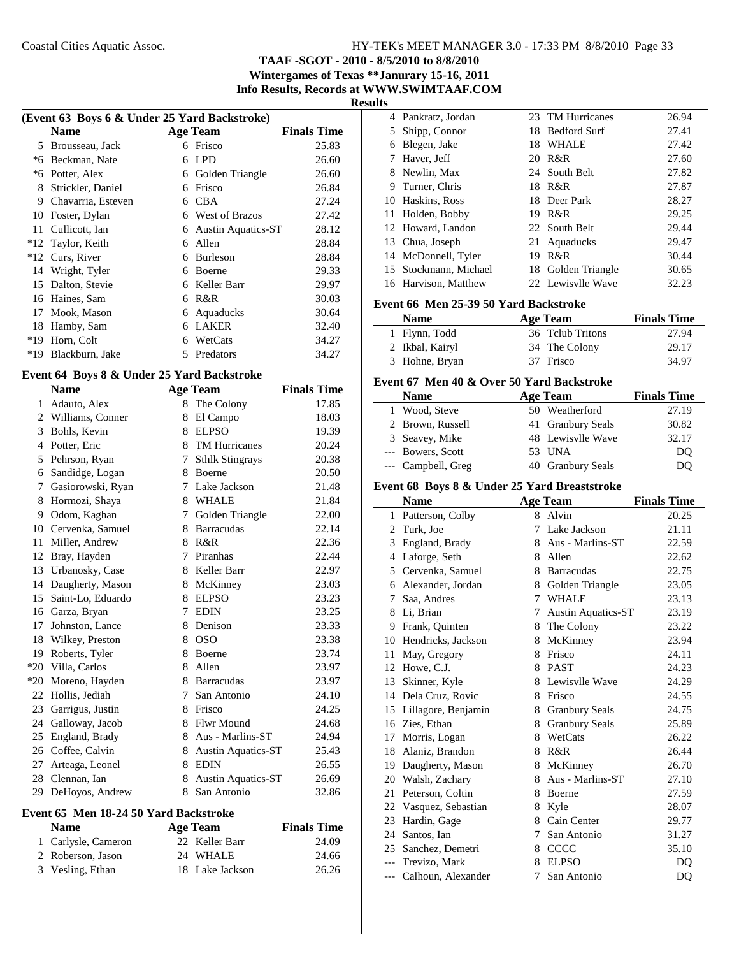**TAAF -SGOT - 2010 - 8/5/2010 to 8/8/2010**

**Wintergames of Texas \*\*Janurary 15-16, 2011**

**Info Results, Records at WWW.SWIMTAAF.COM**

## **Results**

| (Event 63 Boys 6 & Under 25 Yard Backstroke) |                    |   |                           |                    |
|----------------------------------------------|--------------------|---|---------------------------|--------------------|
|                                              | <b>Name</b>        |   | <b>Age Team</b>           | <b>Finals Time</b> |
| 5                                            | Brousseau, Jack    | 6 | Frisco                    | 25.83              |
| *6                                           | Beckman, Nate      | 6 | LPD.                      | 26.60              |
| *6                                           | Potter, Alex       | 6 | Golden Triangle           | 26.60              |
| 8                                            | Strickler, Daniel  | 6 | Frisco                    | 26.84              |
| 9                                            | Chavarria, Esteven | 6 | <b>CBA</b>                | 27.24              |
| 10                                           | Foster, Dylan      | 6 | <b>West of Brazos</b>     | 27.42              |
| 11                                           | Cullicott, Ian     | 6 | <b>Austin Aquatics-ST</b> | 28.12              |
| $*12$                                        | Taylor, Keith      | 6 | Allen                     | 28.84              |
| $*12$                                        | Curs, River        | 6 | <b>Burleson</b>           | 28.84              |
| 14                                           | Wright, Tyler      | 6 | Boerne                    | 29.33              |
| 15                                           | Dalton, Stevie     | 6 | Keller Barr               | 29.97              |
| 16                                           | Haines, Sam        | 6 | R&R                       | 30.03              |
| 17                                           | Mook, Mason        | 6 | Aquaducks                 | 30.64              |
| 18                                           | Hamby, Sam         | 6 | <b>LAKER</b>              | 32.40              |
| $*19$                                        | Horn, Colt         | 6 | WetCats                   | 34.27              |
| $*19$                                        | Blackburn, Jake    | 5 | Predators                 | 34.27              |

#### **Event 64 Boys 8 & Under 25 Yard Backstroke**

|                | <b>Name</b>        |   | <b>Age Team</b>           | <b>Finals Time</b> |
|----------------|--------------------|---|---------------------------|--------------------|
| 1              | Adauto, Alex       | 8 | The Colony                | 17.85              |
| $\overline{2}$ | Williams, Conner   | 8 | El Campo                  | 18.03              |
| 3              | Bohls, Kevin       | 8 | <b>ELPSO</b>              | 19.39              |
| 4              | Potter, Eric       | 8 | <b>TM Hurricanes</b>      | 20.24              |
| 5              | Pehrson, Ryan      | 7 | <b>Sthlk Stingrays</b>    | 20.38              |
| 6              | Sandidge, Logan    | 8 | <b>Boerne</b>             | 20.50              |
| 7              | Gasiorowski, Ryan  | 7 | Lake Jackson              | 21.48              |
| 8              | Hormozi, Shaya     | 8 | WHALE                     | 21.84              |
| 9              | Odom, Kaghan       | 7 | Golden Triangle           | 22.00              |
| 10             | Cervenka, Samuel   | 8 | <b>Barracudas</b>         | 22.14              |
| 11             | Miller, Andrew     | 8 | R&R                       | 22.36              |
| 12             | Bray, Hayden       | 7 | Piranhas                  | 22.44              |
|                | 13 Urbanosky, Case | 8 | Keller Barr               | 22.97              |
| 14             | Daugherty, Mason   | 8 | McKinney                  | 23.03              |
| 15             | Saint-Lo, Eduardo  | 8 | <b>ELPSO</b>              | 23.23              |
| 16             | Garza, Bryan       | 7 | <b>EDIN</b>               | 23.25              |
| 17             | Johnston, Lance    | 8 | Denison                   | 23.33              |
|                | 18 Wilkey, Preston | 8 | <b>OSO</b>                | 23.38              |
| 19             | Roberts, Tyler     | 8 | Boerne                    | 23.74              |
|                | *20 Villa, Carlos  | 8 | Allen                     | 23.97              |
| $*20$          | Moreno, Hayden     | 8 | <b>Barracudas</b>         | 23.97              |
| 22             | Hollis, Jediah     | 7 | San Antonio               | 24.10              |
| 23             | Garrigus, Justin   | 8 | Frisco                    | 24.25              |
| 24             | Galloway, Jacob    | 8 | <b>Flwr Mound</b>         | 24.68              |
| 25             | England, Brady     | 8 | Aus - Marlins-ST          | 24.94              |
| 26             | Coffee, Calvin     | 8 | <b>Austin Aquatics-ST</b> | 25.43              |
| 27             | Arteaga, Leonel    | 8 | <b>EDIN</b>               | 26.55              |
| 28             | Clennan, Ian       | 8 | <b>Austin Aquatics-ST</b> | 26.69              |
| 29             | DeHoyos, Andrew    | 8 | San Antonio               | 32.86              |

#### **Event 65 Men 18-24 50 Yard Backstroke**

| <b>Name</b>         | Age Team        | <b>Finals Time</b> |
|---------------------|-----------------|--------------------|
| 1 Carlysle, Cameron | 22 Keller Barr  | 24.09              |
| 2 Roberson, Jason   | 24 WHALE        | 24.66              |
| 3 Vesling, Ethan    | 18 Lake Jackson | 26.26              |

|   | 4 Pankratz, Jordan    |    | 23 TM Hurricanes   | 26.94 |
|---|-----------------------|----|--------------------|-------|
|   | 5 Shipp, Connor       |    | 18 Bedford Surf    | 27.41 |
| 6 | Blegen, Jake          | 18 | <b>WHALE</b>       | 27.42 |
|   | 7 Haver, Jeff         |    | 20 R&R             | 27.60 |
|   | 8 Newlin, Max         |    | 24 South Belt      | 27.82 |
|   | 9 Turner, Chris       |    | 18 R&R             | 27.87 |
|   | 10 Haskins, Ross      |    | 18 Deer Park       | 28.27 |
|   | 11 Holden, Bobby      | 19 | R&R                | 29.25 |
|   | 12 Howard, Landon     |    | 22 South Belt      | 29.44 |
|   | 13 Chua, Joseph       |    | 21 Aquaducks       | 29.47 |
|   | 14 McDonnell, Tyler   | 19 | R&R                | 30.44 |
|   | 15 Stockmann, Michael |    | 18 Golden Triangle | 30.65 |
|   | 16 Harvison, Matthew  |    | 22 Lewisvlle Wave  | 32.23 |

#### **Event 66 Men 25-39 50 Yard Backstroke**

| <b>Name</b>     | Age Team         | <b>Finals Time</b> |
|-----------------|------------------|--------------------|
| 1 Flynn, Todd   | 36 Telub Tritons | 27.94              |
| 2 Ikbal, Kairyl | 34 The Colony    | 29.17              |
| 3 Hohne, Bryan  | 37 Frisco        | 34.97              |

#### **Event 67 Men 40 & Over 50 Yard Backstroke**

| <b>Name</b> |                    | <b>Age Team</b>   | <b>Finals Time</b> |
|-------------|--------------------|-------------------|--------------------|
|             | 1 Wood, Steve      | 50 Weatherford    | 27.19              |
|             | 2 Brown, Russell   | 41 Granbury Seals | 30.82              |
|             | 3 Seavey, Mike     | 48 Lewisvlle Wave | 32.17              |
|             | --- Bowers, Scott  | 53 UNA            | DO                 |
|             | --- Campbell, Greg | 40 Granbury Seals | DO                 |

#### **Event 68 Boys 8 & Under 25 Yard Breaststroke**

|       | <b>Name</b>         |   | <b>Age Team</b>           | <b>Finals Time</b> |
|-------|---------------------|---|---------------------------|--------------------|
| 1     | Patterson, Colby    | 8 | Alvin                     | 20.25              |
| 2     | Turk, Joe           | 7 | Lake Jackson              | 21.11              |
| 3     | England, Brady      | 8 | Aus - Marlins-ST          | 22.59              |
| 4     | Laforge, Seth       | 8 | Allen                     | 22.62              |
| 5     | Cervenka, Samuel    | 8 | <b>Barracudas</b>         | 22.75              |
| 6     | Alexander, Jordan   | 8 | Golden Triangle           | 23.05              |
| 7     | Saa, Andres         |   | 7 WHALE                   | 23.13              |
| 8     | Li, Brian           | 7 | <b>Austin Aquatics-ST</b> | 23.19              |
| 9     | Frank, Quinten      | 8 | The Colony                | 23.22              |
| 10    | Hendricks, Jackson  | 8 | McKinney                  | 23.94              |
| 11    | May, Gregory        | 8 | Frisco                    | 24.11              |
| 12    | Howe, C.J.          |   | 8 PAST                    | 24.23              |
| 13    | Skinner, Kyle       | 8 | Lewisvlle Wave            | 24.29              |
| 14    | Dela Cruz, Rovic    | 8 | Frisco                    | 24.55              |
| 15    | Lillagore, Benjamin | 8 | <b>Granbury Seals</b>     | 24.75              |
| 16    | Zies, Ethan         | 8 | <b>Granbury Seals</b>     | 25.89              |
| 17    | Morris, Logan       | 8 | WetCats                   | 26.22              |
| 18    | Alaniz, Brandon     | 8 | R&R                       | 26.44              |
| 19    | Daugherty, Mason    | 8 | McKinney                  | 26.70              |
| 20    | Walsh, Zachary      | 8 | Aus - Marlins-ST          | 27.10              |
| 21    | Peterson, Coltin    | 8 | Boerne                    | 27.59              |
| 22    | Vasquez, Sebastian  |   | 8 Kyle                    | 28.07              |
| 23    | Hardin, Gage        |   | 8 Cain Center             | 29.77              |
| 24    | Santos, Ian         | 7 | San Antonio               | 31.27              |
| 25    | Sanchez, Demetri    | 8 | CCCC                      | 35.10              |
| $---$ | Trevizo, Mark       | 8 | <b>ELPSO</b>              | D <sub>O</sub>     |
| $---$ | Calhoun, Alexander  | 7 | San Antonio               | DQ                 |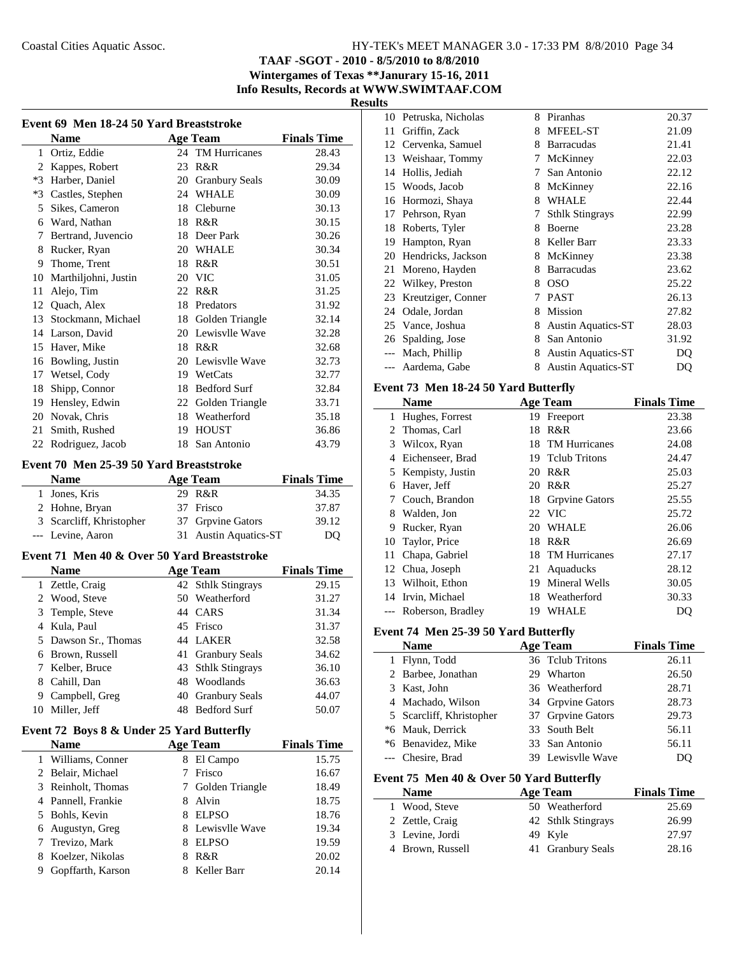**TAAF -SGOT - 2010 - 8/5/2010 to 8/8/2010**

**Wintergames of Texas \*\*Janurary 15-16, 2011 Info Results, Records at WWW.SWIMTAAF.COM**

**Results**

|                | Event 69 Men 18-24 50 Yard Breaststroke     |    |                           |                    |  |
|----------------|---------------------------------------------|----|---------------------------|--------------------|--|
|                | <b>Name</b>                                 |    | Age Team                  | <b>Finals Time</b> |  |
|                | 1 Ortiz, Eddie                              |    | 24 TM Hurricanes          | 28.43              |  |
|                | 2 Kappes, Robert                            |    | 23 R&R                    | 29.34              |  |
|                | *3 Harber, Daniel                           |    | 20 Granbury Seals         | 30.09              |  |
|                | *3 Castles, Stephen                         |    | 24 WHALE                  | 30.09              |  |
| 5              | Sikes, Cameron                              |    | 18 Cleburne               | 30.13              |  |
|                | 6 Ward, Nathan                              |    | 18 R&R                    | 30.15              |  |
| 7              | Bertrand, Juvencio                          |    | 18 Deer Park              | 30.26              |  |
|                | 8 Rucker, Ryan                              |    | 20 WHALE                  | 30.34              |  |
|                | 9 Thome, Trent                              |    | 18 R&R                    | 30.51              |  |
|                | 10 Marthiljohni, Justin                     |    | 20 VIC                    | 31.05              |  |
| 11             | Alejo, Tim                                  |    | 22 R&R                    | 31.25              |  |
|                | 12 Quach, Alex                              |    | 18 Predators              | 31.92              |  |
|                | 13 Stockmann, Michael                       |    |                           | 32.14              |  |
|                | 14 Larson, David                            |    | 18 Golden Triangle        |                    |  |
|                |                                             |    | 20 Lewisvlle Wave         | 32.28              |  |
|                | 15 Haver, Mike                              |    | 18 R&R                    | 32.68              |  |
|                | 16 Bowling, Justin                          |    | 20 Lewisvlle Wave         | 32.73              |  |
|                | 17 Wetsel, Cody                             |    | 19 WetCats                | 32.77              |  |
| 18             | Shipp, Connor                               |    | 18 Bedford Surf           | 32.84              |  |
|                | 19 Hensley, Edwin                           |    | 22 Golden Triangle        | 33.71              |  |
|                | 20 Novak, Chris                             |    | 18 Weatherford            | 35.18              |  |
|                | 21 Smith, Rushed                            |    | 19 HOUST                  | 36.86              |  |
|                | 22 Rodriguez, Jacob                         |    | 18 San Antonio            | 43.79              |  |
|                | Event 70 Men 25-39 50 Yard Breaststroke     |    |                           |                    |  |
|                | <b>Name</b>                                 |    |                           | <b>Finals Time</b> |  |
|                |                                             |    | <b>Age Team</b>           |                    |  |
|                | 1 Jones, Kris                               |    | 29 R&R                    | 34.35              |  |
|                | 2 Hohne, Bryan                              |    | 37 Frisco                 | 37.87              |  |
|                | 3 Scarcliff, Khristopher                    |    | 37 Grpvine Gators         | 39.12              |  |
|                | --- Levine, Aaron                           | 31 | <b>Austin Aquatics-ST</b> | DQ                 |  |
|                | Event 71 Men 40 & Over 50 Yard Breaststroke |    |                           |                    |  |
|                | <b>Name</b>                                 |    | <b>Age Team</b>           | <b>Finals Time</b> |  |
| 1              | Zettle, Craig                               |    | 42 Sthlk Stingrays        | 29.15              |  |
|                | 2 Wood, Steve                               |    | 50 Weatherford            | 31.27              |  |
| 3              | Temple, Steve                               |    | 44 CARS                   | 31.34              |  |
| $\overline{4}$ | Kula, Paul                                  |    | 45 Frisco                 | 31.37              |  |
| 5              | Dawson Sr., Thomas                          |    | 44 LAKER                  | 32.58              |  |
|                | 6 Brown, Russell                            |    | 41 Granbury Seals         | 34.62              |  |
| 7              | Kelber, Bruce                               | 43 | <b>Sthlk Stingrays</b>    | 36.10              |  |
|                | 8 Cahill, Dan                               |    | 48 Woodlands              | 36.63              |  |
|                | 9 Campbell, Greg                            | 40 | <b>Granbury Seals</b>     | 44.07              |  |
| 10             | Miller, Jeff                                |    | 48 Bedford Surf           | 50.07              |  |
|                |                                             |    |                           |                    |  |
|                | Event 72 Boys 8 & Under 25 Yard Butterfly   |    |                           |                    |  |
|                | Name                                        |    | <b>Age Team</b>           | <b>Finals Time</b> |  |
| 1              | Williams, Conner                            |    | 8 El Campo                | 15.75              |  |
| 2              | Belair, Michael                             | 7  | Frisco                    | 16.67              |  |
| 3              | Reinholt, Thomas                            | 7  | Golden Triangle           | 18.49              |  |
|                | 4 Pannell, Frankie                          |    | 8 Alvin                   | 18.75              |  |
|                | 5 Bohls, Kevin                              |    | 8 ELPSO                   | 18.76              |  |
| 6              | Augustyn, Greg                              |    | 8 Lewisvlle Wave          | 19.34              |  |
| 7              | Trevizo, Mark                               |    | 8 ELPSO                   | 19.59              |  |
| 8              | Koelzer, Nikolas                            |    | 8 R&R                     | 20.02              |  |
| 9.             | Gopffarth, Karson                           |    | 8 Keller Barr             | 20.14              |  |

| 10    | Petruska, Nicholas | 8 | Piranhas                  | 20.37 |
|-------|--------------------|---|---------------------------|-------|
| 11    | Griffin, Zack      | 8 | <b>MFEEL-ST</b>           | 21.09 |
| 12    | Cervenka, Samuel   | 8 | <b>Barracudas</b>         | 21.41 |
| 13    | Weishaar, Tommy    | 7 | McKinney                  | 22.03 |
| 14    | Hollis, Jediah     | 7 | San Antonio               | 22.12 |
| 15    | Woods, Jacob       | 8 | McKinney                  | 22.16 |
| 16    | Hormozi, Shaya     | 8 | <b>WHALE</b>              | 22.44 |
| 17    | Pehrson, Ryan      | 7 | <b>Sthlk Stingrays</b>    | 22.99 |
| 18    | Roberts, Tyler     | 8 | Boerne                    | 23.28 |
| 19    | Hampton, Ryan      | 8 | Keller Barr               | 23.33 |
| 20    | Hendricks, Jackson | 8 | McKinney                  | 23.38 |
| 21    | Moreno, Hayden     | 8 | <b>Barracudas</b>         | 23.62 |
| 22    | Wilkey, Preston    | 8 | <b>OSO</b>                | 25.22 |
| 23    | Kreutziger, Conner | 7 | <b>PAST</b>               | 26.13 |
| 24    | Odale, Jordan      | 8 | Mission                   | 27.82 |
|       | 25 Vance, Joshua   | 8 | <b>Austin Aquatics-ST</b> | 28.03 |
| 26    | Spalding, Jose     | 8 | San Antonio               | 31.92 |
| $---$ | Mach, Phillip      | 8 | <b>Austin Aquatics-ST</b> | DQ    |
|       | Aardema, Gabe      | 8 | <b>Austin Aquatics-ST</b> | DQ    |

#### **Event 73 Men 18-24 50 Yard Butterfly**

|    | <b>Name</b>        |    | <b>Age Team</b>      | <b>Finals Time</b> |
|----|--------------------|----|----------------------|--------------------|
| 1  | Hughes, Forrest    | 19 | Freeport             | 23.38              |
|    | 2 Thomas, Carl     | 18 | R&R                  | 23.66              |
| 3  | Wilcox, Ryan       | 18 | TM Hurricanes        | 24.08              |
| 4  | Eichenseer, Brad   |    | 19 Telub Tritons     | 24.47              |
|    | 5 Kempisty, Justin | 20 | R&R                  | 25.03              |
| 6  | Haver, Jeff        | 20 | R&R                  | 25.27              |
| 7  | Couch, Brandon     |    | 18 Grpvine Gators    | 25.55              |
| 8  | Walden, Jon        |    | 22 VIC               | 25.72              |
| 9  | Rucker, Ryan       | 20 | <b>WHALE</b>         | 26.06              |
| 10 | Taylor, Price      | 18 | R&R                  | 26.69              |
| 11 | Chapa, Gabriel     | 18 | <b>TM Hurricanes</b> | 27.17              |
|    | 12 Chua, Joseph    | 21 | Aquaducks            | 28.12              |
|    | 13 Wilhoit, Ethon  | 19 | Mineral Wells        | 30.05              |
|    | 14 Irvin, Michael  | 18 | Weatherford          | 30.33              |
|    | Roberson, Bradley  | 19 | WHALE                | DO                 |

#### **Event 74 Men 25-39 50 Yard Butterfly**

|   | <b>Name</b>                              |    | <b>Age Team</b>    | <b>Finals Time</b> |
|---|------------------------------------------|----|--------------------|--------------------|
|   | 1 Flynn, Todd                            |    | 36 Telub Tritons   | 26.11              |
|   | 2 Barbee, Jonathan                       |    | 29 Wharton         | 26.50              |
|   | 3 Kast, John                             |    | 36 Weatherford     | 28.71              |
| 4 | Machado, Wilson                          |    | 34 Grpvine Gators  | 28.73              |
|   | 5 Scarcliff, Khristopher                 |    | 37 Grpvine Gators  | 29.73              |
|   | *6 Mauk, Derrick                         | 33 | South Belt         | 56.11              |
|   | *6 Benavidez, Mike                       |    | 33 San Antonio     | 56.11              |
|   | Chesire, Brad                            |    | 39 Lewisvlle Wave  | DO                 |
|   | Event 75 Men 40 & Over 50 Yard Butterfly |    |                    |                    |
|   | <b>Name</b>                              |    | <b>Age Team</b>    | <b>Finals Time</b> |
| 1 | Wood, Steve                              |    | 50 Weatherford     | 25.69              |
|   | 2 Zettle, Craig                          |    | 42 Sthlk Stingrays | 26.99              |
|   | 3 Levine, Jordi                          |    | 49 Kyle            | 27.97              |

4 28.16 Brown, Russell 41 Granbury Seals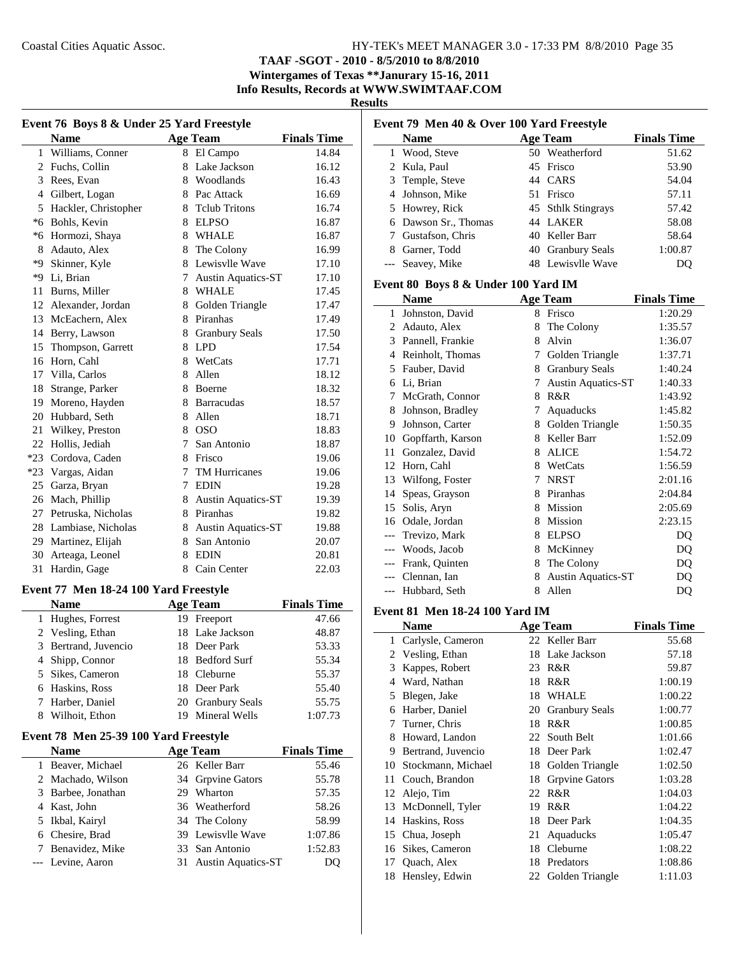**TAAF -SGOT - 2010 - 8/5/2010 to 8/8/2010**

**Wintergames of Texas \*\*Janurary 15-16, 2011 Info Results, Records at WWW.SWIMTAAF.COM**

**Results**

| Event 76 Boys 8 & Under 25 Yard Freestyle |                      |             |                           |                    |  |
|-------------------------------------------|----------------------|-------------|---------------------------|--------------------|--|
|                                           | <b>Name</b>          |             | <b>Age Team</b>           | <b>Finals Time</b> |  |
| 1                                         | Williams, Conner     | 8           | El Campo                  | 14.84              |  |
| 2                                         | Fuchs, Collin        | 8           | Lake Jackson              | 16.12              |  |
| 3                                         | Rees, Evan           |             | 8 Woodlands               | 16.43              |  |
|                                           | 4 Gilbert, Logan     |             | 8 Pac Attack              | 16.69              |  |
| 5                                         | Hackler, Christopher | 8.          | <b>Telub Tritons</b>      | 16.74              |  |
| $*6$                                      | Bohls, Kevin         |             | 8 ELPSO                   | 16.87              |  |
| *6                                        | Hormozi, Shaya       |             | 8 WHALE                   | 16.87              |  |
| 8                                         | Adauto, Alex         |             | 8 The Colony              | 16.99              |  |
| *9                                        | Skinner, Kyle        | 8           | Lewisvlle Wave            | 17.10              |  |
| *Q                                        | Li, Brian            | 7           | <b>Austin Aquatics-ST</b> | 17.10              |  |
| 11                                        | Burns, Miller        | 8           | WHALE                     | 17.45              |  |
|                                           | 12 Alexander, Jordan | 8           | Golden Triangle           | 17.47              |  |
| 13                                        | McEachern, Alex      | 8           | Piranhas                  | 17.49              |  |
| 14                                        | Berry, Lawson        | 8           | <b>Granbury Seals</b>     | 17.50              |  |
| 15                                        | Thompson, Garrett    |             | 8 LPD                     | 17.54              |  |
| 16                                        | Horn, Cahl           |             | 8 WetCats                 | 17.71              |  |
| 17                                        | Villa, Carlos        | 8           | Allen                     | 18.12              |  |
| 18                                        | Strange, Parker      | 8           | <b>Boerne</b>             | 18.32              |  |
| 19                                        | Moreno, Hayden       |             | 8 Barracudas              | 18.57              |  |
| 20                                        | Hubbard, Seth        |             | 8 Allen                   | 18.71              |  |
| 21                                        | Wilkey, Preston      |             | 8 OSO                     | 18.83              |  |
| 22                                        | Hollis, Jediah       | $7^{\circ}$ | San Antonio               | 18.87              |  |
| $*23$                                     | Cordova, Caden       |             | 8 Frisco                  | 19.06              |  |
| $*23$                                     | Vargas, Aidan        | 7           | <b>TM Hurricanes</b>      | 19.06              |  |
| 25                                        | Garza, Bryan         | 7           | <b>EDIN</b>               | 19.28              |  |
| 26                                        | Mach, Phillip        | 8           | <b>Austin Aquatics-ST</b> | 19.39              |  |
| 27                                        | Petruska, Nicholas   |             | 8 Piranhas                | 19.82              |  |
| 28                                        | Lambiase, Nicholas   | 8           | <b>Austin Aquatics-ST</b> | 19.88              |  |
| 29                                        | Martinez, Elijah     | 8           | San Antonio               | 20.07              |  |
| 30                                        | Arteaga, Leonel      | 8           | <b>EDIN</b>               | 20.81              |  |
| 31                                        | Hardin, Gage         | 8           | Cain Center               | 22.03              |  |

#### **Event 77 Men 18-24 100 Yard Freestyle**

|   | <b>Name</b>          | <b>Age Team</b>   | <b>Finals Time</b> |
|---|----------------------|-------------------|--------------------|
|   | 1 Hughes, Forrest    | 19 Freeport       | 47.66              |
|   | 2 Vesling, Ethan     | 18 Lake Jackson   | 48.87              |
|   | 3 Bertrand, Juvencio | 18 Deer Park      | 53.33              |
|   | 4 Shipp, Connor      | 18 Bedford Surf   | 55.34              |
|   | 5 Sikes, Cameron     | 18 Cleburne       | 55.37              |
|   | 6 Haskins, Ross      | 18 Deer Park      | 55.40              |
|   | 7 Harber, Daniel     | 20 Granbury Seals | 55.75              |
| 8 | Wilhoit, Ethon       | 19 Mineral Wells  | 1:07.73            |

## **Event 78 Men 25-39 100 Yard Freestyle**

| <b>Name</b>        |     | <b>Age Team</b>       | <b>Finals Time</b> |
|--------------------|-----|-----------------------|--------------------|
| 1 Beaver, Michael  |     | 26 Keller Barr        | 55.46              |
| 2 Machado, Wilson  |     | 34 Grpvine Gators     | 55.78              |
| 3 Barbee, Jonathan | 29. | Wharton               | 57.35              |
| 4 Kast, John       |     | 36 Weatherford        | 58.26              |
| 5 Ikbal, Kairyl    |     | 34 The Colony         | 58.99              |
| 6 Chesire, Brad    |     | 39 Lewisvlle Wave     | 1:07.86            |
| 7 Benavidez, Mike  |     | 33 San Antonio        | 1:52.83            |
| --- Levine, Aaron  |     | 31 Austin Aquatics-ST | DO                 |

|   | Event 79 Men 40 & Over 100 Yard Freestyle |  |                    |                    |  |
|---|-------------------------------------------|--|--------------------|--------------------|--|
|   | <b>Name</b>                               |  | <b>Age Team</b>    | <b>Finals Time</b> |  |
| 1 | Wood, Steve                               |  | 50 Weatherford     | 51.62              |  |
|   | 2 Kula, Paul                              |  | 45 Frisco          | 53.90              |  |
|   | 3 Temple, Steve                           |  | 44 CARS            | 54.04              |  |
|   | 4 Johnson, Mike                           |  | 51 Frisco          | 57.11              |  |
|   | 5 Howrey, Rick                            |  | 45 Sthlk Stingrays | 57.42              |  |
|   | 6 Dawson Sr., Thomas                      |  | 44 LAKER           | 58.08              |  |
|   | 7 Gustafson, Chris                        |  | 40 Keller Barr     | 58.64              |  |
|   | Garner, Todd                              |  | 40 Granbury Seals  | 1:00.87            |  |
|   | --- Seavey, Mike                          |  | 48 Lewisvlle Wave  |                    |  |

## **Event 80 Boys 8 & Under 100 Yard IM**

|       | <b>Name</b>       |   | <b>Age Team</b>           | <b>Finals Time</b> |
|-------|-------------------|---|---------------------------|--------------------|
| 1     | Johnston, David   | 8 | Frisco                    | 1:20.29            |
| 2     | Adauto, Alex      | 8 | The Colony                | 1:35.57            |
| 3     | Pannell, Frankie  | 8 | Alvin                     | 1:36.07            |
| 4     | Reinholt, Thomas  | 7 | Golden Triangle           | 1:37.71            |
| 5     | Fauber, David     | 8 | <b>Granbury Seals</b>     | 1:40.24            |
| 6     | Li, Brian         | 7 | <b>Austin Aquatics-ST</b> | 1:40.33            |
| 7     | McGrath, Connor   | 8 | R&R                       | 1:43.92            |
| 8     | Johnson, Bradley  | 7 | Aquaducks                 | 1:45.82            |
| 9     | Johnson, Carter   | 8 | Golden Triangle           | 1:50.35            |
| 10    | Gopffarth, Karson | 8 | Keller Barr               | 1:52.09            |
| 11    | Gonzalez, David   | 8 | <b>ALICE</b>              | 1:54.72            |
| 12    | Horn, Cahl        | 8 | WetCats                   | 1:56.59            |
| 13    | Wilfong, Foster   | 7 | <b>NRST</b>               | 2:01.16            |
| 14    | Speas, Grayson    | 8 | Piranhas                  | 2:04.84            |
| 15    | Solis, Aryn       | 8 | Mission                   | 2:05.69            |
| 16    | Odale, Jordan     | 8 | Mission                   | 2:23.15            |
|       | Trevizo, Mark     | 8 | <b>ELPSO</b>              | DQ                 |
| $---$ | Woods, Jacob      | 8 | McKinney                  | DQ                 |
| $---$ | Frank, Quinten    | 8 | The Colony                | DQ                 |
|       | Clennan, Ian      | 8 | <b>Austin Aquatics-ST</b> | DQ                 |
| $---$ | Hubbard, Seth     | 8 | Allen                     | DQ                 |

#### **Event 81 Men 18-24 100 Yard IM**

|    | Name               |    | <b>Age Team</b>       | <b>Finals Time</b> |
|----|--------------------|----|-----------------------|--------------------|
| 1  | Carlysle, Cameron  |    | 22 Keller Barr        | 55.68              |
|    | 2 Vesling, Ethan   | 18 | Lake Jackson          | 57.18              |
| 3  | Kappes, Robert     | 23 | R&R                   | 59.87              |
| 4  | Ward, Nathan       | 18 | R&R                   | 1:00.19            |
| 5  | Blegen, Jake       | 18 | <b>WHALE</b>          | 1:00.22            |
| 6  | Harber, Daniel     | 20 | <b>Granbury Seals</b> | 1:00.77            |
| 7  | Turner, Chris      | 18 | R&R                   | 1:00.85            |
| 8  | Howard, Landon     |    | 22 South Belt         | 1:01.66            |
| 9  | Bertrand, Juvencio |    | 18 Deer Park          | 1:02.47            |
| 10 | Stockmann, Michael | 18 | Golden Triangle       | 1:02.50            |
| 11 | Couch, Brandon     | 18 | <b>Grpvine Gators</b> | 1:03.28            |
| 12 | Alejo, Tim         |    | 22 R&R                | 1:04.03            |
| 13 | McDonnell, Tyler   | 19 | R&R                   | 1:04.22            |
| 14 | Haskins, Ross      | 18 | Deer Park             | 1:04.35            |
| 15 | Chua, Joseph       | 21 | Aquaducks             | 1:05.47            |
| 16 | Sikes, Cameron     | 18 | Cleburne              | 1:08.22            |
| 17 | Quach, Alex        | 18 | Predators             | 1:08.86            |
| 18 | Hensley, Edwin     |    | 22 Golden Triangle    | 1:11.03            |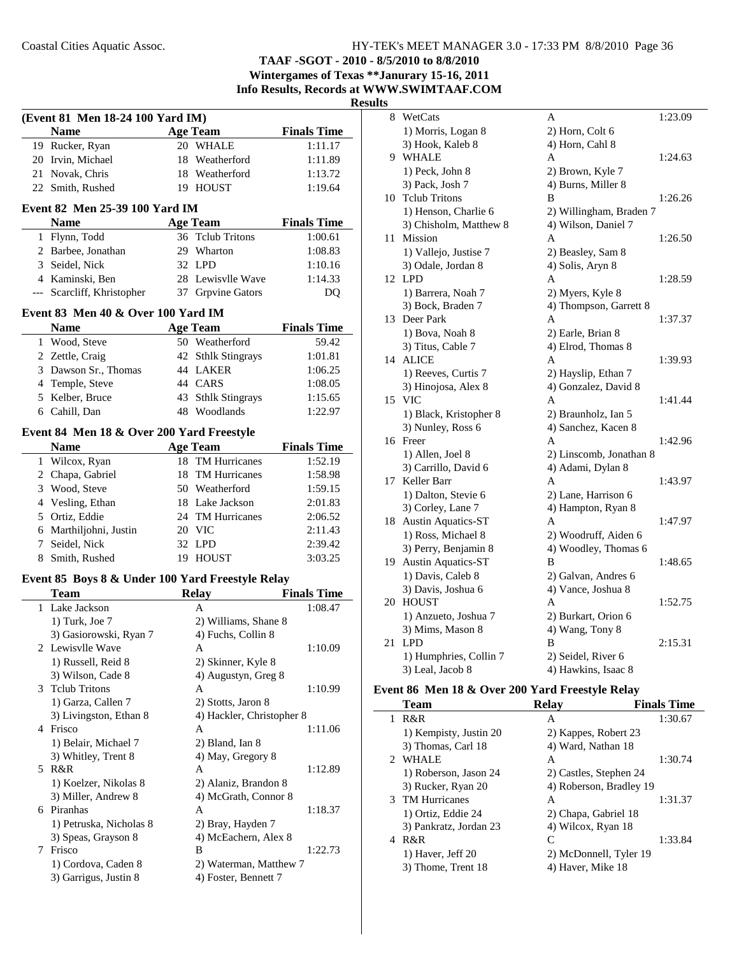**TAAF -SGOT - 2010 - 8/5/2010 to 8/8/2010 Wintergames of Texas \*\*Janurary 15-16, 2011**

**Info Results, Records at WWW.SWIMTAAF.COM**

#### **Results**

| (Event 81 Men 18-24 100 Yard IM) |                                                  |    |                           |                    |
|----------------------------------|--------------------------------------------------|----|---------------------------|--------------------|
|                                  | <b>Name</b>                                      |    | <b>Age Team</b>           | <b>Finals Time</b> |
|                                  | 19 Rucker, Ryan                                  |    | 20 WHALE                  | 1:11.17            |
|                                  | 20 Irvin, Michael                                |    | 18 Weatherford            | 1:11.89            |
|                                  | 21 Novak, Chris                                  |    | 18 Weatherford            | 1:13.72            |
|                                  | 22 Smith, Rushed                                 |    | 19 HOUST                  | 1:19.64            |
|                                  | Event 82 Men 25-39 100 Yard IM                   |    |                           |                    |
|                                  | <b>Name</b>                                      |    | Age Team                  | <b>Finals Time</b> |
|                                  | 1 Flynn, Todd                                    | 36 | <b>Tclub Tritons</b>      | 1:00.61            |
|                                  | 2 Barbee, Jonathan                               |    | 29 Wharton                | 1:08.83            |
|                                  | 3 Seidel, Nick                                   |    | 32 LPD                    | 1:10.16            |
|                                  | 4 Kaminski, Ben                                  |    | 28 Lewisvlle Wave         | 1:14.33            |
|                                  | --- Scarcliff, Khristopher                       |    | 37 Grpvine Gators         | DQ                 |
|                                  | Event 83 Men 40 & Over 100 Yard IM               |    |                           |                    |
|                                  | <b>Name</b>                                      |    | <b>Age Team</b>           | <b>Finals Time</b> |
|                                  | 1 Wood, Steve                                    |    | 50 Weatherford            | 59.42              |
|                                  | 2 Zettle, Craig                                  |    | 42 Sthlk Stingrays        | 1:01.81            |
|                                  | 3 Dawson Sr., Thomas                             |    | 44 LAKER                  | 1:06.25            |
|                                  | 4 Temple, Steve                                  |    | 44 CARS                   | 1:08.05            |
|                                  | 5 Kelber, Bruce                                  |    | 43 Sthlk Stingrays        | 1:15.65            |
|                                  | 6 Cahill, Dan                                    |    | 48 Woodlands              | 1:22.97            |
|                                  | Event 84 Men 18 & Over 200 Yard Freestyle        |    |                           |                    |
|                                  | <b>Name</b>                                      |    | <b>Age Team</b>           | <b>Finals Time</b> |
|                                  | 1 Wilcox, Ryan                                   |    | 18 TM Hurricanes          | 1:52.19            |
|                                  | 2 Chapa, Gabriel                                 |    | 18 TM Hurricanes          | 1:58.98            |
|                                  | 3 Wood, Steve                                    |    | 50 Weatherford            | 1:59.15            |
|                                  | 4 Vesling, Ethan                                 |    | 18 Lake Jackson           | 2:01.83            |
|                                  | 5 Ortiz, Eddie                                   |    | 24 TM Hurricanes          | 2:06.52            |
|                                  | 6 Marthiljohni, Justin                           |    | 20 VIC                    | 2:11.43            |
|                                  | 7 Seidel, Nick                                   |    | 32 LPD                    | 2:39.42            |
| 8                                | Smith, Rushed                                    |    | 19 HOUST                  | 3:03.25            |
|                                  | Event 85 Boys 8 & Under 100 Yard Freestyle Relay |    |                           |                    |
|                                  | <b>Team</b>                                      |    | Relay                     | <b>Finals Time</b> |
|                                  | 1 Lake Jackson                                   |    | A                         | 1:08.47            |
|                                  | 1) Turk, Joe 7                                   |    | 2) Williams, Shane 8      |                    |
|                                  | 3) Gasiorowski, Ryan 7                           |    | 4) Fuchs, Collin 8        |                    |
| $\overline{\mathbf{c}}$          | Lewisvlle Wave                                   |    | Α                         | 1:10.09            |
|                                  | 1) Russell, Reid 8                               |    | 2) Skinner, Kyle 8        |                    |
|                                  | 3) Wilson, Cade 8                                |    | 4) Augustyn, Greg 8       |                    |
| 3                                | <b>Tclub Tritons</b>                             |    | A                         | 1:10.99            |
|                                  | 1) Garza, Callen 7                               |    | 2) Stotts, Jaron 8        |                    |
|                                  | 3) Livingston, Ethan 8                           |    | 4) Hackler, Christopher 8 |                    |
|                                  | 4 Frisco                                         |    | A                         | 1:11.06            |
|                                  | 1) Belair, Michael 7                             |    | 2) Bland, Ian 8           |                    |
|                                  | 3) Whitley, Trent 8                              |    | 4) May, Gregory 8         |                    |
| 5                                | R&R                                              |    | A                         | 1:12.89            |
|                                  | 1) Koelzer, Nikolas 8                            |    | 2) Alaniz, Brandon 8      |                    |
|                                  | 3) Miller, Andrew 8                              |    | 4) McGrath, Connor 8      |                    |
|                                  | 6 Piranhas                                       |    | A                         | 1:18.37            |
|                                  | 1) Petruska, Nicholas 8                          |    | 2) Bray, Hayden 7         |                    |
|                                  | 3) Speas, Grayson 8                              |    | 4) McEachern, Alex 8      |                    |
| 7                                | Frisco                                           |    | B                         | 1:22.73            |
|                                  | 1) Cordova, Caden 8                              |    | 2) Waterman, Matthew 7    |                    |
|                                  | 3) Garrigus, Justin 8                            |    | 4) Foster, Bennett 7      |                    |
|                                  |                                                  |    |                           |                    |

| 8  | WetCats                   | A                       | 1:23.09 |
|----|---------------------------|-------------------------|---------|
|    | 1) Morris, Logan 8        | 2) Horn, Colt 6         |         |
|    | 3) Hook, Kaleb 8          | 4) Horn, Cahl 8         |         |
|    | 9 WHALE                   | A                       | 1:24.63 |
|    | 1) Peck, John 8           | 2) Brown, Kyle 7        |         |
|    | 3) Pack, Josh 7           | 4) Burns, Miller 8      |         |
| 10 | <b>Tclub Tritons</b>      | B                       | 1:26.26 |
|    | 1) Henson, Charlie 6      | 2) Willingham, Braden 7 |         |
|    | 3) Chisholm, Matthew 8    | 4) Wilson, Daniel 7     |         |
| 11 | <b>Mission</b>            | A                       | 1:26.50 |
|    | 1) Vallejo, Justise 7     | 2) Beasley, Sam 8       |         |
|    | 3) Odale, Jordan 8        | 4) Solis, Aryn 8        |         |
|    | 12 LPD                    | A                       | 1:28.59 |
|    | 1) Barrera, Noah 7        | 2) Myers, Kyle 8        |         |
|    | 3) Bock, Braden 7         | 4) Thompson, Garrett 8  |         |
| 13 | Deer Park                 | A                       | 1:37.37 |
|    | 1) Bova, Noah 8           | 2) Earle, Brian 8       |         |
|    | 3) Titus, Cable 7         | 4) Elrod, Thomas 8      |         |
|    | 14 ALICE                  | A                       | 1:39.93 |
|    | 1) Reeves, Curtis 7       | 2) Hayslip, Ethan 7     |         |
|    | 3) Hinojosa, Alex 8       | 4) Gonzalez, David 8    |         |
|    | 15 VIC                    | A                       | 1:41.44 |
|    | 1) Black, Kristopher 8    | 2) Braunholz, Ian 5     |         |
|    | 3) Nunley, Ross 6         | 4) Sanchez, Kacen 8     |         |
|    | 16 Freer                  | A                       | 1:42.96 |
|    | 1) Allen, Joel 8          | 2) Linscomb, Jonathan 8 |         |
|    | 3) Carrillo, David 6      | 4) Adami, Dylan 8       |         |
| 17 | Keller Barr               | A                       | 1:43.97 |
|    | 1) Dalton, Stevie 6       | 2) Lane, Harrison 6     |         |
|    | 3) Corley, Lane 7         | 4) Hampton, Ryan 8      |         |
|    | 18 Austin Aquatics-ST     | A                       | 1:47.97 |
|    | 1) Ross, Michael 8        | 2) Woodruff, Aiden 6    |         |
|    | 3) Perry, Benjamin 8      | 4) Woodley, Thomas 6    |         |
| 19 | <b>Austin Aquatics-ST</b> | B                       | 1:48.65 |
|    | 1) Davis, Caleb 8         | 2) Galvan, Andres 6     |         |
|    | 3) Davis, Joshua 6        | 4) Vance, Joshua 8      |         |
| 20 | <b>HOUST</b>              | A                       | 1:52.75 |
|    | 1) Anzueto, Joshua 7      | 2) Burkart, Orion 6     |         |
|    | 3) Mims, Mason 8          | 4) Wang, Tony 8         |         |
| 21 | <b>LPD</b>                | B                       | 2:15.31 |
|    | 1) Humphries, Collin 7    | 2) Seidel, River 6      |         |
|    | 3) Leal, Jacob 8          | 4) Hawkins, Isaac 8     |         |
|    |                           |                         |         |

## **Event 86 Men 18 & Over 200 Yard Freestyle Relay**

|    | <b>Team</b>            | <b>Relay</b>            | <b>Finals Time</b> |
|----|------------------------|-------------------------|--------------------|
| 1. | R&R                    | А                       | 1:30.67            |
|    | 1) Kempisty, Justin 20 | 2) Kappes, Robert 23    |                    |
|    | 3) Thomas, Carl 18     | 4) Ward, Nathan 18      |                    |
|    | <b>WHALE</b>           | A                       | 1:30.74            |
|    | 1) Roberson, Jason 24  | 2) Castles, Stephen 24  |                    |
|    | 3) Rucker, Ryan 20     | 4) Roberson, Bradley 19 |                    |
|    | 3 TM Hurricanes        | A                       | 1:31.37            |
|    | 1) Ortiz, Eddie 24     | 2) Chapa, Gabriel 18    |                    |
|    | 3) Pankratz, Jordan 23 | 4) Wilcox, Ryan 18      |                    |
| 4  | R&R                    | C                       | 1:33.84            |
|    | 1) Haver, Jeff 20      | 2) McDonnell, Tyler 19  |                    |
|    | 3) Thome, Trent 18     | 4) Haver, Mike 18       |                    |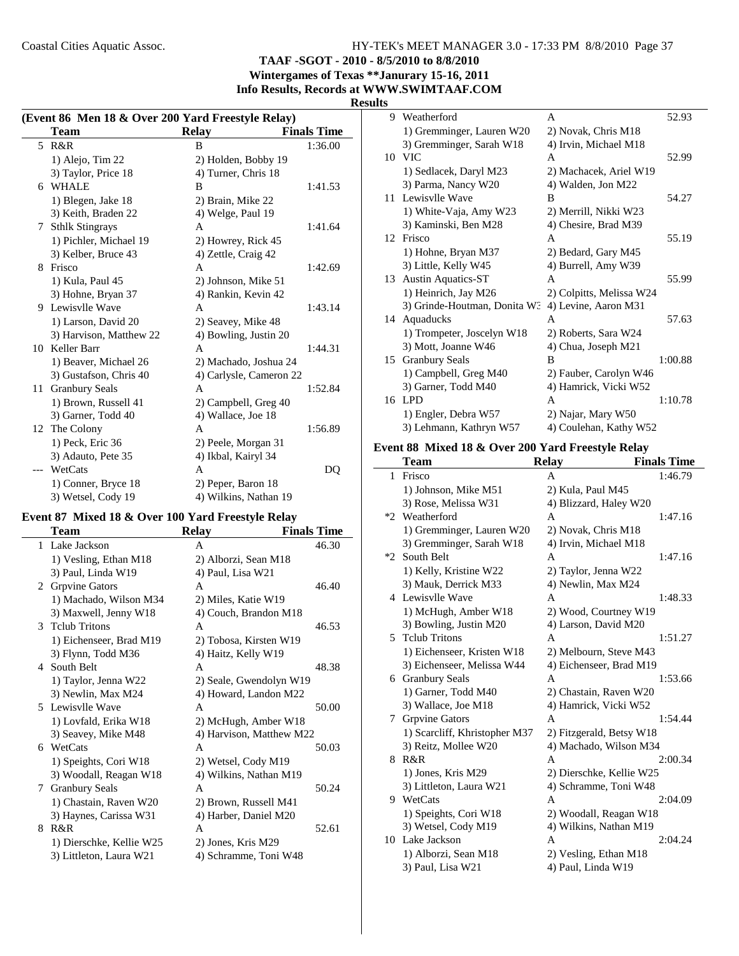**TAAF -SGOT - 2010 - 8/5/2010 to 8/8/2010**

**Wintergames of Texas \*\*Janurary 15-16, 2011 Info Results, Records at WWW.SWIMTAAF.COM**

#### **Results**

| (Event 86 Men 18 & Over 200 Yard Freestyle Relay) |                         |                         |                    |  |
|---------------------------------------------------|-------------------------|-------------------------|--------------------|--|
|                                                   | Team                    | <b>Relay</b>            | <b>Finals Time</b> |  |
|                                                   | 5 R&R                   | B                       | 1:36.00            |  |
|                                                   | $1)$ Alejo, Tim 22      | 2) Holden, Bobby 19     |                    |  |
|                                                   | 3) Taylor, Price 18     | 4) Turner, Chris 18     |                    |  |
| 6                                                 | <b>WHALE</b>            | B                       | 1:41.53            |  |
|                                                   | 1) Blegen, Jake 18      | 2) Brain, Mike 22       |                    |  |
|                                                   | 3) Keith, Braden 22     | 4) Welge, Paul 19       |                    |  |
| 7                                                 | <b>Sthlk Stingrays</b>  | A                       | 1:41.64            |  |
|                                                   | 1) Pichler, Michael 19  | 2) Howrey, Rick 45      |                    |  |
|                                                   | 3) Kelber, Bruce 43     | 4) Zettle, Craig 42     |                    |  |
| 8                                                 | Frisco                  | A                       | 1:42.69            |  |
|                                                   | 1) Kula, Paul 45        | 2) Johnson, Mike 51     |                    |  |
|                                                   | 3) Hohne, Bryan 37      | 4) Rankin, Kevin 42     |                    |  |
| 9                                                 | Lewisvlle Wave          | A                       | 1:43.14            |  |
|                                                   | 1) Larson, David 20     | 2) Seavey, Mike 48      |                    |  |
|                                                   | 3) Harvison, Matthew 22 | 4) Bowling, Justin 20   |                    |  |
| 10                                                | Keller Barr             | A                       | 1:44.31            |  |
|                                                   | 1) Beaver, Michael 26   | 2) Machado, Joshua 24   |                    |  |
|                                                   | 3) Gustafson, Chris 40  | 4) Carlysle, Cameron 22 |                    |  |
| 11                                                | <b>Granbury Seals</b>   | A                       | 1:52.84            |  |
|                                                   | 1) Brown, Russell 41    | 2) Campbell, Greg 40    |                    |  |
|                                                   | 3) Garner, Todd 40      | 4) Wallace, Joe 18      |                    |  |
|                                                   | 12 The Colony           | A                       | 1:56.89            |  |
|                                                   | 1) Peck, Eric 36        | 2) Peele, Morgan 31     |                    |  |
|                                                   | 3) Adauto, Pete 35      | 4) Ikbal, Kairyl 34     |                    |  |
| ---                                               | WetCats                 | A                       | DQ                 |  |
|                                                   | 1) Conner, Bryce 18     | 2) Peper, Baron 18      |                    |  |
|                                                   | 3) Wetsel, Cody 19      | 4) Wilkins, Nathan 19   |                    |  |

## **Event 87 Mixed 18 & Over 100 Yard Freestyle Relay**

÷.

|              | Team                     | <b>Relay</b>             | <b>Finals Time</b> |
|--------------|--------------------------|--------------------------|--------------------|
| $\mathbf{1}$ | Lake Jackson             | A                        | 46.30              |
|              | 1) Vesling, Ethan M18    | 2) Alborzi, Sean M18     |                    |
|              | 3) Paul, Linda W19       | 4) Paul, Lisa W21        |                    |
| 2            | <b>Grpvine Gators</b>    | A                        | 46.40              |
|              | 1) Machado, Wilson M34   | 2) Miles, Katie W19      |                    |
|              | 3) Maxwell, Jenny W18    | 4) Couch, Brandon M18    |                    |
| 3            | <b>Telub Tritons</b>     | A                        | 46.53              |
|              | 1) Eichenseer, Brad M19  | 2) Tobosa, Kirsten W19   |                    |
|              | 3) Flynn, Todd M36       | 4) Haitz, Kelly W19      |                    |
| 4            | South Belt               | $\mathsf{A}$             | 48.38              |
|              | 1) Taylor, Jenna W22     | 2) Seale, Gwendolyn W19  |                    |
|              | 3) Newlin, Max M24       | 4) Howard, Landon M22    |                    |
| 5.           | Lewisvlle Wave           | A                        | 50.00              |
|              | 1) Lovfald, Erika W18    | 2) McHugh, Amber W18     |                    |
|              | 3) Seavey, Mike M48      | 4) Harvison, Matthew M22 |                    |
| 6            | WetCats                  | A                        | 50.03              |
|              | 1) Speights, Cori W18    | 2) Wetsel, Cody M19      |                    |
|              | 3) Woodall, Reagan W18   | 4) Wilkins, Nathan M19   |                    |
| 7            | <b>Granbury Seals</b>    | A                        | 50.24              |
|              | 1) Chastain, Raven W20   | 2) Brown, Russell M41    |                    |
|              | 3) Haynes, Carissa W31   | 4) Harber, Daniel M20    |                    |
| 8            | R&R                      | A                        | 52.61              |
|              | 1) Dierschke, Kellie W25 | 2) Jones, Kris M29       |                    |
|              | 3) Littleton, Laura W21  | 4) Schramme, Toni W48    |                    |
|              |                          |                          |                    |

| 9  | Weatherford                  | A                        | 52.93   |
|----|------------------------------|--------------------------|---------|
|    | 1) Gremminger, Lauren W20    | 2) Novak, Chris M18      |         |
|    | 3) Gremminger, Sarah W18     | 4) Irvin, Michael M18    |         |
|    | 10 VIC                       | A                        | 52.99   |
|    | 1) Sedlacek, Daryl M23       | 2) Machacek, Ariel W19   |         |
|    | 3) Parma, Nancy W20          | 4) Walden, Jon M22       |         |
| 11 | Lewisvlle Wave               | B                        | 54.27   |
|    | 1) White-Vaja, Amy W23       | 2) Merrill, Nikki W23    |         |
|    | 3) Kaminski, Ben M28         | 4) Chesire, Brad M39     |         |
|    | 12 Frisco                    | A                        | 55.19   |
|    | 1) Hohne, Bryan M37          | 2) Bedard, Gary M45      |         |
|    | 3) Little, Kelly W45         | 4) Burrell, Amy W39      |         |
| 13 | <b>Austin Aquatics-ST</b>    | A                        | 55.99   |
|    | 1) Heinrich, Jay M26         | 2) Colpitts, Melissa W24 |         |
|    | 3) Grinde-Houtman, Donita W3 | 4) Levine, Aaron M31     |         |
| 14 | Aquaducks                    | A                        | 57.63   |
|    | 1) Trompeter, Joscelyn W18   | 2) Roberts, Sara W24     |         |
|    | 3) Mott, Joanne W46          | 4) Chua, Joseph M21      |         |
| 15 | <b>Granbury Seals</b>        | B                        | 1:00.88 |
|    | 1) Campbell, Greg M40        | 2) Fauber, Carolyn W46   |         |
|    | 3) Garner, Todd M40          | 4) Hamrick, Vicki W52    |         |
|    | 16 LPD                       | A                        | 1:10.78 |
|    | 1) Engler, Debra W57         | 2) Najar, Mary W50       |         |
|    | 3) Lehmann, Kathryn W57      | 4) Coulehan, Kathy W52   |         |

### **Event 88 Mixed 18 & Over 200 Yard Freestyle Relay**

|              | <b>Team</b>                   | <b>Relay</b>             | <b>Finals Time</b> |
|--------------|-------------------------------|--------------------------|--------------------|
| $\mathbf{1}$ | Frisco                        | A                        | 1:46.79            |
|              | 1) Johnson, Mike M51          | 2) Kula, Paul M45        |                    |
|              | 3) Rose, Melissa W31          | 4) Blizzard, Haley W20   |                    |
| $*2$         | Weatherford                   | A                        | 1:47.16            |
|              | 1) Gremminger, Lauren W20     | 2) Novak, Chris M18      |                    |
|              | 3) Gremminger, Sarah W18      | 4) Irvin, Michael M18    |                    |
| $*2$         | South Belt                    | A                        | 1:47.16            |
|              | 1) Kelly, Kristine W22        | 2) Taylor, Jenna W22     |                    |
|              | 3) Mauk, Derrick M33          | 4) Newlin, Max M24       |                    |
|              | 4 Lewisvlle Wave              | A                        | 1:48.33            |
|              | 1) McHugh, Amber W18          | 2) Wood, Courtney W19    |                    |
|              | 3) Bowling, Justin M20        | 4) Larson, David M20     |                    |
|              | 5 Telub Tritons               | A                        | 1:51.27            |
|              | 1) Eichenseer, Kristen W18    | 2) Melbourn, Steve M43   |                    |
|              | 3) Eichenseer, Melissa W44    | 4) Eichenseer, Brad M19  |                    |
|              | 6 Granbury Seals              | A                        | 1:53.66            |
|              | 1) Garner, Todd M40           | 2) Chastain, Raven W20   |                    |
|              | 3) Wallace, Joe M18           | 4) Hamrick, Vicki W52    |                    |
| 7            | <b>Grpvine Gators</b>         | A                        | 1:54.44            |
|              | 1) Scarcliff, Khristopher M37 | 2) Fitzgerald, Betsy W18 |                    |
|              | 3) Reitz, Mollee W20          | 4) Machado, Wilson M34   |                    |
| 8            | R&R                           | A                        | 2:00.34            |
|              | 1) Jones, Kris M29            | 2) Dierschke, Kellie W25 |                    |
|              | 3) Littleton, Laura W21       | 4) Schramme, Toni W48    |                    |
|              | 9 WetCats                     | A                        | 2:04.09            |
|              | 1) Speights, Cori W18         | 2) Woodall, Reagan W18   |                    |
|              | 3) Wetsel, Cody M19           | 4) Wilkins, Nathan M19   |                    |
|              | 10 Lake Jackson               | A                        | 2:04.24            |
|              | 1) Alborzi, Sean M18          | 2) Vesling, Ethan M18    |                    |
|              | 3) Paul, Lisa W21             | 4) Paul, Linda W19       |                    |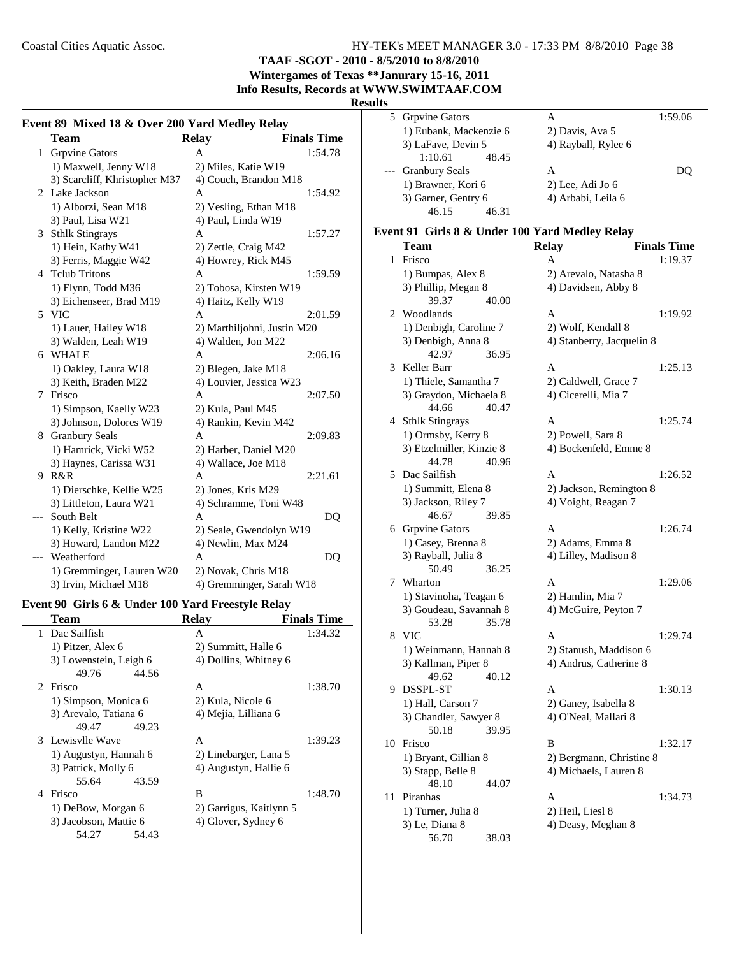**TAAF -SGOT - 2010 - 8/5/2010 to 8/8/2010**

#### **Wintergames of Texas \*\*Janurary 15-16, 2011 Info Results, Records at WWW.SWIMTAAF.COM**

**Results**

|              | <b>Team</b>                   | <b>Relay</b>                | <b>Finals Time</b> |
|--------------|-------------------------------|-----------------------------|--------------------|
| $\mathbf{1}$ | <b>Grpvine Gators</b>         | A                           | 1:54.78            |
|              | 1) Maxwell, Jenny W18         | 2) Miles, Katie W19         |                    |
|              | 3) Scarcliff, Khristopher M37 | 4) Couch, Brandon M18       |                    |
| 2            | Lake Jackson                  | A                           | 1:54.92            |
|              | 1) Alborzi, Sean M18          | 2) Vesling, Ethan M18       |                    |
|              | 3) Paul, Lisa W21             | 4) Paul, Linda W19          |                    |
| 3            | <b>Sthlk Stingrays</b>        | A                           | 1:57.27            |
|              | 1) Hein, Kathy W41            | 2) Zettle, Craig M42        |                    |
|              | 3) Ferris, Maggie W42         | 4) Howrey, Rick M45         |                    |
| 4            | <b>Telub Tritons</b>          | A                           | 1:59.59            |
|              | 1) Flynn, Todd M36            | 2) Tobosa, Kirsten W19      |                    |
|              | 3) Eichenseer, Brad M19       | 4) Haitz, Kelly W19         |                    |
|              | 5 VIC                         | A                           | 2:01.59            |
|              | 1) Lauer, Hailey W18          | 2) Marthiljohni, Justin M20 |                    |
|              | 3) Walden, Leah W19           | 4) Walden, Jon M22          |                    |
|              | 6 WHALE                       | A                           | 2:06.16            |
|              | 1) Oakley, Laura W18          | 2) Blegen, Jake M18         |                    |
|              | 3) Keith, Braden M22          | 4) Louvier, Jessica W23     |                    |
| 7            | Frisco                        | A                           | 2:07.50            |
|              | 1) Simpson, Kaelly W23        | 2) Kula, Paul M45           |                    |
|              | 3) Johnson, Dolores W19       | 4) Rankin, Kevin M42        |                    |
| 8            | <b>Granbury Seals</b>         | A                           | 2:09.83            |
|              | 1) Hamrick, Vicki W52         | 2) Harber, Daniel M20       |                    |
|              | 3) Haynes, Carissa W31        | 4) Wallace, Joe M18         |                    |
| 9            | R&R                           | A                           | 2:21.61            |
|              | 1) Dierschke, Kellie W25      | 2) Jones, Kris M29          |                    |
|              | 3) Littleton, Laura W21       | 4) Schramme, Toni W48       |                    |
| ---          | South Belt                    | A                           | DQ                 |
|              | 1) Kelly, Kristine W22        | 2) Seale, Gwendolyn W19     |                    |
|              | 3) Howard, Landon M22         | 4) Newlin, Max M24          |                    |
|              | Weatherford                   | A                           | DQ                 |
|              | 1) Gremminger, Lauren W20     | 2) Novak, Chris M18         |                    |
|              | 3) Irvin, Michael M18         | 4) Gremminger, Sarah W18    |                    |

#### **Event 90 Girls 6 & Under 100 Yard Freestyle Relay**

| Team                   | <b>Relav</b>            | <b>Finals Time</b> |
|------------------------|-------------------------|--------------------|
| Dac Sailfish           | A                       | 1:34.32            |
| 1) Pitzer, Alex 6      | 2) Summitt, Halle 6     |                    |
| 3) Lowenstein, Leigh 6 | 4) Dollins, Whitney 6   |                    |
| 49.76<br>44.56         |                         |                    |
| 2 Frisco               | A                       | 1:38.70            |
| 1) Simpson, Monica 6   | 2) Kula, Nicole 6       |                    |
| 3) Arevalo, Tatiana 6  | 4) Mejia, Lilliana 6    |                    |
| 49.23<br>49.47         |                         |                    |
| 3 Lewisvlle Wave       | A                       | 1:39.23            |
| 1) Augustyn, Hannah 6  | 2) Linebarger, Lana 5   |                    |
| 3) Patrick, Molly 6    | 4) Augustyn, Hallie 6   |                    |
| 55.64<br>43.59         |                         |                    |
| Frisco<br>4            | B                       | 1:48.70            |
| 1) DeBow, Morgan 6     | 2) Garrigus, Kaitlynn 5 |                    |
| 3) Jacobson, Mattie 6  | 4) Glover, Sydney 6     |                    |
| 54.43<br>54.27         |                         |                    |
|                        |                         |                    |

|       | 5 Grpvine Gators       | А                   | 1:59.06 |
|-------|------------------------|---------------------|---------|
|       | 1) Eubank, Mackenzie 6 | 2) Davis, Ava 5     |         |
|       | 3) LaFave, Devin 5     | 4) Rayball, Rylee 6 |         |
|       | 1:10.61<br>48.45       |                     |         |
| $---$ | <b>Granbury Seals</b>  | А                   | DO      |
|       | 1) Brawner, Kori 6     | $2)$ Lee, Adi Jo 6  |         |
|       | 3) Garner, Gentry 6    | 4) Arbabi, Leila 6  |         |
|       | 46.15<br>46.31         |                     |         |
|       |                        |                     |         |

## **Event 91 Girls 8 & Under 100 Yard Medley Relay**

|                | Team                                       |       | <b>Relay</b>                                 | <b>Finals Time</b> |
|----------------|--------------------------------------------|-------|----------------------------------------------|--------------------|
| 1              | Frisco                                     |       | A                                            | 1:19.37            |
|                | 1) Bumpas, Alex 8                          |       | 2) Arevalo, Natasha 8                        |                    |
|                | 3) Phillip, Megan 8                        |       | 4) Davidsen, Abby 8                          |                    |
|                | 39.37                                      | 40.00 |                                              |                    |
| $\overline{2}$ | Woodlands                                  |       | A                                            | 1:19.92            |
|                | 1) Denbigh, Caroline 7                     |       | 2) Wolf, Kendall 8                           |                    |
|                | 3) Denbigh, Anna 8                         |       | 4) Stanberry, Jacquelin 8                    |                    |
|                | 42.97                                      | 36.95 |                                              |                    |
| 3              | Keller Barr                                |       | A                                            | 1:25.13            |
|                | 1) Thiele, Samantha 7                      |       | 2) Caldwell, Grace 7                         |                    |
|                | 3) Graydon, Michaela 8                     |       | 4) Cicerelli, Mia 7                          |                    |
|                | 44.66                                      | 40.47 |                                              |                    |
|                | 4 Sthlk Stingrays                          |       | A                                            | 1:25.74            |
|                | 1) Ormsby, Kerry 8                         |       | 2) Powell, Sara 8                            |                    |
|                | 3) Etzelmiller, Kinzie 8                   |       | 4) Bockenfeld, Emme 8                        |                    |
|                | 44.78                                      | 40.96 |                                              |                    |
| 5              | Dac Sailfish                               |       | A                                            | 1:26.52            |
|                | 1) Summitt, Elena 8                        |       | 2) Jackson, Remington 8                      |                    |
|                | 3) Jackson, Riley 7                        |       | 4) Voight, Reagan 7                          |                    |
|                | 46.67                                      | 39.85 |                                              |                    |
|                | 6 Grpvine Gators                           |       | A                                            | 1:26.74            |
|                | 1) Casey, Brenna 8                         |       | 2) Adams, Emma 8                             |                    |
|                | 3) Rayball, Julia 8                        |       | 4) Lilley, Madison 8                         |                    |
|                | 50.49                                      | 36.25 |                                              |                    |
| 7              | Wharton                                    |       | A                                            | 1:29.06            |
|                | 1) Stavinoha, Teagan 6                     |       | 2) Hamlin, Mia 7                             |                    |
|                | 3) Goudeau, Savannah 8                     |       | 4) McGuire, Peyton 7                         |                    |
|                | 53.28                                      | 35.78 |                                              |                    |
| 8              | <b>VIC</b>                                 |       | A                                            | 1:29.74            |
|                | 1) Weinmann, Hannah 8                      |       | 2) Stanush, Maddison 6                       |                    |
|                | 3) Kallman, Piper 8                        | 40.12 | 4) Andrus, Catherine 8                       |                    |
| 9              | 49.62<br>DSSPL-ST                          |       | A                                            | 1:30.13            |
|                |                                            |       |                                              |                    |
|                | 1) Hall, Carson 7<br>3) Chandler, Sawyer 8 |       | 2) Ganey, Isabella 8<br>4) O'Neal, Mallari 8 |                    |
|                | 50.18                                      | 39.95 |                                              |                    |
| 10             | Frisco                                     |       | B                                            | 1:32.17            |
|                | 1) Bryant, Gillian 8                       |       | 2) Bergmann, Christine 8                     |                    |
|                | 3) Stapp, Belle 8                          |       | 4) Michaels, Lauren 8                        |                    |
|                | 48.10                                      | 44.07 |                                              |                    |
| 11             | Piranhas                                   |       | A                                            | 1:34.73            |
|                | 1) Turner, Julia 8                         |       | 2) Heil, Liesl 8                             |                    |
|                | 3) Le, Diana 8                             |       | 4) Deasy, Meghan 8                           |                    |
|                | 56.70                                      | 38.03 |                                              |                    |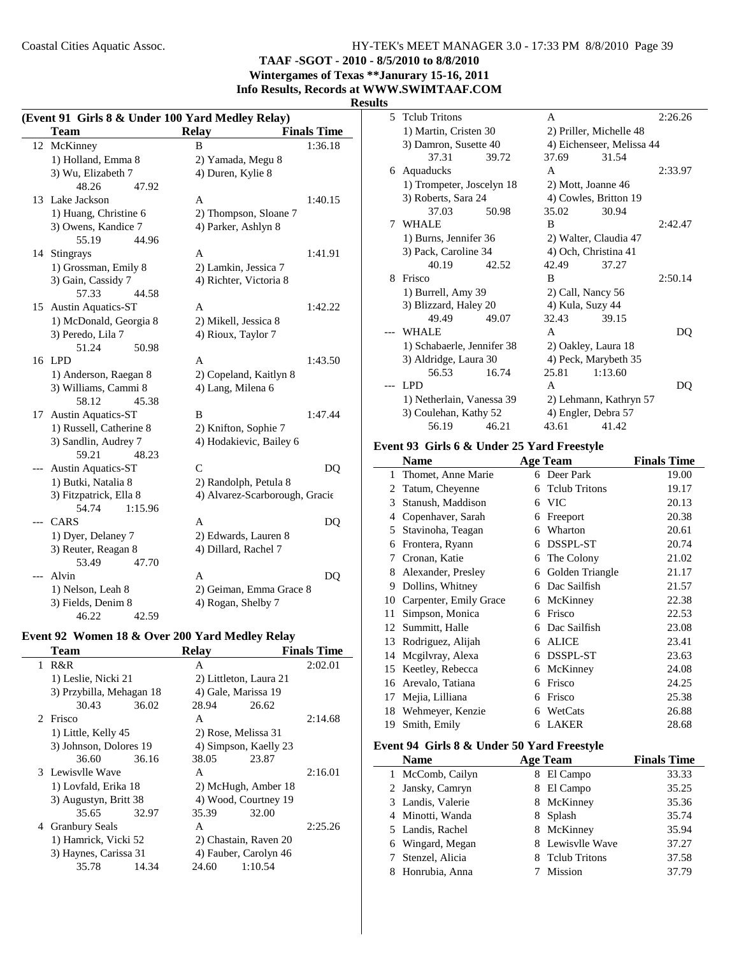**TAAF -SGOT - 2010 - 8/5/2010 to 8/8/2010**

**Wintergames of Texas \*\*Janurary 15-16, 2011 Info Results, Records at WWW.SWIMTAAF.COM**

## **Results**

|     | (Event 91 Girls 8 & Under 100 Yard Medley Relay) |                                |                    |
|-----|--------------------------------------------------|--------------------------------|--------------------|
|     | Team                                             | <b>Relay</b>                   | <b>Finals Time</b> |
| 12  | McKinney                                         | <sub>R</sub>                   | 1:36.18            |
|     | 1) Holland, Emma 8                               | 2) Yamada, Megu 8              |                    |
|     | 3) Wu, Elizabeth 7                               | 4) Duren, Kylie 8              |                    |
|     | 48.26<br>47.92                                   |                                |                    |
| 13  | Lake Jackson                                     | A                              | 1:40.15            |
|     | 1) Huang, Christine 6                            | 2) Thompson, Sloane 7          |                    |
|     | 3) Owens, Kandice 7                              | 4) Parker, Ashlyn 8            |                    |
|     | 55.19<br>44.96                                   |                                |                    |
|     | 14 Stingrays                                     | A                              | 1:41.91            |
|     | 1) Grossman, Emily 8                             | 2) Lamkin, Jessica 7           |                    |
|     | 3) Gain, Cassidy 7                               | 4) Richter, Victoria 8         |                    |
|     | 44.58<br>57.33                                   |                                |                    |
| 15  | <b>Austin Aquatics-ST</b>                        | A                              | 1:42.22            |
|     | 1) McDonald, Georgia 8                           | 2) Mikell, Jessica 8           |                    |
|     | 3) Peredo, Lila 7                                | 4) Rioux, Taylor 7             |                    |
|     | 51.24<br>50.98                                   |                                |                    |
| 16  | LPD                                              | A                              | 1:43.50            |
|     | 1) Anderson, Raegan 8                            | 2) Copeland, Kaitlyn 8         |                    |
|     | 3) Williams, Cammi 8                             | 4) Lang, Milena 6              |                    |
|     | 58.12<br>45.38                                   |                                |                    |
| 17  | <b>Austin Aquatics-ST</b>                        | B                              | 1:47.44            |
|     | 1) Russell, Catherine 8                          | 2) Knifton, Sophie 7           |                    |
|     | 3) Sandlin, Audrey 7                             | 4) Hodakievic, Bailey 6        |                    |
|     | 59.21<br>48.23                                   |                                |                    |
|     | <b>Austin Aquatics-ST</b>                        | $\overline{C}$                 | DQ                 |
|     | 1) Butki, Natalia 8                              | 2) Randolph, Petula 8          |                    |
|     | 3) Fitzpatrick, Ella 8                           | 4) Alvarez-Scarborough, Gracie |                    |
|     | 54.74<br>1:15.96                                 |                                |                    |
| --- | CARS                                             | A                              | DQ                 |
|     | 1) Dyer, Delaney 7                               | 2) Edwards, Lauren 8           |                    |
|     | 3) Reuter, Reagan 8                              | 4) Dillard, Rachel 7           |                    |
|     | 53.49<br>47.70                                   |                                |                    |
|     | Alvin                                            | A                              | DO                 |
|     | 1) Nelson, Leah 8                                | 2) Geiman, Emma Grace 8        |                    |
|     | 3) Fields, Denim 8                               | 4) Rogan, Shelby 7             |                    |
|     | 46.22<br>42.59                                   |                                |                    |

#### **Event 92 Women 18 & Over 200 Yard Medley Relay**

|   | Team                     |       | <b>Relav</b> |                        | <b>Finals Time</b> |
|---|--------------------------|-------|--------------|------------------------|--------------------|
| 1 | R&R                      |       | A            |                        | 2:02.01            |
|   | 1) Leslie, Nicki 21      |       |              | 2) Littleton, Laura 21 |                    |
|   | 3) Przybilla, Mehagan 18 |       |              | 4) Gale, Marissa 19    |                    |
|   | 30.43                    | 36.02 | 28.94        | 26.62                  |                    |
|   | 2 Frisco                 |       | A            |                        | 2:14.68            |
|   | 1) Little, Kelly 45      |       |              | 2) Rose, Melissa 31    |                    |
|   | 3) Johnson, Dolores 19   |       |              | 4) Simpson, Kaelly 23  |                    |
|   | 36.60                    | 36.16 | 38.05        | 23.87                  |                    |
|   | 3 Lewisvlle Wave         |       | A            |                        | 2:16.01            |
|   | 1) Lovfald, Erika 18     |       |              | 2) McHugh, Amber 18    |                    |
|   | 3) Augustyn, Britt 38    |       |              | 4) Wood, Courtney 19   |                    |
|   | 35.65                    | 32.97 | 35.39        | 32.00                  |                    |
| 4 | <b>Granbury Seals</b>    |       | A            |                        | 2:25.26            |
|   | 1) Hamrick, Vicki 52     |       |              | 2) Chastain, Raven 20  |                    |
|   | 3) Haynes, Carissa 31    |       |              | 4) Fauber, Carolyn 46  |                    |
|   | 35.78                    | 14.34 | 24.60        | 1:10.54                |                    |
|   |                          |       |              |                        |                    |

| ∼  |                            |       |       |                           |         |
|----|----------------------------|-------|-------|---------------------------|---------|
| 5. | <b>Telub Tritons</b>       |       | A     |                           | 2:26.26 |
|    | 1) Martin, Cristen 30      |       |       | 2) Priller, Michelle 48   |         |
|    | 3) Damron, Susette 40      |       |       | 4) Eichenseer, Melissa 44 |         |
|    | 37.31                      | 39.72 | 37.69 | 31.54                     |         |
| 6  | Aquaducks                  |       | A     |                           | 2:33.97 |
|    | 1) Trompeter, Joscelyn 18  |       |       | 2) Mott, Joanne 46        |         |
|    | 3) Roberts, Sara 24        |       |       | 4) Cowles, Britton 19     |         |
|    | 37.03                      | 50.98 | 35.02 | 30.94                     |         |
| 7  | WHALE                      |       | B     |                           | 2:42.47 |
|    | 1) Burns, Jennifer 36      |       |       | 2) Walter, Claudia 47     |         |
|    | 3) Pack, Caroline 34       |       |       | 4) Och, Christina 41      |         |
|    | 40.19                      | 42.52 | 42.49 | 37.27                     |         |
| 8  | Frisco                     |       | B     |                           | 2:50.14 |
|    | 1) Burrell, Amy 39         |       |       | 2) Call, Nancy 56         |         |
|    | 3) Blizzard, Haley 20      |       |       | 4) Kula, Suzy 44          |         |
|    | 49.49                      | 49.07 | 32.43 | 39.15                     |         |
|    | WHALE                      |       | A     |                           | DQ      |
|    | 1) Schabaerle, Jennifer 38 |       |       | 2) Oakley, Laura 18       |         |
|    | 3) Aldridge, Laura 30      |       |       | 4) Peck, Marybeth 35      |         |
|    | 56.53                      | 16.74 | 25.81 | 1:13.60                   |         |
|    | <b>LPD</b>                 |       | A     |                           | DO      |
|    | 1) Netherlain, Vanessa 39  |       |       | 2) Lehmann, Kathryn 57    |         |
|    | 3) Coulehan, Kathy 52      |       |       | 4) Engler, Debra 57       |         |
|    | 56.19                      | 46.21 | 43.61 | 41.42                     |         |

#### **Event 93 Girls 6 & Under 25 Yard Freestyle**

|    | <b>Name</b>            |   | <b>Age Team</b>      | <b>Finals Time</b> |
|----|------------------------|---|----------------------|--------------------|
| 1  | Thomet, Anne Marie     |   | 6 Deer Park          | 19.00              |
| 2  | Tatum, Cheyenne        | 6 | <b>Telub Tritons</b> | 19.17              |
| 3  | Stanush, Maddison      | 6 | <b>VIC</b>           | 20.13              |
| 4  | Copenhaver, Sarah      | 6 | Freeport             | 20.38              |
| 5  | Stavinoha, Teagan      | 6 | Wharton              | 20.61              |
| 6  | Frontera, Ryann        | 6 | DSSPL-ST             | 20.74              |
| 7  | Cronan, Katie          | 6 | The Colony           | 21.02              |
| 8  | Alexander, Presley     | 6 | Golden Triangle      | 21.17              |
| 9  | Dollins, Whitney       | 6 | Dac Sailfish         | 21.57              |
| 10 | Carpenter, Emily Grace | 6 | McKinney             | 22.38              |
| 11 | Simpson, Monica        | 6 | Frisco               | 22.53              |
| 12 | Summitt, Halle         | 6 | Dac Sailfish         | 23.08              |
| 13 | Rodriguez, Alijah      | 6 | <b>ALICE</b>         | 23.41              |
| 14 | Megilvray, Alexa       | 6 | DSSPL-ST             | 23.63              |
| 15 | Keetley, Rebecca       | 6 | McKinney             | 24.08              |
| 16 | Arevalo, Tatiana       | 6 | Frisco               | 24.25              |
| 17 | Mejia, Lilliana        | 6 | Frisco               | 25.38              |
| 18 | Wehmeyer, Kenzie       | 6 | WetCats              | 26.88              |
| 19 | Smith, Emily           | 6 | <b>LAKER</b>         | 28.68              |

## **Event 94 Girls 8 & Under 50 Yard Freestyle**

| <b>Name</b>       | <b>Age Team</b>  | <b>Finals Time</b> |
|-------------------|------------------|--------------------|
| 1 McComb, Cailyn  | 8 El Campo       | 33.33              |
| 2 Jansky, Camryn  | El Campo         | 35.25              |
| 3 Landis, Valerie | 8 McKinney       | 35.36              |
| 4 Minotti, Wanda  | 8 Splash         | 35.74              |
| 5 Landis, Rachel  | 8 McKinney       | 35.94              |
| 6 Wingard, Megan  | 8 Lewisvlle Wave | 37.27              |
| 7 Stenzel, Alicia | 8 Telub Tritons  | 37.58              |
| 8 Honrubia, Anna  | Mission          | 37.79              |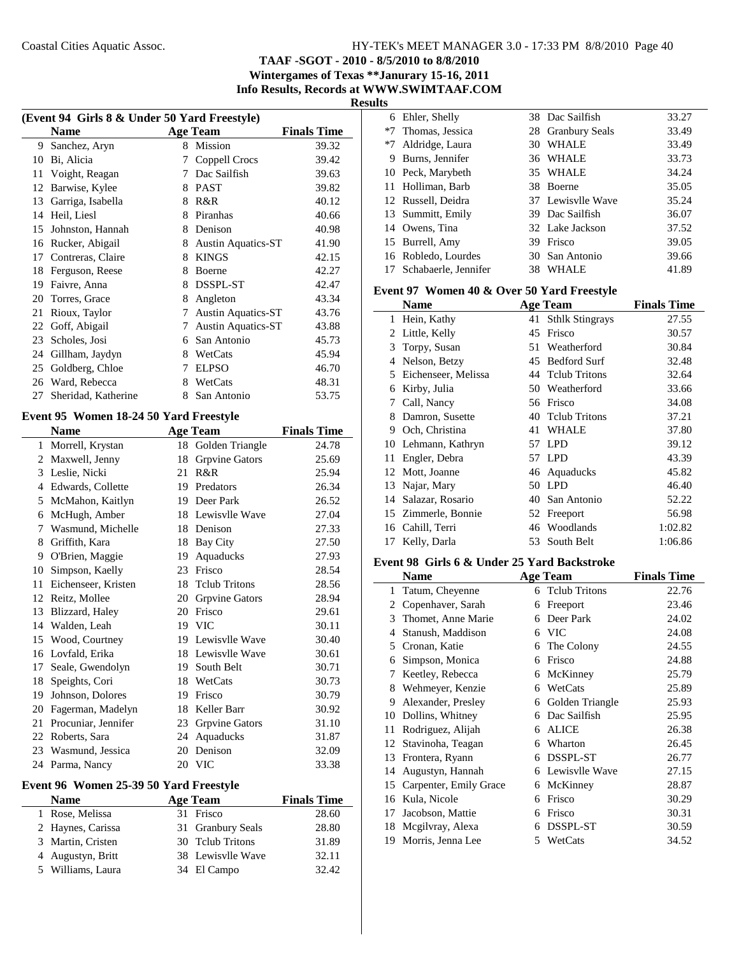**TAAF -SGOT - 2010 - 8/5/2010 to 8/8/2010**

**Wintergames of Texas \*\*Janurary 15-16, 2011**

**Info Results, Records at WWW.SWIMTAAF.COM**

| I<br>ı<br>×. |  |
|--------------|--|
|              |  |

| (Event 94 Girls 8 & Under 50 Yard Freestyle) |                                        |                 |                           |                    |
|----------------------------------------------|----------------------------------------|-----------------|---------------------------|--------------------|
|                                              | <b>Name</b>                            |                 | <b>Age Team</b>           | <b>Finals Time</b> |
| 9                                            | Sanchez, Aryn                          | 8               | <b>Mission</b>            | 39.32              |
|                                              | 10 Bi, Alicia                          | 7               | Coppell Crocs             | 39.42              |
|                                              | 11 Voight, Reagan                      |                 | 7 Dac Sailfish            | 39.63              |
|                                              | 12 Barwise, Kylee                      |                 | 8 PAST                    | 39.82              |
|                                              | 13 Garriga, Isabella                   |                 | 8 R&R                     | 40.12              |
|                                              | 14 Heil, Liesl                         |                 | 8 Piranhas                | 40.66              |
|                                              | 15 Johnston, Hannah                    |                 | 8 Denison                 | 40.98              |
|                                              | 16 Rucker, Abigail                     |                 | 8 Austin Aquatics-ST      | 41.90              |
| 17                                           | Contreras, Claire                      |                 | 8 KINGS                   | 42.15              |
| 18                                           | Ferguson, Reese                        |                 | 8 Boerne                  | 42.27              |
| 19                                           | Faivre, Anna                           |                 | 8 DSSPL-ST                | 42.47              |
| 20                                           | Torres, Grace                          | 8               | Angleton                  | 43.34              |
| 21                                           | Rioux, Taylor                          | 7               | <b>Austin Aquatics-ST</b> | 43.76              |
|                                              | 22 Goff, Abigail                       | $7\overline{ }$ | <b>Austin Aquatics-ST</b> | 43.88              |
| 23                                           | Scholes, Josi                          |                 | 6 San Antonio             | 45.73              |
|                                              | 24 Gillham, Jaydyn                     |                 | 8 WetCats                 | 45.94              |
| 25                                           | Goldberg, Chloe                        |                 | 7 ELPSO                   | 46.70              |
|                                              | 26 Ward, Rebecca                       |                 | 8 WetCats                 | 48.31              |
| 27                                           | Sheridad, Katherine                    | 8               | San Antonio               | 53.75              |
|                                              | Event 95 Women 18-24 50 Yard Freestyle |                 |                           |                    |
|                                              | <b>Name</b>                            |                 | <b>Age Team</b>           | <b>Finals Time</b> |
|                                              | 1 Morrell, Krystan                     |                 | 18 Golden Triangle        | 24.78              |
| $\overline{c}$                               | Maxwell, Jenny                         | 18              | <b>Grpvine Gators</b>     | 25.69              |
| 3                                            | Leslie, Nicki                          | 21              | R&R                       | 25.94              |
| 4                                            | Edwards, Collette                      |                 | 19 Predators              | 26.34              |
| 5                                            | McMahon, Kaitlyn                       |                 | 19 Deer Park              | 26.52              |
| 6                                            | McHugh, Amber                          |                 | 18 Lewisvlle Wave         | 27.04              |
| 7                                            | Wasmund, Michelle                      |                 | 18 Denison                | 27.33              |
| 8                                            | Griffith, Kara                         |                 | 18 Bay City               | 27.50              |
|                                              | 9 O'Brien, Maggie                      |                 | 19 Aquaducks              | 27.93              |
| 10                                           | Simpson, Kaelly                        |                 | 23 Frisco                 | 28.54              |
| 11                                           | Eichenseer, Kristen                    |                 | 18 Tclub Tritons          | 28.56              |
|                                              | 12 Reitz, Mollee                       |                 | 20 Grpvine Gators         | 28.94              |
| 13                                           | Blizzard, Haley                        |                 | 20 Frisco                 | 29.61              |
| 14                                           | Walden, Leah                           |                 | 19 VIC                    | 30.11              |
| 15                                           | Wood, Courtney                         |                 | 19 Lewisvlle Wave         | 30.40              |
| 16                                           | Lovfald, Erika                         | 18              | Lewisvlle Wave            | 30.61              |
| 17                                           | Seale, Gwendolyn                       | 19              | South Belt                | 30.71              |
| 18                                           | Speights, Cori                         |                 | 18 WetCats                | 30.73              |
| 19                                           | Johnson, Dolores                       |                 | 19 Frisco                 | 30.79              |
| 20                                           | Fagerman, Madelyn                      |                 | 18 Keller Barr            | 30.92              |
| 21                                           | Procuniar, Jennifer                    |                 | 23 Grpvine Gators         | 31.10              |
|                                              | 22 Roberts, Sara                       | 24              | Aquaducks                 | 31.87              |
| 23                                           | Wasmund, Jessica                       |                 | 20 Denison                | 32.09              |
|                                              | 24 Parma, Nancy                        |                 | 20 VIC                    | 33.38              |
|                                              |                                        |                 |                           |                    |

## **Event 96 Women 25-39 50 Yard Freestyle**

| <b>Name</b>       | Age Team          | <b>Finals Time</b> |
|-------------------|-------------------|--------------------|
| 1 Rose, Melissa   | 31 Frisco         | 28.60              |
| 2 Haynes, Carissa | 31 Granbury Seals | 28.80              |
| 3 Martin, Cristen | 30 Telub Tritons  | 31.89              |
| 4 Augustyn, Britt | 38 Lewisvlle Wave | 32.11              |
| 5 Williams, Laura | 34 El Campo       | 32.42              |

|    | 6 Ehler, Shelly      |    | 38 Dac Sailfish   | 33.27 |
|----|----------------------|----|-------------------|-------|
| *7 | Thomas, Jessica      |    | 28 Granbury Seals | 33.49 |
| *7 | Aldridge, Laura      | 30 | <b>WHALE</b>      | 33.49 |
| 9  | Burns, Jennifer      |    | 36 WHALE          | 33.73 |
|    | 10 Peck, Marybeth    |    | 35 WHALE          | 34.24 |
|    | 11 Holliman, Barb    |    | 38 Boerne         | 35.05 |
|    | 12 Russell, Deidra   |    | 37 Lewisvlle Wave | 35.24 |
|    | 13 Summitt, Emily    |    | 39 Dac Sailfish   | 36.07 |
|    | 14 Owens, Tina       |    | 32 Lake Jackson   | 37.52 |
|    | 15 Burrell, Amy      | 39 | Frisco            | 39.05 |
|    | 16 Robledo, Lourdes  |    | 30 San Antonio    | 39.66 |
|    | Schabaerle, Jennifer | 38 | WHALE             | 41.89 |
|    |                      |    |                   |       |

#### **Event 97 Women 40 & Over 50 Yard Freestyle**

|    | <b>Name</b>         |     | <b>Age Team</b>      | <b>Finals Time</b> |
|----|---------------------|-----|----------------------|--------------------|
| 1  | Hein, Kathy         |     | 41 Sthlk Stingrays   | 27.55              |
| 2  | Little, Kelly       | 45  | Frisco               | 30.57              |
| 3  | Torpy, Susan        | 51  | Weatherford          | 30.84              |
| 4  | Nelson, Betzy       | 45  | <b>Bedford Surf</b>  | 32.48              |
| 5  | Eichenseer, Melissa |     | 44 Telub Tritons     | 32.64              |
| 6  | Kirby, Julia        |     | 50 Weatherford       | 33.66              |
| 7  | Call, Nancy         |     | 56 Frisco            | 34.08              |
| 8  | Damron, Susette     | 40. | <b>Telub Tritons</b> | 37.21              |
| 9  | Och, Christina      | 41  | <b>WHALE</b>         | 37.80              |
| 10 | Lehmann, Kathryn    | 57  | <b>LPD</b>           | 39.12              |
| 11 | Engler, Debra       | 57  | <b>LPD</b>           | 43.39              |
| 12 | Mott, Joanne        |     | 46 Aquaducks         | 45.82              |
| 13 | Najar, Mary         | 50  | LPD <sub></sub>      | 46.40              |
| 14 | Salazar, Rosario    | 40  | San Antonio          | 52.22              |
|    | 15 Zimmerle, Bonnie |     | 52 Freeport          | 56.98              |
| 16 | Cahill, Terri       | 46  | Woodlands            | 1:02.82            |
| 17 | Kelly, Darla        | 53  | South Belt           | 1:06.86            |

#### **Event 98 Girls 6 & Under 25 Yard Backstroke**

|    | <b>Name</b>            |   | <b>Age Team</b>      | <b>Finals Time</b> |
|----|------------------------|---|----------------------|--------------------|
| 1  | Tatum, Cheyenne        | 6 | <b>Telub Tritons</b> | 22.76              |
| 2  | Copenhaver, Sarah      | 6 | Freeport             | 23.46              |
| 3  | Thomet, Anne Marie     | 6 | Deer Park            | 24.02              |
| 4  | Stanush, Maddison      | 6 | <b>VIC</b>           | 24.08              |
| 5  | Cronan, Katie          | 6 | The Colony           | 24.55              |
| 6  | Simpson, Monica        | 6 | Frisco               | 24.88              |
| 7  | Keetley, Rebecca       | 6 | McKinney             | 25.79              |
| 8  | Wehmeyer, Kenzie       | 6 | WetCats              | 25.89              |
| 9  | Alexander, Presley     | 6 | Golden Triangle      | 25.93              |
| 10 | Dollins, Whitney       | 6 | Dac Sailfish         | 25.95              |
| 11 | Rodriguez, Alijah      | 6 | <b>ALICE</b>         | 26.38              |
| 12 | Stavinoha, Teagan      | 6 | Wharton              | 26.45              |
| 13 | Frontera, Ryann        | 6 | DSSPL-ST             | 26.77              |
| 14 | Augustyn, Hannah       | 6 | Lewisvlle Wave       | 27.15              |
| 15 | Carpenter, Emily Grace | 6 | McKinney             | 28.87              |
| 16 | Kula, Nicole           | 6 | Frisco               | 30.29              |
| 17 | Jacobson, Mattie       | 6 | Frisco               | 30.31              |
| 18 | Megilvray, Alexa       | 6 | DSSPL-ST             | 30.59              |
| 19 | Morris, Jenna Lee      | 5 | WetCats              | 34.52              |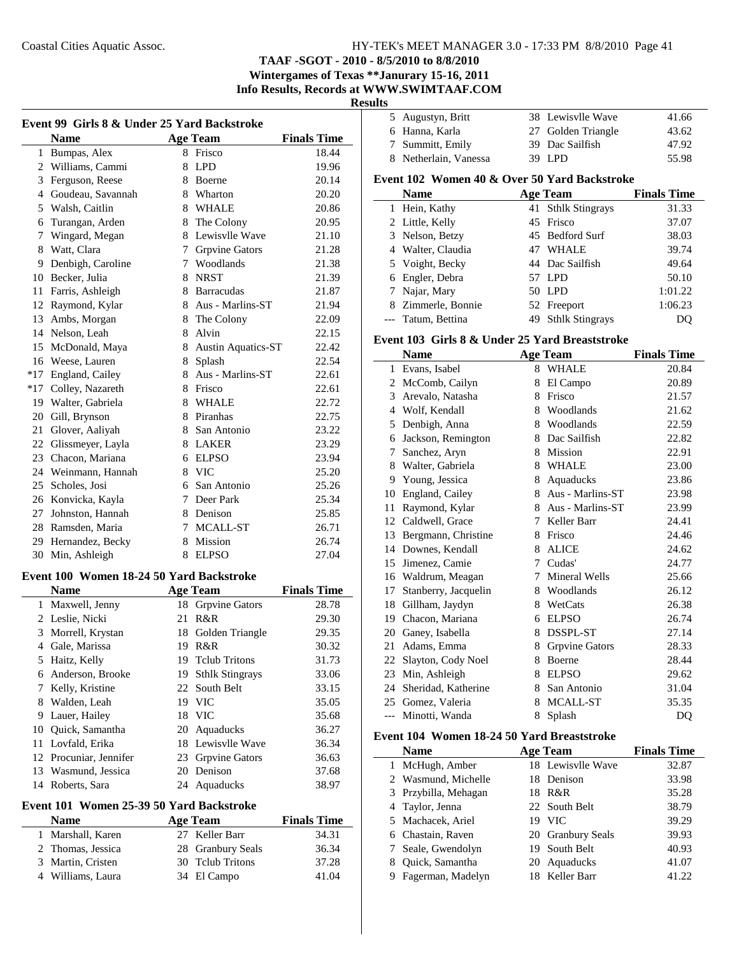## **TAAF -SGOT - 2010 - 8/5/2010 to 8/8/2010**

**Wintergames of Texas \*\*Janurary 15-16, 2011 Info Results, Records at WWW.SWIMTAAF.COM**

#### **Results**

| Event 99 Girls 8 & Under 25 Yard Backstroke |                                          |    |                        |                    |  |
|---------------------------------------------|------------------------------------------|----|------------------------|--------------------|--|
|                                             | <b>Name</b>                              |    | <b>Age Team</b>        | <b>Finals Time</b> |  |
|                                             | 1 Bumpas, Alex                           |    | 8 Frisco               | 18.44              |  |
|                                             | 2 Williams, Cammi                        | 8  | <b>LPD</b>             | 19.96              |  |
|                                             | 3 Ferguson, Reese                        |    | 8 Boerne               | 20.14              |  |
|                                             | 4 Goudeau, Savannah                      |    | 8 Wharton              | 20.20              |  |
|                                             | 5 Walsh, Caitlin                         |    | 8 WHALE                | 20.86              |  |
|                                             | 6 Turangan, Arden                        |    | 8 The Colony           | 20.95              |  |
|                                             | 7 Wingard, Megan                         |    | 8 Lewisvlle Wave       | 21.10              |  |
|                                             | 8 Watt, Clara                            |    | 7 Grpvine Gators       | 21.28              |  |
| 9.                                          | Denbigh, Caroline                        |    | 7 Woodlands            | 21.38              |  |
|                                             | 10 Becker, Julia                         |    | 8 NRST                 | 21.39              |  |
|                                             | 11 Farris, Ashleigh                      |    | 8 Barracudas           | 21.87              |  |
|                                             | 12 Raymond, Kylar                        |    | 8 Aus - Marlins-ST     | 21.94              |  |
|                                             | 13 Ambs, Morgan                          |    | 8 The Colony           | 22.09              |  |
|                                             | 14 Nelson, Leah                          |    | 8 Alvin                | 22.15              |  |
|                                             | 15 McDonald, Maya                        |    | 8 Austin Aquatics-ST   | 22.42              |  |
|                                             | 16 Weese, Lauren                         |    | 8 Splash               | 22.54              |  |
|                                             | *17 England, Cailey                      |    | 8 Aus - Marlins-ST     | 22.61              |  |
|                                             | *17 Colley, Nazareth                     |    | 8 Frisco               | 22.61              |  |
|                                             | 19 Walter, Gabriela                      |    | 8 WHALE                | 22.72              |  |
|                                             | 20 Gill, Brynson                         |    | 8 Piranhas             | 22.75              |  |
|                                             | 21 Glover, Aaliyah                       |    | 8 San Antonio          | 23.22              |  |
|                                             | 22 Glissmeyer, Layla                     |    | 8 LAKER                | 23.29              |  |
|                                             | 23 Chacon, Mariana                       |    | 6 ELPSO                | 23.94              |  |
|                                             | 24 Weinmann, Hannah                      |    | 8 VIC                  | 25.20              |  |
|                                             | 25 Scholes, Josi                         |    | 6 San Antonio          | 25.26              |  |
|                                             | 26 Konvicka, Kayla                       |    | 7 Deer Park            | 25.34              |  |
|                                             | 27 Johnston, Hannah                      |    | 8 Denison              | 25.85              |  |
|                                             | 28 Ramsden, Maria                        |    | 7 MCALL-ST             | 26.71              |  |
|                                             | 29 Hernandez, Becky                      |    | 8 Mission              | 26.74              |  |
|                                             | 30 Min, Ashleigh                         |    | 8 ELPSO                | 27.04              |  |
|                                             |                                          |    |                        |                    |  |
|                                             | Event 100 Women 18-24 50 Yard Backstroke |    |                        |                    |  |
|                                             | <b>Name</b>                              |    | <b>Age Team</b>        | <b>Finals Time</b> |  |
|                                             | 1 Maxwell, Jenny                         |    | 18 Grpvine Gators      | 28.78              |  |
|                                             | 2 Leslie, Nicki                          |    | 21 R&R                 | 29.30              |  |
|                                             | 3 Morrell, Krystan                       | 18 | Golden Triangle        | 29.35              |  |
|                                             | 4 Gale, Marissa                          |    | 19 R&R                 | 30.32              |  |
| 5                                           | Haitz, Kelly                             | 19 | <b>Tclub Tritons</b>   | 31.73              |  |
|                                             | 6 Anderson, Brooke                       | 19 | <b>Sthlk Stingrays</b> | 33.06              |  |
|                                             | 7 Kelly, Kristine                        | 22 | South Belt             | 33.15              |  |
|                                             | 8 Walden, Leah                           |    | 19 VIC                 | 35.05              |  |
|                                             | 9 Lauer, Hailey                          |    | 18 VIC                 | 35.68              |  |
|                                             | 10 Quick, Samantha                       |    | 20 Aquaducks           | 36.27              |  |
| 11                                          | Lovfald, Erika                           |    | 18 Lewisvlle Wave      | 36.34              |  |
|                                             | 12 Procuniar, Jennifer                   |    | 23 Grpvine Gators      | 36.63              |  |
|                                             | 13 Wasmund, Jessica                      |    | 20 Denison             | 37.68              |  |
|                                             | 14 Roberts, Sara                         |    | 24 Aquaducks           | 38.97              |  |
|                                             | Event 101 Women 25-39 50 Yard Backstroke |    |                        |                    |  |
|                                             | <b>Name</b>                              |    | <b>Age Team</b>        | <b>Finals Time</b> |  |
| 1                                           | Marshall, Karen                          |    | 27 Keller Barr         | 34.31              |  |

2 36.34 Thomas, Jessica 28 Granbury Seals 3 37.28 Martin, Cristen 30 Tclub Tritons 4 41.04 Williams, Laura 34 El Campo

| 5 Augustyn, Britt     | 38 Lewisvlle Wave  | 41.66 |
|-----------------------|--------------------|-------|
| 6 Hanna, Karla        | 27 Golden Triangle | 43.62 |
| 7 Summitt, Emily      | 39 Dac Sailfish    | 47.92 |
| 8 Netherlain, Vanessa | 39 LPD             | 55.98 |
|                       |                    |       |

## **Event 102 Women 40 & Over 50 Yard Backstroke**

| <b>Name</b>        | <b>Age Team</b>    | <b>Finals Time</b> |
|--------------------|--------------------|--------------------|
| 1 Hein, Kathy      | 41 Sthlk Stingrays | 31.33              |
| 2 Little, Kelly    | 45 Frisco          | 37.07              |
| 3 Nelson, Betzy    | 45 Bedford Surf    | 38.03              |
| 4 Walter, Claudia  | 47 WHALE           | 39.74              |
| 5 Voight, Becky    | 44 Dac Sailfish    | 49.64              |
| 6 Engler, Debra    | 57 LPD             | 50.10              |
| 7 Najar, Mary      | 50 LPD             | 1:01.22            |
| 8 Zimmerle, Bonnie | 52 Freeport        | 1:06.23            |
| --- Tatum, Bettina | 49 Sthlk Stingrays | DO                 |

#### **Event 103 Girls 8 & Under 25 Yard Breaststroke**

|              | Name                 |   | <b>Age Team</b>       | <b>Finals Time</b> |
|--------------|----------------------|---|-----------------------|--------------------|
| $\mathbf{1}$ | Evans, Isabel        | 8 | <b>WHALE</b>          | 20.84              |
| 2            | McComb, Cailyn       | 8 | El Campo              | 20.89              |
| 3            | Arevalo, Natasha     | 8 | Frisco                | 21.57              |
| 4            | Wolf, Kendall        | 8 | Woodlands             | 21.62              |
| 5            | Denbigh, Anna        | 8 | Woodlands             | 22.59              |
| 6            | Jackson, Remington   | 8 | Dac Sailfish          | 22.82              |
| 7            | Sanchez, Aryn        | 8 | <b>Mission</b>        | 22.91              |
| 8            | Walter, Gabriela     | 8 | <b>WHALE</b>          | 23.00              |
| 9            | Young, Jessica       | 8 | Aquaducks             | 23.86              |
| 10           | England, Cailey      | 8 | Aus - Marlins-ST      | 23.98              |
| 11           | Raymond, Kylar       | 8 | Aus - Marlins-ST      | 23.99              |
| 12           | Caldwell, Grace      | 7 | Keller Barr           | 24.41              |
| 13           | Bergmann, Christine  | 8 | Frisco                | 24.46              |
| 14           | Downes, Kendall      | 8 | <b>ALICE</b>          | 24.62              |
| 15           | Jimenez, Camie       | 7 | Cudas'                | 24.77              |
| 16           | Waldrum, Meagan      | 7 | Mineral Wells         | 25.66              |
| 17           | Stanberry, Jacquelin | 8 | Woodlands             | 26.12              |
| 18           | Gillham, Jaydyn      | 8 | WetCats               | 26.38              |
| 19           | Chacon, Mariana      | 6 | <b>ELPSO</b>          | 26.74              |
| 20           | Ganey, Isabella      | 8 | <b>DSSPL-ST</b>       | 27.14              |
| 21           | Adams, Emma          | 8 | <b>Grpvine Gators</b> | 28.33              |
| 22           | Slayton, Cody Noel   | 8 | <b>Boerne</b>         | 28.44              |
| 23           | Min, Ashleigh        | 8 | <b>ELPSO</b>          | 29.62              |
| 24           | Sheridad, Katherine  | 8 | San Antonio           | 31.04              |
| 25           | Gomez, Valeria       | 8 | MCALL-ST              | 35.35              |
| $---$        | Minotti, Wanda       | 8 | Splash                | DQ                 |

## **Event 104 Women 18-24 50 Yard Breaststroke**

 $\overline{\phantom{a}}$ 

| <b>Name</b>          |    | <b>Age Team</b>   | <b>Finals Time</b> |
|----------------------|----|-------------------|--------------------|
| 1 McHugh, Amber      |    | 18 Lewisylle Wave | 32.87              |
| 2 Wasmund, Michelle  |    | 18 Denison        | 33.98              |
| 3 Przybilla, Mehagan |    | 18 R&R            | 35.28              |
| 4 Taylor, Jenna      |    | 22 South Belt     | 38.79              |
| 5 Machacek, Ariel    | 19 | - VIC             | 39.29              |
| 6 Chastain, Raven    |    | 20 Granbury Seals | 39.93              |
| Seale, Gwendolyn     |    | 19 South Belt     | 40.93              |
| Quick, Samantha      |    | 20 Aquaducks      | 41.07              |
| Fagerman, Madelyn    |    | 18 Keller Barr    | 41.22              |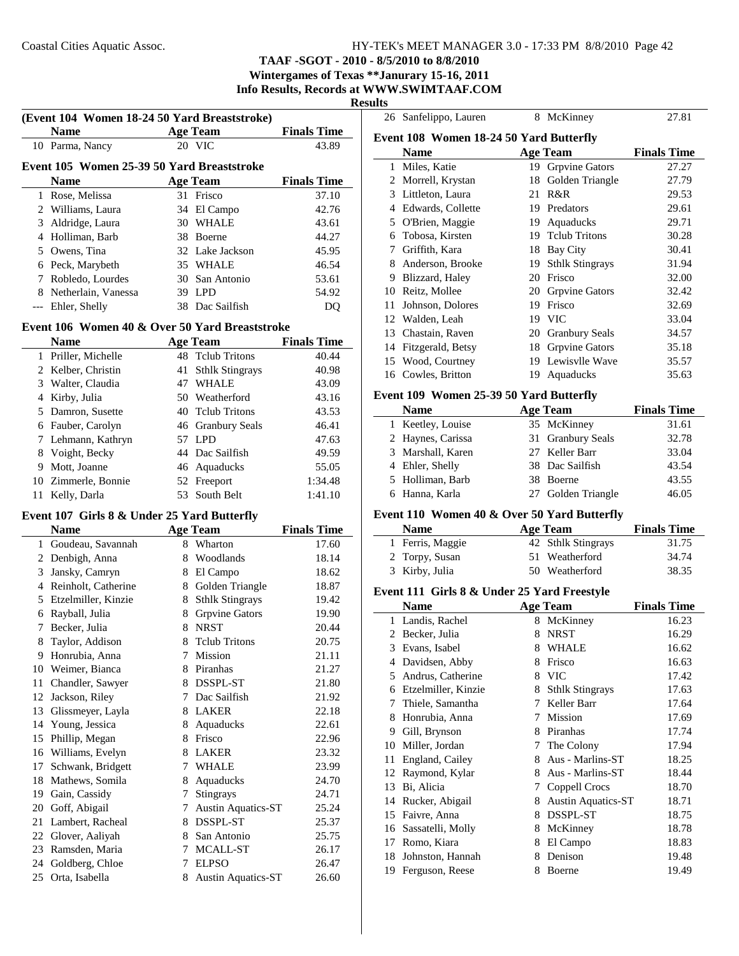26 Sanfelippo, Lauren 8 McKinney 27.81

## **TAAF -SGOT - 2010 - 8/5/2010 to 8/8/2010**

#### **Wintergames of Texas \*\*Janurary 15-16, 2011 Info Results, Records at WWW.SWIMTAAF.COM**

#### **Results**

| (Event 104 Women 18-24 50 Yard Breaststroke) |                                                |    |                           |                    |  |  |
|----------------------------------------------|------------------------------------------------|----|---------------------------|--------------------|--|--|
|                                              | <b>Name</b>                                    |    | <b>Age Team</b>           | <b>Finals Time</b> |  |  |
|                                              | 10 Parma, Nancy                                |    | 20 VIC                    | 43.89              |  |  |
| Event 105 Women 25-39 50 Yard Breaststroke   |                                                |    |                           |                    |  |  |
|                                              | <b>Name</b>                                    |    | <b>Age Team</b>           | <b>Finals Time</b> |  |  |
|                                              | 1 Rose, Melissa                                |    | 31 Frisco                 | 37.10              |  |  |
|                                              | 2 Williams, Laura                              |    | 34 El Campo               | 42.76              |  |  |
|                                              | 3 Aldridge, Laura                              |    | 30 WHALE                  | 43.61              |  |  |
|                                              | 4 Holliman, Barb                               |    | 38 Boerne                 | 44.27              |  |  |
|                                              | 5 Owens. Tina                                  |    | 32 Lake Jackson           | 45.95              |  |  |
|                                              | 6 Peck, Marybeth                               |    | 35 WHALE                  | 46.54              |  |  |
|                                              | 7 Robledo, Lourdes                             |    | 30 San Antonio            | 53.61              |  |  |
|                                              | 8 Netherlain, Vanessa                          |    | 39 LPD                    | 54.92              |  |  |
|                                              | --- Ehler, Shelly                              |    | 38 Dac Sailfish           | DQ                 |  |  |
|                                              | Event 106 Women 40 & Over 50 Yard Breaststroke |    |                           |                    |  |  |
|                                              | <b>Name</b>                                    |    | <b>Age Team</b>           | <b>Finals Time</b> |  |  |
|                                              | 1 Priller, Michelle                            |    | 48 Tclub Tritons          | 40.44              |  |  |
|                                              | 2 Kelber, Christin                             | 41 | <b>Sthlk Stingrays</b>    | 40.98              |  |  |
|                                              | 3 Walter, Claudia                              |    | 47 WHALE                  | 43.09              |  |  |
|                                              | 4 Kirby, Julia                                 |    | 50 Weatherford            | 43.16              |  |  |
|                                              | 5 Damron, Susette                              |    | 40 Tclub Tritons          | 43.53              |  |  |
|                                              | 6 Fauber, Carolyn                              |    | 46 Granbury Seals         | 46.41              |  |  |
|                                              | 7 Lehmann, Kathryn                             |    | 57 LPD                    | 47.63              |  |  |
|                                              | 8 Voight, Becky                                |    | 44 Dac Sailfish           | 49.59              |  |  |
|                                              | 9 Mott, Joanne                                 |    | 46 Aquaducks              | 55.05              |  |  |
|                                              | 10 Zimmerle, Bonnie                            |    | 52 Freeport               | 1:34.48            |  |  |
| 11                                           | Kelly, Darla                                   | 53 | South Belt                | 1:41.10            |  |  |
|                                              | Event 107 Girls 8 & Under 25 Yard Butterfly    |    |                           |                    |  |  |
|                                              | <b>Name</b>                                    |    | <b>Age Team</b>           | <b>Finals Time</b> |  |  |
|                                              | 1 Goudeau, Savannah                            |    | 8 Wharton                 | 17.60              |  |  |
|                                              | 2 Denbigh, Anna                                |    | 8 Woodlands               | 18.14              |  |  |
|                                              | 3 Jansky, Camryn                               |    | 8 El Campo                | 18.62              |  |  |
|                                              | 4 Reinholt, Catherine                          |    | 8 Golden Triangle         | 18.87              |  |  |
|                                              | 5 Etzelmiller, Kinzie                          |    | 8 Sthlk Stingrays         | 19.42              |  |  |
|                                              | 6 Rayball, Julia                               |    | 8 Grpvine Gators          | 19.90              |  |  |
| 7                                            | Becker, Julia                                  |    | 8 NRST                    | 20.44              |  |  |
| 8                                            | Taylor, Addison                                | 8  | <b>Tclub Tritons</b>      | 20.75              |  |  |
|                                              | 9 Honrubia, Anna                               | 7  | Mission                   | 21.11              |  |  |
|                                              | 10 Weimer, Bianca                              |    | 8 Piranhas                | 21.27              |  |  |
|                                              | 11 Chandler, Sawyer                            |    | 8 DSSPL-ST                | 21.80              |  |  |
|                                              | 12 Jackson, Riley                              |    | 7 Dac Sailfish            | 21.92              |  |  |
|                                              | 13 Glissmeyer, Layla                           |    | 8 LAKER                   | 22.18              |  |  |
|                                              | 14 Young, Jessica                              |    | 8 Aquaducks               | 22.61              |  |  |
|                                              | 15 Phillip, Megan                              |    | 8 Frisco                  | 22.96              |  |  |
|                                              | 16 Williams, Evelyn                            |    | 8 LAKER                   | 23.32              |  |  |
| 17                                           | Schwank, Bridgett                              |    | 7 WHALE                   | 23.99              |  |  |
|                                              | 18 Mathews, Somila                             | 8  | Aquaducks                 | 24.70              |  |  |
|                                              | 19 Gain, Cassidy                               | 7  | Stingrays                 | 24.71              |  |  |
|                                              | 20 Goff, Abigail                               | 7  | <b>Austin Aquatics-ST</b> | 25.24              |  |  |
|                                              | 21 Lambert, Racheal                            |    | 8 DSSPL-ST                | 25.37              |  |  |
|                                              | 22 Glover, Aaliyah                             |    | 8 San Antonio             | 25.75              |  |  |
|                                              | 23 Ramsden, Maria                              |    | 7 MCALL-ST                | 26.17              |  |  |
|                                              | 24 Goldberg, Chloe                             |    | 7 ELPSO                   | 26.47              |  |  |
|                                              | 25 Orta, Isabella                              |    | 8 Austin Aquatics-ST      | 26.60              |  |  |

| Event 108 Women 18-24 50 Yard Butterfly     |                                             |    |                               |                    |  |  |  |
|---------------------------------------------|---------------------------------------------|----|-------------------------------|--------------------|--|--|--|
|                                             | <b>Name</b>                                 |    | <b>Age Team</b>               | <b>Finals Time</b> |  |  |  |
|                                             | 1 Miles, Katie                              |    | 19 Grpvine Gators             | 27.27              |  |  |  |
|                                             | 2 Morrell, Krystan                          | 18 | Golden Triangle               | 27.79              |  |  |  |
|                                             | 3 Littleton, Laura                          |    | 21 R&R                        | 29.53              |  |  |  |
|                                             | 4 Edwards, Collette                         |    | 19 Predators                  | 29.61              |  |  |  |
|                                             | 5 O'Brien, Maggie                           |    | 19 Aquaducks                  | 29.71              |  |  |  |
|                                             | 6 Tobosa, Kirsten                           |    | 19 Tclub Tritons              | 30.28              |  |  |  |
|                                             | 7 Griffith, Kara                            |    | 18 Bay City                   | 30.41              |  |  |  |
|                                             | 8 Anderson, Brooke                          |    | 19 Sthlk Stingrays            | 31.94              |  |  |  |
|                                             | 9 Blizzard, Haley                           |    | 20 Frisco                     | 32.00              |  |  |  |
|                                             | 10 Reitz, Mollee                            |    | 20 Grpvine Gators             | 32.42              |  |  |  |
|                                             | 11 Johnson, Dolores                         |    | 19 Frisco                     | 32.69              |  |  |  |
|                                             | 12 Walden, Leah                             |    | 19 VIC                        | 33.04              |  |  |  |
|                                             | 13 Chastain, Raven                          |    | 20 Granbury Seals             | 34.57              |  |  |  |
|                                             | 14 Fitzgerald, Betsy                        |    | 18 Grpvine Gators             | 35.18              |  |  |  |
|                                             | 15 Wood, Courtney                           |    | 19 Lewisvlle Wave             | 35.57              |  |  |  |
|                                             | 16 Cowles, Britton                          | 19 | Aquaducks                     | 35.63              |  |  |  |
|                                             |                                             |    |                               |                    |  |  |  |
|                                             | Event 109 Women 25-39 50 Yard Butterfly     |    |                               |                    |  |  |  |
|                                             | <b>Name</b>                                 |    | <b>Age Team</b>               | <b>Finals Time</b> |  |  |  |
|                                             | 1 Keetley, Louise                           |    | 35 McKinney                   | 31.61              |  |  |  |
|                                             | 2 Haynes, Carissa                           |    | 31 Granbury Seals             | 32.78              |  |  |  |
|                                             | 3 Marshall, Karen                           |    | 27 Keller Barr                | 33.04              |  |  |  |
|                                             | 4 Ehler, Shelly                             |    | 38 Dac Sailfish               | 43.54              |  |  |  |
|                                             | 5 Holliman, Barb                            |    | 38 Boerne                     | 43.55              |  |  |  |
|                                             | 6 Hanna, Karla                              |    | 27 Golden Triangle            | 46.05              |  |  |  |
| Event 110 Women 40 & Over 50 Yard Butterfly |                                             |    |                               |                    |  |  |  |
|                                             |                                             |    |                               |                    |  |  |  |
|                                             | <b>Name</b>                                 |    | <b>Age Team</b>               | <b>Finals Time</b> |  |  |  |
|                                             | 1 Ferris, Maggie                            |    | 42 Sthlk Stingrays            | 31.75              |  |  |  |
|                                             | 2 Torpy, Susan                              | 51 | Weatherford                   | 34.74              |  |  |  |
|                                             | 3 Kirby, Julia                              |    | 50 Weatherford                | 38.35              |  |  |  |
|                                             |                                             |    |                               |                    |  |  |  |
|                                             | Event 111 Girls 8 & Under 25 Yard Freestyle |    |                               |                    |  |  |  |
|                                             | <b>Name</b>                                 |    | <b>Age Team</b>               | <b>Finals Time</b> |  |  |  |
|                                             | 1 Landis, Rachel                            |    | 8 McKinney                    | 16.23              |  |  |  |
|                                             | 2 Becker, Julia                             |    | 8 NRST                        | 16.29              |  |  |  |
|                                             | 3 Evans, Isabel                             |    | 8 WHALE<br>8 Frisco           | 16.62              |  |  |  |
| 5.                                          | 4 Davidsen, Abby                            |    |                               | 16.63              |  |  |  |
|                                             | Andrus, Catherine                           | 8  | 8 VIC                         | 17.42              |  |  |  |
|                                             | 6 Etzelmiller, Kinzie                       | 7  | <b>Sthlk Stingrays</b>        | 17.63              |  |  |  |
| 7                                           | Thiele, Samantha                            |    | Keller Barr<br><b>Mission</b> | 17.64              |  |  |  |
|                                             | 8 Honrubia, Anna                            | 7  |                               | 17.69              |  |  |  |
|                                             | 9 Gill, Brynson                             |    | 8 Piranhas                    | 17.74              |  |  |  |
|                                             | 10 Miller, Jordan                           | 7  | The Colony                    | 17.94              |  |  |  |
| 11                                          | England, Cailey                             | 8  | 8 Aus - Marlins-ST            | 18.25              |  |  |  |
| 12                                          | Raymond, Kylar                              |    | Aus - Marlins-ST              | 18.44              |  |  |  |
| 13                                          | Bi, Alicia                                  |    | 7 Coppell Crocs               | 18.70              |  |  |  |
|                                             | 14 Rucker, Abigail                          | 8  | <b>Austin Aquatics-ST</b>     | 18.71              |  |  |  |
|                                             | 15 Faivre, Anna                             |    | 8 DSSPL-ST                    | 18.75              |  |  |  |
|                                             | 16 Sassatelli, Molly                        |    | 8 McKinney                    | 18.78              |  |  |  |
|                                             | 17 Romo, Kiara                              |    | 8 El Campo                    | 18.83              |  |  |  |
| 18                                          | Johnston, Hannah<br>19 Ferguson, Reese      |    | 8 Denison<br>8 Boerne         | 19.48<br>19.49     |  |  |  |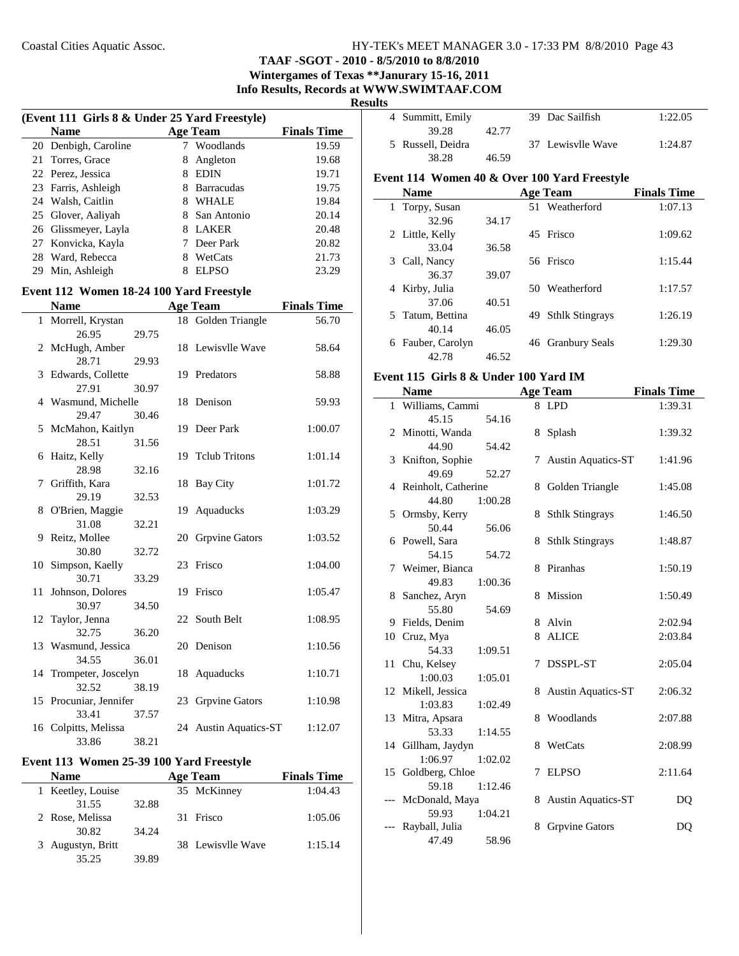## **TAAF -SGOT - 2010 - 8/5/2010 to 8/8/2010**

**Wintergames of Texas \*\*Janurary 15-16, 2011**

**Info Results, Records at WWW.SWIMTAAF.COM**

| snn<br>יי |  |
|-----------|--|
|           |  |

|    | (Event 111 Girls 8 & Under 25 Yard Freestyle) |   |                   |                    |  |  |
|----|-----------------------------------------------|---|-------------------|--------------------|--|--|
|    | <b>Name</b>                                   |   | <b>Age Team</b>   | <b>Finals Time</b> |  |  |
|    | 20 Denbigh, Caroline                          |   | Woodlands         | 19.59              |  |  |
|    | 21 Torres, Grace                              | 8 | Angleton          | 19.68              |  |  |
|    | 22 Perez, Jessica                             | 8 | <b>EDIN</b>       | 19.71              |  |  |
|    | 23 Farris, Ashleigh                           | 8 | <b>Barracudas</b> | 19.75              |  |  |
|    | 24 Walsh, Caitlin                             | 8 | WHALE             | 19.84              |  |  |
|    | 25 Glover, Aaliyah                            | 8 | San Antonio       | 20.14              |  |  |
|    | 26 Glissmeyer, Layla                          | 8 | <b>LAKER</b>      | 20.48              |  |  |
|    | 27 Konvicka, Kayla                            |   | Deer Park         | 20.82              |  |  |
|    | 28 Ward, Rebecca                              | 8 | WetCats           | 21.73              |  |  |
| 29 | Min, Ashleigh                                 | 8 | <b>ELPSO</b>      | 23.29              |  |  |

## **Event 112 Women 18-24 100 Yard Freestyle**

|    | <b>Name</b>            |       | <b>Age Team</b>       | <b>Finals Time</b> |
|----|------------------------|-------|-----------------------|--------------------|
|    | 1 Morrell, Krystan     |       | 18 Golden Triangle    | 56.70              |
|    | 26.95                  | 29.75 |                       |                    |
|    | 2 McHugh, Amber        |       | 18 Lewisvlle Wave     | 58.64              |
|    | 28.71                  | 29.93 |                       |                    |
| 3  | Edwards, Collette      |       | 19 Predators          | 58.88              |
|    | 27.91                  | 30.97 |                       |                    |
|    | 4 Wasmund, Michelle    |       | 18 Denison            | 59.93              |
|    | 29.47                  | 30.46 |                       |                    |
| 5  | McMahon, Kaitlyn       |       | 19 Deer Park          | 1:00.07            |
|    | 28.51                  | 31.56 |                       |                    |
| 6  | Haitz, Kelly           |       | 19 Telub Tritons      | 1:01.14            |
|    | 28.98                  | 32.16 |                       |                    |
| 7  | Griffith, Kara         |       | 18 Bay City           | 1:01.72            |
|    | 29.19                  | 32.53 |                       |                    |
| 8  | O'Brien, Maggie        |       | 19 Aquaducks          | 1:03.29            |
|    | 31.08                  | 32.21 |                       |                    |
| 9  | Reitz, Mollee          |       | 20 Grpvine Gators     | 1:03.52            |
|    | 30.80                  | 32.72 |                       |                    |
| 10 | Simpson, Kaelly        |       | 23 Frisco             | 1:04.00            |
|    | 30.71                  | 33.29 |                       |                    |
| 11 | Johnson, Dolores       |       | 19 Frisco             | 1:05.47            |
|    | 30.97                  | 34.50 |                       |                    |
| 12 | Taylor, Jenna          |       | 22 South Belt         | 1:08.95            |
|    | 32.75                  | 36.20 |                       |                    |
|    | 13 Wasmund, Jessica    |       | 20 Denison            | 1:10.56            |
|    | 34.55                  | 36.01 |                       |                    |
|    | 14 Trompeter, Joscelyn |       | 18 Aquaducks          | 1:10.71            |
|    | 32.52                  | 38.19 |                       |                    |
|    | 15 Procuniar, Jennifer |       | 23 Grpvine Gators     | 1:10.98            |
|    | 33.41                  | 37.57 |                       |                    |
|    | 16 Colpitts, Melissa   |       | 24 Austin Aquatics-ST | 1:12.07            |
|    | 33.86                  | 38.21 |                       |                    |

#### **Event 113 Women 25-39 100 Yard Freestyle**

| <b>Name</b>       |       | <b>Age Team</b>   | <b>Finals Time</b> |
|-------------------|-------|-------------------|--------------------|
| 1 Keetley, Louise |       | 35 McKinney       | 1:04.43            |
| 31.55             | 32.88 |                   |                    |
| 2 Rose, Melissa   |       | 31 Frisco         | 1:05.06            |
| 30.82             | 34.24 |                   |                    |
| 3 Augustyn, Britt |       | 38 Lewisvlle Wave | 1:15.14            |
| 35.25             | 39.89 |                   |                    |

|    | 4 Summitt, Emily                             |       |    | 39 Dac Sailfish       | 1:22.05            |
|----|----------------------------------------------|-------|----|-----------------------|--------------------|
|    | 39.28                                        | 42.77 |    |                       |                    |
| 5  | Russell, Deidra                              |       |    | 37 Lewisvlle Wave     | 1:24.87            |
|    | 38.28                                        | 46.59 |    |                       |                    |
|    | Event 114 Women 40 & Over 100 Yard Freestyle |       |    |                       |                    |
|    | <b>Name</b>                                  |       |    | <b>Age Team</b>       | <b>Finals Time</b> |
|    | 1 Torpy, Susan                               |       |    | 51 Weatherford        | 1:07.13            |
|    | 32.96                                        | 34.17 |    |                       |                    |
|    | 2 Little, Kelly                              |       | 45 | Frisco                | 1:09.62            |
|    | 33.04                                        | 36.58 |    |                       |                    |
| 3  | Call, Nancy                                  |       |    | 56 Frisco             | 1:15.44            |
|    | 36.37                                        | 39.07 |    |                       |                    |
| 4  | Kirby, Julia                                 |       |    | 50 Weatherford        | 1:17.57            |
|    | 37.06                                        | 40.51 |    |                       |                    |
| 5. | Tatum, Bettina                               |       |    | 49 Sthlk Stingrays    | 1:26.19            |
|    | 40.14                                        | 46.05 |    |                       |                    |
| 6  | Fauber, Carolyn                              |       | 46 | <b>Granbury Seals</b> | 1:29.30            |
|    | 42.78                                        | 46.52 |    |                       |                    |

### **Event 115 Girls 8 & Under 100 Yard IM**

|     | <b>Name</b>           |         |   | <b>Age Team</b>           | <b>Finals Time</b> |
|-----|-----------------------|---------|---|---------------------------|--------------------|
|     | 1 Williams, Cammi     |         |   | 8 LPD                     | 1:39.31            |
|     | 45.15                 | 54.16   |   |                           |                    |
|     | 2 Minotti, Wanda      |         | 8 | Splash                    | 1:39.32            |
|     | 44.90                 | 54.42   |   |                           |                    |
|     | 3 Knifton, Sophie     |         | 7 | <b>Austin Aquatics-ST</b> | 1:41.96            |
|     | 49.69                 | 52.27   |   |                           |                    |
|     | 4 Reinholt, Catherine |         | 8 | Golden Triangle           | 1:45.08            |
|     | 44.80                 | 1:00.28 |   |                           |                    |
|     | 5 Ormsby, Kerry       |         | 8 | <b>Sthlk Stingrays</b>    | 1:46.50            |
|     | 50.44                 | 56.06   |   |                           |                    |
|     | 6 Powell, Sara        |         | 8 | <b>Sthlk Stingrays</b>    | 1:48.87            |
|     | 54.15                 | 54.72   |   |                           |                    |
| 7   | Weimer, Bianca        |         | 8 | Piranhas                  | 1:50.19            |
|     | 49.83                 | 1:00.36 |   |                           |                    |
|     | 8 Sanchez, Aryn       |         | 8 | <b>Mission</b>            | 1:50.49            |
|     | 55.80                 | 54.69   |   |                           |                    |
| 9   | Fields, Denim         |         | 8 | Alvin                     | 2:02.94            |
|     | 10 Cruz, Mya          |         | 8 | <b>ALICE</b>              | 2:03.84            |
|     | 54.33                 | 1:09.51 |   |                           |                    |
|     | 11 Chu, Kelsey        |         | 7 | DSSPL-ST                  | 2:05.04            |
|     | 1:00.03               | 1:05.01 |   |                           |                    |
|     | 12 Mikell, Jessica    |         | 8 | <b>Austin Aquatics-ST</b> | 2:06.32            |
|     | 1:03.83               | 1:02.49 |   |                           |                    |
| 13  | Mitra, Apsara         |         | 8 | Woodlands                 | 2:07.88            |
|     | 53.33                 | 1:14.55 |   |                           |                    |
|     | 14 Gillham, Jaydyn    |         | 8 | WetCats                   | 2:08.99            |
|     | 1:06.97               | 1:02.02 |   |                           |                    |
|     | 15 Goldberg, Chloe    |         | 7 | <b>ELPSO</b>              | 2:11.64            |
|     | 59.18                 | 1:12.46 |   |                           |                    |
| --- | McDonald, Maya        |         | 8 | <b>Austin Aquatics-ST</b> | DQ                 |
|     | 59.93                 | 1:04.21 |   |                           |                    |
| --- | Rayball, Julia        |         | 8 | <b>Grpvine Gators</b>     | DQ                 |
|     | 47.49                 | 58.96   |   |                           |                    |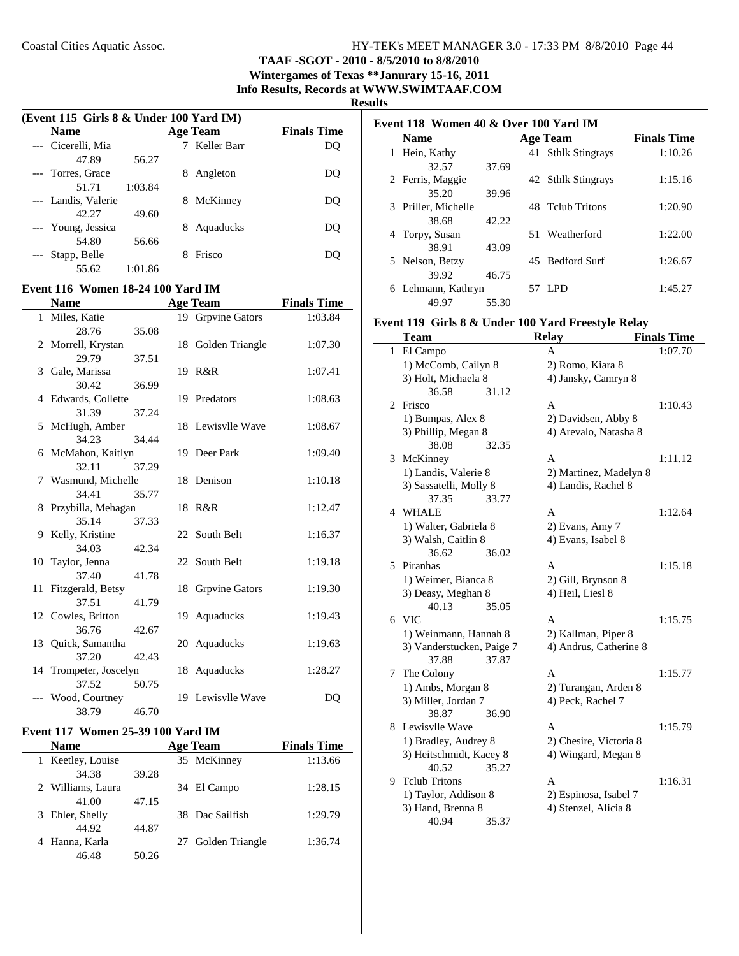**TAAF -SGOT - 2010 - 8/5/2010 to 8/8/2010**

**Wintergames of Texas \*\*Janurary 15-16, 2011 Info Results, Records at WWW.SWIMTAAF.COM**

#### **Results**

 $\overline{a}$ 

| (Event 115 Girls 8 & Under 100 Yard IM) |         |    |                 |                    |  |
|-----------------------------------------|---------|----|-----------------|--------------------|--|
| <b>Name</b>                             |         |    | <b>Age Team</b> | <b>Finals Time</b> |  |
| --- Cicerelli, Mia                      |         |    | Keller Barr     | DO                 |  |
| 47.89                                   | 56.27   |    |                 |                    |  |
| --- Torres, Grace                       |         | 8  | Angleton        | DO                 |  |
| 51.71                                   | 1:03.84 |    |                 |                    |  |
| --- Landis, Valerie                     |         | 8. | McKinney        | DO                 |  |
| 42.27                                   | 49.60   |    |                 |                    |  |
| --- Young, Jessica                      |         | 8  | Aquaducks       | DO                 |  |
| 54.80                                   | 56.66   |    |                 |                    |  |
| Stapp, Belle                            |         |    | Frisco          | DO                 |  |
| 55.62                                   | 1:01.86 |    |                 |                    |  |

## **Event 116 Women 18-24 100 Yard IM**

|   | <b>Name</b>            |       | <b>Age Team</b>    | <b>Finals Time</b> |
|---|------------------------|-------|--------------------|--------------------|
|   | 1 Miles, Katie         |       | 19 Grpvine Gators  | 1:03.84            |
|   | 28.76                  | 35.08 |                    |                    |
|   | 2 Morrell, Krystan     |       | 18 Golden Triangle | 1:07.30            |
|   | 29.79                  | 37.51 |                    |                    |
|   | 3 Gale, Marissa        |       | 19 R&R             | 1:07.41            |
|   | 30.42                  | 36.99 |                    |                    |
|   | 4 Edwards, Collette    |       | 19 Predators       | 1:08.63            |
|   | 31.39                  | 37.24 |                    |                    |
|   | 5 McHugh, Amber        |       | 18 Lewisvlle Wave  | 1:08.67            |
|   | 34.23                  | 34.44 |                    |                    |
| 6 | McMahon, Kaitlyn       |       | 19 Deer Park       | 1:09.40            |
|   | 32.11                  | 37.29 |                    |                    |
|   | 7 Wasmund, Michelle    |       | 18 Denison         | 1:10.18            |
|   | 34.41                  | 35.77 |                    |                    |
|   | 8 Przybilla, Mehagan   |       | 18 R&R             | 1:12.47            |
|   | 35.14                  | 37.33 |                    |                    |
|   | 9 Kelly, Kristine      |       | 22 South Belt      | 1:16.37            |
|   | 34.03                  | 42.34 |                    |                    |
|   | 10 Taylor, Jenna       |       | 22 South Belt      | 1:19.18            |
|   | 37.40                  | 41.78 |                    |                    |
|   | 11 Fitzgerald, Betsy   |       | 18 Grpvine Gators  | 1:19.30            |
|   | 37.51                  | 41.79 |                    |                    |
|   | 12 Cowles, Britton     |       | 19 Aquaducks       | 1:19.43            |
|   | 36.76                  | 42.67 |                    |                    |
|   | 13 Quick, Samantha     |       | 20 Aquaducks       | 1:19.63            |
|   | 37.20                  | 42.43 |                    |                    |
|   | 14 Trompeter, Joscelyn |       | 18 Aquaducks       | 1:28.27            |
|   | 37.52                  | 50.75 |                    |                    |
|   | Wood, Courtney         |       | 19 Lewisvlle Wave  | DQ                 |
|   | 38.79                  | 46.70 |                    |                    |

#### **Event 117 Women 25-39 100 Yard IM**

| <b>Name</b>       |       | <b>Age Team</b> |                    | <b>Finals Time</b> |
|-------------------|-------|-----------------|--------------------|--------------------|
| 1 Keetley, Louise |       |                 | 35 McKinney        | 1:13.66            |
| 34.38             | 39.28 |                 |                    |                    |
| 2 Williams, Laura |       |                 | 34 El Campo        | 1:28.15            |
| 41.00             | 47.15 |                 |                    |                    |
| Ehler, Shelly     |       |                 | 38 Dac Sailfish    | 1:29.79            |
| 44.92             | 44.87 |                 |                    |                    |
| Hanna, Karla      |       |                 | 27 Golden Triangle | 1:36.74            |
| 46.48             | 50.26 |                 |                    |                    |

|   | Event 118 Women 40 & Over 100 Yard IM |       |  |                    |                    |  |
|---|---------------------------------------|-------|--|--------------------|--------------------|--|
|   | <b>Name</b>                           |       |  | <b>Age Team</b>    | <b>Finals Time</b> |  |
|   | 1 Hein, Kathy                         |       |  | 41 Sthlk Stingrays | 1:10.26            |  |
|   | 32.57                                 | 37.69 |  |                    |                    |  |
|   | 2 Ferris, Maggie                      |       |  | 42 Sthlk Stingrays | 1:15.16            |  |
|   | 35.20                                 | 39.96 |  |                    |                    |  |
|   | 3 Priller, Michelle                   |       |  | 48 Telub Tritons   | 1:20.90            |  |
|   | 38.68                                 | 42.22 |  |                    |                    |  |
|   | 4 Torpy, Susan                        |       |  | 51 Weatherford     | 1:22.00            |  |
|   | 38.91                                 | 43.09 |  |                    |                    |  |
|   | 5 Nelson, Betzy                       |       |  | 45 Bedford Surf    | 1:26.67            |  |
|   | 39.92                                 | 46.75 |  |                    |                    |  |
| 6 | Lehmann, Kathryn                      |       |  | 57 LPD             | 1:45.27            |  |
|   | 49.97                                 | 55.30 |  |                    |                    |  |

#### **Event 119 Girls 8 & Under 100 Yard Freestyle Relay**

|              | Team                      |       | <b>Relay</b>           | <b>Finals Time</b> |
|--------------|---------------------------|-------|------------------------|--------------------|
| $\mathbf{1}$ | El Campo                  |       | A                      | 1:07.70            |
|              | 1) McComb, Cailyn 8       |       | 2) Romo, Kiara 8       |                    |
|              | 3) Holt, Michaela 8       |       | 4) Jansky, Camryn 8    |                    |
|              | 36.58                     | 31.12 |                        |                    |
| 2            | Frisco                    |       | A                      | 1:10.43            |
|              | 1) Bumpas, Alex 8         |       | 2) Davidsen, Abby 8    |                    |
|              | 3) Phillip, Megan 8       |       | 4) Arevalo, Natasha 8  |                    |
|              | 38.08                     | 32.35 |                        |                    |
| 3            | McKinney                  |       | A                      | 1:11.12            |
|              | 1) Landis, Valerie 8      |       | 2) Martinez, Madelyn 8 |                    |
|              | 3) Sassatelli, Molly 8    |       | 4) Landis, Rachel 8    |                    |
|              | 37.35                     | 33.77 |                        |                    |
| 4            | <b>WHALE</b>              |       | A                      | 1:12.64            |
|              | 1) Walter, Gabriela 8     |       | 2) Evans, Amy 7        |                    |
|              | 3) Walsh, Caitlin 8       |       | 4) Evans, Isabel 8     |                    |
|              | 36.62                     | 36.02 |                        |                    |
| 5            | Piranhas                  |       | A                      | 1:15.18            |
|              | 1) Weimer, Bianca 8       |       | 2) Gill, Brynson 8     |                    |
|              | 3) Deasy, Meghan 8        |       | 4) Heil, Liesl 8       |                    |
|              | 40.13                     | 35.05 |                        |                    |
|              | 6 VIC                     |       | A                      | 1:15.75            |
|              | 1) Weinmann, Hannah 8     |       | 2) Kallman, Piper 8    |                    |
|              | 3) Vanderstucken, Paige 7 |       | 4) Andrus, Catherine 8 |                    |
|              | 37.88                     | 37.87 |                        |                    |
| 7            | The Colony                |       | A                      | 1:15.77            |
|              | 1) Ambs, Morgan 8         |       | 2) Turangan, Arden 8   |                    |
|              | 3) Miller, Jordan 7       |       | 4) Peck, Rachel 7      |                    |
|              | 38.87                     | 36.90 |                        |                    |
| 8            | Lewisvlle Wave            |       | A                      | 1:15.79            |
|              | 1) Bradley, Audrey 8      |       | 2) Chesire, Victoria 8 |                    |
|              | 3) Heitschmidt, Kacey 8   |       | 4) Wingard, Megan 8    |                    |
|              | 40.52                     | 35.27 |                        |                    |
| 9            | <b>Tclub Tritons</b>      |       | A                      | 1:16.31            |
|              | 1) Taylor, Addison 8      |       | 2) Espinosa, Isabel 7  |                    |
|              | 3) Hand, Brenna 8         |       | 4) Stenzel, Alicia 8   |                    |
|              | 40.94                     | 35.37 |                        |                    |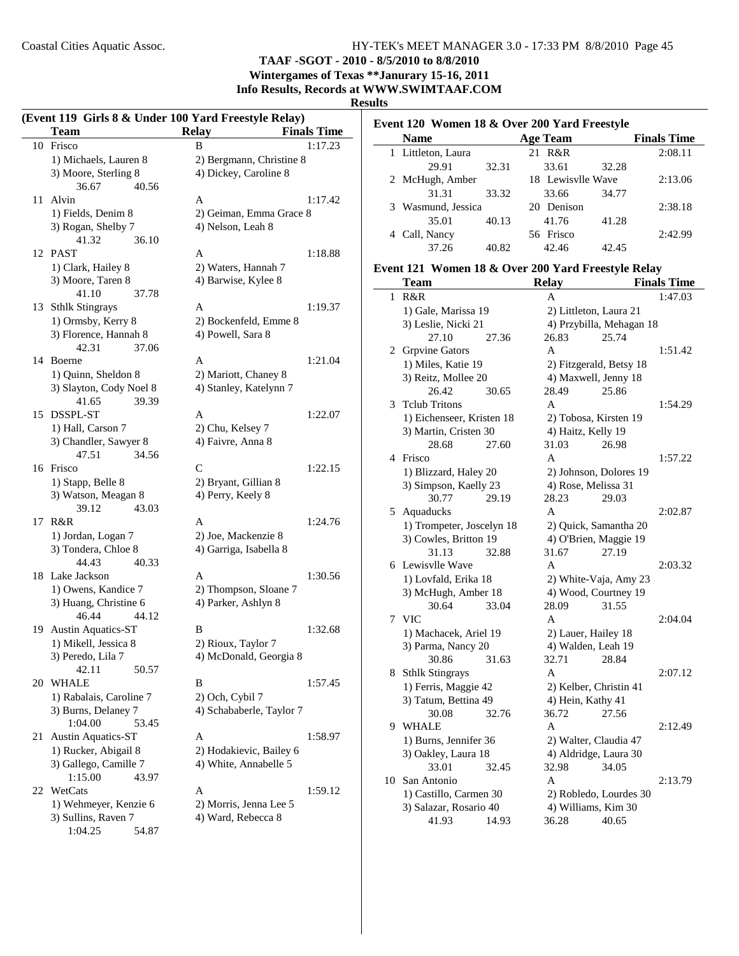## **TAAF -SGOT - 2010 - 8/5/2010 to 8/8/2010**

**Wintergames of Texas \*\*Janurary 15-16, 2011 Info Results, Records at WWW.SWIMTAAF.COM**

#### **Results**

|    | <b>Team</b>                               | (Event 119 Girls 8 & Under 100 Yard Freestyle Relay)<br><b>Relay</b><br><b>Finals Time</b> |
|----|-------------------------------------------|--------------------------------------------------------------------------------------------|
|    | 10 Frisco                                 | B<br>1:17.23                                                                               |
|    | 1) Michaels, Lauren 8                     | 2) Bergmann, Christine 8                                                                   |
|    | 3) Moore, Sterling 8                      | 4) Dickey, Caroline 8                                                                      |
|    | 36.67<br>40.56                            |                                                                                            |
| 11 | Alvin                                     | 1:17.42<br>A                                                                               |
|    | 1) Fields, Denim 8                        | 2) Geiman, Emma Grace 8                                                                    |
|    | 3) Rogan, Shelby 7                        | 4) Nelson, Leah 8                                                                          |
|    | 41.32<br>36.10                            |                                                                                            |
|    | 12 PAST                                   | A<br>1:18.88                                                                               |
|    | 1) Clark, Hailey 8                        | 2) Waters, Hannah 7                                                                        |
|    | 3) Moore, Taren 8                         | 4) Barwise, Kylee 8                                                                        |
|    | 41.10<br>37.78                            |                                                                                            |
|    | 13 Sthlk Stingrays                        | A<br>1:19.37                                                                               |
|    | 1) Ormsby, Kerry 8                        | 2) Bockenfeld, Emme 8                                                                      |
|    | 3) Florence, Hannah 8                     | 4) Powell, Sara 8                                                                          |
|    | 42.31<br>37.06                            |                                                                                            |
| 14 | <b>Boerne</b>                             | A<br>1:21.04                                                                               |
|    | 1) Quinn, Sheldon 8                       | 2) Mariott, Chaney 8                                                                       |
|    | 3) Slayton, Cody Noel 8                   | 4) Stanley, Katelynn 7                                                                     |
|    | 41.65<br>39.39                            |                                                                                            |
|    | 15 DSSPL-ST                               | A<br>1:22.07                                                                               |
|    | 1) Hall, Carson 7                         | 2) Chu, Kelsey 7                                                                           |
|    | 3) Chandler, Sawyer 8                     | 4) Faivre, Anna 8                                                                          |
|    | 47.51<br>34.56                            |                                                                                            |
|    | 16 Frisco                                 | C<br>1:22.15                                                                               |
|    |                                           |                                                                                            |
|    | 1) Stapp, Belle 8<br>3) Watson, Meagan 8  | 2) Bryant, Gillian 8<br>4) Perry, Keely 8                                                  |
|    | 43.03<br>39.12                            |                                                                                            |
|    | 17 R&R                                    | A<br>1:24.76                                                                               |
|    |                                           | 2) Joe, Mackenzie 8                                                                        |
|    | 1) Jordan, Logan 7<br>3) Tondera, Chloe 8 | 4) Garriga, Isabella 8                                                                     |
|    | 44.43<br>40.33                            |                                                                                            |
|    | 18 Lake Jackson                           | A<br>1:30.56                                                                               |
|    | 1) Owens, Kandice 7                       |                                                                                            |
|    | 3) Huang, Christine 6                     | 2) Thompson, Sloane 7<br>4) Parker, Ashlyn 8                                               |
|    | 46.44<br>44.12                            |                                                                                            |
| 19 | Austin Aquatics-ST                        | B<br>1:32.68                                                                               |
|    | 1) Mikell, Jessica 8                      | 2) Rioux, Taylor 7                                                                         |
|    |                                           |                                                                                            |
|    | 3) Peredo, Lila 7<br>42.11                | 4) McDonald, Georgia 8                                                                     |
|    | 50.57<br>20 WHALE                         | B<br>1:57.45                                                                               |
|    |                                           |                                                                                            |
|    | 1) Rabalais, Caroline 7                   | 2) Och, Cybil 7<br>4) Schababerle, Taylor 7                                                |
|    | 3) Burns, Delaney 7<br>1:04.00<br>53.45   |                                                                                            |
|    |                                           |                                                                                            |
| 21 | <b>Austin Aquatics-ST</b>                 | A<br>1:58.97                                                                               |
|    | 1) Rucker, Abigail 8                      | 2) Hodakievic, Bailey 6                                                                    |
|    | 3) Gallego, Camille 7                     | 4) White, Annabelle 5                                                                      |
|    | 1:15.00<br>43.97                          |                                                                                            |
| 22 | WetCats                                   | A<br>1:59.12                                                                               |
|    | 1) Wehmeyer, Kenzie 6                     | 2) Morris, Jenna Lee 5                                                                     |
|    | 3) Sullins, Raven 7                       | 4) Ward, Rebecca 8                                                                         |
|    | 1:04.25<br>54.87                          |                                                                                            |

| Event 120 Women 18 & Over 200 Yard Freestyle |                    |       |                   |       |                    |
|----------------------------------------------|--------------------|-------|-------------------|-------|--------------------|
|                                              | <b>Name</b>        |       | <b>Age Team</b>   |       | <b>Finals Time</b> |
|                                              | 1 Littleton, Laura |       | 21 R&R            |       | 2:08.11            |
|                                              | 29.91              | 32.31 | 33.61             | 32.28 |                    |
|                                              | 2 McHugh, Amber    |       | 18 Lewisvlle Wave |       | 2:13.06            |
|                                              | 31.31              | 33.32 | 33.66             | 34.77 |                    |
|                                              | 3 Wasmund, Jessica |       | 20 Denison        |       | 2:38.18            |
|                                              | 35.01              | 40.13 | 41.76             | 41.28 |                    |
|                                              | 4 Call, Nancy      |       | 56 Frisco         |       | 2:42.99            |
|                                              | 37.26              | 40.82 | 42.46             | 42.45 |                    |

## **Event 121 Women 18 & Over 200 Yard Freestyle Relay**

|              | Team                      |       | <b>Relay</b>        |                          | <b>Finals Time</b> |
|--------------|---------------------------|-------|---------------------|--------------------------|--------------------|
| $\mathbf{1}$ | R&R                       |       | A                   |                          | 1:47.03            |
|              | 1) Gale, Marissa 19       |       |                     | 2) Littleton, Laura 21   |                    |
|              | 3) Leslie, Nicki 21       |       |                     | 4) Przybilla, Mehagan 18 |                    |
|              | 27.10                     | 27.36 | 26.83               | 25.74                    |                    |
|              | 2 Grpvine Gators          |       | A                   |                          | 1:51.42            |
|              | 1) Miles, Katie 19        |       |                     | 2) Fitzgerald, Betsy 18  |                    |
|              | 3) Reitz, Mollee 20       |       |                     | 4) Maxwell, Jenny 18     |                    |
|              | 26.42                     | 30.65 | 28.49               | 25.86                    |                    |
| 3            | <b>Telub Tritons</b>      |       | A                   |                          | 1:54.29            |
|              | 1) Eichenseer, Kristen 18 |       |                     | 2) Tobosa, Kirsten 19    |                    |
|              | 3) Martin, Cristen 30     |       | 4) Haitz, Kelly 19  |                          |                    |
|              | 28.68                     | 27.60 | 31.03               | 26.98                    |                    |
| 4            | Frisco                    |       | A                   |                          | 1:57.22            |
|              | 1) Blizzard, Haley 20     |       |                     | 2) Johnson, Dolores 19   |                    |
|              | 3) Simpson, Kaelly 23     |       | 4) Rose, Melissa 31 |                          |                    |
|              | 30.77                     | 29.19 | 28.23               | 29.03                    |                    |
| 5            | Aquaducks                 |       | A                   |                          | 2:02.87            |
|              | 1) Trompeter, Joscelyn 18 |       |                     | 2) Quick, Samantha 20    |                    |
|              | 3) Cowles, Britton 19     |       |                     | 4) O'Brien, Maggie 19    |                    |
|              | 31.13                     | 32.88 | 31.67               | 27.19                    |                    |
|              | 6 Lewisvlle Wave          |       | A                   |                          | 2:03.32            |
|              | 1) Lovfald, Erika 18      |       |                     | 2) White-Vaja, Amy 23    |                    |
|              | 3) McHugh, Amber 18       |       |                     | 4) Wood, Courtney 19     |                    |
|              | 30.64                     | 33.04 | 28.09               | 31.55                    |                    |
| 7            | <b>VIC</b>                |       | $\overline{A}$      |                          | 2:04.04            |
|              | 1) Machacek, Ariel 19     |       | 2) Lauer, Hailey 18 |                          |                    |
|              | 3) Parma, Nancy 20        |       | 4) Walden, Leah 19  |                          |                    |
|              | 30.86                     | 31.63 | 32.71               | 28.84                    |                    |
| 8            | <b>Sthlk Stingrays</b>    |       | A                   |                          | 2:07.12            |
|              | 1) Ferris, Maggie 42      |       |                     | 2) Kelber, Christin 41   |                    |
|              | 3) Tatum, Bettina 49      |       | 4) Hein, Kathy 41   |                          |                    |
|              | 30.08                     | 32.76 | 36.72               | 27.56                    |                    |
| 9            | <b>WHALE</b>              |       | A                   |                          | 2:12.49            |
|              | 1) Burns, Jennifer 36     |       |                     | 2) Walter, Claudia 47    |                    |
|              | 3) Oakley, Laura 18       |       |                     | 4) Aldridge, Laura 30    |                    |
|              | 33.01                     | 32.45 | 32.98               | 34.05                    |                    |
| 10           | San Antonio               |       | A                   |                          | 2:13.79            |
|              | 1) Castillo, Carmen 30    |       |                     | 2) Robledo, Lourdes 30   |                    |
|              | 3) Salazar, Rosario 40    |       | 4) Williams, Kim 30 |                          |                    |
|              | 41.93                     | 14.93 | 36.28               | 40.65                    |                    |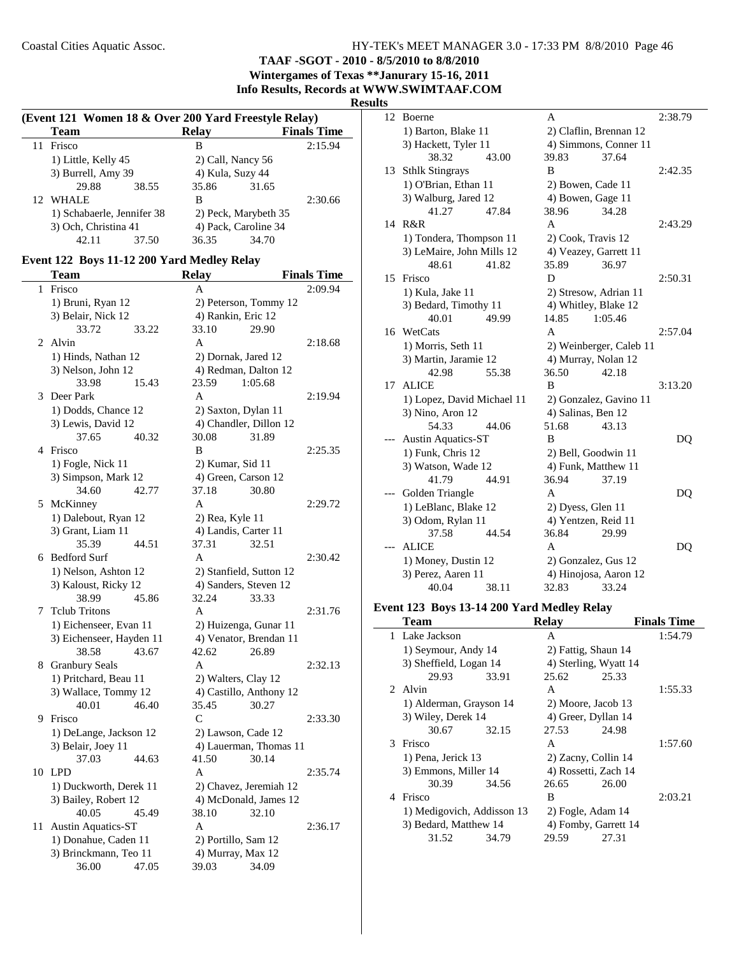**TAAF -SGOT - 2010 - 8/5/2010 to 8/8/2010**

**Wintergames of Texas \*\*Janurary 15-16, 2011 Info Results, Records at WWW.SWIMTAAF.COM**

## **Results**

| (Event 121 Women 18 & Over 200 Yard Freestyle Relay) |                            |       |                      |                    |
|------------------------------------------------------|----------------------------|-------|----------------------|--------------------|
| Team                                                 |                            | Relav |                      | <b>Finals Time</b> |
| Frisco<br>11                                         |                            | в     |                      | 2:15.94            |
| 1) Little, Kelly 45                                  |                            |       | 2) Call, Nancy 56    |                    |
|                                                      | 3) Burrell, Amy 39         |       | 4) Kula, Suzy 44     |                    |
| 29.88                                                | 38.55                      | 35.86 | 31.65                |                    |
| 12 WHALE                                             |                            | в     |                      | 2:30.66            |
|                                                      | 1) Schabaerle, Jennifer 38 |       | 2) Peck, Marybeth 35 |                    |
|                                                      | 3) Och, Christina 41       |       | 4) Pack, Caroline 34 |                    |
| 42.11                                                | 37.50                      | 36.35 | 34.70                |                    |
|                                                      |                            |       |                      |                    |

## **Event 122 Boys 11-12 200 Yard Medley Relay**

|    | Team                                           | <b>Relay</b>                                   | <b>Finals Time</b> |
|----|------------------------------------------------|------------------------------------------------|--------------------|
| 1  | Frisco                                         | A                                              | 2:09.94            |
|    | 1) Bruni, Ryan 12                              | 2) Peterson, Tommy 12                          |                    |
|    | 3) Belair, Nick 12                             | 4) Rankin, Eric 12                             |                    |
|    | 33.72<br>33.22                                 | 33.10<br>29.90                                 |                    |
| 2  | Alvin                                          | A                                              | 2:18.68            |
|    | 1) Hinds, Nathan 12                            | 2) Dornak, Jared 12                            |                    |
|    | 3) Nelson, John 12                             | 4) Redman, Dalton 12                           |                    |
|    | 33.98<br>15.43                                 | 23.59<br>1:05.68                               |                    |
| 3  | Deer Park                                      | $\mathbf{A}$                                   | 2:19.94            |
|    | 1) Dodds, Chance 12                            | 2) Saxton, Dylan 11                            |                    |
|    | 3) Lewis, David 12                             | 4) Chandler, Dillon 12                         |                    |
|    | 37.65<br>40.32                                 | 30.08<br>31.89                                 |                    |
|    | 4 Frisco                                       | B                                              | 2:25.35            |
|    | 1) Fogle, Nick 11                              | 2) Kumar, Sid 11                               |                    |
|    | 3) Simpson, Mark 12                            | 4) Green, Carson 12                            |                    |
|    | 34.60<br>42.77                                 | 37.18<br>30.80                                 |                    |
| 5  | McKinney                                       | A                                              | 2:29.72            |
|    | 1) Dalebout, Ryan 12                           | 2) Rea, Kyle 11                                |                    |
|    | 3) Grant, Liam 11                              | 4) Landis, Carter 11                           |                    |
|    | 35.39<br>44.51                                 | 37.31<br>32.51                                 |                    |
|    | 6 Bedford Surf                                 | $\mathsf{A}$                                   | 2:30.42            |
|    | 1) Nelson, Ashton 12                           | 2) Stanfield, Sutton 12                        |                    |
|    | 3) Kaloust, Ricky 12                           | 4) Sanders, Steven 12                          |                    |
|    | 38.99<br>45.86                                 | 32.24<br>33.33                                 |                    |
| 7  | <b>Telub Tritons</b>                           | A                                              | 2:31.76            |
|    | 1) Eichenseer, Evan 11                         | 2) Huizenga, Gunar 11                          |                    |
|    | 3) Eichenseer, Hayden 11                       | 4) Venator, Brendan 11                         |                    |
|    | 38.58<br>43.67                                 | 42.62<br>26.89<br>A                            |                    |
| 8  | <b>Granbury Seals</b><br>1) Pritchard, Beau 11 |                                                | 2:32.13            |
|    | 3) Wallace, Tommy 12                           | 2) Walters, Clay 12<br>4) Castillo, Anthony 12 |                    |
|    | 46.40<br>40.01                                 | 35.45<br>30.27                                 |                    |
| 9  | Frisco                                         | C                                              | 2:33.30            |
|    | 1) DeLange, Jackson 12                         | 2) Lawson, Cade 12                             |                    |
|    | 3) Belair, Joey 11                             | 4) Lauerman, Thomas 11                         |                    |
|    | 37.03<br>44.63                                 | 41.50<br>30.14                                 |                    |
| 10 | <b>LPD</b>                                     | A                                              | 2:35.74            |
|    | 1) Duckworth, Derek 11                         | 2) Chavez, Jeremiah 12                         |                    |
|    | 3) Bailey, Robert 12                           | 4) McDonald, James 12                          |                    |
|    | 40.05<br>45.49                                 | 38.10<br>32.10                                 |                    |
| 11 | <b>Austin Aquatics-ST</b>                      | A                                              | 2:36.17            |
|    | 1) Donahue, Caden 11                           | 2) Portillo, Sam 12                            |                    |
|    | 3) Brinckmann, Teo 11                          | 4) Murray, Max 12                              |                    |
|    | 36.00<br>47.05                                 | 39.03<br>34.09                                 |                    |

| 12 | Boerne                     |       | A                      |                         | 2:38.79 |
|----|----------------------------|-------|------------------------|-------------------------|---------|
|    | 1) Barton, Blake 11        |       | 2) Claflin, Brennan 12 |                         |         |
|    | 3) Hackett, Tyler 11       |       |                        | 4) Simmons, Conner 11   |         |
|    | 38.32                      | 43.00 | 39.83                  | 37.64                   |         |
| 13 | <b>Sthlk Stingrays</b>     |       | B                      |                         | 2:42.35 |
|    | 1) O'Brian, Ethan 11       |       | 2) Bowen, Cade 11      |                         |         |
|    | 3) Walburg, Jared 12       |       | 4) Bowen, Gage 11      |                         |         |
|    | 41.27                      | 47.84 | 38.96                  | 34.28                   |         |
| 14 | R&R                        |       | A                      |                         | 2:43.29 |
|    | 1) Tondera, Thompson 11    |       | 2) Cook, Travis 12     |                         |         |
|    | 3) LeMaire, John Mills 12  |       | 4) Veazey, Garrett 11  |                         |         |
|    | 48.61                      | 41.82 | 35.89                  | 36.97                   |         |
| 15 | Frisco                     |       | D                      |                         | 2:50.31 |
|    | 1) Kula, Jake 11           |       | 2) Stresow, Adrian 11  |                         |         |
|    | 3) Bedard, Timothy 11      |       | 4) Whitley, Blake 12   |                         |         |
|    | 40.01                      | 49.99 | 14.85                  | 1:05.46                 |         |
| 16 | WetCats                    |       | A                      |                         | 2:57.04 |
|    | 1) Morris, Seth 11         |       |                        | 2) Weinberger, Caleb 11 |         |
|    | 3) Martin, Jaramie 12      |       | 4) Murray, Nolan 12    |                         |         |
|    | 42.98                      | 55.38 | 36.50                  | 42.18                   |         |
| 17 | <b>ALICE</b>               |       | B                      |                         | 3:13.20 |
|    | 1) Lopez, David Michael 11 |       |                        | 2) Gonzalez, Gavino 11  |         |
|    | 3) Nino, Aron 12           |       | 4) Salinas, Ben 12     |                         |         |
|    | 54.33                      | 44.06 | 51.68                  | 43.13                   |         |
|    | <b>Austin Aquatics-ST</b>  |       | B                      |                         | DQ      |
|    | 1) Funk, Chris 12          |       | 2) Bell, Goodwin 11    |                         |         |
|    | 3) Watson, Wade 12         |       | 4) Funk, Matthew 11    |                         |         |
|    | 41.79                      | 44.91 | 36.94                  | 37.19                   |         |
|    | Golden Triangle            |       | A                      |                         | DQ      |
|    | 1) LeBlanc, Blake 12       |       | 2) Dyess, Glen 11      |                         |         |
|    | 3) Odom, Rylan 11          |       | 4) Yentzen, Reid 11    |                         |         |
|    | 37.58                      | 44.54 | 36.84                  | 29.99                   |         |
|    | <b>ALICE</b>               |       | A                      |                         | DQ      |
|    | 1) Money, Dustin 12        |       | 2) Gonzalez, Gus 12    |                         |         |
|    | 3) Perez, Aaren 11         |       | 4) Hinojosa, Aaron 12  |                         |         |
|    | 40.04                      | 38.11 | 32.83                  | 33.24                   |         |

## **Event 123 Boys 13-14 200 Yard Medley Relay**

|                | Team                       |       | <b>Relay</b> |                       | <b>Finals Time</b> |
|----------------|----------------------------|-------|--------------|-----------------------|--------------------|
|                | 1 Lake Jackson             |       | A            |                       | 1:54.79            |
|                | 1) Seymour, Andy 14        |       |              | 2) Fattig, Shaun 14   |                    |
|                | 3) Sheffield, Logan 14     |       |              | 4) Sterling, Wyatt 14 |                    |
|                | 29.93                      | 33.91 | 25.62        | 25.33                 |                    |
|                | 2. Alvin                   |       | A            |                       | 1:55.33            |
|                | 1) Alderman, Grayson 14    |       |              | 2) Moore, Jacob 13    |                    |
|                | 3) Wiley, Derek 14         |       |              | 4) Greer, Dyllan 14   |                    |
|                | 30.67                      | 32.15 | 27.53        | 24.98                 |                    |
|                | 3 Frisco                   |       | A            |                       | 1:57.60            |
|                | 1) Pena, Jerick 13         |       |              | 2) Zacny, Collin 14   |                    |
|                | 3) Emmons, Miller 14       |       |              | 4) Rossetti, Zach 14  |                    |
|                | 30.39                      | 34.56 | 26.65        | 26.00                 |                    |
| $\overline{4}$ | Frisco                     |       | B            |                       | 2:03.21            |
|                | 1) Medigovich, Addisson 13 |       |              | 2) Fogle, Adam 14     |                    |
|                | 3) Bedard, Matthew 14      |       |              | 4) Fomby, Garrett 14  |                    |
|                | 31.52                      | 34.79 | 29.59        | 27.31                 |                    |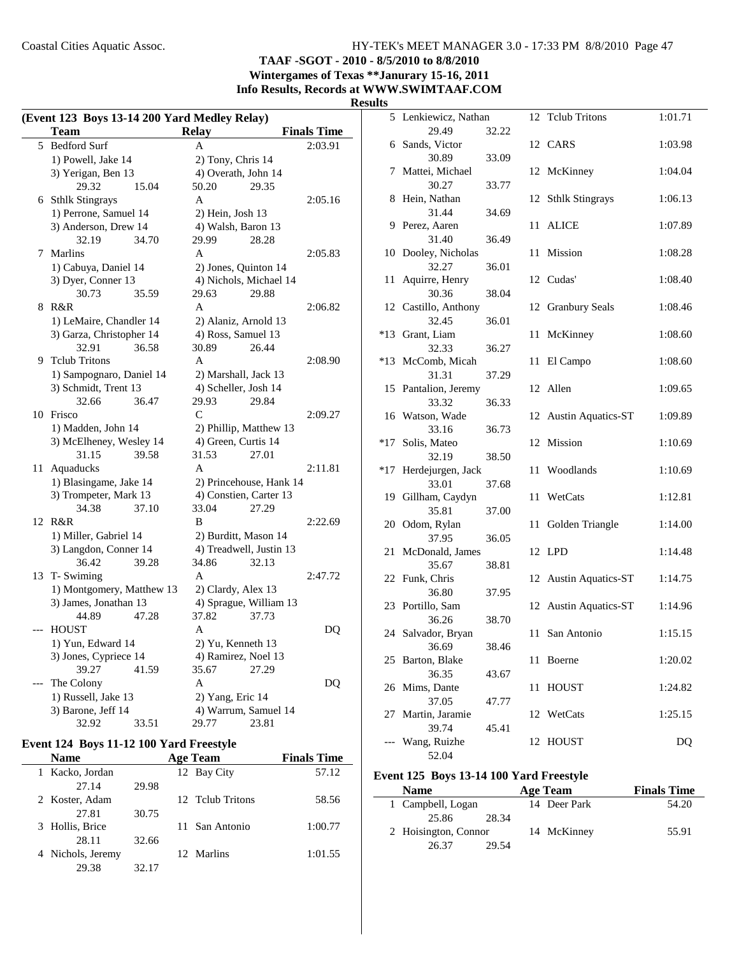**TAAF -SGOT - 2010 - 8/5/2010 to 8/8/2010**

**Wintergames of Texas \*\*Janurary 15-16, 2011 Info Results, Records at WWW.SWIMTAAF.COM**

## **Results**

| (Event 123 Boys 13-14 200 Yard Medley Relay) |                           |                         |                    |  |
|----------------------------------------------|---------------------------|-------------------------|--------------------|--|
|                                              | Team                      | <b>Relay</b>            | <b>Finals Time</b> |  |
| 5                                            | <b>Bedford Surf</b>       | A                       | 2:03.91            |  |
|                                              | 1) Powell, Jake 14        | 2) Tony, Chris 14       |                    |  |
|                                              | 3) Yerigan, Ben 13        | 4) Overath, John 14     |                    |  |
|                                              | 29.32<br>15.04            | 50.20<br>29.35          |                    |  |
| 6                                            | <b>Sthlk Stingrays</b>    | A                       | 2:05.16            |  |
|                                              | 1) Perrone, Samuel 14     | 2) Hein, Josh 13        |                    |  |
|                                              | 3) Anderson, Drew 14      | 4) Walsh, Baron 13      |                    |  |
|                                              | 32.19<br>34.70            | 29.99<br>28.28          |                    |  |
| 7                                            | Marlins                   | A                       | 2:05.83            |  |
|                                              | 1) Cabuya, Daniel 14      | 2) Jones, Quinton 14    |                    |  |
|                                              | 3) Dyer, Conner 13        | 4) Nichols, Michael 14  |                    |  |
|                                              | 30.73<br>35.59            | 29.63<br>29.88          |                    |  |
| 8                                            | R&R                       | A                       | 2:06.82            |  |
|                                              | 1) LeMaire, Chandler 14   | 2) Alaniz, Arnold 13    |                    |  |
|                                              | 3) Garza, Christopher 14  | 4) Ross, Samuel 13      |                    |  |
|                                              | 32.91<br>36.58            | 30.89<br>26.44          |                    |  |
| 9                                            | <b>Telub Tritons</b>      | A                       | 2:08.90            |  |
|                                              | 1) Sampognaro, Daniel 14  | 2) Marshall, Jack 13    |                    |  |
|                                              | 3) Schmidt, Trent 13      | 4) Scheller, Josh 14    |                    |  |
|                                              | 32.66<br>36.47            | 29.93<br>29.84          |                    |  |
|                                              | 10 Frisco                 | $\mathcal{C}$           | 2:09.27            |  |
|                                              | 1) Madden, John 14        | 2) Phillip, Matthew 13  |                    |  |
|                                              | 3) McElheney, Wesley 14   | 4) Green, Curtis 14     |                    |  |
|                                              | 31.15<br>39.58            | 31.53<br>27.01          |                    |  |
| 11                                           | Aquaducks                 | A                       | 2:11.81            |  |
|                                              | 1) Blasingame, Jake 14    | 2) Princehouse, Hank 14 |                    |  |
|                                              | 3) Trompeter, Mark 13     | 4) Constien, Carter 13  |                    |  |
|                                              | 34.38<br>37.10            | 33.04<br>27.29          |                    |  |
|                                              | 12 R&R                    | B                       | 2:22.69            |  |
|                                              | 1) Miller, Gabriel 14     | 2) Burditt, Mason 14    |                    |  |
|                                              | 3) Langdon, Conner 14     | 4) Treadwell, Justin 13 |                    |  |
|                                              | 39.28<br>36.42            | 34.86<br>32.13          |                    |  |
|                                              | 13 T-Swiming              | A                       | 2:47.72            |  |
|                                              | 1) Montgomery, Matthew 13 | 2) Clardy, Alex 13      |                    |  |
|                                              | 3) James, Jonathan 13     | 4) Sprague, William 13  |                    |  |
|                                              | 44.89<br>47.28            | 37.82<br>37.73          |                    |  |
|                                              | <b>HOUST</b>              | A                       | DQ                 |  |
|                                              | 1) Yun, Edward 14         | 2) Yu, Kenneth 13       |                    |  |
|                                              | 3) Jones, Cypriece 14     | 4) Ramirez, Noel 13     |                    |  |
|                                              | 39.27<br>41.59            | 35.67<br>27.29          |                    |  |
|                                              | The Colony                | A                       | DQ                 |  |
|                                              | 1) Russell, Jake 13       | 2) Yang, Eric 14        |                    |  |
|                                              | 3) Barone, Jeff 14        | 4) Warrum, Samuel 14    |                    |  |
|                                              | 32.92<br>33.51            | 29.77<br>23.81          |                    |  |

## **Event 124 Boys 11-12 100 Yard Freestyle**

| Name              |       | <b>Age Team</b>  | <b>Finals Time</b> |
|-------------------|-------|------------------|--------------------|
| 1 Kacko, Jordan   |       | 12 Bay City      | 57.12              |
| 27.14             | 29.98 |                  |                    |
| 2 Koster, Adam    |       | 12 Telub Tritons | 58.56              |
| 27.81             | 30.75 |                  |                    |
| 3 Hollis, Brice   |       | 11 San Antonio   | 1:00.77            |
| 28.11             | 32.66 |                  |                    |
| 4 Nichols, Jeremy |       | 12 Marlins       | 1:01.55            |
| 29.38             | 32.17 |                  |                    |

| τs    |                          |       |      |                           |         |
|-------|--------------------------|-------|------|---------------------------|---------|
|       | 5 Lenkiewicz, Nathan     |       |      | 12 Tclub Tritons          | 1:01.71 |
|       | 29.49                    | 32.22 |      |                           |         |
|       | 6 Sands, Victor<br>30.89 | 33.09 |      | 12 CARS                   | 1:03.98 |
| 7     | Mattei, Michael          |       |      | 12 McKinney               | 1:04.04 |
|       | 30.27                    | 33.77 |      |                           |         |
| 8     | Hein, Nathan             |       | 12   | <b>Sthlk Stingrays</b>    | 1:06.13 |
|       | 31.44                    | 34.69 |      |                           |         |
|       | 9 Perez, Aaren           |       | 11   | <b>ALICE</b>              | 1:07.89 |
|       | 31.40                    | 36.49 |      |                           |         |
|       | 10 Dooley, Nicholas      |       |      | 11 Mission                | 1:08.28 |
| 11    | 32.27<br>Aquirre, Henry  | 36.01 |      | 12 Cudas'                 | 1:08.40 |
|       | 30.36                    | 38.04 |      |                           |         |
|       | 12 Castillo, Anthony     |       | 12   | <b>Granbury Seals</b>     | 1:08.46 |
|       | 32.45                    | 36.01 |      |                           |         |
| $*13$ | Grant, Liam              |       | 11   | McKinney                  | 1:08.60 |
|       | 32.33                    | 36.27 |      |                           |         |
| $*13$ | McComb, Micah            |       | 11   | El Campo                  | 1:08.60 |
|       | 31.31                    | 37.29 |      |                           |         |
|       | 15 Pantalion, Jeremy     |       |      | 12 Allen                  | 1:09.65 |
|       | 33.32                    | 36.33 |      |                           |         |
|       | 16 Watson, Wade<br>33.16 | 36.73 |      | 12 Austin Aquatics-ST     | 1:09.89 |
| $*17$ | Solis, Mateo             |       |      | 12 Mission                | 1:10.69 |
|       | 32.19                    | 38.50 |      |                           |         |
| *17   | Herdejurgen, Jack        |       | 11 - | Woodlands                 | 1:10.69 |
|       | 33.01                    | 37.68 |      |                           |         |
|       | 19 Gillham, Caydyn       |       | 11   | WetCats                   | 1:12.81 |
|       | 35.81                    | 37.00 |      |                           |         |
|       | 20 Odom, Rylan           |       | 11   | Golden Triangle           | 1:14.00 |
|       | 37.95                    | 36.05 |      |                           |         |
| 21    | McDonald, James          |       |      | 12 LPD                    | 1:14.48 |
|       | 35.67<br>22 Funk, Chris  | 38.81 |      | 12 Austin Aquatics-ST     | 1:14.75 |
|       | 36.80                    | 37.95 |      |                           |         |
|       | 23 Portillo, Sam         |       | 12   | <b>Austin Aquatics-ST</b> | 1:14.96 |
|       | 36.26                    | 38.70 |      |                           |         |
|       | 24 Salvador, Bryan       |       |      | 11 San Antonio            | 1:15.15 |
|       | 36.69                    | 38.46 |      |                           |         |
|       | 25 Barton, Blake         |       | 11   | Boerne                    | 1:20.02 |
|       | 36.35                    | 43.67 |      |                           |         |
| 26    | Mims, Dante              |       | 11   | <b>HOUST</b>              | 1:24.82 |
|       | 37.05                    | 47.77 |      |                           |         |
| 27    | Martin, Jaramie<br>39.74 | 45.41 | 12   | WetCats                   | 1:25.15 |
|       | Wang, Ruizhe             |       | 12   | <b>HOUST</b>              | DQ      |
|       | 52.04                    |       |      |                           |         |

#### **Event 125 Boys 13-14 100 Yard Freestyle**

| <b>Name</b>          | Age Team     | <b>Finals Time</b> |
|----------------------|--------------|--------------------|
| 1 Campbell, Logan    | 14 Deer Park | 54.20              |
| 25.86<br>28.34       |              |                    |
| 2 Hoisington, Connor | 14 McKinney  | 55.91              |
| 26.37<br>29.54       |              |                    |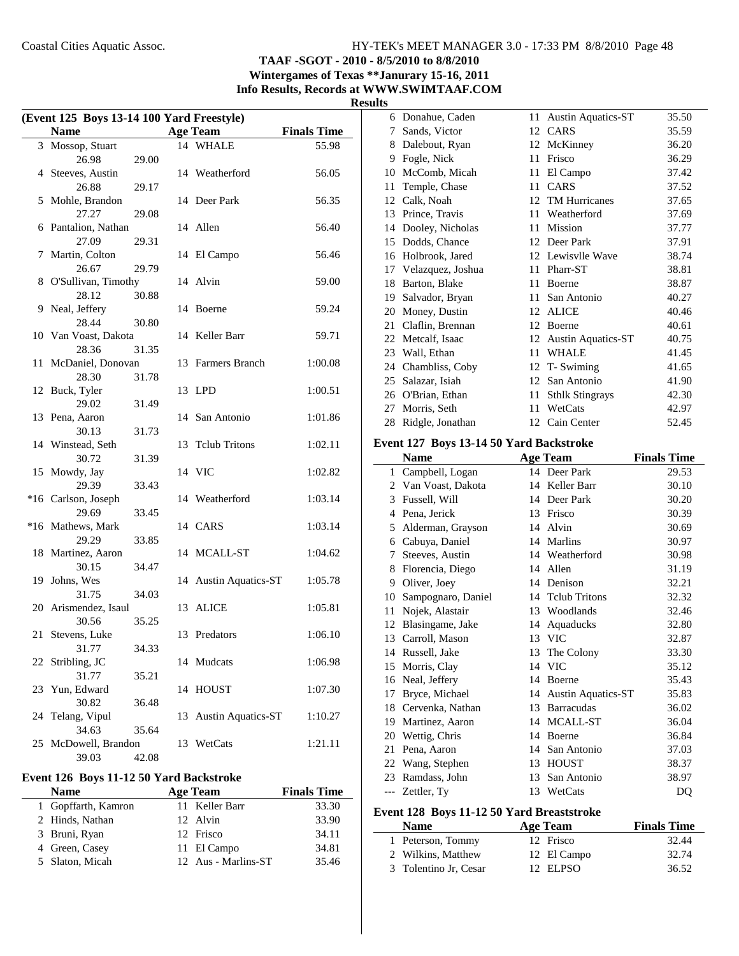## **TAAF -SGOT - 2010 - 8/5/2010 to 8/8/2010 Wintergames of Texas \*\*Janurary 15-16, 2011 Info Results, Records at WWW.SWIMTAAF.COM**

#### **Results**

| Event 125 Boys 13-14 100 Yard Freestyle) |                      |       |    |                       |                    |
|------------------------------------------|----------------------|-------|----|-----------------------|--------------------|
|                                          | <b>Name</b>          |       |    | <b>Age Team</b>       | <b>Finals Time</b> |
|                                          | 3 Mossop, Stuart     |       |    | 14 WHALE              | 55.98              |
|                                          | 26.98                | 29.00 |    |                       |                    |
|                                          | 4 Steeves, Austin    |       |    | 14 Weatherford        | 56.05              |
|                                          | 26.88                | 29.17 |    |                       |                    |
|                                          | 5 Mohle, Brandon     |       |    | 14 Deer Park          | 56.35              |
|                                          | 27.27                | 29.08 |    |                       |                    |
|                                          | 6 Pantalion, Nathan  |       |    | 14 Allen              | 56.40              |
|                                          | 27.09                | 29.31 |    |                       |                    |
|                                          | 7 Martin, Colton     |       |    | 14 El Campo           | 56.46              |
|                                          | 26.67                | 29.79 |    |                       |                    |
| 8                                        | O'Sullivan, Timothy  |       |    | 14 Alvin              | 59.00              |
|                                          | 28.12                | 30.88 |    |                       |                    |
|                                          | 9 Neal, Jeffery      |       |    |                       | 59.24              |
|                                          | 28.44                |       |    | 14 Boerne             |                    |
|                                          |                      | 30.80 |    | 14 Keller Barr        |                    |
|                                          | 10 Van Voast, Dakota |       |    |                       | 59.71              |
|                                          | 28.36                | 31.35 |    |                       |                    |
| 11                                       | McDaniel, Donovan    |       |    | 13 Farmers Branch     | 1:00.08            |
|                                          | 28.30                | 31.78 |    |                       |                    |
|                                          | 12 Buck, Tyler       |       |    | 13 LPD                | 1:00.51            |
|                                          | 29.02                | 31.49 |    |                       |                    |
|                                          | 13 Pena, Aaron       |       |    | 14 San Antonio        | 1:01.86            |
|                                          | 30.13                | 31.73 |    |                       |                    |
|                                          | 14 Winstead, Seth    |       | 13 | <b>Tclub Tritons</b>  | 1:02.11            |
|                                          | 30.72                | 31.39 |    |                       |                    |
|                                          | 15 Mowdy, Jay        |       |    | 14 VIC                | 1:02.82            |
|                                          | 29.39                | 33.43 |    |                       |                    |
|                                          | *16 Carlson, Joseph  |       |    | 14 Weatherford        | 1:03.14            |
|                                          | 29.69                | 33.45 |    |                       |                    |
|                                          | *16 Mathews, Mark    |       |    | 14 CARS               | 1:03.14            |
|                                          | 29.29                | 33.85 |    |                       |                    |
|                                          | 18 Martinez, Aaron   |       |    | 14 MCALL-ST           | 1:04.62            |
|                                          | 30.15                | 34.47 |    |                       |                    |
| 19                                       | Johns, Wes           |       |    | 14 Austin Aquatics-ST | 1:05.78            |
|                                          | 31.75                | 34.03 |    |                       |                    |
|                                          | 20 Arismendez, Isaul |       |    | 13 ALICE              | 1:05.81            |
|                                          | 30.56                | 35.25 |    |                       |                    |
| 21                                       | Stevens, Luke        |       |    | 13 Predators          | 1:06.10            |
|                                          | 31.77                | 34.33 |    |                       |                    |
| 22                                       | Stribling, JC        |       |    | 14 Mudcats            | 1:06.98            |
|                                          | 31.77                | 35.21 |    |                       |                    |
| 23                                       | Yun, Edward          |       | 14 | <b>HOUST</b>          | 1:07.30            |
|                                          | 30.82                | 36.48 |    |                       |                    |
| 24                                       | Telang, Vipul        |       | 13 | Austin Aquatics-ST    | 1:10.27            |
|                                          | 34.63                | 35.64 |    |                       |                    |
| 25                                       | McDowell, Brandon    |       | 13 | WetCats               | 1:21.11            |
|                                          | 39.03                | 42.08 |    |                       |                    |
|                                          |                      |       |    |                       |                    |

## **Event 126 Boys 11-12 50 Yard Backstroke**

| <b>Name</b>   |                     | <b>Age Team</b>     | <b>Finals Time</b> |
|---------------|---------------------|---------------------|--------------------|
|               | 1 Gopffarth, Kamron | 11 Keller Barr      | 33.30              |
|               | 2 Hinds, Nathan     | 12 Alvin            | 33.90              |
| 3 Bruni, Ryan |                     | 12 Frisco           | 34.11              |
|               | 4 Green, Casey      | 11 El Campo         | 34.81              |
|               | 5 Slaton, Micah     | 12 Aus - Marlins-ST | 35.46              |

| 6  | Donahue, Caden    | 11 | <b>Austin Aquatics-ST</b> | 35.50 |
|----|-------------------|----|---------------------------|-------|
| 7  | Sands, Victor     |    | 12 CARS                   | 35.59 |
| 8  | Dalebout, Ryan    | 12 | McKinney                  | 36.20 |
| 9  | Fogle, Nick       | 11 | Frisco                    | 36.29 |
| 10 | McComb, Micah     | 11 | El Campo                  | 37.42 |
| 11 | Temple, Chase     | 11 | CARS                      | 37.52 |
| 12 | Calk, Noah        | 12 | <b>TM</b> Hurricanes      | 37.65 |
| 13 | Prince, Travis    | 11 | Weatherford               | 37.69 |
| 14 | Dooley, Nicholas  | 11 | Mission                   | 37.77 |
| 15 | Dodds, Chance     |    | 12 Deer Park              | 37.91 |
| 16 | Holbrook, Jared   |    | 12 Lewisvlle Wave         | 38.74 |
| 17 | Velazquez, Joshua | 11 | Pharr-ST                  | 38.81 |
| 18 | Barton, Blake     | 11 | <b>Boerne</b>             | 38.87 |
| 19 | Salvador, Bryan   | 11 | San Antonio               | 40.27 |
| 20 | Money, Dustin     | 12 | <b>ALICE</b>              | 40.46 |
| 21 | Claflin, Brennan  | 12 | <b>Boerne</b>             | 40.61 |
| 22 | Metcalf, Isaac    | 12 | <b>Austin Aquatics-ST</b> | 40.75 |
| 23 | Wall, Ethan       | 11 | <b>WHALE</b>              | 41.45 |
| 24 | Chambliss, Coby   | 12 | T- Swiming                | 41.65 |
| 25 | Salazar, Isiah    | 12 | San Antonio               | 41.90 |
| 26 | O'Brian, Ethan    | 11 | <b>Sthlk Stingrays</b>    | 42.30 |
| 27 | Morris, Seth      | 11 | WetCats                   | 42.97 |
| 28 | Ridgle, Jonathan  |    | 12 Cain Center            | 52.45 |

#### **Event 127 Boys 13-14 50 Yard Backstroke**

|    | <b>Name</b>         |    | <b>Age Team</b>           | <b>Finals Time</b> |
|----|---------------------|----|---------------------------|--------------------|
|    | 1 Campbell, Logan   |    | 14 Deer Park              | 29.53              |
|    | 2 Van Voast, Dakota | 14 | Keller Barr               | 30.10              |
| 3  | Fussell, Will       |    | 14 Deer Park              | 30.20              |
| 4  | Pena. Jerick        | 13 | Frisco                    | 30.39              |
| 5  | Alderman, Grayson   | 14 | Alvin                     | 30.69              |
| 6  | Cabuya, Daniel      | 14 | Marlins                   | 30.97              |
| 7  | Steeves, Austin     |    | 14 Weatherford            | 30.98              |
| 8  | Florencia, Diego    | 14 | Allen                     | 31.19              |
| 9  | Oliver, Joey        | 14 | Denison                   | 32.21              |
| 10 | Sampognaro, Daniel  | 14 | <b>Telub Tritons</b>      | 32.32              |
| 11 | Nojek, Alastair     |    | 13 Woodlands              | 32.46              |
| 12 | Blasingame, Jake    | 14 | Aquaducks                 | 32.80              |
|    | 13 Carroll, Mason   |    | 13 VIC                    | 32.87              |
| 14 | Russell, Jake       | 13 | The Colony                | 33.30              |
| 15 | Morris, Clay        | 14 | <b>VIC</b>                | 35.12              |
| 16 | Neal, Jeffery       | 14 | Boerne                    | 35.43              |
| 17 | Bryce, Michael      | 14 | <b>Austin Aquatics-ST</b> | 35.83              |
| 18 | Cervenka, Nathan    | 13 | <b>Barracudas</b>         | 36.02              |
| 19 | Martinez, Aaron     | 14 | MCALL-ST                  | 36.04              |
| 20 | Wettig, Chris       | 14 | Boerne                    | 36.84              |
| 21 | Pena, Aaron         | 14 | San Antonio               | 37.03              |
| 22 | Wang, Stephen       | 13 | <b>HOUST</b>              | 38.37              |
| 23 | Ramdass, John       | 13 | San Antonio               | 38.97              |
|    | --- Zettler, Ty     | 13 | WetCats                   | DQ                 |

## **Event 128 Boys 11-12 50 Yard Breaststroke**

| <b>Name</b>           | Age Team    | <b>Finals Time</b> |
|-----------------------|-------------|--------------------|
| 1 Peterson, Tommy     | 12 Frisco   | 32.44              |
| 2 Wilkins, Matthew    | 12 El Campo | 32.74              |
| 3 Tolentino Jr, Cesar | 12 ELPSO    | 36.52              |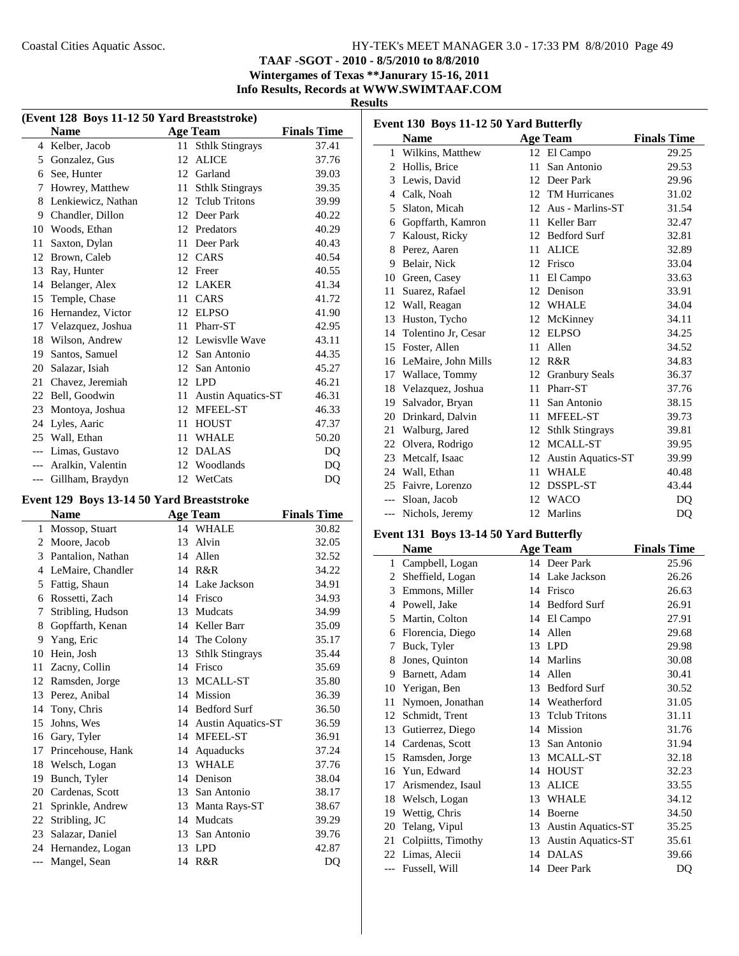**TAAF -SGOT - 2010 - 8/5/2010 to 8/8/2010**

**Wintergames of Texas \*\*Janurary 15-16, 2011 Info Results, Records at WWW.SWIMTAAF.COM**

#### **Results**

|       | (Event 128 Boys 11-12 50 Yard Breaststroke) |    |                           |                    |  |
|-------|---------------------------------------------|----|---------------------------|--------------------|--|
|       | <b>Name</b>                                 |    | <b>Age Team</b>           | <b>Finals Time</b> |  |
|       | 4 Kelber, Jacob                             | 11 | <b>Sthlk Stingrays</b>    | 37.41              |  |
| 5     | Gonzalez, Gus                               | 12 | <b>ALICE</b>              | 37.76              |  |
| 6     | See, Hunter                                 |    | 12 Garland                | 39.03              |  |
| 7     | Howrey, Matthew                             | 11 | <b>Sthlk Stingrays</b>    | 39.35              |  |
| 8     | Lenkiewicz, Nathan                          | 12 | <b>Telub Tritons</b>      | 39.99              |  |
| 9     | Chandler, Dillon                            | 12 | Deer Park                 | 40.22              |  |
| 10    | Woods, Ethan                                | 12 | Predators                 | 40.29              |  |
| 11    | Saxton, Dylan                               | 11 | Deer Park                 | 40.43              |  |
| 12    | Brown, Caleb                                |    | 12 CARS                   | 40.54              |  |
| 13    | Ray, Hunter                                 | 12 | Freer                     | 40.55              |  |
| 14    | Belanger, Alex                              | 12 | <b>LAKER</b>              | 41.34              |  |
| 15    | Temple, Chase                               | 11 | CARS                      | 41.72              |  |
| 16    | Hernandez, Victor                           | 12 | <b>ELPSO</b>              | 41.90              |  |
| 17    | Velazquez, Joshua                           | 11 | Pharr-ST                  | 42.95              |  |
| 18    | Wilson, Andrew                              | 12 | Lewisvlle Wave            | 43.11              |  |
| 19    | Santos, Samuel                              | 12 | San Antonio               | 44.35              |  |
| 20    | Salazar, Isiah                              | 12 | San Antonio               | 45.27              |  |
| 21    | Chavez, Jeremiah                            | 12 | <b>LPD</b>                | 46.21              |  |
| 22    | Bell, Goodwin                               | 11 | <b>Austin Aquatics-ST</b> | 46.31              |  |
| 23    | Montoya, Joshua                             | 12 | <b>MFEEL-ST</b>           | 46.33              |  |
| 24    | Lyles, Aaric                                | 11 | <b>HOUST</b>              | 47.37              |  |
| 25    | Wall, Ethan                                 | 11 | <b>WHALE</b>              | 50.20              |  |
| $---$ | Limas, Gustavo                              | 12 | <b>DALAS</b>              | DQ                 |  |
| $---$ | Aralkin, Valentin                           | 12 | Woodlands                 | DQ                 |  |
| ---   | Gillham, Braydyn                            |    | 12 WetCats                | DQ                 |  |
|       | Event 129 Boys 13-14 50 Yard Breaststroke   |    |                           |                    |  |
|       | <b>Name</b>                                 |    | <b>Age Team</b>           | <b>Finals Time</b> |  |

|       | Name              |    | Age Team                  | <b>Finals Time</b> |
|-------|-------------------|----|---------------------------|--------------------|
|       | 1 Mossop, Stuart  |    | 14 WHALE                  | 30.82              |
| 2     | Moore, Jacob      | 13 | Alvin                     | 32.05              |
| 3     | Pantalion, Nathan | 14 | Allen                     | 32.52              |
| 4     | LeMaire, Chandler | 14 | R&R                       | 34.22              |
| 5     | Fattig, Shaun     |    | 14 Lake Jackson           | 34.91              |
| 6     | Rossetti, Zach    | 14 | Frisco                    | 34.93              |
| 7     | Stribling, Hudson | 13 | Mudcats                   | 34.99              |
| 8     | Gopffarth, Kenan  | 14 | Keller Barr               | 35.09              |
| 9     | Yang, Eric        |    | 14 The Colony             | 35.17              |
| 10    | Hein, Josh        | 13 | <b>Sthlk Stingrays</b>    | 35.44              |
| 11    | Zacny, Collin     | 14 | Frisco                    | 35.69              |
| 12    | Ramsden, Jorge    | 13 | MCALL-ST                  | 35.80              |
| 13    | Perez, Anibal     | 14 | Mission                   | 36.39              |
| 14    | Tony, Chris       | 14 | <b>Bedford Surf</b>       | 36.50              |
| 15    | Johns, Wes        | 14 | <b>Austin Aquatics-ST</b> | 36.59              |
| 16    | Gary, Tyler       | 14 | MFEEL-ST                  | 36.91              |
| 17    | Princehouse, Hank | 14 | Aquaducks                 | 37.24              |
| 18    | Welsch, Logan     |    | 13 WHALE                  | 37.76              |
| 19    | Bunch, Tyler      | 14 | Denison                   | 38.04              |
| 20    | Cardenas, Scott   | 13 | San Antonio               | 38.17              |
| 21    | Sprinkle, Andrew  | 13 | Manta Rays-ST             | 38.67              |
| 22    | Stribling, JC     | 14 | Mudcats                   | 39.29              |
| 23    | Salazar, Daniel   | 13 | San Antonio               | 39.76              |
| 24    | Hernandez, Logan  | 13 | <b>LPD</b>                | 42.87              |
| $---$ | Mangel, Sean      |    | 14 R&R                    | DQ                 |

| Event 130 Boys 11-12 50 Yard Butterfly |                        |    |                        |                    |  |
|----------------------------------------|------------------------|----|------------------------|--------------------|--|
|                                        | <b>Name</b>            |    | <b>Age Team</b>        | <b>Finals Time</b> |  |
| $\mathbf{1}$                           | Wilkins, Matthew       |    | 12 El Campo            | 29.25              |  |
| 2                                      | Hollis, Brice          | 11 | San Antonio            | 29.53              |  |
| 3                                      | Lewis, David           | 12 | Deer Park              | 29.96              |  |
| 4                                      | Calk, Noah             | 12 | <b>TM</b> Hurricanes   | 31.02              |  |
| 5                                      | Slaton, Micah          | 12 | Aus - Marlins-ST       | 31.54              |  |
| 6                                      | Gopffarth, Kamron      | 11 | Keller Barr            | 32.47              |  |
| 7                                      | Kaloust, Ricky         |    | 12 Bedford Surf        | 32.81              |  |
| 8                                      | Perez, Aaren           | 11 | <b>ALICE</b>           | 32.89              |  |
| 9                                      | Belair, Nick           |    | 12 Frisco              | 33.04              |  |
| 10                                     | Green, Casey           | 11 | El Campo               | 33.63              |  |
| 11                                     | Suarez, Rafael         | 12 | Denison                | 33.91              |  |
| 12                                     | Wall, Reagan           | 12 | WHALE                  | 34.04              |  |
| 13                                     | Huston, Tycho          | 12 | McKinney               | 34.11              |  |
| 14                                     | Tolentino Jr, Cesar    | 12 | ELPSO                  | 34.25              |  |
| 15                                     | Foster, Allen          | 11 | Allen                  | 34.52              |  |
|                                        | 16 LeMaire, John Mills |    | 12 R&R                 | 34.83              |  |
| 17                                     | Wallace, Tommy         | 12 | <b>Granbury Seals</b>  | 36.37              |  |
| 18                                     | Velazquez, Joshua      | 11 | Pharr-ST               | 37.76              |  |
| 19                                     | Salvador, Bryan        | 11 | San Antonio            | 38.15              |  |
| 20                                     | Drinkard, Dalvin       | 11 | MFEEL-ST               | 39.73              |  |
| 21                                     | Walburg, Jared         | 12 | <b>Sthlk Stingrays</b> | 39.81              |  |
| 22                                     | Olvera, Rodrigo        | 12 | MCALL-ST               | 39.95              |  |
| 23                                     | Metcalf, Isaac         |    | 12 Austin Aquatics-ST  | 39.99              |  |
| 24                                     | Wall, Ethan            | 11 | <b>WHALE</b>           | 40.48              |  |
| 25                                     | Faivre, Lorenzo        | 12 | DSSPL-ST               | 43.44              |  |
|                                        | --- Sloan, Jacob       |    | 12 WACO                | D <sub>O</sub>     |  |
| $---$                                  | Nichols, Jeremy        |    | 12 Marlins             | DQ                 |  |

## **Event 131 Boys 13-14 50 Yard Butterfly**

|       | <b>Name</b>        |    | <b>Age Team</b>           | <b>Finals Time</b> |
|-------|--------------------|----|---------------------------|--------------------|
| 1     | Campbell, Logan    |    | 14 Deer Park              | 25.96              |
| 2     | Sheffield, Logan   | 14 | Lake Jackson              | 26.26              |
| 3     | Emmons, Miller     | 14 | Frisco                    | 26.63              |
| 4     | Powell, Jake       | 14 | <b>Bedford Surf</b>       | 26.91              |
| 5     | Martin, Colton     |    | 14 El Campo               | 27.91              |
| 6     | Florencia, Diego   |    | 14 Allen                  | 29.68              |
| 7     | Buck, Tyler        | 13 | <b>LPD</b>                | 29.98              |
| 8     | Jones, Quinton     | 14 | Marlins                   | 30.08              |
| 9     | Barnett, Adam      | 14 | Allen                     | 30.41              |
| 10    | Yerigan, Ben       | 13 | <b>Bedford Surf</b>       | 30.52              |
| 11    | Nymoen, Jonathan   |    | 14 Weatherford            | 31.05              |
| 12    | Schmidt, Trent     |    | 13 Telub Tritons          | 31.11              |
| 13    | Gutierrez, Diego   | 14 | Mission                   | 31.76              |
| 14    | Cardenas, Scott    | 13 | San Antonio               | 31.94              |
| 15    | Ramsden, Jorge     | 13 | MCALL-ST                  | 32.18              |
| 16    | Yun, Edward        | 14 | <b>HOUST</b>              | 32.23              |
| 17    | Arismendez, Isaul  | 13 | <b>ALICE</b>              | 33.55              |
| 18    | Welsch, Logan      | 13 | <b>WHALE</b>              | 34.12              |
| 19    | Wettig, Chris      | 14 | <b>Boerne</b>             | 34.50              |
| 20    | Telang, Vipul      | 13 | <b>Austin Aquatics-ST</b> | 35.25              |
| 21    | Colpiitts, Timothy | 13 | <b>Austin Aquatics-ST</b> | 35.61              |
|       | 22 Limas, Alecii   | 14 | <b>DALAS</b>              | 39.66              |
| $---$ | Fussell, Will      | 14 | Deer Park                 | DQ                 |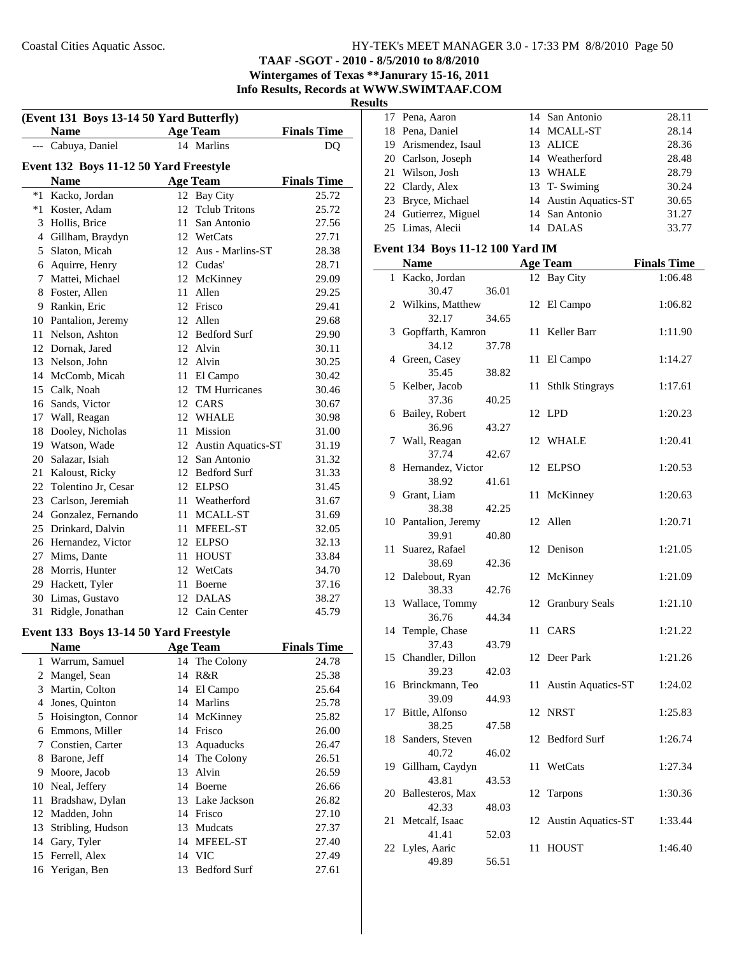**TAAF -SGOT - 2010 - 8/5/2010 to 8/8/2010**

**Wintergames of Texas \*\*Janurary 15-16, 2011 Info Results, Records at WWW.SWIMTAAF.COM**

**Results**

| (Event 131 Boys 13-14 50 Yard Butterfly) |                                        |    |                       |                    |  |
|------------------------------------------|----------------------------------------|----|-----------------------|--------------------|--|
|                                          | <b>Name</b>                            |    | <b>Age Team</b>       | <b>Finals Time</b> |  |
| $---$                                    | Cabuya, Daniel                         |    | 14 Marlins            | DQ                 |  |
|                                          | Event 132 Boys 11-12 50 Yard Freestyle |    |                       |                    |  |
|                                          | <b>Name</b>                            |    | <b>Age Team</b>       | <b>Finals Time</b> |  |
| $*1$                                     | Kacko, Jordan                          |    | 12 Bay City           | 25.72              |  |
| $*1$                                     | Koster, Adam                           | 12 | <b>Tclub Tritons</b>  | 25.72              |  |
|                                          | 3 Hollis, Brice                        |    | 11 San Antonio        | 27.56              |  |
|                                          | 4 Gillham, Braydyn                     |    | 12 WetCats            | 27.71              |  |
|                                          | 5 Slaton, Micah                        |    | 12 Aus - Marlins-ST   | 28.38              |  |
| 6                                        | Aquirre, Henry                         |    | 12 Cudas'             | 28.71              |  |
| 7                                        | Mattei, Michael                        |    | 12 McKinney           | 29.09              |  |
|                                          | 8 Foster, Allen                        | 11 | Allen                 | 29.25              |  |
|                                          | 9 Rankin, Eric                         | 12 | Frisco                | 29.41              |  |
|                                          | 10 Pantalion, Jeremy                   | 12 | Allen                 | 29.68              |  |
| 11                                       | Nelson, Ashton                         |    | 12 Bedford Surf       | 29.90              |  |
|                                          | 12 Dornak, Jared                       |    | 12 Alvin              | 30.11              |  |
|                                          | 13 Nelson, John                        |    | 12 Alvin              | 30.25              |  |
|                                          | 14 McComb, Micah                       |    | 11 El Campo           | 30.42              |  |
|                                          | 15 Calk, Noah                          |    | 12 TM Hurricanes      | 30.46              |  |
| 16                                       | Sands, Victor                          |    | 12 CARS               | 30.67              |  |
| 17                                       | Wall, Reagan                           |    | 12 WHALE              | 30.98              |  |
| 18                                       | Dooley, Nicholas                       |    | 11 Mission            | 31.00              |  |
| 19                                       | Watson, Wade                           |    | 12 Austin Aquatics-ST | 31.19              |  |
| 20                                       | Salazar, Isiah                         |    | 12 San Antonio        | 31.32              |  |
| 21                                       | Kaloust, Ricky                         |    | 12 Bedford Surf       | 31.33              |  |
| 22                                       | Tolentino Jr, Cesar                    |    | 12 ELPSO              | 31.45              |  |
| 23                                       | Carlson, Jeremiah                      |    | 11 Weatherford        | 31.67              |  |
|                                          | 24 Gonzalez, Fernando                  |    | 11 MCALL-ST           | 31.69              |  |
|                                          | 25 Drinkard, Dalvin                    |    | 11 MFEEL-ST           | 32.05              |  |
|                                          | 26 Hernandez, Victor                   |    | 12 ELPSO              | 32.13              |  |
|                                          | 27 Mims, Dante                         |    | 11 HOUST              | 33.84              |  |
|                                          | 28 Morris, Hunter                      |    | 12 WetCats            | 34.70              |  |
| 29                                       | Hackett, Tyler                         |    | 11 Boerne             | 37.16              |  |
| 30                                       | Limas, Gustavo                         | 12 | <b>DALAS</b>          | 38.27              |  |
| 31                                       | Ridgle, Jonathan                       |    | 12 Cain Center        | 45.79              |  |
|                                          |                                        |    |                       |                    |  |
|                                          | Event 133 Boys 13-14 50 Yard Freestyle |    |                       |                    |  |
|                                          | Name                                   |    | <b>Age Team</b>       | <b>Finals Time</b> |  |
| 1                                        | Warrum, Samuel                         | 14 | The Colony            | 24.78              |  |
| $\overline{c}$                           | Mangel, Sean                           | 14 | R&R                   | 25.38              |  |
| 3                                        | Martin, Colton                         | 14 | El Campo              | 25.64              |  |
| $\overline{4}$                           | Jones, Quinton                         | 14 | Marlins               | 25.78              |  |
| 5                                        | Hoisington, Connor                     | 14 | McKinney              | 25.82              |  |
| 6                                        | Emmons, Miller                         | 14 | Frisco                | 26.00              |  |
| 7                                        | Constien, Carter                       | 13 | Aquaducks             | 26.47              |  |
| 8                                        | Barone, Jeff                           | 14 | The Colony            | 26.51              |  |
| 9                                        | Moore, Jacob                           | 13 | Alvin                 | 26.59              |  |
| 10                                       | Neal, Jeffery                          |    | 14 Boerne             | 26.66              |  |
| 11                                       | Bradshaw, Dylan                        | 13 | Lake Jackson          | 26.82              |  |
| 12                                       | Madden, John                           |    | 14 Frisco             | 27.10              |  |
| 13                                       | Stribling, Hudson                      | 13 | Mudcats               | 27.37              |  |
| 14                                       | Gary, Tyler                            | 14 | MFEEL-ST              | 27.40              |  |
| 15                                       | Ferrell, Alex                          |    | 14 VIC                | 27.49              |  |
| 16                                       | Yerigan, Ben                           | 13 | <b>Bedford Surf</b>   | 27.61              |  |

| 17 Pena, Aaron       | 14 San Antonio        | 28.11 |
|----------------------|-----------------------|-------|
| 18 Pena, Daniel      | 14 MCALL-ST           | 28.14 |
| 19 Arismendez, Isaul | 13 ALICE              | 28.36 |
| 20 Carlson, Joseph   | 14 Weatherford        | 28.48 |
| 21 Wilson, Josh      | 13 WHALE              | 28.79 |
| 22 Clardy, Alex      | 13 T- Swiming         | 30.24 |
| 23 Bryce, Michael    | 14 Austin Aquatics-ST | 30.65 |
| 24 Gutierrez, Miguel | 14 San Antonio        | 31.27 |
| 25 Limas, Alecii     | 14 DALAS              | 33.77 |

#### **Event 134 Boys 11-12 100 Yard IM**

|    | <b>Name</b>            |       |    | <b>Age Team</b>           | <b>Finals Time</b> |
|----|------------------------|-------|----|---------------------------|--------------------|
| 1  | Kacko, Jordan          |       |    | 12 Bay City               | 1:06.48            |
|    | 30.47                  | 36.01 |    |                           |                    |
| 2  | Wilkins, Matthew       |       | 12 | El Campo                  | 1:06.82            |
|    | 32.17                  | 34.65 |    |                           |                    |
| 3  | Gopffarth, Kamron      |       | 11 | Keller Barr               | 1:11.90            |
|    | 34.12                  | 37.78 |    |                           |                    |
|    | 4 Green, Casey         |       | 11 | El Campo                  | 1:14.27            |
|    | 35.45                  | 38.82 |    |                           |                    |
| 5  | Kelber, Jacob          |       | 11 | <b>Sthlk Stingrays</b>    | 1:17.61            |
|    | 37.36                  | 40.25 |    |                           |                    |
| 6  | Bailey, Robert         |       |    | 12 LPD                    | 1:20.23            |
|    | 36.96                  | 43.27 |    |                           |                    |
| 7  | Wall, Reagan           |       | 12 | <b>WHALE</b>              | 1:20.41            |
|    | 37.74                  | 42.67 |    |                           |                    |
| 8  | Hernandez, Victor      |       | 12 | <b>ELPSO</b>              | 1:20.53            |
|    | 38.92                  | 41.61 |    |                           |                    |
| 9  | Grant, Liam            |       | 11 | McKinney                  | 1:20.63            |
|    | 38.38                  | 42.25 |    |                           |                    |
| 10 | Pantalion, Jeremy      |       | 12 | Allen                     | 1:20.71            |
|    | 39.91                  | 40.80 |    |                           |                    |
| 11 | Suarez, Rafael         |       | 12 | Denison                   | 1:21.05            |
|    | 38.69                  | 42.36 |    |                           |                    |
| 12 | Dalebout, Ryan         |       | 12 | McKinney                  | 1:21.09            |
|    | 38.33                  | 42.76 |    |                           |                    |
| 13 | Wallace, Tommy         |       | 12 | <b>Granbury Seals</b>     | 1:21.10            |
| 14 | 36.76<br>Temple, Chase | 44.34 | 11 | CARS                      | 1:21.22            |
|    | 37.43                  |       |    |                           |                    |
| 15 | Chandler, Dillon       | 43.79 | 12 | Deer Park                 | 1:21.26            |
|    | 39.23                  | 42.03 |    |                           |                    |
| 16 | Brinckmann, Teo        |       | 11 | <b>Austin Aquatics-ST</b> | 1:24.02            |
|    | 39.09                  | 44.93 |    |                           |                    |
| 17 | Bittle, Alfonso        |       | 12 | <b>NRST</b>               | 1:25.83            |
|    | 38.25                  | 47.58 |    |                           |                    |
| 18 | Sanders, Steven        |       | 12 | <b>Bedford Surf</b>       | 1:26.74            |
|    | 40.72                  | 46.02 |    |                           |                    |
| 19 | Gillham, Caydyn        |       | 11 | WetCats                   | 1:27.34            |
|    | 43.81                  | 43.53 |    |                           |                    |
| 20 | Ballesteros, Max       |       | 12 | Tarpons                   | 1:30.36            |
|    | 42.33                  | 48.03 |    |                           |                    |
| 21 | Metcalf, Isaac         |       | 12 | <b>Austin Aquatics-ST</b> | 1:33.44            |
|    | 41.41                  | 52.03 |    |                           |                    |
|    | 22 Lyles, Aaric        |       | 11 | <b>HOUST</b>              | 1:46.40            |
|    | 49.89                  | 56.51 |    |                           |                    |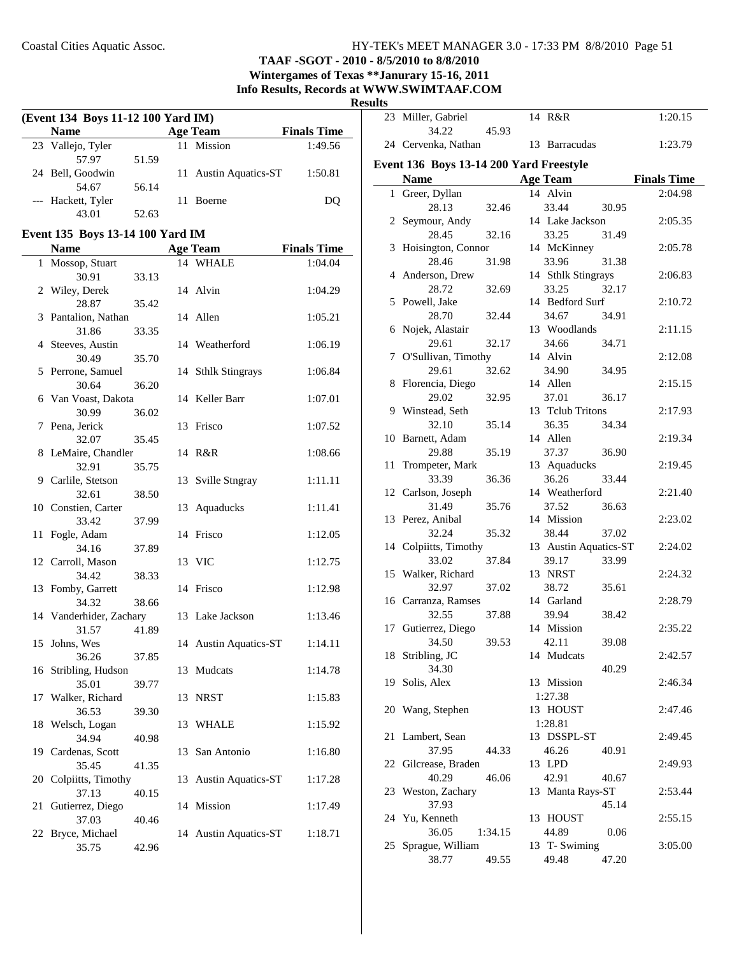## **TAAF -SGOT - 2010 - 8/5/2010 to 8/8/2010 Wintergames of Texas \*\*Janurary 15-16, 2011**

**Info Results, Records at WWW.SWIMTAAF.COM**

**Result** 

| (Event 134 Boys 11-12 100 Yard IM) |       |  |                       |                    |  |  |
|------------------------------------|-------|--|-----------------------|--------------------|--|--|
| <b>Name</b>                        |       |  | <b>Age Team</b>       | <b>Finals Time</b> |  |  |
| 23 Vallejo, Tyler                  |       |  | 11 Mission            | 1:49.56            |  |  |
| 57.97                              | 51.59 |  |                       |                    |  |  |
| 24 Bell, Goodwin                   |       |  | 11 Austin Aquatics-ST | 1:50.81            |  |  |
| 54.67                              | 56.14 |  |                       |                    |  |  |
| --- Hackett, Tyler                 |       |  | <b>Boerne</b>         | DO                 |  |  |
|                                    | 52.63 |  |                       |                    |  |  |

## **Event 135 Boys 13-14 100 Yard IM**

|    | <b>Name</b>                         |    | <b>Age Team</b>       | <b>Finals Time</b> |
|----|-------------------------------------|----|-----------------------|--------------------|
| 1  | Mossop, Stuart                      |    | 14 WHALE              | 1:04.04            |
|    | 30.91<br>33.13                      |    |                       |                    |
| 2  | Wiley, Derek                        |    | 14 Alvin              | 1:04.29            |
|    | 28.87<br>35.42                      |    |                       |                    |
| 3  | Pantalion, Nathan                   |    | 14 Allen              | 1:05.21            |
|    | 31.86<br>33.35                      |    |                       |                    |
|    | 4 Steeves, Austin                   |    | 14 Weatherford        | 1:06.19            |
|    | 30.49<br>35.70                      |    |                       |                    |
| 5  | Perrone, Samuel                     |    | 14 Sthlk Stingrays    | 1:06.84            |
|    | 30.64<br>36.20                      |    |                       |                    |
| 6  | Van Voast, Dakota                   |    | 14 Keller Barr        | 1:07.01            |
|    | 30.99<br>36.02                      |    |                       |                    |
| 7  | Pena, Jerick                        |    | 13 Frisco             | 1:07.52            |
|    | 32.07<br>35.45                      |    |                       |                    |
| 8  | LeMaire, Chandler<br>32.91<br>35.75 |    | 14 R&R                | 1:08.66            |
| 9  | Carlile, Stetson                    |    | 13 Sville Stngray     | 1:11.11            |
|    | 32.61<br>38.50                      |    |                       |                    |
|    | 10 Constien, Carter                 | 13 | Aquaducks             | 1:11.41            |
|    | 33.42<br>37.99                      |    |                       |                    |
| 11 | Fogle, Adam                         |    | 14 Frisco             | 1:12.05            |
|    | 34.16<br>37.89                      |    |                       |                    |
| 12 | Carroll, Mason                      |    | 13 VIC                | 1:12.75            |
|    | 34.42<br>38.33                      |    |                       |                    |
| 13 | Fomby, Garrett                      |    | 14 Frisco             | 1:12.98            |
|    | 34.32<br>38.66                      |    |                       |                    |
| 14 | Vanderhider, Zachary                |    | 13 Lake Jackson       | 1:13.46            |
|    | 31.57<br>41.89                      |    |                       |                    |
| 15 | Johns, Wes                          |    | 14 Austin Aquatics-ST | 1:14.11            |
|    | 36.26<br>37.85                      |    | Mudcats               |                    |
| 16 | Stribling, Hudson                   | 13 |                       | 1:14.78            |
| 17 | 35.01<br>39.77<br>Walker, Richard   |    | 13 NRST               | 1:15.83            |
|    | 36.53<br>39.30                      |    |                       |                    |
| 18 | Welsch, Logan                       |    | 13 WHALE              | 1:15.92            |
|    | 34.94<br>40.98                      |    |                       |                    |
| 19 | Cardenas, Scott                     | 13 | San Antonio           | 1:16.80            |
|    | 35.45<br>41.35                      |    |                       |                    |
| 20 | Colpiitts, Timothy                  |    | 13 Austin Aquatics-ST | 1:17.28            |
|    | 37.13<br>40.15                      |    |                       |                    |
| 21 | Gutierrez, Diego                    |    | 14 Mission            | 1:17.49            |
|    | 37.03<br>40.46                      |    |                       |                    |
| 22 | Bryce, Michael                      |    | 14 Austin Aquatics-ST | 1:18.71            |
|    | 42.96<br>35.75                      |    |                       |                    |

| ults |                                         |         |                       |       |                    |
|------|-----------------------------------------|---------|-----------------------|-------|--------------------|
|      | 23 Miller, Gabriel<br>34.22             | 45.93   | 14 R&R                |       | 1:20.15            |
|      | 24 Cervenka, Nathan                     |         | 13 Barracudas         |       | 1:23.79            |
|      | Event 136 Boys 13-14 200 Yard Freestyle |         |                       |       |                    |
|      | <b>Name</b>                             |         | <b>Age Team</b>       |       | <b>Finals Time</b> |
|      | 1 Greer, Dyllan                         |         | 14 Alvin              |       | 2:04.98            |
|      | 28.13                                   | 32.46   | 33.44                 | 30.95 |                    |
|      | 2 Seymour, Andy                         |         | 14 Lake Jackson       |       | 2:05.35            |
|      | 28.45                                   | 32.16   | 33.25                 | 31.49 |                    |
| 3    | Hoisington, Connor                      |         | 14 McKinney           |       | 2:05.78            |
|      | 28.46                                   | 31.98   | 33.96                 | 31.38 |                    |
|      | 4 Anderson, Drew                        |         | 14 Sthlk Stingrays    |       | 2:06.83            |
|      | 28.72                                   | 32.69   | 33.25                 | 32.17 |                    |
| 5    | Powell, Jake                            |         | 14 Bedford Surf       |       | 2:10.72            |
|      | 28.70                                   | 32.44   | 34.67                 | 34.91 |                    |
| 6    | Nojek, Alastair                         |         | 13 Woodlands          |       | 2:11.15            |
|      | 29.61                                   | 32.17   | 34.66                 | 34.71 |                    |
| 7    | O'Sullivan, Timothy                     |         | 14 Alvin              |       | 2:12.08            |
|      | 29.61                                   | 32.62   | 34.90                 | 34.95 |                    |
|      | 8 Florencia, Diego                      |         | 14 Allen              |       | 2:15.15            |
|      | 29.02                                   | 32.95   | 37.01                 | 36.17 |                    |
|      | 9 Winstead, Seth                        |         | 13 Telub Tritons      |       | 2:17.93            |
|      | 32.10                                   | 35.14   | 36.35                 | 34.34 |                    |
|      | 10 Barnett, Adam                        |         | 14 Allen              |       | 2:19.34            |
|      | 29.88                                   | 35.19   | 37.37                 | 36.90 |                    |
| 11   | Trompeter, Mark                         |         | 13 Aquaducks          |       | 2:19.45            |
|      | 33.39                                   | 36.36   | 36.26                 | 33.44 |                    |
|      | 12 Carlson, Joseph                      |         | 14 Weatherford        |       | 2:21.40            |
|      | 31.49                                   | 35.76   | 37.52                 | 36.63 |                    |
|      | 13 Perez, Anibal                        |         | 14 Mission            |       | 2:23.02            |
|      | 32.24                                   | 35.32   | 38.44                 | 37.02 |                    |
|      | 14 Colpiitts, Timothy                   |         | 13 Austin Aquatics-ST |       | 2:24.02            |
|      | 33.02                                   | 37.84   | 39.17                 | 33.99 |                    |
|      | 15 Walker, Richard                      |         | 13 NRST               |       | 2:24.32            |
|      | 32.97                                   | 37.02   | 38.72                 | 35.61 |                    |
|      | 16 Carranza, Ramses                     |         | 14 Garland            |       | 2:28.79            |
|      | 32.55                                   | 37.88   | 39.94                 | 38.42 |                    |
|      | 17 Gutierrez, Diego                     |         | 14 Mission            |       | 2:35.22            |
|      | 34.50                                   | 39.53   | 42.11                 | 39.08 |                    |
|      | 18 Stribling, JC                        |         | 14 Mudcats            |       | 2:42.57            |
|      | 34.30                                   |         |                       | 40.29 |                    |
| 19   | Solis, Alex                             |         | 13 Mission            |       | 2:46.34            |
|      |                                         |         | 1:27.38               |       |                    |
|      | 20 Wang, Stephen                        |         | 13 HOUST              |       | 2:47.46            |
|      |                                         |         | 1:28.81               |       |                    |
|      | 21 Lambert, Sean                        |         | 13 DSSPL-ST           |       | 2:49.45            |
|      | 37.95                                   |         |                       |       |                    |
|      | 22 Gilcrease, Braden                    | 44.33   | 46.26<br>13 LPD       | 40.91 | 2:49.93            |
|      | 40.29                                   | 46.06   | 42.91                 | 40.67 |                    |
|      |                                         |         |                       |       |                    |
|      | 23 Weston, Zachary                      |         | 13 Manta Rays-ST      |       | 2:53.44            |
|      | 37.93                                   |         |                       | 45.14 |                    |
|      | 24 Yu, Kenneth                          |         | 13 HOUST              |       | 2:55.15            |
|      | 36.05                                   | 1:34.15 | 44.89                 | 0.06  |                    |
|      | 25 Sprague, William                     |         | 13 T- Swiming         |       | 3:05.00            |
|      | 38.77                                   | 49.55   | 49.48                 | 47.20 |                    |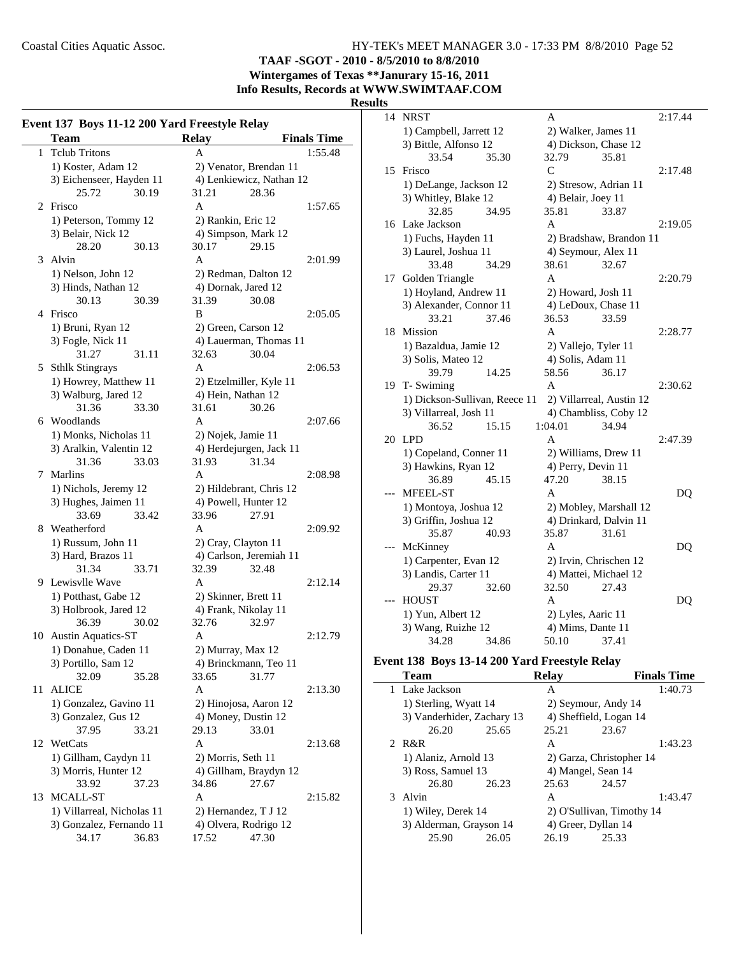**TAAF -SGOT - 2010 - 8/5/2010 to 8/8/2010**

**Wintergames of Texas \*\*Janurary 15-16, 2011 Info Results, Records at WWW.SWIMTAAF.COM**

## **Results**

|              | Event 137 Boys 11-12 200 Yard Freestyle Relay |                          |                    |
|--------------|-----------------------------------------------|--------------------------|--------------------|
|              | <b>Team</b>                                   | <b>Relay</b>             | <b>Finals Time</b> |
| $\mathbf{1}$ | <b>Tclub Tritons</b>                          | А                        | 1:55.48            |
|              | 1) Koster, Adam 12                            | 2) Venator, Brendan 11   |                    |
|              | 3) Eichenseer, Hayden 11                      | 4) Lenkiewicz, Nathan 12 |                    |
|              | 25.72<br>30.19                                | 31.21<br>28.36           |                    |
| 2            | Frisco                                        | A                        | 1:57.65            |
|              | 1) Peterson, Tommy 12                         | 2) Rankin, Eric 12       |                    |
|              | 3) Belair, Nick 12                            | 4) Simpson, Mark 12      |                    |
|              | 28.20<br>30.13                                | 30.17<br>29.15           |                    |
| 3            | Alvin                                         | A                        | 2:01.99            |
|              | 1) Nelson, John 12                            | 2) Redman, Dalton 12     |                    |
|              | 3) Hinds, Nathan 12                           | 4) Dornak, Jared 12      |                    |
|              | 30.13<br>30.39                                | 31.39<br>30.08           |                    |
|              | 4 Frisco                                      | B                        | 2:05.05            |
|              | 1) Bruni, Ryan 12                             | 2) Green, Carson 12      |                    |
|              | 3) Fogle, Nick 11                             | 4) Lauerman, Thomas 11   |                    |
|              | 31.27<br>31.11                                | 32.63<br>30.04           |                    |
|              | 5 Sthlk Stingrays                             | A                        | 2:06.53            |
|              | 1) Howrey, Matthew 11                         | 2) Etzelmiller, Kyle 11  |                    |
|              | 3) Walburg, Jared 12                          | 4) Hein, Nathan 12       |                    |
|              | 31.36<br>33.30                                | 31.61<br>30.26           |                    |
| 6            | Woodlands                                     | A                        | 2:07.66            |
|              | 1) Monks, Nicholas 11                         | 2) Nojek, Jamie 11       |                    |
|              | 3) Aralkin, Valentin 12                       | 4) Herdejurgen, Jack 11  |                    |
|              | 31.36<br>33.03                                | 31.93<br>31.34           |                    |
| 7            | Marlins                                       | A                        | 2:08.98            |
|              | 1) Nichols, Jeremy 12                         | 2) Hildebrant, Chris 12  |                    |
|              | 3) Hughes, Jaimen 11                          | 4) Powell, Hunter 12     |                    |
|              | 33.69<br>33.42                                | 33.96<br>27.91           |                    |
| 8            | Weatherford                                   | A                        | 2:09.92            |
|              | 1) Russum, John 11                            | 2) Cray, Clayton 11      |                    |
|              | 3) Hard, Brazos 11                            | 4) Carlson, Jeremiah 11  |                    |
|              | 31.34<br>33.71                                | 32.39<br>32.48           |                    |
|              | 9 Lewisvlle Wave                              | A                        | 2:12.14            |
|              | 1) Potthast, Gabe 12                          | 2) Skinner, Brett 11     |                    |
|              | 3) Holbrook, Jared 12                         | 4) Frank, Nikolay 11     |                    |
|              | 36.39<br>30.02                                | 32.76<br>32.97           |                    |
| 10           | <b>Austin Aquatics-ST</b>                     | A                        | 2:12.79            |
|              | 1) Donahue, Caden 11                          | 2) Murray, Max 12        |                    |
|              | 3) Portillo, Sam 12                           | 4) Brinckmann, Teo 11    |                    |
|              | 32.09<br>35.28                                | 33.65<br>31.77           |                    |
| 11           | ALICE                                         | A                        | 2:13.30            |
|              | 1) Gonzalez, Gavino 11                        | 2) Hinojosa, Aaron 12    |                    |
|              | 3) Gonzalez, Gus 12                           | 4) Money, Dustin 12      |                    |
|              | 37.95<br>33.21                                | 29.13<br>33.01           |                    |
|              | 12 WetCats                                    | A                        | 2:13.68            |
|              | 1) Gillham, Caydyn 11                         | 2) Morris, Seth 11       |                    |
|              | 3) Morris, Hunter 12                          | 4) Gillham, Braydyn 12   |                    |
|              | 33.92<br>37.23                                | 34.86<br>27.67           |                    |
| 13           | MCALL-ST                                      | A                        | 2:15.82            |
|              | 1) Villarreal, Nicholas 11                    | 2) Hernandez, T J 12     |                    |
|              | 3) Gonzalez, Fernando 11                      | 4) Olvera, Rodrigo 12    |                    |
|              | 34.17<br>36.83                                | 17.52<br>47.30           |                    |
|              |                                               |                          |                    |

| 14 | <b>NRST</b>                   |       | A                      |                          | 2:17.44 |
|----|-------------------------------|-------|------------------------|--------------------------|---------|
|    | 1) Campbell, Jarrett 12       |       | 2) Walker, James 11    |                          |         |
|    | 3) Bittle, Alfonso 12         |       | 4) Dickson, Chase 12   |                          |         |
|    | 33.54                         | 35.30 | 32.79                  | 35.81                    |         |
| 15 | Frisco                        |       | $\mathsf{C}$           |                          | 2:17.48 |
|    | 1) DeLange, Jackson 12        |       | 2) Stresow, Adrian 11  |                          |         |
|    | 3) Whitley, Blake 12          |       | 4) Belair, Joey 11     |                          |         |
|    | 32.85                         | 34.95 | 35.81                  | 33.87                    |         |
| 16 | Lake Jackson                  |       | A                      |                          | 2:19.05 |
|    | 1) Fuchs, Hayden 11           |       |                        | 2) Bradshaw, Brandon 11  |         |
|    | 3) Laurel, Joshua 11          |       | 4) Seymour, Alex 11    |                          |         |
|    | 33.48                         | 34.29 | 38.61                  | 32.67                    |         |
| 17 | Golden Triangle               |       | A                      |                          | 2:20.79 |
|    | 1) Hoyland, Andrew 11         |       | 2) Howard, Josh 11     |                          |         |
|    | 3) Alexander, Connor 11       |       | 4) LeDoux, Chase 11    |                          |         |
|    | 33.21                         | 37.46 | 36.53                  | 33.59                    |         |
| 18 | Mission                       |       | A                      |                          | 2:28.77 |
|    | 1) Bazaldua, Jamie 12         |       | 2) Vallejo, Tyler 11   |                          |         |
|    | 3) Solis, Mateo 12            |       | 4) Solis, Adam 11      |                          |         |
|    | 39.79                         | 14.25 | 58.56                  | 36.17                    |         |
| 19 | T- Swiming                    |       | A                      |                          | 2:30.62 |
|    | 1) Dickson-Sullivan, Reece 11 |       |                        | 2) Villarreal, Austin 12 |         |
|    | 3) Villarreal, Josh 11        |       |                        | 4) Chambliss, Coby 12    |         |
|    | 36.52                         | 15.15 | 1:04.01                | 34.94                    |         |
| 20 | <b>LPD</b>                    |       | A                      |                          | 2:47.39 |
|    | 1) Copeland, Conner 11        |       | 2) Williams, Drew 11   |                          |         |
|    | 3) Hawkins, Ryan 12           |       | 4) Perry, Devin 11     |                          |         |
|    | 36.89                         | 45.15 | 47.20                  | 38.15                    |         |
|    | <b>MFEEL-ST</b>               |       | A                      |                          | DQ      |
|    | 1) Montoya, Joshua 12         |       |                        | 2) Mobley, Marshall 12   |         |
|    | 3) Griffin, Joshua 12         |       |                        | 4) Drinkard, Dalvin 11   |         |
|    | 35.87                         | 40.93 | 35.87                  | 31.61                    |         |
|    | McKinney                      |       | A                      |                          | DQ      |
|    | 1) Carpenter, Evan 12         |       | 2) Irvin, Chrischen 12 |                          |         |
|    | 3) Landis, Carter 11          |       | 4) Mattei, Michael 12  |                          |         |
|    | 29.37                         | 32.60 | 32.50                  | 27.43                    |         |
|    | <b>HOUST</b>                  |       | A                      |                          | DO      |
|    | 1) Yun, Albert 12             |       | 2) Lyles, Aaric 11     |                          |         |
|    | 3) Wang, Ruizhe 12            |       | 4) Mims, Dante 11      |                          |         |
|    | 34.28                         | 34.86 | 50.10                  | 37.41                    |         |
|    |                               |       |                        |                          |         |

## **Event 138 Boys 13-14 200 Yard Freestyle Relay**

| <b>Team</b> |                            |       | <b>Relay</b>           |                           | <b>Finals Time</b> |
|-------------|----------------------------|-------|------------------------|---------------------------|--------------------|
|             | 1 Lake Jackson             |       | A                      |                           | 1:40.73            |
|             | 1) Sterling, Wyatt 14      |       | 2) Seymour, Andy 14    |                           |                    |
|             | 3) Vanderhider, Zachary 13 |       | 4) Sheffield, Logan 14 |                           |                    |
|             | 26.20                      | 25.65 | 25.21                  | 23.67                     |                    |
|             | 2 R&R                      |       | A                      |                           | 1:43.23            |
|             | 1) Alaniz, Arnold 13       |       |                        | 2) Garza, Christopher 14  |                    |
|             | 3) Ross, Samuel 13         |       |                        | 4) Mangel, Sean 14        |                    |
|             | 26.80                      | 26.23 | 25.63                  | 24.57                     |                    |
|             | 3 Alvin                    |       | A                      |                           | 1:43.47            |
|             | 1) Wiley, Derek 14         |       |                        | 2) O'Sullivan, Timothy 14 |                    |
|             | 3) Alderman, Grayson 14    |       |                        | 4) Greer, Dyllan 14       |                    |
|             | 25.90                      | 26.05 | 26.19                  | 25.33                     |                    |
|             |                            |       |                        |                           |                    |